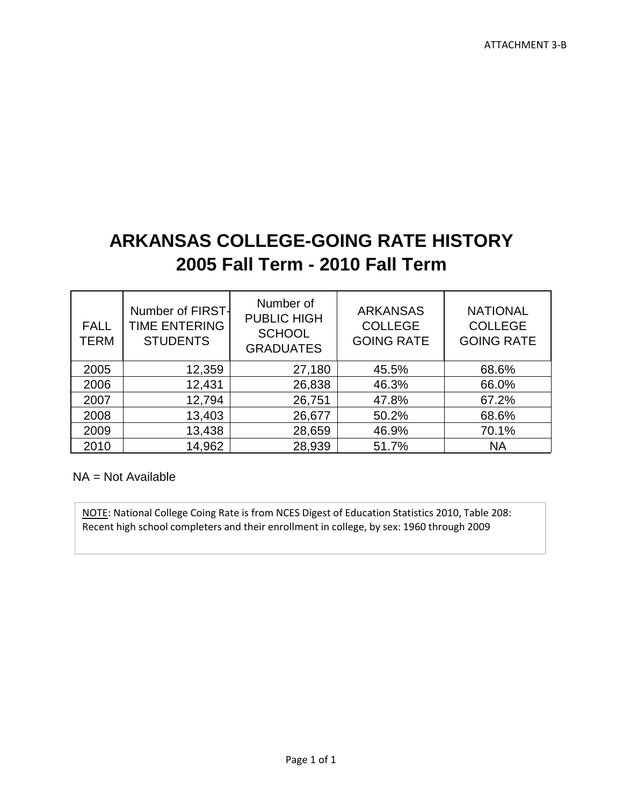# **ARKANSAS COLLEGE-GOING RATE HISTORY 2005 Fall Term - 2010 Fall Term**

| <b>FALL</b><br>TERM | Number of FIRST-<br><b>TIME ENTERING</b><br><b>STUDENTS</b> | Number of<br><b>PUBLIC HIGH</b><br><b>SCHOOL</b><br><b>GRADUATES</b> | <b>ARKANSAS</b><br><b>COLLEGE</b><br><b>GOING RATE</b> | <b>NATIONAL</b><br><b>COLLEGE</b><br><b>GOING RATE</b> |
|---------------------|-------------------------------------------------------------|----------------------------------------------------------------------|--------------------------------------------------------|--------------------------------------------------------|
| 2005                | 12,359                                                      | 27,180                                                               | 45.5%                                                  | 68.6%                                                  |
| 2006                | 12,431                                                      | 26,838                                                               | 46.3%                                                  | 66.0%                                                  |
| 2007                | 12,794                                                      | 26,751                                                               | 47.8%                                                  | 67.2%                                                  |
| 2008                | 13,403                                                      | 26,677                                                               | 50.2%                                                  | 68.6%                                                  |
| 2009                | 13,438                                                      | 28,659                                                               | 46.9%                                                  | 70.1%                                                  |
| 2010                | 14,962                                                      | 28,939                                                               | 51.7%                                                  | <b>NA</b>                                              |

 $NA = Not Available$ 

NOTE: National College Coing Rate is from NCES Digest of Education Statistics 2010, Table 208: Recent high school completers and their enrollment in college, by sex: 1960 through 2009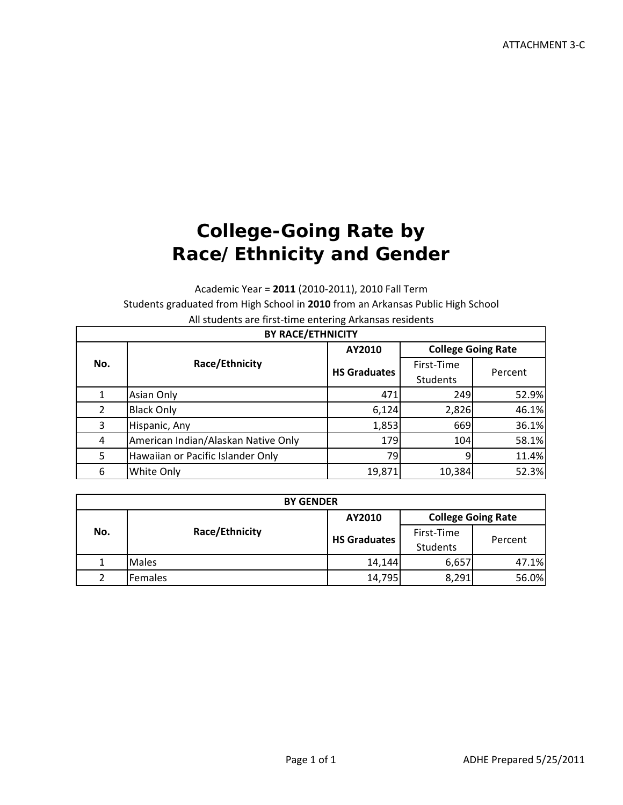# **College-Going Rate by Race/Ethnicity and Gender**

Academic Year = **2011** (2010‐2011), 2010 Fall Term

Students graduated from High School in **2010** from an Arkansas Public High School

All students are first‐time entering Arkansas residents

| <b>BY RACE/ETHNICITY</b> |                                     |                                     |            |         |  |
|--------------------------|-------------------------------------|-------------------------------------|------------|---------|--|
|                          | Race/Ethnicity                      | <b>College Going Rate</b><br>AY2010 |            |         |  |
| No.                      |                                     | <b>HS Graduates</b>                 | First-Time |         |  |
|                          |                                     |                                     | Students   | Percent |  |
|                          | Asian Only                          | 471                                 | 249        | 52.9%   |  |
| $\overline{2}$           | <b>Black Only</b>                   | 6,124                               | 2,826      | 46.1%   |  |
| 3                        | Hispanic, Any                       | 1,853                               | 669        | 36.1%   |  |
| 4                        | American Indian/Alaskan Native Only | 179                                 | 104        | 58.1%   |  |
| 5                        | Hawaiian or Pacific Islander Only   | 79                                  | 9          | 11.4%   |  |
| 6                        | White Only                          | 19,871                              | 10,384     | 52.3%   |  |

| <b>BY GENDER</b> |                |                     |                               |         |
|------------------|----------------|---------------------|-------------------------------|---------|
|                  |                | AY2010              | <b>College Going Rate</b>     |         |
| No.              | Race/Ethnicity | <b>HS Graduates</b> | First-Time<br><b>Students</b> | Percent |
|                  | <b>Males</b>   | 14,144              | 6,657                         | 47.1%   |
| ∍                | Females        | 14,795              | 8,291                         | 56.0%   |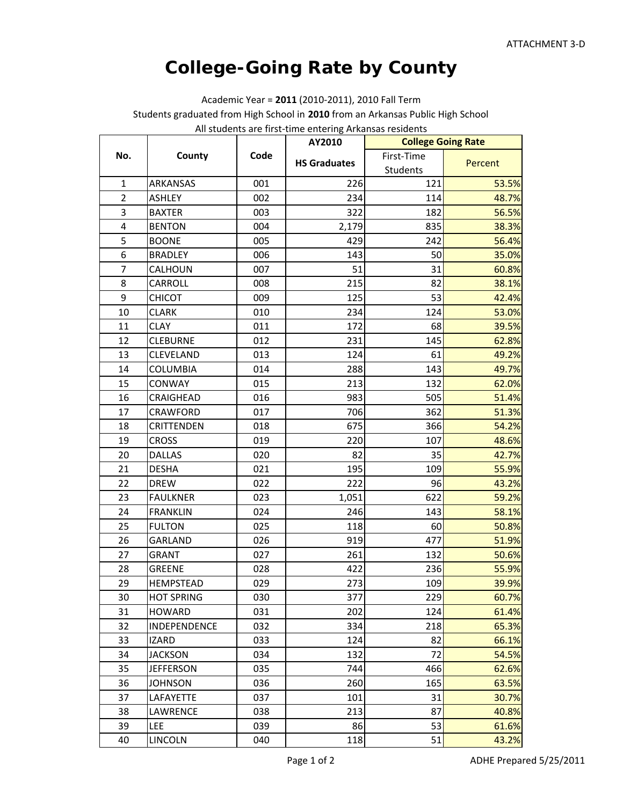## **College-Going Rate by County**

Academic Year = **2011** (2010‐2011), 2010 Fall Term Students graduated from High School in **2010** from an Arkansas Public High School All students are first‐time entering Arkansas residents

|                  |                   |      | numerous are mot time entering mitanous in<br>AY2010 | <b>College Going Rate</b> |         |
|------------------|-------------------|------|------------------------------------------------------|---------------------------|---------|
| No.              | County            | Code |                                                      | First-Time                |         |
|                  |                   |      | <b>HS Graduates</b>                                  | Students                  | Percent |
| $\mathbf{1}$     | ARKANSAS          | 001  | 226                                                  | 121                       | 53.5%   |
| $\overline{2}$   | <b>ASHLEY</b>     | 002  | 234                                                  | 114                       | 48.7%   |
| 3                | <b>BAXTER</b>     | 003  | 322                                                  | 182                       | 56.5%   |
| 4                | <b>BENTON</b>     | 004  | 2,179                                                | 835                       | 38.3%   |
| 5                | <b>BOONE</b>      | 005  | 429                                                  | 242                       | 56.4%   |
| 6                | <b>BRADLEY</b>    | 006  | 143                                                  | 50                        | 35.0%   |
| $\overline{7}$   | CALHOUN           | 007  | 51                                                   | 31                        | 60.8%   |
| 8                | CARROLL           | 008  | 215                                                  | 82                        | 38.1%   |
| $\boldsymbol{9}$ | <b>CHICOT</b>     | 009  | 125                                                  | 53                        | 42.4%   |
| 10               | <b>CLARK</b>      | 010  | 234                                                  | 124                       | 53.0%   |
| 11               | <b>CLAY</b>       | 011  | 172                                                  | 68                        | 39.5%   |
| 12               | <b>CLEBURNE</b>   | 012  | 231                                                  | 145                       | 62.8%   |
| 13               | CLEVELAND         | 013  | 124                                                  | 61                        | 49.2%   |
| 14               | <b>COLUMBIA</b>   | 014  | 288                                                  | 143                       | 49.7%   |
| 15               | CONWAY            | 015  | 213                                                  | 132                       | 62.0%   |
| 16               | CRAIGHEAD         | 016  | 983                                                  | 505                       | 51.4%   |
| 17               | CRAWFORD          | 017  | 706                                                  | 362                       | 51.3%   |
| 18               | <b>CRITTENDEN</b> | 018  | 675                                                  | 366                       | 54.2%   |
| 19               | <b>CROSS</b>      | 019  | 220                                                  | 107                       | 48.6%   |
| 20               | <b>DALLAS</b>     | 020  | 82                                                   | 35                        | 42.7%   |
| 21               | <b>DESHA</b>      | 021  | 195                                                  | 109                       | 55.9%   |
| 22               | <b>DREW</b>       | 022  | 222                                                  | 96                        | 43.2%   |
| 23               | <b>FAULKNER</b>   | 023  | 1,051                                                | 622                       | 59.2%   |
| 24               | <b>FRANKLIN</b>   | 024  | 246                                                  | 143                       | 58.1%   |
| 25               | <b>FULTON</b>     | 025  | 118                                                  | 60                        | 50.8%   |
| 26               | <b>GARLAND</b>    | 026  | 919                                                  | 477                       | 51.9%   |
| 27               | <b>GRANT</b>      | 027  | 261                                                  | 132                       | 50.6%   |
| 28               | <b>GREENE</b>     | 028  | 422                                                  | 236                       | 55.9%   |
| 29               | <b>HEMPSTEAD</b>  | 029  | 273                                                  | 109                       | 39.9%   |
| 30               | <b>HOT SPRING</b> | 030  | 377                                                  | 229                       | 60.7%   |
| 31               | <b>HOWARD</b>     | 031  | 202                                                  | 124                       | 61.4%   |
| 32               | INDEPENDENCE      | 032  | 334                                                  | 218                       | 65.3%   |
| 33               | <b>IZARD</b>      | 033  | 124                                                  | 82                        | 66.1%   |
| 34               | <b>JACKSON</b>    | 034  | 132                                                  | 72                        | 54.5%   |
| 35               | <b>JEFFERSON</b>  | 035  | 744                                                  | 466                       | 62.6%   |
| 36               | <b>JOHNSON</b>    | 036  | 260                                                  | 165                       | 63.5%   |
| 37               | LAFAYETTE         | 037  | 101                                                  | 31                        | 30.7%   |
| 38               | <b>LAWRENCE</b>   | 038  | 213                                                  | 87                        | 40.8%   |
| 39               | LEE               | 039  | 86                                                   | 53                        | 61.6%   |
| 40               | <b>LINCOLN</b>    | 040  | 118                                                  | 51                        | 43.2%   |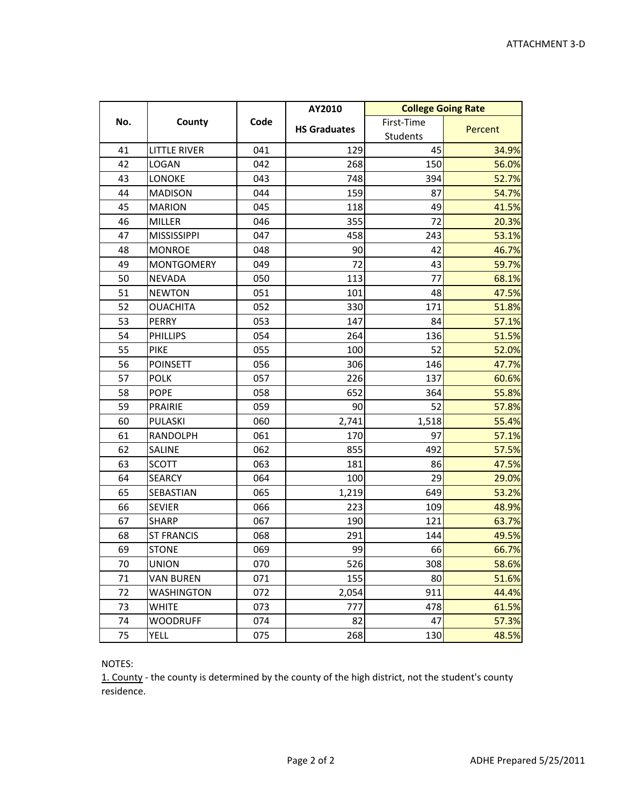|     |                     |      | AY2010              | <b>College Going Rate</b> |         |
|-----|---------------------|------|---------------------|---------------------------|---------|
| No. | County              | Code | <b>HS Graduates</b> | First-Time                | Percent |
|     |                     |      |                     | Students                  |         |
| 41  | <b>LITTLE RIVER</b> | 041  | 129                 | 45                        | 34.9%   |
| 42  | <b>LOGAN</b>        | 042  | 268                 | 150                       | 56.0%   |
| 43  | LONOKE              | 043  | 748                 | 394                       | 52.7%   |
| 44  | <b>MADISON</b>      | 044  | 159                 | 87                        | 54.7%   |
| 45  | <b>MARION</b>       | 045  | 118                 | 49                        | 41.5%   |
| 46  | <b>MILLER</b>       | 046  | 355                 | 72                        | 20.3%   |
| 47  | <b>MISSISSIPPI</b>  | 047  | 458                 | 243                       | 53.1%   |
| 48  | <b>MONROE</b>       | 048  | 90                  | 42                        | 46.7%   |
| 49  | <b>MONTGOMERY</b>   | 049  | 72                  | 43                        | 59.7%   |
| 50  | <b>NEVADA</b>       | 050  | 113                 | 77                        | 68.1%   |
| 51  | <b>NEWTON</b>       | 051  | 101                 | 48                        | 47.5%   |
| 52  | <b>OUACHITA</b>     | 052  | 330                 | 171                       | 51.8%   |
| 53  | <b>PERRY</b>        | 053  | 147                 | 84                        | 57.1%   |
| 54  | <b>PHILLIPS</b>     | 054  | 264                 | 136                       | 51.5%   |
| 55  | <b>PIKE</b>         | 055  | 100                 | 52                        | 52.0%   |
| 56  | <b>POINSETT</b>     | 056  | 306                 | 146                       | 47.7%   |
| 57  | <b>POLK</b>         | 057  | 226                 | 137                       | 60.6%   |
| 58  | <b>POPE</b>         | 058  | 652                 | 364                       | 55.8%   |
| 59  | <b>PRAIRIE</b>      | 059  | 90                  | 52                        | 57.8%   |
| 60  | PULASKI             | 060  | 2,741               | 1,518                     | 55.4%   |
| 61  | RANDOLPH            | 061  | 170                 | 97                        | 57.1%   |
| 62  | SALINE              | 062  | 855                 | 492                       | 57.5%   |
| 63  | <b>SCOTT</b>        | 063  | 181                 | 86                        | 47.5%   |
| 64  | <b>SEARCY</b>       | 064  | 100                 | 29                        | 29.0%   |
| 65  | SEBASTIAN           | 065  | 1,219               | 649                       | 53.2%   |
| 66  | <b>SEVIER</b>       | 066  | 223                 | 109                       | 48.9%   |
| 67  | <b>SHARP</b>        | 067  | 190                 | 121                       | 63.7%   |
| 68  | <b>ST FRANCIS</b>   | 068  | 291                 | 144                       | 49.5%   |
| 69  | <b>STONE</b>        | 069  | 99                  | 66                        | 66.7%   |
| 70  | <b>UNION</b>        | 070  | 526                 | 308                       | 58.6%   |
| 71  | <b>VAN BUREN</b>    | 071  | 155                 | 80                        | 51.6%   |
| 72  | WASHINGTON          | 072  | 2,054               | 911                       | 44.4%   |
| 73  | WHITE               | 073  | 777                 | 478                       | 61.5%   |
| 74  | <b>WOODRUFF</b>     | 074  | 82                  | 47                        | 57.3%   |
| 75  | YELL                | 075  | 268                 | 130                       | 48.5%   |

NOTES:

1. County - the county is determined by the county of the high district, not the student's county residence.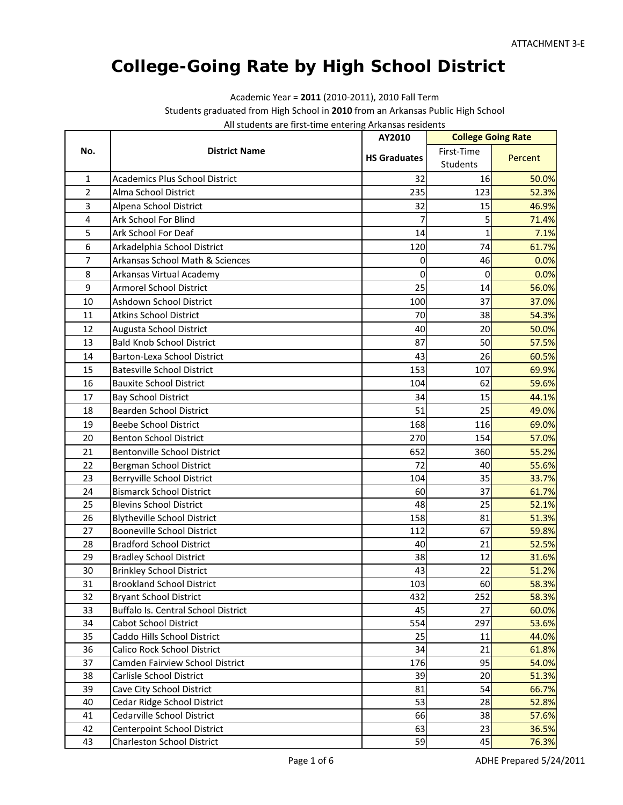## **College-Going Rate by High School District**

Academic Year = **2011** (2010‐2011), 2010 Fall Term

Students graduated from High School in **2010** from an Arkansas Public High School

| All students are first-time entering Arkansas residents |  |
|---------------------------------------------------------|--|
|---------------------------------------------------------|--|

|                |                                                          | AY2010              | <b>College Going Rate</b> |                |
|----------------|----------------------------------------------------------|---------------------|---------------------------|----------------|
| No.            | <b>District Name</b>                                     | <b>HS Graduates</b> | First-Time                | Percent        |
|                |                                                          |                     | Students                  |                |
| 1              | <b>Academics Plus School District</b>                    | 32                  | 16                        | 50.0%          |
| $\overline{2}$ | Alma School District                                     | 235                 | 123                       | 52.3%          |
| 3              | Alpena School District                                   | 32                  | 15                        | 46.9%          |
| 4              | Ark School For Blind                                     | 7                   | 5                         | 71.4%          |
| 5              | Ark School For Deaf                                      | 14                  | $\mathbf{1}$              | 7.1%           |
| 6              | Arkadelphia School District                              | 120                 | 74                        | 61.7%          |
| 7              | Arkansas School Math & Sciences                          | 0                   | 46                        | 0.0%           |
| 8              | Arkansas Virtual Academy                                 | 0                   | $\Omega$                  | 0.0%           |
| 9              | <b>Armorel School District</b>                           | 25                  | 14                        | 56.0%          |
| 10             | Ashdown School District                                  | 100                 | 37                        | 37.0%          |
| 11             | <b>Atkins School District</b>                            | 70                  | 38                        | 54.3%          |
| 12             | Augusta School District                                  | 40                  | 20                        | 50.0%          |
| 13             | <b>Bald Knob School District</b>                         | 87                  | 50                        | 57.5%          |
| 14             | <b>Barton-Lexa School District</b>                       | 43                  | 26                        | 60.5%          |
| 15             | <b>Batesville School District</b>                        | 153                 | 107                       | 69.9%          |
| 16             | <b>Bauxite School District</b>                           | 104                 | 62                        | 59.6%          |
| 17             | <b>Bay School District</b>                               | 34                  | 15                        | 44.1%          |
| 18             | Bearden School District                                  | 51                  | 25                        | 49.0%          |
| 19             | <b>Beebe School District</b>                             | 168                 | 116                       | 69.0%          |
| 20             | <b>Benton School District</b>                            | 270                 | 154                       | 57.0%          |
| 21             | <b>Bentonville School District</b>                       | 652                 | 360                       | 55.2%          |
| 22             | Bergman School District                                  | 72                  | 40                        | 55.6%          |
| 23             | Berryville School District                               | 104                 | 35                        | 33.7%          |
| 24             | <b>Bismarck School District</b>                          | 60                  | 37                        | 61.7%          |
| 25             | <b>Blevins School District</b>                           | 48                  | 25                        | 52.1%          |
| 26             | <b>Blytheville School District</b>                       | 158                 | 81                        | 51.3%          |
| 27             | <b>Booneville School District</b>                        | 112                 | 67                        | 59.8%          |
| 28             | <b>Bradford School District</b>                          | 40                  | 21                        | 52.5%          |
| 29             | <b>Bradley School District</b>                           | 38                  | 12                        | 31.6%          |
| 30             | <b>Brinkley School District</b>                          | 43                  | 22                        | 51.2%          |
| 31             | <b>Brookland School District</b>                         | 103                 | 60                        | 58.3%          |
| 32             | <b>Bryant School District</b>                            | 432                 | 252                       | 58.3%          |
| 33             | Buffalo Is. Central School District                      | 45                  | 27                        | 60.0%          |
| 34             | Cabot School District                                    | 554                 | 297                       | 53.6%          |
| 35             | Caddo Hills School District                              | 25                  | 11                        | 44.0%          |
| 36             | Calico Rock School District                              | 34                  | 21                        | 61.8%          |
| 37             | Camden Fairview School District                          | 176                 | 95                        | 54.0%          |
| 38             | Carlisle School District                                 | 39                  | 20<br>54                  | 51.3%          |
| 39<br>40       | Cave City School District<br>Cedar Ridge School District | 81<br>53            | 28                        | 66.7%<br>52.8% |
| 41             | Cedarville School District                               | 66                  | 38                        | 57.6%          |
| 42             | Centerpoint School District                              | 63                  | 23                        | 36.5%          |
| 43             | <b>Charleston School District</b>                        | 59                  | 45                        | 76.3%          |
|                |                                                          |                     |                           |                |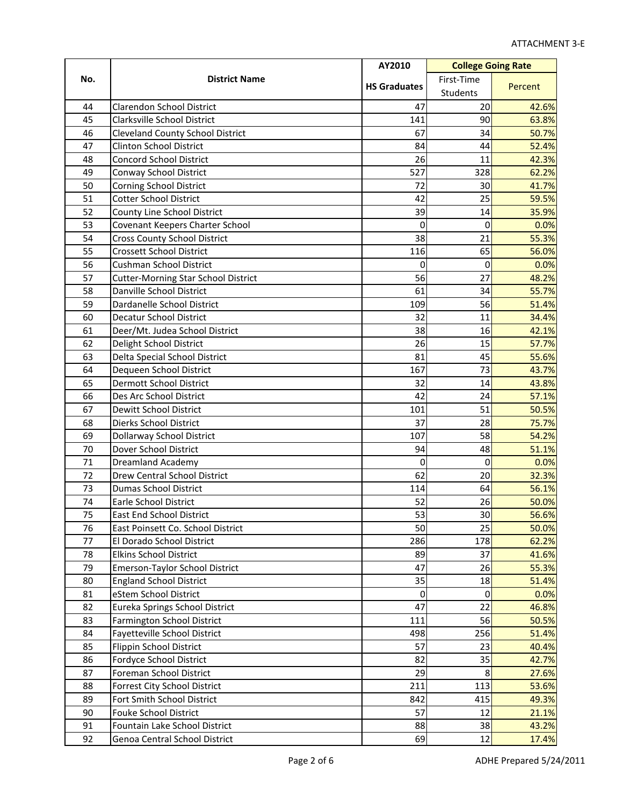| No.<br>First-Time<br><b>District Name</b><br><b>HS Graduates</b><br>Percent<br>Students<br>Clarendon School District<br>20<br>42.6%<br>44<br>47<br>45<br><b>Clarksville School District</b><br>141<br>90<br>46<br><b>Cleveland County School District</b><br>67<br>34<br>47<br><b>Clinton School District</b><br>84<br>44<br>48<br><b>Concord School District</b><br>26<br>11<br>42.3%<br>49<br>527<br>328<br>Conway School District<br>50<br>72<br>41.7%<br><b>Corning School District</b><br>30<br>51<br><b>Cotter School District</b><br>42<br>25<br>59.5%<br>52<br>County Line School District<br>39<br>14<br>35.9%<br>53<br>0<br>Covenant Keepers Charter School<br>0<br>0.0%<br>54<br>38<br>21<br><b>Cross County School District</b><br>55.3%<br>55<br><b>Crossett School District</b><br>65<br>56.0%<br>116<br>56<br><b>Cushman School District</b><br>0<br>0.0%<br>$\Omega$<br>57<br>27<br>56<br>48.2%<br><b>Cutter-Morning Star School District</b><br>58<br>Danville School District<br>61<br>34<br>55.7%<br>59<br>Dardanelle School District<br>56<br>109<br>60<br><b>Decatur School District</b><br>32<br>11<br>34.4%<br>61<br>Deer/Mt. Judea School District<br>38<br>16<br>42.1%<br>62<br>Delight School District<br>15<br>57.7%<br>26<br>63<br>45<br>Delta Special School District<br>81<br>55.6%<br>64<br>167<br>73<br>Dequeen School District<br>43.7%<br>65<br><b>Dermott School District</b><br>32<br>14<br>43.8%<br>66<br>Des Arc School District<br>42<br>24<br>57.1%<br>51<br>67<br>101<br>Dewitt School District<br>50.5%<br>68<br>Dierks School District<br>37<br>75.7%<br>28<br>58<br>69<br>Dollarway School District<br>107<br>54.2%<br>70<br>Dover School District<br>48<br>94<br>51.1%<br>71<br><b>Dreamland Academy</b><br>0<br>0<br>0.0%<br>62<br>72<br>20<br>Drew Central School District<br>32.3%<br>73<br><b>Dumas School District</b><br>64<br>114<br>56.1%<br>74<br>52<br><b>Earle School District</b><br>26<br>50.0%<br>53<br>30<br>75<br><b>East End School District</b><br>50<br>25<br>76<br>East Poinsett Co. School District<br>286<br>178<br>77<br>El Dorado School District<br>62.2%<br>78<br>37<br><b>Elkins School District</b><br>89<br>41.6%<br>79<br>47<br>26<br>Emerson-Taylor School District<br>80<br>35<br><b>England School District</b><br>18<br>51.4%<br>81<br>eStem School District<br>$\mathbf 0$<br>$\boldsymbol{0}$<br>0.0%<br>47<br>22<br>82<br>Eureka Springs School District<br>46.8%<br>83<br>Farmington School District<br>111<br>56<br>50.5%<br>256<br>84<br>Fayetteville School District<br>498<br>51.4%<br>85<br>57<br>23<br><b>Flippin School District</b><br>35<br>86<br>82<br>Fordyce School District<br>42.7%<br>29<br>8<br>87<br>Foreman School District<br>27.6%<br>88<br>Forrest City School District<br>211<br>113<br>53.6%<br>415<br>89<br>Fort Smith School District<br>842<br>49.3%<br>57<br>90<br>Fouke School District<br>12<br>21.1%<br>91<br>Fountain Lake School District<br>88<br>38<br>92<br>12<br>69<br>Genoa Central School District |  | AY2010 | <b>College Going Rate</b> |  |
|-----------------------------------------------------------------------------------------------------------------------------------------------------------------------------------------------------------------------------------------------------------------------------------------------------------------------------------------------------------------------------------------------------------------------------------------------------------------------------------------------------------------------------------------------------------------------------------------------------------------------------------------------------------------------------------------------------------------------------------------------------------------------------------------------------------------------------------------------------------------------------------------------------------------------------------------------------------------------------------------------------------------------------------------------------------------------------------------------------------------------------------------------------------------------------------------------------------------------------------------------------------------------------------------------------------------------------------------------------------------------------------------------------------------------------------------------------------------------------------------------------------------------------------------------------------------------------------------------------------------------------------------------------------------------------------------------------------------------------------------------------------------------------------------------------------------------------------------------------------------------------------------------------------------------------------------------------------------------------------------------------------------------------------------------------------------------------------------------------------------------------------------------------------------------------------------------------------------------------------------------------------------------------------------------------------------------------------------------------------------------------------------------------------------------------------------------------------------------------------------------------------------------------------------------------------------------------------------------------------------------------------------------------------------------------------------------------------------------------------------------------------------------------------------------------------------------------------------------------------------------------------------------------------------------------------------------------------------------------------------------------------------------------|--|--------|---------------------------|--|
| 63.8%<br>50.7%<br>52.4%<br>62.2%<br>51.4%<br>56.6%<br>50.0%<br>55.3%<br>40.4%<br>43.2%<br>17.4%                                                                                                                                                                                                                                                                                                                                                                                                                                                                                                                                                                                                                                                                                                                                                                                                                                                                                                                                                                                                                                                                                                                                                                                                                                                                                                                                                                                                                                                                                                                                                                                                                                                                                                                                                                                                                                                                                                                                                                                                                                                                                                                                                                                                                                                                                                                                                                                                                                                                                                                                                                                                                                                                                                                                                                                                                                                                                                                             |  |        |                           |  |
|                                                                                                                                                                                                                                                                                                                                                                                                                                                                                                                                                                                                                                                                                                                                                                                                                                                                                                                                                                                                                                                                                                                                                                                                                                                                                                                                                                                                                                                                                                                                                                                                                                                                                                                                                                                                                                                                                                                                                                                                                                                                                                                                                                                                                                                                                                                                                                                                                                                                                                                                                                                                                                                                                                                                                                                                                                                                                                                                                                                                                             |  |        |                           |  |
|                                                                                                                                                                                                                                                                                                                                                                                                                                                                                                                                                                                                                                                                                                                                                                                                                                                                                                                                                                                                                                                                                                                                                                                                                                                                                                                                                                                                                                                                                                                                                                                                                                                                                                                                                                                                                                                                                                                                                                                                                                                                                                                                                                                                                                                                                                                                                                                                                                                                                                                                                                                                                                                                                                                                                                                                                                                                                                                                                                                                                             |  |        |                           |  |
|                                                                                                                                                                                                                                                                                                                                                                                                                                                                                                                                                                                                                                                                                                                                                                                                                                                                                                                                                                                                                                                                                                                                                                                                                                                                                                                                                                                                                                                                                                                                                                                                                                                                                                                                                                                                                                                                                                                                                                                                                                                                                                                                                                                                                                                                                                                                                                                                                                                                                                                                                                                                                                                                                                                                                                                                                                                                                                                                                                                                                             |  |        |                           |  |
|                                                                                                                                                                                                                                                                                                                                                                                                                                                                                                                                                                                                                                                                                                                                                                                                                                                                                                                                                                                                                                                                                                                                                                                                                                                                                                                                                                                                                                                                                                                                                                                                                                                                                                                                                                                                                                                                                                                                                                                                                                                                                                                                                                                                                                                                                                                                                                                                                                                                                                                                                                                                                                                                                                                                                                                                                                                                                                                                                                                                                             |  |        |                           |  |
|                                                                                                                                                                                                                                                                                                                                                                                                                                                                                                                                                                                                                                                                                                                                                                                                                                                                                                                                                                                                                                                                                                                                                                                                                                                                                                                                                                                                                                                                                                                                                                                                                                                                                                                                                                                                                                                                                                                                                                                                                                                                                                                                                                                                                                                                                                                                                                                                                                                                                                                                                                                                                                                                                                                                                                                                                                                                                                                                                                                                                             |  |        |                           |  |
|                                                                                                                                                                                                                                                                                                                                                                                                                                                                                                                                                                                                                                                                                                                                                                                                                                                                                                                                                                                                                                                                                                                                                                                                                                                                                                                                                                                                                                                                                                                                                                                                                                                                                                                                                                                                                                                                                                                                                                                                                                                                                                                                                                                                                                                                                                                                                                                                                                                                                                                                                                                                                                                                                                                                                                                                                                                                                                                                                                                                                             |  |        |                           |  |
|                                                                                                                                                                                                                                                                                                                                                                                                                                                                                                                                                                                                                                                                                                                                                                                                                                                                                                                                                                                                                                                                                                                                                                                                                                                                                                                                                                                                                                                                                                                                                                                                                                                                                                                                                                                                                                                                                                                                                                                                                                                                                                                                                                                                                                                                                                                                                                                                                                                                                                                                                                                                                                                                                                                                                                                                                                                                                                                                                                                                                             |  |        |                           |  |
|                                                                                                                                                                                                                                                                                                                                                                                                                                                                                                                                                                                                                                                                                                                                                                                                                                                                                                                                                                                                                                                                                                                                                                                                                                                                                                                                                                                                                                                                                                                                                                                                                                                                                                                                                                                                                                                                                                                                                                                                                                                                                                                                                                                                                                                                                                                                                                                                                                                                                                                                                                                                                                                                                                                                                                                                                                                                                                                                                                                                                             |  |        |                           |  |
|                                                                                                                                                                                                                                                                                                                                                                                                                                                                                                                                                                                                                                                                                                                                                                                                                                                                                                                                                                                                                                                                                                                                                                                                                                                                                                                                                                                                                                                                                                                                                                                                                                                                                                                                                                                                                                                                                                                                                                                                                                                                                                                                                                                                                                                                                                                                                                                                                                                                                                                                                                                                                                                                                                                                                                                                                                                                                                                                                                                                                             |  |        |                           |  |
|                                                                                                                                                                                                                                                                                                                                                                                                                                                                                                                                                                                                                                                                                                                                                                                                                                                                                                                                                                                                                                                                                                                                                                                                                                                                                                                                                                                                                                                                                                                                                                                                                                                                                                                                                                                                                                                                                                                                                                                                                                                                                                                                                                                                                                                                                                                                                                                                                                                                                                                                                                                                                                                                                                                                                                                                                                                                                                                                                                                                                             |  |        |                           |  |
|                                                                                                                                                                                                                                                                                                                                                                                                                                                                                                                                                                                                                                                                                                                                                                                                                                                                                                                                                                                                                                                                                                                                                                                                                                                                                                                                                                                                                                                                                                                                                                                                                                                                                                                                                                                                                                                                                                                                                                                                                                                                                                                                                                                                                                                                                                                                                                                                                                                                                                                                                                                                                                                                                                                                                                                                                                                                                                                                                                                                                             |  |        |                           |  |
|                                                                                                                                                                                                                                                                                                                                                                                                                                                                                                                                                                                                                                                                                                                                                                                                                                                                                                                                                                                                                                                                                                                                                                                                                                                                                                                                                                                                                                                                                                                                                                                                                                                                                                                                                                                                                                                                                                                                                                                                                                                                                                                                                                                                                                                                                                                                                                                                                                                                                                                                                                                                                                                                                                                                                                                                                                                                                                                                                                                                                             |  |        |                           |  |
|                                                                                                                                                                                                                                                                                                                                                                                                                                                                                                                                                                                                                                                                                                                                                                                                                                                                                                                                                                                                                                                                                                                                                                                                                                                                                                                                                                                                                                                                                                                                                                                                                                                                                                                                                                                                                                                                                                                                                                                                                                                                                                                                                                                                                                                                                                                                                                                                                                                                                                                                                                                                                                                                                                                                                                                                                                                                                                                                                                                                                             |  |        |                           |  |
|                                                                                                                                                                                                                                                                                                                                                                                                                                                                                                                                                                                                                                                                                                                                                                                                                                                                                                                                                                                                                                                                                                                                                                                                                                                                                                                                                                                                                                                                                                                                                                                                                                                                                                                                                                                                                                                                                                                                                                                                                                                                                                                                                                                                                                                                                                                                                                                                                                                                                                                                                                                                                                                                                                                                                                                                                                                                                                                                                                                                                             |  |        |                           |  |
|                                                                                                                                                                                                                                                                                                                                                                                                                                                                                                                                                                                                                                                                                                                                                                                                                                                                                                                                                                                                                                                                                                                                                                                                                                                                                                                                                                                                                                                                                                                                                                                                                                                                                                                                                                                                                                                                                                                                                                                                                                                                                                                                                                                                                                                                                                                                                                                                                                                                                                                                                                                                                                                                                                                                                                                                                                                                                                                                                                                                                             |  |        |                           |  |
|                                                                                                                                                                                                                                                                                                                                                                                                                                                                                                                                                                                                                                                                                                                                                                                                                                                                                                                                                                                                                                                                                                                                                                                                                                                                                                                                                                                                                                                                                                                                                                                                                                                                                                                                                                                                                                                                                                                                                                                                                                                                                                                                                                                                                                                                                                                                                                                                                                                                                                                                                                                                                                                                                                                                                                                                                                                                                                                                                                                                                             |  |        |                           |  |
|                                                                                                                                                                                                                                                                                                                                                                                                                                                                                                                                                                                                                                                                                                                                                                                                                                                                                                                                                                                                                                                                                                                                                                                                                                                                                                                                                                                                                                                                                                                                                                                                                                                                                                                                                                                                                                                                                                                                                                                                                                                                                                                                                                                                                                                                                                                                                                                                                                                                                                                                                                                                                                                                                                                                                                                                                                                                                                                                                                                                                             |  |        |                           |  |
|                                                                                                                                                                                                                                                                                                                                                                                                                                                                                                                                                                                                                                                                                                                                                                                                                                                                                                                                                                                                                                                                                                                                                                                                                                                                                                                                                                                                                                                                                                                                                                                                                                                                                                                                                                                                                                                                                                                                                                                                                                                                                                                                                                                                                                                                                                                                                                                                                                                                                                                                                                                                                                                                                                                                                                                                                                                                                                                                                                                                                             |  |        |                           |  |
|                                                                                                                                                                                                                                                                                                                                                                                                                                                                                                                                                                                                                                                                                                                                                                                                                                                                                                                                                                                                                                                                                                                                                                                                                                                                                                                                                                                                                                                                                                                                                                                                                                                                                                                                                                                                                                                                                                                                                                                                                                                                                                                                                                                                                                                                                                                                                                                                                                                                                                                                                                                                                                                                                                                                                                                                                                                                                                                                                                                                                             |  |        |                           |  |
|                                                                                                                                                                                                                                                                                                                                                                                                                                                                                                                                                                                                                                                                                                                                                                                                                                                                                                                                                                                                                                                                                                                                                                                                                                                                                                                                                                                                                                                                                                                                                                                                                                                                                                                                                                                                                                                                                                                                                                                                                                                                                                                                                                                                                                                                                                                                                                                                                                                                                                                                                                                                                                                                                                                                                                                                                                                                                                                                                                                                                             |  |        |                           |  |
|                                                                                                                                                                                                                                                                                                                                                                                                                                                                                                                                                                                                                                                                                                                                                                                                                                                                                                                                                                                                                                                                                                                                                                                                                                                                                                                                                                                                                                                                                                                                                                                                                                                                                                                                                                                                                                                                                                                                                                                                                                                                                                                                                                                                                                                                                                                                                                                                                                                                                                                                                                                                                                                                                                                                                                                                                                                                                                                                                                                                                             |  |        |                           |  |
|                                                                                                                                                                                                                                                                                                                                                                                                                                                                                                                                                                                                                                                                                                                                                                                                                                                                                                                                                                                                                                                                                                                                                                                                                                                                                                                                                                                                                                                                                                                                                                                                                                                                                                                                                                                                                                                                                                                                                                                                                                                                                                                                                                                                                                                                                                                                                                                                                                                                                                                                                                                                                                                                                                                                                                                                                                                                                                                                                                                                                             |  |        |                           |  |
|                                                                                                                                                                                                                                                                                                                                                                                                                                                                                                                                                                                                                                                                                                                                                                                                                                                                                                                                                                                                                                                                                                                                                                                                                                                                                                                                                                                                                                                                                                                                                                                                                                                                                                                                                                                                                                                                                                                                                                                                                                                                                                                                                                                                                                                                                                                                                                                                                                                                                                                                                                                                                                                                                                                                                                                                                                                                                                                                                                                                                             |  |        |                           |  |
|                                                                                                                                                                                                                                                                                                                                                                                                                                                                                                                                                                                                                                                                                                                                                                                                                                                                                                                                                                                                                                                                                                                                                                                                                                                                                                                                                                                                                                                                                                                                                                                                                                                                                                                                                                                                                                                                                                                                                                                                                                                                                                                                                                                                                                                                                                                                                                                                                                                                                                                                                                                                                                                                                                                                                                                                                                                                                                                                                                                                                             |  |        |                           |  |
|                                                                                                                                                                                                                                                                                                                                                                                                                                                                                                                                                                                                                                                                                                                                                                                                                                                                                                                                                                                                                                                                                                                                                                                                                                                                                                                                                                                                                                                                                                                                                                                                                                                                                                                                                                                                                                                                                                                                                                                                                                                                                                                                                                                                                                                                                                                                                                                                                                                                                                                                                                                                                                                                                                                                                                                                                                                                                                                                                                                                                             |  |        |                           |  |
|                                                                                                                                                                                                                                                                                                                                                                                                                                                                                                                                                                                                                                                                                                                                                                                                                                                                                                                                                                                                                                                                                                                                                                                                                                                                                                                                                                                                                                                                                                                                                                                                                                                                                                                                                                                                                                                                                                                                                                                                                                                                                                                                                                                                                                                                                                                                                                                                                                                                                                                                                                                                                                                                                                                                                                                                                                                                                                                                                                                                                             |  |        |                           |  |
|                                                                                                                                                                                                                                                                                                                                                                                                                                                                                                                                                                                                                                                                                                                                                                                                                                                                                                                                                                                                                                                                                                                                                                                                                                                                                                                                                                                                                                                                                                                                                                                                                                                                                                                                                                                                                                                                                                                                                                                                                                                                                                                                                                                                                                                                                                                                                                                                                                                                                                                                                                                                                                                                                                                                                                                                                                                                                                                                                                                                                             |  |        |                           |  |
|                                                                                                                                                                                                                                                                                                                                                                                                                                                                                                                                                                                                                                                                                                                                                                                                                                                                                                                                                                                                                                                                                                                                                                                                                                                                                                                                                                                                                                                                                                                                                                                                                                                                                                                                                                                                                                                                                                                                                                                                                                                                                                                                                                                                                                                                                                                                                                                                                                                                                                                                                                                                                                                                                                                                                                                                                                                                                                                                                                                                                             |  |        |                           |  |
|                                                                                                                                                                                                                                                                                                                                                                                                                                                                                                                                                                                                                                                                                                                                                                                                                                                                                                                                                                                                                                                                                                                                                                                                                                                                                                                                                                                                                                                                                                                                                                                                                                                                                                                                                                                                                                                                                                                                                                                                                                                                                                                                                                                                                                                                                                                                                                                                                                                                                                                                                                                                                                                                                                                                                                                                                                                                                                                                                                                                                             |  |        |                           |  |
|                                                                                                                                                                                                                                                                                                                                                                                                                                                                                                                                                                                                                                                                                                                                                                                                                                                                                                                                                                                                                                                                                                                                                                                                                                                                                                                                                                                                                                                                                                                                                                                                                                                                                                                                                                                                                                                                                                                                                                                                                                                                                                                                                                                                                                                                                                                                                                                                                                                                                                                                                                                                                                                                                                                                                                                                                                                                                                                                                                                                                             |  |        |                           |  |
|                                                                                                                                                                                                                                                                                                                                                                                                                                                                                                                                                                                                                                                                                                                                                                                                                                                                                                                                                                                                                                                                                                                                                                                                                                                                                                                                                                                                                                                                                                                                                                                                                                                                                                                                                                                                                                                                                                                                                                                                                                                                                                                                                                                                                                                                                                                                                                                                                                                                                                                                                                                                                                                                                                                                                                                                                                                                                                                                                                                                                             |  |        |                           |  |
|                                                                                                                                                                                                                                                                                                                                                                                                                                                                                                                                                                                                                                                                                                                                                                                                                                                                                                                                                                                                                                                                                                                                                                                                                                                                                                                                                                                                                                                                                                                                                                                                                                                                                                                                                                                                                                                                                                                                                                                                                                                                                                                                                                                                                                                                                                                                                                                                                                                                                                                                                                                                                                                                                                                                                                                                                                                                                                                                                                                                                             |  |        |                           |  |
|                                                                                                                                                                                                                                                                                                                                                                                                                                                                                                                                                                                                                                                                                                                                                                                                                                                                                                                                                                                                                                                                                                                                                                                                                                                                                                                                                                                                                                                                                                                                                                                                                                                                                                                                                                                                                                                                                                                                                                                                                                                                                                                                                                                                                                                                                                                                                                                                                                                                                                                                                                                                                                                                                                                                                                                                                                                                                                                                                                                                                             |  |        |                           |  |
|                                                                                                                                                                                                                                                                                                                                                                                                                                                                                                                                                                                                                                                                                                                                                                                                                                                                                                                                                                                                                                                                                                                                                                                                                                                                                                                                                                                                                                                                                                                                                                                                                                                                                                                                                                                                                                                                                                                                                                                                                                                                                                                                                                                                                                                                                                                                                                                                                                                                                                                                                                                                                                                                                                                                                                                                                                                                                                                                                                                                                             |  |        |                           |  |
|                                                                                                                                                                                                                                                                                                                                                                                                                                                                                                                                                                                                                                                                                                                                                                                                                                                                                                                                                                                                                                                                                                                                                                                                                                                                                                                                                                                                                                                                                                                                                                                                                                                                                                                                                                                                                                                                                                                                                                                                                                                                                                                                                                                                                                                                                                                                                                                                                                                                                                                                                                                                                                                                                                                                                                                                                                                                                                                                                                                                                             |  |        |                           |  |
|                                                                                                                                                                                                                                                                                                                                                                                                                                                                                                                                                                                                                                                                                                                                                                                                                                                                                                                                                                                                                                                                                                                                                                                                                                                                                                                                                                                                                                                                                                                                                                                                                                                                                                                                                                                                                                                                                                                                                                                                                                                                                                                                                                                                                                                                                                                                                                                                                                                                                                                                                                                                                                                                                                                                                                                                                                                                                                                                                                                                                             |  |        |                           |  |
|                                                                                                                                                                                                                                                                                                                                                                                                                                                                                                                                                                                                                                                                                                                                                                                                                                                                                                                                                                                                                                                                                                                                                                                                                                                                                                                                                                                                                                                                                                                                                                                                                                                                                                                                                                                                                                                                                                                                                                                                                                                                                                                                                                                                                                                                                                                                                                                                                                                                                                                                                                                                                                                                                                                                                                                                                                                                                                                                                                                                                             |  |        |                           |  |
|                                                                                                                                                                                                                                                                                                                                                                                                                                                                                                                                                                                                                                                                                                                                                                                                                                                                                                                                                                                                                                                                                                                                                                                                                                                                                                                                                                                                                                                                                                                                                                                                                                                                                                                                                                                                                                                                                                                                                                                                                                                                                                                                                                                                                                                                                                                                                                                                                                                                                                                                                                                                                                                                                                                                                                                                                                                                                                                                                                                                                             |  |        |                           |  |
|                                                                                                                                                                                                                                                                                                                                                                                                                                                                                                                                                                                                                                                                                                                                                                                                                                                                                                                                                                                                                                                                                                                                                                                                                                                                                                                                                                                                                                                                                                                                                                                                                                                                                                                                                                                                                                                                                                                                                                                                                                                                                                                                                                                                                                                                                                                                                                                                                                                                                                                                                                                                                                                                                                                                                                                                                                                                                                                                                                                                                             |  |        |                           |  |
|                                                                                                                                                                                                                                                                                                                                                                                                                                                                                                                                                                                                                                                                                                                                                                                                                                                                                                                                                                                                                                                                                                                                                                                                                                                                                                                                                                                                                                                                                                                                                                                                                                                                                                                                                                                                                                                                                                                                                                                                                                                                                                                                                                                                                                                                                                                                                                                                                                                                                                                                                                                                                                                                                                                                                                                                                                                                                                                                                                                                                             |  |        |                           |  |
|                                                                                                                                                                                                                                                                                                                                                                                                                                                                                                                                                                                                                                                                                                                                                                                                                                                                                                                                                                                                                                                                                                                                                                                                                                                                                                                                                                                                                                                                                                                                                                                                                                                                                                                                                                                                                                                                                                                                                                                                                                                                                                                                                                                                                                                                                                                                                                                                                                                                                                                                                                                                                                                                                                                                                                                                                                                                                                                                                                                                                             |  |        |                           |  |
|                                                                                                                                                                                                                                                                                                                                                                                                                                                                                                                                                                                                                                                                                                                                                                                                                                                                                                                                                                                                                                                                                                                                                                                                                                                                                                                                                                                                                                                                                                                                                                                                                                                                                                                                                                                                                                                                                                                                                                                                                                                                                                                                                                                                                                                                                                                                                                                                                                                                                                                                                                                                                                                                                                                                                                                                                                                                                                                                                                                                                             |  |        |                           |  |
|                                                                                                                                                                                                                                                                                                                                                                                                                                                                                                                                                                                                                                                                                                                                                                                                                                                                                                                                                                                                                                                                                                                                                                                                                                                                                                                                                                                                                                                                                                                                                                                                                                                                                                                                                                                                                                                                                                                                                                                                                                                                                                                                                                                                                                                                                                                                                                                                                                                                                                                                                                                                                                                                                                                                                                                                                                                                                                                                                                                                                             |  |        |                           |  |
|                                                                                                                                                                                                                                                                                                                                                                                                                                                                                                                                                                                                                                                                                                                                                                                                                                                                                                                                                                                                                                                                                                                                                                                                                                                                                                                                                                                                                                                                                                                                                                                                                                                                                                                                                                                                                                                                                                                                                                                                                                                                                                                                                                                                                                                                                                                                                                                                                                                                                                                                                                                                                                                                                                                                                                                                                                                                                                                                                                                                                             |  |        |                           |  |
|                                                                                                                                                                                                                                                                                                                                                                                                                                                                                                                                                                                                                                                                                                                                                                                                                                                                                                                                                                                                                                                                                                                                                                                                                                                                                                                                                                                                                                                                                                                                                                                                                                                                                                                                                                                                                                                                                                                                                                                                                                                                                                                                                                                                                                                                                                                                                                                                                                                                                                                                                                                                                                                                                                                                                                                                                                                                                                                                                                                                                             |  |        |                           |  |
|                                                                                                                                                                                                                                                                                                                                                                                                                                                                                                                                                                                                                                                                                                                                                                                                                                                                                                                                                                                                                                                                                                                                                                                                                                                                                                                                                                                                                                                                                                                                                                                                                                                                                                                                                                                                                                                                                                                                                                                                                                                                                                                                                                                                                                                                                                                                                                                                                                                                                                                                                                                                                                                                                                                                                                                                                                                                                                                                                                                                                             |  |        |                           |  |
|                                                                                                                                                                                                                                                                                                                                                                                                                                                                                                                                                                                                                                                                                                                                                                                                                                                                                                                                                                                                                                                                                                                                                                                                                                                                                                                                                                                                                                                                                                                                                                                                                                                                                                                                                                                                                                                                                                                                                                                                                                                                                                                                                                                                                                                                                                                                                                                                                                                                                                                                                                                                                                                                                                                                                                                                                                                                                                                                                                                                                             |  |        |                           |  |
|                                                                                                                                                                                                                                                                                                                                                                                                                                                                                                                                                                                                                                                                                                                                                                                                                                                                                                                                                                                                                                                                                                                                                                                                                                                                                                                                                                                                                                                                                                                                                                                                                                                                                                                                                                                                                                                                                                                                                                                                                                                                                                                                                                                                                                                                                                                                                                                                                                                                                                                                                                                                                                                                                                                                                                                                                                                                                                                                                                                                                             |  |        |                           |  |
|                                                                                                                                                                                                                                                                                                                                                                                                                                                                                                                                                                                                                                                                                                                                                                                                                                                                                                                                                                                                                                                                                                                                                                                                                                                                                                                                                                                                                                                                                                                                                                                                                                                                                                                                                                                                                                                                                                                                                                                                                                                                                                                                                                                                                                                                                                                                                                                                                                                                                                                                                                                                                                                                                                                                                                                                                                                                                                                                                                                                                             |  |        |                           |  |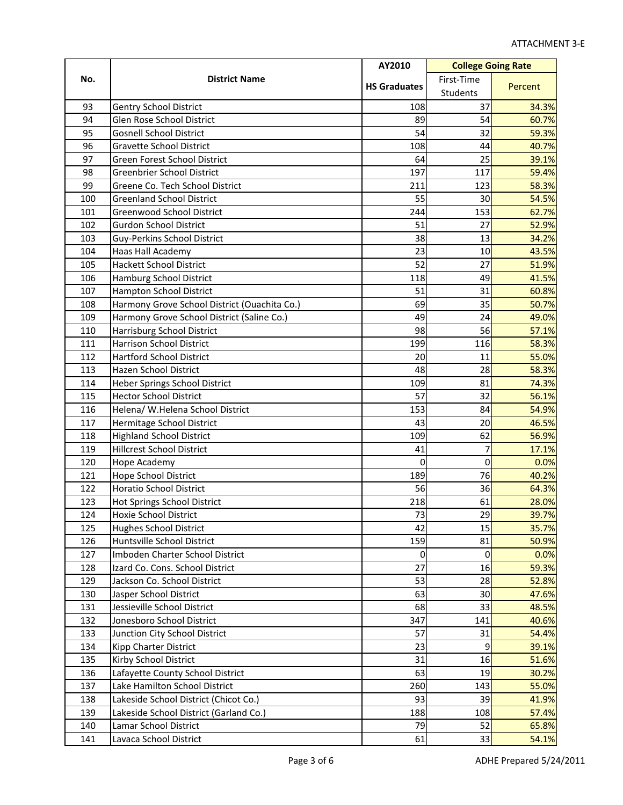|     |                                              | AY2010              | <b>College Going Rate</b> |         |
|-----|----------------------------------------------|---------------------|---------------------------|---------|
| No. | <b>District Name</b>                         | <b>HS Graduates</b> | First-Time                | Percent |
|     |                                              |                     | Students                  |         |
| 93  | <b>Gentry School District</b>                | 108                 | 37                        | 34.3%   |
| 94  | Glen Rose School District                    | 89                  | 54                        | 60.7%   |
| 95  | <b>Gosnell School District</b>               | 54                  | 32                        | 59.3%   |
| 96  | <b>Gravette School District</b>              | 108                 | 44                        | 40.7%   |
| 97  | Green Forest School District                 | 64                  | 25                        | 39.1%   |
| 98  | <b>Greenbrier School District</b>            | 197                 | 117                       | 59.4%   |
| 99  | Greene Co. Tech School District              | 211                 | 123                       | 58.3%   |
| 100 | <b>Greenland School District</b>             | 55                  | 30                        | 54.5%   |
| 101 | Greenwood School District                    | 244                 | 153                       | 62.7%   |
| 102 | <b>Gurdon School District</b>                | 51                  | 27                        | 52.9%   |
| 103 | Guy-Perkins School District                  | 38                  | 13                        | 34.2%   |
| 104 | Haas Hall Academy                            | 23                  | 10                        | 43.5%   |
| 105 | <b>Hackett School District</b>               | 52                  | 27                        | 51.9%   |
| 106 | Hamburg School District                      | 118                 | 49                        | 41.5%   |
| 107 | Hampton School District                      | 51                  | 31                        | 60.8%   |
| 108 | Harmony Grove School District (Ouachita Co.) | 69                  | 35                        | 50.7%   |
| 109 | Harmony Grove School District (Saline Co.)   | 49                  | 24                        | 49.0%   |
| 110 | Harrisburg School District                   | 98                  | 56                        | 57.1%   |
| 111 | <b>Harrison School District</b>              | 199                 | 116                       | 58.3%   |
| 112 | <b>Hartford School District</b>              | 20                  | 11                        | 55.0%   |
| 113 | Hazen School District                        | 48                  | 28                        | 58.3%   |
| 114 | <b>Heber Springs School District</b>         | 109                 | 81                        | 74.3%   |
| 115 | <b>Hector School District</b>                | 57                  | 32                        | 56.1%   |
| 116 | Helena/ W.Helena School District             | 153                 | 84                        | 54.9%   |
| 117 | Hermitage School District                    | 43                  | 20                        | 46.5%   |
| 118 | <b>Highland School District</b>              | 109                 | 62                        | 56.9%   |
| 119 | <b>Hillcrest School District</b>             | 41                  | 7                         | 17.1%   |
| 120 | Hope Academy                                 | 0                   | 0                         | 0.0%    |
| 121 | Hope School District                         | 189                 | 76                        | 40.2%   |
| 122 | Horatio School District                      | 56                  | 36                        | 64.3%   |
| 123 | Hot Springs School District                  | 218                 | 61                        | 28.0%   |
| 124 | Hoxie School District                        | 73                  | 29                        | 39.7%   |
| 125 | <b>Hughes School District</b>                | 42                  | 15                        | 35.7%   |
| 126 | Huntsville School District                   | 159                 | 81                        | 50.9%   |
| 127 | Imboden Charter School District              | 0                   | 0                         | 0.0%    |
| 128 | Izard Co. Cons. School District              | 27                  | 16                        | 59.3%   |
| 129 | Jackson Co. School District                  | 53                  | 28                        | 52.8%   |
| 130 | Jasper School District                       | 63                  | 30                        | 47.6%   |
| 131 | Jessieville School District                  | 68                  | 33                        | 48.5%   |
| 132 | Jonesboro School District                    | 347                 | 141                       | 40.6%   |
| 133 | Junction City School District                | 57                  | 31                        | 54.4%   |
| 134 | Kipp Charter District                        | 23                  | 9                         | 39.1%   |
| 135 | Kirby School District                        | 31                  | 16                        | 51.6%   |
| 136 | Lafayette County School District             | 63                  | 19                        | 30.2%   |
| 137 | Lake Hamilton School District                | 260                 | 143                       | 55.0%   |
| 138 | Lakeside School District (Chicot Co.)        | 93                  | 39                        | 41.9%   |
| 139 | Lakeside School District (Garland Co.)       | 188                 | 108                       | 57.4%   |
| 140 | Lamar School District                        | 79                  | 52                        | 65.8%   |
| 141 | Lavaca School District                       | 61                  | 33                        | 54.1%   |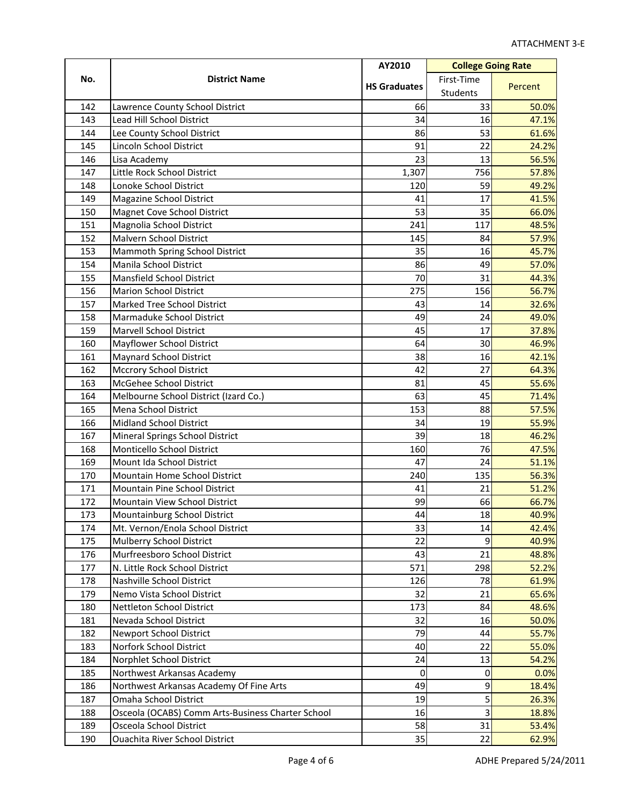|     |                                                   | AY2010              | <b>College Going Rate</b> |         |
|-----|---------------------------------------------------|---------------------|---------------------------|---------|
| No. | <b>District Name</b>                              | <b>HS Graduates</b> | First-Time                |         |
|     |                                                   |                     | Students                  | Percent |
| 142 | Lawrence County School District                   | 66                  | 33                        | 50.0%   |
| 143 | <b>Lead Hill School District</b>                  | 34                  | 16                        | 47.1%   |
| 144 | Lee County School District                        | 86                  | 53                        | 61.6%   |
| 145 | Lincoln School District                           | 91                  | 22                        | 24.2%   |
| 146 | Lisa Academy                                      | 23                  | 13                        | 56.5%   |
| 147 | Little Rock School District                       | 1,307               | 756                       | 57.8%   |
| 148 | Lonoke School District                            | 120                 | 59                        | 49.2%   |
| 149 | Magazine School District                          | 41                  | 17                        | 41.5%   |
| 150 | Magnet Cove School District                       | 53                  | 35                        | 66.0%   |
| 151 | Magnolia School District                          | 241                 | 117                       | 48.5%   |
| 152 | Malvern School District                           | 145                 | 84                        | 57.9%   |
| 153 | Mammoth Spring School District                    | 35                  | 16                        | 45.7%   |
| 154 | Manila School District                            | 86                  | 49                        | 57.0%   |
| 155 | Mansfield School District                         | 70                  | 31                        | 44.3%   |
| 156 | <b>Marion School District</b>                     | 275                 | 156                       | 56.7%   |
| 157 | Marked Tree School District                       | 43                  | 14                        | 32.6%   |
| 158 | Marmaduke School District                         | 49                  | 24                        | 49.0%   |
| 159 | <b>Marvell School District</b>                    | 45                  | 17                        | 37.8%   |
| 160 | Mayflower School District                         | 64                  | 30                        | 46.9%   |
| 161 | <b>Maynard School District</b>                    | 38                  | 16                        | 42.1%   |
| 162 | Mccrory School District                           | 42                  | 27                        | 64.3%   |
| 163 | McGehee School District                           | 81                  | 45                        | 55.6%   |
| 164 | Melbourne School District (Izard Co.)             | 63                  | 45                        | 71.4%   |
| 165 | Mena School District                              | 153                 | 88                        | 57.5%   |
| 166 | <b>Midland School District</b>                    | 34                  | 19                        | 55.9%   |
| 167 | Mineral Springs School District                   | 39                  | 18                        | 46.2%   |
| 168 | Monticello School District                        | 160                 | 76                        | 47.5%   |
| 169 | Mount Ida School District                         | 47                  | 24                        | 51.1%   |
| 170 | Mountain Home School District                     | 240                 | 135                       | 56.3%   |
| 171 | Mountain Pine School District                     | 41                  | 21                        | 51.2%   |
| 172 | Mountain View School District                     | 99                  | 66                        | 66.7%   |
| 173 | Mountainburg School District                      | 44                  | 18                        | 40.9%   |
| 174 | Mt. Vernon/Enola School District                  | 33                  | 14                        | 42.4%   |
| 175 | Mulberry School District                          | 22                  | 9                         | 40.9%   |
| 176 | Murfreesboro School District                      | 43                  | 21                        | 48.8%   |
| 177 | N. Little Rock School District                    | 571                 | 298                       | 52.2%   |
| 178 | Nashville School District                         | 126                 | 78                        | 61.9%   |
| 179 | Nemo Vista School District                        | 32                  | 21                        | 65.6%   |
| 180 | Nettleton School District                         | 173                 | 84                        | 48.6%   |
| 181 | Nevada School District                            | 32                  | 16                        | 50.0%   |
| 182 | <b>Newport School District</b>                    | 79                  | 44                        | 55.7%   |
| 183 | Norfork School District                           | 40                  | 22                        | 55.0%   |
| 184 | Norphlet School District                          | 24                  | 13                        | 54.2%   |
| 185 | Northwest Arkansas Academy                        | 0                   | $\mathbf 0$               | 0.0%    |
| 186 | Northwest Arkansas Academy Of Fine Arts           | 49                  | $\boldsymbol{9}$          | 18.4%   |
| 187 | Omaha School District                             | 19                  | 5                         | 26.3%   |
| 188 | Osceola (OCABS) Comm Arts-Business Charter School | 16                  | $\overline{3}$            | 18.8%   |
| 189 | Osceola School District                           | 58                  | 31                        | 53.4%   |
| 190 | <b>Ouachita River School District</b>             | 35                  | 22                        | 62.9%   |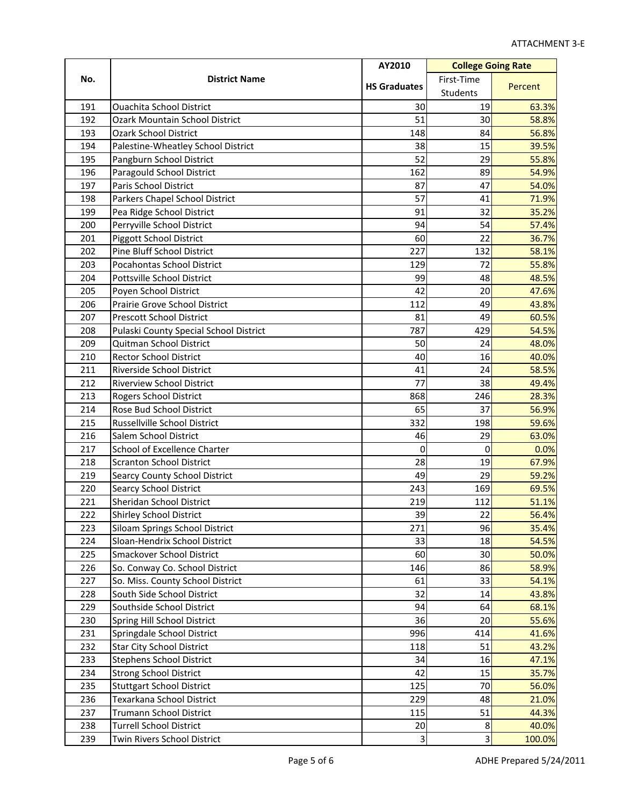|     |                                        | AY2010              | <b>College Going Rate</b> |         |
|-----|----------------------------------------|---------------------|---------------------------|---------|
| No. | <b>District Name</b>                   | <b>HS Graduates</b> | First-Time                | Percent |
|     |                                        |                     | Students                  |         |
| 191 | <b>Ouachita School District</b>        | 30                  | 19                        | 63.3%   |
| 192 | <b>Ozark Mountain School District</b>  | 51                  | 30                        | 58.8%   |
| 193 | <b>Ozark School District</b>           | 148                 | 84                        | 56.8%   |
| 194 | Palestine-Wheatley School District     | 38                  | 15                        | 39.5%   |
| 195 | Pangburn School District               | 52                  | 29                        | 55.8%   |
| 196 | Paragould School District              | 162                 | 89                        | 54.9%   |
| 197 | Paris School District                  | 87                  | 47                        | 54.0%   |
| 198 | Parkers Chapel School District         | 57                  | 41                        | 71.9%   |
| 199 | Pea Ridge School District              | 91                  | 32                        | 35.2%   |
| 200 | Perryville School District             | 94                  | 54                        | 57.4%   |
| 201 | Piggott School District                | 60                  | 22                        | 36.7%   |
| 202 | Pine Bluff School District             | 227                 | 132                       | 58.1%   |
| 203 | Pocahontas School District             | 129                 | 72                        | 55.8%   |
| 204 | Pottsville School District             | 99                  | 48                        | 48.5%   |
| 205 | Poyen School District                  | 42                  | 20                        | 47.6%   |
| 206 | Prairie Grove School District          | 112                 | 49                        | 43.8%   |
| 207 | <b>Prescott School District</b>        | 81                  | 49                        | 60.5%   |
| 208 | Pulaski County Special School District | 787                 | 429                       | 54.5%   |
| 209 | Quitman School District                | 50                  | 24                        | 48.0%   |
| 210 | <b>Rector School District</b>          | 40                  | 16                        | 40.0%   |
| 211 | Riverside School District              | 41                  | 24                        | 58.5%   |
| 212 | <b>Riverview School District</b>       | 77                  | 38                        | 49.4%   |
| 213 | Rogers School District                 | 868                 | 246                       | 28.3%   |
| 214 | Rose Bud School District               | 65                  | 37                        | 56.9%   |
| 215 | Russellville School District           | 332                 | 198                       | 59.6%   |
| 216 | Salem School District                  | 46                  | 29                        | 63.0%   |
| 217 | <b>School of Excellence Charter</b>    | 0                   | 0                         | 0.0%    |
| 218 | <b>Scranton School District</b>        | 28                  | 19                        | 67.9%   |
| 219 | Searcy County School District          | 49                  | 29                        | 59.2%   |
| 220 | <b>Searcy School District</b>          | 243                 | 169                       | 69.5%   |
| 221 | Sheridan School District               | 219                 | 112                       | 51.1%   |
| 222 | Shirley School District                | 39                  | 22                        | 56.4%   |
| 223 | Siloam Springs School District         | 271                 | 96                        | 35.4%   |
| 224 | Sloan-Hendrix School District          | 33                  | 18                        | 54.5%   |
| 225 | Smackover School District              | 60                  | 30                        | 50.0%   |
| 226 | So. Conway Co. School District         | 146                 | 86                        | 58.9%   |
| 227 | So. Miss. County School District       | 61                  | 33                        | 54.1%   |
| 228 | South Side School District             | 32                  | 14                        | 43.8%   |
| 229 | Southside School District              | 94                  | 64                        | 68.1%   |
| 230 | Spring Hill School District            | 36                  | 20                        | 55.6%   |
| 231 | Springdale School District             | 996                 | 414                       | 41.6%   |
| 232 | <b>Star City School District</b>       | 118                 | 51                        | 43.2%   |
| 233 | <b>Stephens School District</b>        | 34                  | 16                        | 47.1%   |
| 234 | <b>Strong School District</b>          | 42                  | 15                        | 35.7%   |
| 235 | <b>Stuttgart School District</b>       | 125                 | 70                        | 56.0%   |
| 236 | Texarkana School District              | 229                 | 48                        | 21.0%   |
| 237 | Trumann School District                | 115                 | 51                        | 44.3%   |
| 238 | <b>Turrell School District</b>         | 20                  | 8                         | 40.0%   |
| 239 | Twin Rivers School District            | 3                   | $\overline{3}$            | 100.0%  |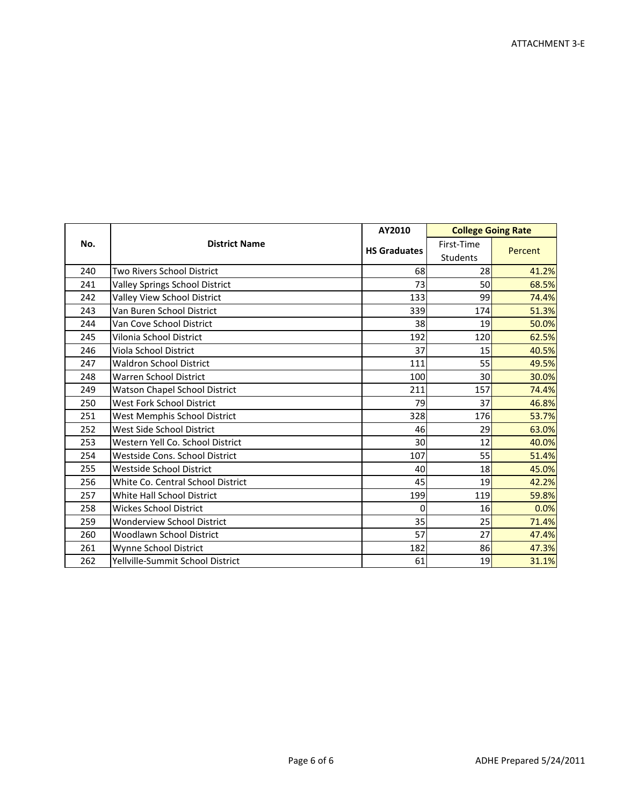|     |                                      | AY2010              | <b>College Going Rate</b>     |         |
|-----|--------------------------------------|---------------------|-------------------------------|---------|
| No. | <b>District Name</b>                 | <b>HS Graduates</b> | First-Time<br><b>Students</b> | Percent |
| 240 | Two Rivers School District           | 68                  | 28                            | 41.2%   |
| 241 | Valley Springs School District       | 73                  | 50                            | 68.5%   |
| 242 | Valley View School District          | 133                 | 99                            | 74.4%   |
| 243 | Van Buren School District            | 339                 | 174                           | 51.3%   |
| 244 | Van Cove School District             | 38                  | 19                            | 50.0%   |
| 245 | Vilonia School District              | 192                 | 120                           | 62.5%   |
| 246 | Viola School District                | 37                  | 15                            | 40.5%   |
| 247 | <b>Waldron School District</b>       | 111                 | 55                            | 49.5%   |
| 248 | Warren School District               | 100                 | 30                            | 30.0%   |
| 249 | <b>Watson Chapel School District</b> | 211                 | 157                           | 74.4%   |
| 250 | West Fork School District            | 79                  | 37                            | 46.8%   |
| 251 | West Memphis School District         | 328                 | 176                           | 53.7%   |
| 252 | West Side School District            | 46                  | 29                            | 63.0%   |
| 253 | Western Yell Co. School District     | 30                  | 12                            | 40.0%   |
| 254 | Westside Cons. School District       | 107                 | 55                            | 51.4%   |
| 255 | Westside School District             | 40                  | 18                            | 45.0%   |
| 256 | White Co. Central School District    | 45                  | 19                            | 42.2%   |
| 257 | <b>White Hall School District</b>    | 199                 | 119                           | 59.8%   |
| 258 | <b>Wickes School District</b>        | $\mathbf 0$         | 16                            | 0.0%    |
| 259 | <b>Wonderview School District</b>    | 35                  | 25                            | 71.4%   |
| 260 | <b>Woodlawn School District</b>      | 57                  | 27                            | 47.4%   |
| 261 | Wynne School District                | 182                 | 86                            | 47.3%   |
| 262 | Yellville-Summit School District     | 61                  | 19                            | 31.1%   |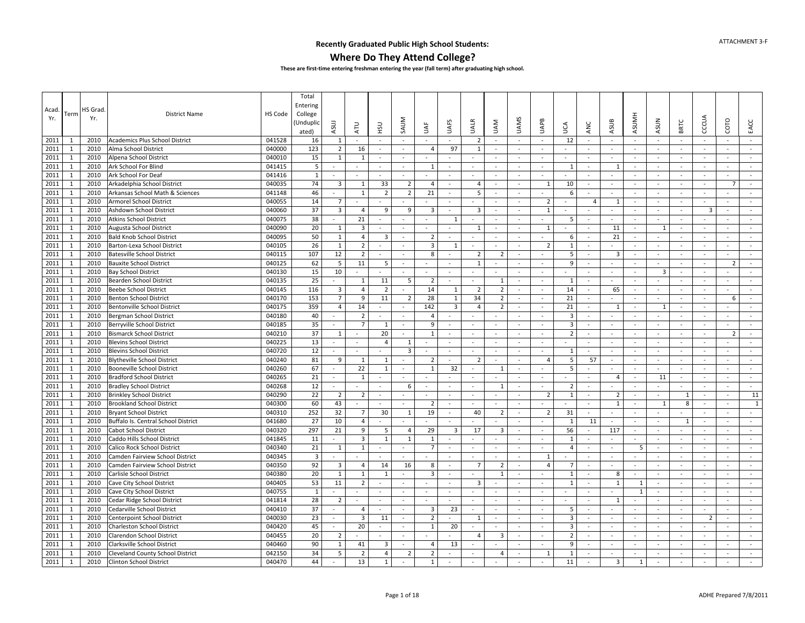#### **Where Do They Attend College?**

|             |              |         |                                     |         | Total                   |                          |                          |                |                          |                |                          |                          |                         |                             |                |                |                          |                         |                          |                |                          |                          |                |                          |
|-------------|--------------|---------|-------------------------------------|---------|-------------------------|--------------------------|--------------------------|----------------|--------------------------|----------------|--------------------------|--------------------------|-------------------------|-----------------------------|----------------|----------------|--------------------------|-------------------------|--------------------------|----------------|--------------------------|--------------------------|----------------|--------------------------|
|             |              | HS Grad |                                     |         | Entering                |                          |                          |                |                          |                |                          |                          |                         |                             |                |                |                          |                         |                          |                |                          |                          |                |                          |
| Acad<br>Yr. | Term         |         | <b>District Name</b>                | HS Code | College                 |                          |                          |                |                          |                |                          |                          |                         |                             |                |                |                          |                         |                          |                |                          |                          |                |                          |
|             |              | Yr.     |                                     |         | Unduplic)               | ASUJ                     |                          |                | SAUM                     |                | <b>UAFS</b>              | UALR                     | <b>NVN</b>              | <b>UAMS</b>                 | <b>UAPB</b>    |                |                          | ASUB                    | <b>ASUMH</b>             | <b>ASUN</b>    | BRTC                     | CCCUA                    | COTO           | EACC                     |
|             |              |         |                                     |         | ated)                   |                          | <b>ATU</b>               | <b>USH</b>     |                          | İÄ             |                          |                          |                         |                             |                | Š              | ANC                      |                         |                          |                |                          |                          |                |                          |
| 2011        | -1           | 2010    | Academics Plus School District      | 041528  | 16                      | -1                       | $\sim$                   | $\sim$         | $\sim$                   | $\sim$         | $\sim$                   | 2                        | $\sim$                  | $\sim$                      | $\sim$         | 12             | $\sim$                   | $\sim$                  | $\sim$                   | $\sim$         | $\sim$                   | $\sim$                   | $\sim$         | $\sim$                   |
| 2011        | $\mathbf{1}$ | 2010    | Alma School District                | 040000  | 123                     | $\overline{2}$           | 16                       |                | $\sim$                   | $\overline{4}$ | 97                       | $\mathbf{1}$             |                         | $\sim$                      | $\sim$         | $\sim$         | $\blacksquare$           |                         | $\sim$                   | $\sim$         | $\sim$                   | $\overline{\phantom{a}}$ |                | $\sim$                   |
| 2011        | $\mathbf{1}$ | 2010    | Alpena School District              | 040010  | 15                      | $\mathbf{1}$             | $\mathbf{1}$             | $\sim$         | $\sim$                   | $\sim$         | $\sim$                   |                          | $\sim$                  | $\sim$                      | $\sim$         | $\sim$         | ä,                       | $\sim$                  | $\sim$                   | $\sim$         | $\sim$                   | ÷,                       | $\sim$         | $\sim$                   |
| 2011        | $\mathbf{1}$ | 2010    | Ark School For Blind                | 041415  | 5                       | $\bar{a}$                |                          | $\sim$         | $\sim$                   | 1              | $\sim$                   | $\sim$                   | $\sim$                  | $\sim$                      | $\sim$         | 1              | $\sim$                   | -1                      | $\sim$                   | $\sim$         | $\sim$                   | $\sim$                   | $\sim$         | $\sim$                   |
| 2011        | $\mathbf{1}$ | 2010    | Ark School For Deaf                 | 041416  | $\mathbf{1}$            | $\omega$                 | $\sim$                   | $\sim$         | $\blacksquare$           |                | $\sim$                   | $\overline{\phantom{a}}$ | $\sim$                  | $\sim$                      | $\sim$         | $\sim$         | ä,                       | $\sim$                  | $\sim$                   | $\sim$         | $\sim$                   | $\sim$                   | $\sim$         | $\blacksquare$           |
| 2011        | $\mathbf{1}$ | 2010    | Arkadelphia School District         | 040035  | 74                      | $\overline{3}$           | $\mathbf{1}$             | 33             | $\overline{2}$           | 4              | $\sim$                   | 4                        | $\sim$                  | $\blacksquare$              | $\mathbf{1}$   | 10             | ÷.                       | $\sim$                  | $\sim$                   | $\sim$         | $\sim$                   | $\sim$                   | 7              | $\sim$                   |
| 2011        | $\mathbf{1}$ | 2010    | Arkansas School Math & Sciences     | 041148  | 46                      |                          | $\mathbf{1}$             | $\overline{2}$ | $\overline{2}$           | 21             | $\blacksquare$           | 5                        | $\sim$                  | $\sim$                      | $\omega$       | 6              | L.                       | $\sim$                  | $\sim$                   | $\sim$         | $\sim$                   | ä,                       | $\sim$         | $\sim$                   |
| 2011        | $\mathbf{1}$ | 2010    | <b>Armorel School District</b>      | 040055  | 14                      | $\overline{7}$           |                          |                |                          |                | $\sim$                   |                          | $\sim$                  | $\sim$                      | $\overline{2}$ | $\sim$         | $\overline{4}$           | 1                       | $\sim$                   | $\sim$         | $\sim$                   | ÷.                       | $\sim$         | $\sim$                   |
| 2011        | 1            | 2010    | Ashdown School District             | 040060  | 37                      | $\overline{\mathbf{3}}$  | $\overline{4}$           | 9              | 9                        | 3              | $\blacksquare$           | $\overline{3}$           | $\sim$                  | $\overline{\phantom{a}}$    | 1              | $\sim$         | $\blacksquare$           | $\sim$                  | $\sim$                   | $\sim$         | $\overline{\phantom{a}}$ | $\overline{\mathbf{3}}$  | $\sim$         | $\overline{\phantom{a}}$ |
| 2011        | 1            | 2010    | <b>Atkins School District</b>       | 040075  | 38                      | $\bar{a}$                | 21                       | $\sim$         | $\overline{\phantom{a}}$ | $\sim$         | 1                        | $\sim$                   | $\sim$                  | $\sim$                      |                | -5             | $\sim$                   | $\sim$                  | $\overline{\phantom{a}}$ | $\sim$         | $\sim$                   | $\blacksquare$           | $\sim$         | $\sim$                   |
| 2011        | 1            | 2010    | Augusta School District             | 040090  | 20                      | 1                        | 3                        |                | $\overline{\phantom{a}}$ |                | $\sim$                   | 1                        | $\sim$                  | $\sim$                      | 1              | $\sim$         | $\blacksquare$           | 11                      | $\sim$                   | $\mathbf{1}$   | $\sim$                   | $\sim$                   |                | $\sim$                   |
| 2011        | $\mathbf{1}$ | 2010    | <b>Bald Knob School District</b>    | 040095  | 50                      | $\mathbf{1}$             | $\overline{4}$           | $\overline{3}$ | $\overline{a}$           | $\overline{2}$ | $\mathbf{r}$             |                          | $\sim$                  | $\sim$                      | $\sim$         | 6              | $\sim$                   | 21                      | $\sim$                   | $\sim$         | $\sim$                   | ÷,                       | $\sim$         | $\sim$                   |
| 2011        | $\mathbf{1}$ | 2010    | Barton-Lexa School District         | 040105  | 26                      | $\mathbf{1}$             | $\overline{2}$           | $\sim$         | $\overline{\phantom{a}}$ | 3              | 1                        | $\overline{\phantom{a}}$ | $\sim$                  | $\overline{\phantom{a}}$    | $\overline{2}$ | $\mathbf{1}$   | $\overline{\phantom{a}}$ |                         | $\sim$                   | $\sim$         | $\sim$                   | ÷,                       | $\sim$         | $\sim$                   |
| 2011        | $\mathbf{1}$ | 2010    | <b>Batesville School District</b>   | 040115  | 107                     | 12                       | $\overline{2}$           | $\sim$         | $\overline{\phantom{a}}$ | 8              | $\sim$                   | $\overline{2}$           | $\overline{2}$          | $\sim$                      | $\omega$       | 5              | $\omega$                 | $\overline{3}$          | $\sim$                   | $\omega$       | $\sim$                   | $\sim$                   | $\sim$         | $\sim$                   |
| 2011        | $\mathbf{1}$ | 2010    | <b>Bauxite School District</b>      | 040125  | 62                      | 5                        | 11                       | -5             | $\sim$                   | $\sim$         | $\sim$                   | $\mathbf{1}$             |                         | $\sim$                      |                | 9              | $\sim$                   | $\sim$                  | $\overline{\phantom{a}}$ | $\sim$         | $\sim$                   | $\sim$                   | $\overline{2}$ | $\sim$                   |
| 2011        | $\mathbf{1}$ | 2010    | <b>Bay School District</b>          | 040130  | 15                      | 10                       |                          |                |                          | $\sim$         | $\sim$                   |                          | $\sim$                  | $\sim$                      | ÷              | $\sim$         | ä,                       | $\sim$                  | $\sim$                   | 3              | $\sim$                   | $\sim$                   |                | $\sim$                   |
| 2011        | 1            | 2010    | Bearden School District             | 040135  | 25                      |                          | $\mathbf{1}$             | 11             | 5                        | $\overline{2}$ | $\sim$                   | ÷.                       | 1                       | $\sim$                      | $\sim$         | 1              | $\tilde{\phantom{a}}$    | $\sim$                  | $\sim$                   | $\sim$         | $\sim$                   | $\ddot{\phantom{1}}$     | $\sim$         | $\sim$                   |
| 2011        | $\mathbf{1}$ | 2010    | <b>Beebe School District</b>        | 040145  | 116                     | $\overline{\mathbf{3}}$  | $\overline{4}$           | $\overline{2}$ | $\blacksquare$           | 14             | 1                        | $\overline{2}$           | $\overline{2}$          | $\mathcal{L}_{\mathcal{A}}$ | $\omega$       | 14             | ÷,                       | 65                      | $\sim$                   | $\blacksquare$ | $\blacksquare$           | $\sim$                   | $\sim$         | $\sim$                   |
| 2011        | 1            | 2010    | <b>Benton School District</b>       | 040170  | 153                     | $\overline{7}$           | 9                        | 11             | $\overline{2}$           | 28             | $\mathbf{1}$             | 34                       | $\overline{2}$          | $\sim$                      | $\sim$         | 21             | $\omega$                 | $\sim$                  | $\sim$                   | $\sim$         | $\sim$                   | $\sim$                   | 6              | $\sim$                   |
| 2011        | $\mathbf{1}$ | 2010    | Bentonville School District         | 040175  | 359                     | $\overline{4}$           | 14                       |                | $\overline{a}$           | 142            | $\overline{\mathbf{3}}$  | $\overline{4}$           | $\overline{2}$          | $\sim$                      | $\blacksquare$ | 21             | $\bar{a}$                | $\overline{1}$          | $\sim$                   | 1              | $\omega$                 | $\overline{a}$           |                | $\sim$                   |
| 2011        | $\mathbf{1}$ | 2010    | <b>Bergman School District</b>      | 040180  | 40                      | $\sim$                   | $\overline{2}$           | $\sim$         | $\sim$                   | $\overline{4}$ | $\sim$                   |                          |                         | $\sim$                      | $\sim$         | 3              | $\sim$                   | $\sim$                  | $\sim$                   | $\sim$         | $\sim$                   | $\sim$                   | $\sim$         | $\sim$                   |
| 2011        | 1            | 2010    | Berryville School District          | 040185  | 35                      | $\omega$                 | $\overline{7}$           | 1              | $\sim$                   | 9              | $\sim$                   | $\sim$                   | $\sim$                  | $\sim$                      | $\sim$         | $\overline{3}$ | $\sim$                   | $\sim$                  | $\sim$                   | $\sim$         | $\sim$                   | $\sim$                   | $\sim$         | $\sim$                   |
| 2011        | $\mathbf{1}$ | 2010    | <b>Bismarck School District</b>     | 040210  | 37                      | 1                        | $\overline{\phantom{a}}$ | 20             | $\sim$                   | $\mathbf{1}$   | $\sim$                   | $\overline{\phantom{a}}$ | $\sim$                  | $\sim$                      | $\sim$         | $\overline{2}$ | $\blacksquare$           | $\sim$                  | $\sim$                   | $\sim$         | $\sim$                   | $\overline{\phantom{a}}$ | $\overline{2}$ | $\sim$                   |
| 2011        | 1            | 2010    | <b>Blevins School District</b>      | 040225  | 13                      | $\bar{a}$                | $\overline{\phantom{a}}$ | $\overline{4}$ | $\mathbf{1}$             | $\sim$         | $\omega$                 | $\sim$                   | $\sim$                  | $\sim$                      | $\sim$         | $\sim$         | $\omega$                 | $\sim$                  | $\sim$                   | $\sim$         | $\sim$                   | $\sim$                   |                | $\sim$                   |
| 2011        | $\mathbf{1}$ | 2010    | <b>Blevins School District</b>      | 040720  | 12                      | ÷.                       | $\overline{\phantom{a}}$ |                | $\overline{3}$           | $\sim$         | $\sim$                   | $\overline{\phantom{a}}$ | $\sim$                  | $\sim$                      | $\omega$       | $\mathbf{1}$   | ä,                       | $\sim$                  | $\sim$                   | $\bar{z}$      | $\sim$                   | $\overline{a}$           | $\sim$         | $\omega$                 |
| 2011        | $\mathbf{1}$ | 2010    | <b>Blytheville School District</b>  | 040240  | 81                      | 9                        | 1                        | $\mathbf{1}$   | $\sim$                   | $\overline{2}$ | $\sim$                   | $\overline{2}$           | $\sim$                  | $\sim$                      | $\overline{4}$ | 5              | 57                       | $\sim$                  | $\sim$                   | $\sim$         | $\sim$                   | ÷,                       | $\sim$         | $\sim$                   |
| 2011        | $\mathbf{1}$ | 2010    | <b>Booneville School District</b>   | 040260  | 67                      | $\bar{a}$                | 22                       | $\mathbf{1}$   | $\blacksquare$           | $\mathbf{1}$   | 32                       | $\overline{\phantom{a}}$ | 1                       | $\sim$                      | $\blacksquare$ | 5              | $\blacksquare$           | $\sim$                  | $\overline{\phantom{a}}$ | $\omega$       | $\sim$                   | $\sim$                   | $\sim$         | $\sim$                   |
| 2011        | $\mathbf{1}$ | 2010    | <b>Bradford School District</b>     | 040265  | 21                      | $\omega$                 | $\mathbf{1}$             | $\sim$         |                          |                | $\sim$                   | $\sim$                   |                         | $\sim$                      |                | $\sim$         | $\overline{\phantom{a}}$ | $\overline{a}$          | $\sim$                   | 11             | $\sim$                   | $\sim$                   | $\sim$         | $\sim$                   |
| 2011        | $\mathbf{1}$ | 2010    | <b>Bradley School District</b>      | 040268  | 12                      | $\overline{\phantom{a}}$ |                          | $\sim$         | 6                        | $\sim$         | $\omega$                 | $\blacksquare$           | $\overline{1}$          | $\bar{a}$                   | $\omega$       | $\overline{2}$ | $\blacksquare$           |                         | $\sim$                   | $\sim$         |                          | ÷,                       | $\sim$         | $\sim$                   |
| 2011        | 1            | 2010    | <b>Brinkley School District</b>     | 040290  | 22                      | $\overline{2}$           | $\overline{2}$           | $\sim$         | $\sim$                   | $\sim$         | $\sim$                   | ÷.                       | $\sim$                  | $\sim$                      | $\overline{2}$ | 1              | $\sim$                   | $\overline{2}$          | $\sim$                   | $\mathbf{r}$   | 1                        | ÷.                       | $\sim$         | 11                       |
| 2011        | 1            | 2010    | <b>Brookland School District</b>    | 040300  | 60                      | 43                       |                          | $\sim$         | $\bar{a}$                | $\overline{2}$ | $\sim$                   | $\overline{\phantom{a}}$ | $\sim$                  | $\sim$                      |                | $\sim$         | $\blacksquare$           | $\mathbf{1}$            | $\overline{\phantom{a}}$ | $\mathbf{1}$   | 8                        | $\overline{\phantom{a}}$ | $\sim$         | $\mathbf{1}$             |
| 2011        | $\mathbf{1}$ | 2010    | <b>Bryant School District</b>       | 040310  | 252                     | 32                       | $\overline{7}$           | 30             | $\mathbf{1}$             | 19             | $\sim$                   | 40                       | $\overline{2}$          | $\sim$                      | $\overline{2}$ | 31             | ÷.                       | $\sim$                  | $\sim$                   | $\omega$       | $\sim$                   | $\sim$                   | $\sim$         | $\sim$                   |
| 2011        | $\mathbf{1}$ | 2010    | Buffalo Is. Central School District | 041680  | 27                      | 10                       | 4                        |                |                          |                | $\omega$                 |                          |                         | $\overline{\phantom{a}}$    |                | 1              | 11                       | $\sim$                  |                          | $\frac{1}{2}$  | 1                        | $\sim$                   | $\sim$         | $\omega$                 |
| 2011        | $\mathbf{1}$ | 2010    | Cabot School District               | 040320  | 297                     | 21                       | 9                        | 5              | $\overline{4}$           | 29             | $\overline{\mathbf{3}}$  | 17                       | $\overline{\mathbf{3}}$ | $\sim$                      | $\sim$         | 56             | ä,                       | 117                     | $\sim$                   | $\sim$         | $\sim$                   | $\ddot{\phantom{1}}$     | $\sim$         | $\sim$                   |
| 2011        | 1            | 2010    | Caddo Hills School District         | 041845  | 11                      |                          | $\overline{3}$           | $\mathbf{1}$   | $\mathbf{1}$             | 1              | $\sim$                   |                          | $\sim$                  | $\sim$                      | $\sim$         | 1              | L.                       | $\sim$                  | $\sim$                   | $\sim$         | $\sim$                   | ä,                       | $\sim$         | $\sim$                   |
| 2011        | $\mathbf{1}$ | 2010    | Calico Rock School District         | 040340  | 21                      | 1                        | $\mathbf{1}$             | $\sim$         | $\bar{a}$                | $\overline{7}$ | $\sim$                   | $\blacksquare$           | $\sim$                  | $\sim$                      |                | $\overline{4}$ | $\sim$                   | $\sim$                  | .5                       | $\sim$         | $\sim$                   | $\overline{\phantom{a}}$ | $\sim$         | $\sim$                   |
| 2011        | $\mathbf{1}$ | 2010    | Camden Fairview School District     | 040345  | $\overline{\mathbf{3}}$ | $\bar{a}$                |                          |                |                          |                | $\sim$                   | $\sim$                   | $\sim$                  | $\sim$                      | 1              | $\sim$         | $\sim$                   | $\sim$                  | $\sim$                   | $\sim$         | $\sim$                   | $\sim$                   | $\sim$         | $\sim$                   |
| 2011        | $\mathbf{1}$ | 2010    | Camden Fairview School District     | 040350  | 92                      | $\overline{3}$           | $\overline{4}$           | 14             | 16                       | 8              | $\omega$                 | $\overline{7}$           | $\overline{2}$          | $\overline{\phantom{a}}$    | $\overline{4}$ | $\overline{7}$ |                          |                         | $\bar{a}$                | $\bar{a}$      | $\sim$                   | $\overline{a}$           | $\omega$       | $\omega$                 |
| 2011        | $\mathbf{1}$ | 2010    | Carlisle School District            | 040380  | 20                      | $\mathbf{1}$             | $\mathbf{1}$             | $\overline{1}$ | $\sim$                   | 3              | $\sim$                   |                          | 1                       | $\sim$                      |                | 1              | $\sim$                   | 8                       | $\sim$                   | $\sim$         | $\sim$                   | ÷,                       | $\sim$         | $\blacksquare$           |
| 2011        | 1            | 2010    | Cave City School District           | 040405  | 53                      | 11                       | $\overline{2}$           |                |                          | $\sim$         | $\blacksquare$           | $\overline{3}$           |                         | $\bar{a}$                   | $\blacksquare$ | 1              | $\overline{\phantom{a}}$ | $\mathbf{1}$            | 1                        | $\blacksquare$ | $\blacksquare$           | $\bar{\phantom{a}}$      | $\sim$         | $\blacksquare$           |
| 2011        | $\mathbf{1}$ | 2010    | Cave City School District           | 040755  | $\mathbf{1}$            | $\sim$                   |                          | $\sim$         | $\overline{\phantom{a}}$ | $\sim$         | $\sim$                   | $\sim$                   | $\sim$                  | $\sim$                      | $\sim$         | $\sim$         | $\sim$                   | $\sim$                  | $\overline{1}$           | $\sim$         | $\sim$                   | $\sim$                   | $\sim$         | $\sim$                   |
| 2011        | 1            | 2010    | Cedar Ridge School District         | 041814  | 28                      | $\overline{2}$           |                          |                | $\bar{a}$                | $\sim$         | $\omega$                 | $\sim$                   |                         | $\sim$                      | $\omega$       | $\sim$         | ä,                       | 1                       | $\sim$                   |                | $\sim$                   | $\sim$                   | $\sim$         | $\sim$                   |
| 2011        | $\mathbf{1}$ | 2010    | Cedarville School District          | 040410  | 37                      | ÷                        | 4                        | $\sim$         | $\sim$                   | $\overline{3}$ | 23                       | ÷.                       | $\sim$                  | $\sim$                      | $\sim$         | 5              | $\sim$                   | $\sim$                  | $\sim$                   | $\sim$         | $\sim$                   | ÷.                       | $\sim$         | $\sim$                   |
| 2011        | 1            | 2010    | Centerpoint School District         | 040030  | 23                      | $\sim$                   | $\overline{\mathbf{3}}$  | 11             | $\sim$                   | $\overline{2}$ | $\sim$                   | 1                        | $\sim$                  | $\sim$                      | $\sim$         | $\overline{3}$ | $\sim$                   | $\sim$                  | $\sim$                   | $\sim$         | $\sim$                   | $\overline{2}$           | $\sim$         | $\sim$                   |
| 2011        | $\mathbf{1}$ | 2010    | Charleston School District          | 040420  | 45                      | $\bar{a}$                | 20                       | $\sim$         | $\blacksquare$           | $\mathbf{1}$   | 20                       | $\overline{\phantom{a}}$ | $\sim$                  | $\blacksquare$              | $\blacksquare$ | $\overline{3}$ | $\overline{\phantom{a}}$ | $\sim$                  | $\overline{\phantom{a}}$ | $\blacksquare$ | $\overline{\phantom{a}}$ | $\overline{\phantom{a}}$ | $\sim$         | $\blacksquare$           |
| 2011        | $\mathbf{1}$ | 2010    | Clarendon School District           | 040455  | 20                      | $\overline{2}$           |                          |                | $\sim$                   |                | $\overline{\phantom{a}}$ | 4                        | $\overline{\mathbf{3}}$ | $\sim$                      | $\omega$       | $\overline{2}$ | $\sim$                   | $\sim$                  | $\sim$                   | $\sim$         | $\sim$                   | $\sim$                   | $\sim$         | $\sim$                   |
| 2011        | $\mathbf{1}$ | 2010    | Clarksville School District         | 040460  | 90                      |                          | 41                       | $\overline{3}$ | $\sim$                   | $\overline{4}$ | 13                       |                          |                         | $\sim$                      | ÷              | 9              | $\overline{\phantom{a}}$ | $\sim$                  | $\sim$                   | $\sim$         | $\sim$                   |                          | $\sim$         | $\sim$                   |
| 2011        | 1            | 2010    | Cleveland County School District    | 042150  | 34                      | 5                        | $\overline{2}$           | $\overline{4}$ | $\overline{2}$           | $\overline{2}$ | $\sim$                   |                          | $\Delta$                | $\sim$                      | $\mathbf{1}$   | 1              |                          | $\sim$                  |                          |                | $\sim$                   |                          | $\sim$         | $\sim$                   |
| 2011        | $\mathbf{1}$ | 2010    | <b>Clinton School District</b>      | 040470  | 44                      | $\sim$                   | 13                       | $\mathbf{1}$   | $\bar{a}$                | $\mathbf{1}$   | $\omega$                 | $\blacksquare$           |                         | $\sim$                      |                | 11             | $\blacksquare$           | $\overline{\mathbf{3}}$ | -1                       | $\sim$         | $\sim$                   | $\blacksquare$           | $\sim$         | $\sim$                   |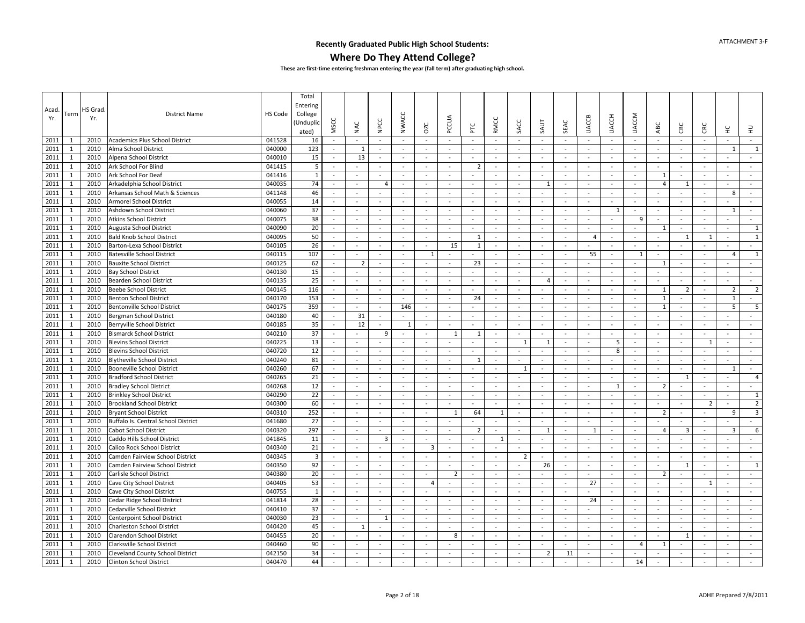### **Where Do They Attend College?**

|              |              |         |                                     |         | Total                   |                          |                          |                    |                          |                          |                    |                               |                  |                          |                          |                  |                                    |                  |                                    |                        |                          |                               |                |                         |
|--------------|--------------|---------|-------------------------------------|---------|-------------------------|--------------------------|--------------------------|--------------------|--------------------------|--------------------------|--------------------|-------------------------------|------------------|--------------------------|--------------------------|------------------|------------------------------------|------------------|------------------------------------|------------------------|--------------------------|-------------------------------|----------------|-------------------------|
|              |              |         |                                     |         | Entering                |                          |                          |                    |                          |                          |                    |                               |                  |                          |                          |                  |                                    |                  |                                    |                        |                          |                               |                |                         |
| Acad         | Term         | HS Grad | <b>District Name</b>                | HS Code | College                 |                          |                          |                    |                          |                          |                    |                               |                  |                          |                          |                  |                                    |                  |                                    |                        |                          |                               |                |                         |
| Yr.          |              | Yr.     |                                     |         | Unduplio                |                          |                          |                    |                          |                          |                    |                               |                  |                          |                          |                  |                                    |                  |                                    |                        |                          |                               |                |                         |
|              |              |         |                                     |         | ated)                   | <b>MSCC</b>              | NAC                      | NPCC               | <b>NWACC</b>             | <b>DZC</b>               | PCCUA              | PTC                           | RMCC             | SACC                     | SAUT                     | SEAC             | <b>UACCB</b>                       | <b>UACCH</b>     | <b>UACCM</b>                       | ABC                    | CBC                      | CRC                           | ¥              | $\Xi$                   |
| 2011         | -1           | 2010    | Academics Plus School District      | 041528  | 16                      | $\sim$                   | $\sim$                   | $\sim$             | $\sim$                   | $\sim$                   | $\sim$             | $\sim$                        | $\sim$           | $\sim$                   | $\sim$                   | $\sim$           | $\sim$                             | $\sim$           | $\sim$                             | $\sim$                 | $\sim$                   | $\sim$                        | $\sim$         | $\sim$                  |
| 2011         | $\mathbf{1}$ | 2010    | Alma School District                | 040000  | 123                     | $\sim$                   | 1                        | $\sim$             | $\blacksquare$           | $\sim$                   | $\sim$             | $\overline{\phantom{a}}$      | $\sim$           | $\sim$                   |                          | $\sim$           | $\omega$                           | $\sim$           | $\sim$                             | $\sim$                 | $\sim$                   | $\overline{\phantom{a}}$      | $\overline{1}$ | $\mathbf{1}$            |
| 2011         | 1            | 2010    | Alpena School District              | 040010  | 15                      | $\sim$                   | 13                       | $\sim$             | $\sim$                   | $\sim$                   | $\sim$             | ÷.                            | $\sim$           | $\sim$                   | $\sim$                   | $\sim$           | $\sim$                             | $\sim$           | $\sim$                             | $\blacksquare$         | $\sim$                   | ÷,                            | $\sim$         | $\sim$                  |
| 2011         | $\mathbf{1}$ | 2010    | Ark School For Blind                | 041415  | 5                       | $\sim$                   |                          | $\sim$             | $\sim$                   | $\sim$                   | $\sim$             | $\overline{2}$                | $\sim$           | $\sim$                   | $\sim$                   | $\sim$           | $\sim$                             | $\sim$           | $\sim$                             | $\sim$                 | $\sim$                   | $\overline{\phantom{a}}$      | $\sim$         | $\sim$                  |
| 2011         | $\mathbf{1}$ | 2010    | Ark School For Deaf                 | 041416  | $\mathbf{1}$            | $\sim$                   | $\overline{\phantom{a}}$ | $\sim$             | $\bar{a}$                | $\sim$                   | $\sim$             | $\overline{\phantom{a}}$      | $\sim$           | $\bar{a}$                | $\blacksquare$           | $\sim$           | $\blacksquare$                     | $\sim$           | $\sim$                             | $\mathbf{1}$           | $\blacksquare$           | $\sim$                        | $\sim$         | $\blacksquare$          |
| 2011         | $\mathbf{1}$ | 2010    | Arkadelphia School District         | 040035  | 74                      | $\sim$                   | $\overline{\phantom{a}}$ | $\overline{4}$     | $\blacksquare$           | $\sim$                   | $\sim$             | $\sim$                        | $\sim$           | $\blacksquare$           | 1                        | $\sim$           | $\blacksquare$                     | $\sim$           | $\sim$                             | $\overline{4}$         | 1                        | $\sim$                        | $\sim$         | $\sim$                  |
| 2011         | $\mathbf{1}$ | 2010    | Arkansas School Math & Sciences     | 041148  | 46                      | $\sim$                   | $\overline{\phantom{a}}$ |                    | $\sim$                   | $\sim$                   | $\sim$             | $\overline{\phantom{a}}$      | $\sim$           | $\sim$                   |                          | $\sim$           | $\sim$                             | $\sim$           | $\sim$                             | $\sim$                 |                          | $\sim$                        | 8              | $\omega$                |
| 2011         | $\mathbf{1}$ | 2010    | <b>Armorel School District</b>      | 040055  | 14                      | $\sim$                   | $\sim$                   | $\sim$             | $\sim$                   | $\sim$                   | $\sim$             | $\sim$                        | $\sim$           | $\sim$                   | $\sim$                   | $\sim$           | $\sim$                             | $\sim$           | $\sim$                             | $\sim$                 | $\sim$                   | ÷.                            | $\sim$         | $\sim$                  |
| 2011         | 1            | 2010    | Ashdown School District             | 040060  | 37                      | $\sim$                   | $\overline{\phantom{a}}$ | $\sim$             | $\overline{\phantom{a}}$ | $\sim$                   | $\sim$             | $\overline{\phantom{a}}$      | $\sim$           | $\overline{\phantom{a}}$ | $\blacksquare$           | $\sim$           | $\blacksquare$                     | -1               | $\overline{\phantom{a}}$           | $\sim$                 | $\overline{\phantom{a}}$ | $\overline{\phantom{a}}$      | $\overline{1}$ | $\sim$                  |
| 2011         | 1            | 2010    | <b>Atkins School District</b>       | 040075  | 38                      | $\sim$                   | $\sim$                   | $\sim$             | $\sim$                   | $\sim$                   | $\sim$             | $\overline{\phantom{a}}$      | $\sim$           | $\sim$                   |                          | $\sim$           | $\omega$                           | $\sim$           | -9                                 | $\sim$                 | $\sim$                   | $\sim$                        | $\sim$         | $\sim$                  |
| 2011         | 1            | 2010    | Augusta School District             | 040090  | 20                      | $\bar{a}$                | $\overline{\phantom{a}}$ | $\sim$             | $\bar{a}$                | $\overline{\phantom{a}}$ | $\sim$             | $\blacksquare$                | $\sim$           | $\sim$                   | $\blacksquare$           | $\sim$           | $\blacksquare$                     |                  | $\sim$                             | $\mathbf{1}$           | $\sim$                   | $\sim$                        | $\sim$         | $\mathbf{1}$            |
| 2011         | $\mathbf{1}$ | 2010    | <b>Bald Knob School District</b>    | 040095  | 50                      | $\mathbf{r}$             | $\sim$                   | $\sim$             | $\sim$                   | $\sim$                   | $\sim$             | $\mathbf{1}$                  | $\sim$           | $\sim$                   | $\sim$                   | $\sim$           | $\overline{4}$                     | $\sim$           | $\sim$                             | $\mathbf{r}$           | $\mathbf{1}$             | $\mathbf{1}$                  | $\sim$         | $\mathbf 1$             |
| 2011         | $\mathbf{1}$ | 2010    | Barton-Lexa School District         | 040105  | 26                      | $\sim$                   | $\sim$                   | $\sim$             | $\overline{\phantom{a}}$ | $\sim$                   | 15                 | $\mathbf{1}$                  | $\sim$           | $\overline{\phantom{a}}$ |                          | $\sim$           | ÷.                                 | $\sim$           | $\sim$                             | $\bar{a}$              | $\sim$                   | $\overline{\phantom{a}}$      |                | $\sim$                  |
| 2011         | $\mathbf{1}$ | 2010    | <b>Batesville School District</b>   | 040115  | 107                     | $\sim$                   | $\sim$                   | $\sim$             | $\overline{\phantom{a}}$ | 1                        | $\sim$             | $\blacksquare$                | $\sim$           | $\sim$                   | $\sim$                   | $\sim$           | 55                                 | $\sim$           | 1                                  | $\omega$               | $\sim$                   | $\sim$                        | $\overline{4}$ | $\mathbf{1}$            |
| 2011         | $\mathbf{1}$ | 2010    | <b>Bauxite School District</b>      | 040125  | 62                      | $\sim$                   | $\overline{2}$           | $\sim$             | $\overline{a}$           | $\sim$                   | $\sim$             | 23                            | $\sim$           | $\sim$                   | $\sim$                   | $\sim$           | $\overline{\phantom{a}}$           | $\sim$           | $\sim$                             | 1                      | $\sim$                   | $\sim$                        |                | $\sim$                  |
| 2011         | $\mathbf{1}$ | 2010    | <b>Bay School District</b>          | 040130  | 15                      | $\omega$                 |                          | $\sim$             | ä,                       | $\sim$                   | $\omega$           |                               | $\sim$           | $\sim$                   | $\sim$                   | $\sim$           | ä,                                 | $\sim$           | $\sim$                             | $\sim$                 | $\sim$                   | ÷,                            | $\sim$         | $\sim$                  |
|              | 1            | 2010    |                                     | 040135  | 25                      | $\sim$                   | $\sim$                   | $\sim$             | ÷.                       | $\sim$                   | $\sim$             | $\sim$                        | $\sim$           | $\sim$                   | $\overline{4}$           | $\sim$           | $\sim$                             | $\sim$           | $\sim$                             | $\sim$                 | $\sim$                   | ÷,                            | $\sim$         | $\sim$                  |
| 2011<br>2011 | $\mathbf{1}$ | 2010    | Bearden School District             | 040145  | 116                     | $\blacksquare$           | $\sim$                   | $\omega$           | $\sim$                   | $\sim$                   | $\blacksquare$     | $\bar{\phantom{a}}$           | $\omega$         | $\sim$                   | $\omega$                 | $\sim$           | $\blacksquare$                     | $\sim$           | $\sim$                             | $\mathbf{1}$           | $\overline{2}$           | $\sim$                        | $\overline{2}$ | $\overline{2}$          |
|              |              |         | <b>Beebe School District</b>        |         |                         | $\sim$                   |                          | $\sim$             | $\sim$                   | $\sim$                   | $\sim$             |                               | $\sim$           | $\sim$                   | $\sim$                   | $\sim$           | $\omega$                           | $\sim$           | $\sim$                             |                        |                          |                               | $\mathbf{1}$   | $\sim$                  |
| 2011         | $\mathbf{1}$ | 2010    | <b>Benton School District</b>       | 040170  | 153                     |                          | $\sim$                   |                    |                          |                          |                    | 24                            |                  |                          |                          |                  |                                    |                  |                                    | $\mathbf{1}$           | $\sim$                   | $\sim$                        | 5              |                         |
| 2011         | $\mathbf{1}$ | 2010    | Bentonville School District         | 040175  | 359                     | $\omega$<br>$\sim$       | $\bar{\phantom{a}}$      | $\omega$<br>$\sim$ | 146<br>$\overline{a}$    | $\sim$<br>$\sim$         | $\omega$<br>$\sim$ | $\bar{\phantom{a}}$<br>$\sim$ | $\sim$<br>$\sim$ | $\bar{a}$<br>$\sim$      | $\frac{1}{2}$<br>$\sim$  | $\sim$<br>$\sim$ | $\overline{\phantom{a}}$<br>$\sim$ | $\sim$<br>$\sim$ | $\overline{\phantom{a}}$<br>$\sim$ | $\mathbf{1}$<br>$\sim$ | $\sim$<br>$\sim$         | $\bar{\phantom{a}}$<br>$\sim$ |                | 5<br>$\sim$             |
| 2011         | $\mathbf{1}$ | 2010    | Bergman School District             | 040180  | 40                      |                          | 31                       |                    |                          |                          |                    |                               |                  |                          |                          |                  |                                    |                  |                                    |                        |                          |                               |                |                         |
| 2011         | $\mathbf{1}$ | 2010    | Berryville School District          | 040185  | 35                      | $\sim$                   | 12                       | $\sim$             | 1                        | $\sim$                   | $\sim$             | $\sim$                        | $\sim$           | $\sim$                   | $\sim$                   | $\sim$           | $\omega$                           | $\sim$           | $\sim$                             | $\sim$                 | $\sim$                   | $\sim$                        | $\sim$         | $\sim$                  |
| 2011         | $\mathbf{1}$ | 2010    | <b>Bismarck School District</b>     | 040210  | 37                      | $\sim$                   | $\sim$                   | 9                  | $\overline{\phantom{a}}$ | $\sim$                   | 1                  | 1                             | $\sim$           | $\sim$                   | $\sim$                   | $\sim$           | $\blacksquare$                     | $\sim$           | $\sim$                             | $\sim$                 | $\sim$                   | $\overline{\phantom{a}}$      | $\sim$         | $\sim$                  |
| 2011         | $\mathbf{1}$ | 2010    | <b>Blevins School District</b>      | 040225  | 13                      | $\sim$                   | $\sim$                   | $\sim$             |                          | $\sim$                   | $\sim$             | $\overline{\phantom{a}}$      | $\sim$           | $\mathbf{1}$             | $\mathbf{1}$             | $\sim$           | $\blacksquare$                     | 5                | $\sim$                             | $\sim$                 | $\sim$                   | $\mathbf{1}$                  | $\sim$         | $\blacksquare$          |
| 2011         | $\mathbf{1}$ | 2010    | <b>Blevins School District</b>      | 040720  | 12                      | $\sim$                   | $\overline{\phantom{a}}$ | $\sim$             | $\sim$                   | $\sim$                   | $\blacksquare$     | ä,                            | $\sim$           | $\sim$                   | $\sim$                   | $\sim$           | $\sim$                             | 8                | $\sim$                             | $\sim$                 | $\sim$                   | $\overline{a}$                | $\sim$         | $\omega$                |
| 2011         | 1            | 2010    | <b>Blytheville School District</b>  | 040240  | 81                      | $\sim$                   | $\sim$                   | $\sim$             | $\sim$                   | $\sim$                   | $\sim$             | $\mathbf{1}$                  | $\sim$           | $\overline{\phantom{a}}$ |                          | $\sim$           | $\sim$                             |                  | $\sim$                             | $\sim$                 | $\sim$                   | ÷,                            | $\omega$       | $\sim$                  |
| 2011         | $\mathbf{1}$ | 2010    | <b>Booneville School District</b>   | 040260  | 67                      | $\bar{a}$                | $\sim$                   | $\sim$             | $\sim$                   | $\sim$                   | $\sim$             | $\sim$                        | $\sim$           | 1                        | $\overline{\phantom{a}}$ | $\sim$           | $\blacksquare$                     | $\sim$           | $\sim$                             | $\omega$               | $\sim$                   | $\sim$                        | 1              | $\sim$                  |
| 2011         | 1            | 2010    | <b>Bradford School District</b>     | 040265  | 21                      | $\sim$                   | $\sim$                   | $\sim$             | $\overline{\phantom{a}}$ | $\sim$                   | $\sim$             | $\sim$                        | $\sim$           | $\sim$                   |                          | $\sim$           | $\sim$                             | $\sim$           | $\sim$                             | $\sim$                 | -1                       | $\sim$                        | $\sim$         | $\overline{4}$          |
| 2011         | $\mathbf{1}$ | 2010    | <b>Bradley School District</b>      | 040268  | 12                      | $\omega$                 | $\sim$                   | $\sim$             | $\sim$                   | $\sim$                   | $\omega$           | $\blacksquare$                | $\sim$           | $\sim$                   | $\blacksquare$           | $\sim$           | ä,                                 | -1               | $\sim$                             | $\overline{2}$         | $\sim$                   | $\overline{\phantom{a}}$      | $\sim$         | $\sim$                  |
| 2011         | 1            | 2010    | <b>Brinkley School District</b>     | 040290  | 22                      | $\sim$                   | $\sim$                   | $\sim$             | $\sim$                   | $\sim$                   | $\sim$             | ÷.                            | $\sim$           | $\sim$                   | $\sim$                   | $\sim$           | $\sim$                             | $\sim$           | $\sim$                             | $\sim$                 | $\sim$                   | ÷.                            | $\sim$         | $\mathbf{1}$            |
| 2011         | 1            | 2010    | <b>Brookland School District</b>    | 040300  | 60                      | $\sim$                   | $\sim$                   | $\sim$             | $\sim$                   | $\overline{\phantom{a}}$ | $\blacksquare$     | $\sim$                        | $\sim$           | $\sim$                   | $\bar{a}$                | $\sim$           | $\overline{\phantom{a}}$           | $\sim$           | $\sim$                             | $\sim$                 | $\overline{\phantom{a}}$ | $\overline{2}$                | $\sim$         | $\overline{2}$          |
| 2011         | $\mathbf{1}$ | 2010    | <b>Bryant School District</b>       | 040310  | 252                     | $\sim$                   | $\sim$                   | $\sim$             | $\sim$                   | $\sim$                   | $\mathbf{1}$       | 64                            | 1                | $\sim$                   | $\omega$                 | $\sim$           | $\omega$                           | $\sim$           | $\sim$                             | $\overline{2}$         | $\sim$                   | $\overline{\phantom{a}}$      | 9              | $\overline{\mathbf{3}}$ |
| 2011         | $\mathbf{1}$ | 2010    | Buffalo Is. Central School District | 041680  | 27                      | $\omega$                 | $\overline{\phantom{a}}$ | $\blacksquare$     | $\overline{a}$           |                          | $\blacksquare$     |                               |                  | $\overline{a}$           |                          | $\sim$           | $\qquad \qquad \blacksquare$       | $\sim$           |                                    |                        |                          | $\overline{a}$                |                | $\sim$                  |
| 2011         | $\mathbf{1}$ | 2010    | Cabot School District               | 040320  | 297                     | $\sim$                   | $\sim$                   | $\sim$             | $\sim$                   | $\sim$                   | $\sim$             | $\overline{2}$                | $\sim$           | $\sim$                   | $\mathbf{1}$             | $\sim$           | 1                                  | $\sim$           | $\sim$                             | $\overline{4}$         | $\overline{3}$           | $\sim$                        | 3              | 6                       |
| 2011         | $\mathbf{1}$ | 2010    | Caddo Hills School District         | 041845  | 11                      | $\sim$                   | $\overline{\phantom{a}}$ | $\overline{3}$     | $\sim$                   | $\sim$                   | $\sim$             | $\overline{\phantom{a}}$      | $\overline{1}$   | $\sim$                   | $\omega$                 | $\sim$           | ÷.                                 | $\sim$           | $\sim$                             | $\sim$                 | $\sim$                   | $\overline{\phantom{a}}$      | $\omega$       | $\sim$                  |
| 2011         | $\mathbf{1}$ | 2010    | Calico Rock School District         | 040340  | 21                      | $\sim$                   | $\sim$                   | $\sim$             | $\sim$                   | $\overline{3}$           | $\sim$             | $\overline{\phantom{a}}$      | $\sim$           | $\sim$                   | $\sim$                   | $\sim$           | $\blacksquare$                     | $\sim$           | $\overline{\phantom{a}}$           | $\sim$                 | $\sim$                   | $\sim$                        | $\sim$         | $\sim$                  |
| 2011         | $\mathbf{1}$ | 2010    | Camden Fairview School District     | 040345  | $\overline{\mathbf{3}}$ | $\sim$                   | $\sim$                   | $\sim$             | $\overline{\phantom{a}}$ | $\sim$                   | $\sim$             | $\sim$                        | $\sim$           | $\overline{2}$           | $\sim$                   | $\sim$           | $\omega$                           | $\sim$           | $\sim$                             | $\sim$                 | $\sim$                   | $\sim$                        | $\sim$         | $\sim$                  |
| 2011         | $\mathbf{1}$ | 2010    | Camden Fairview School District     | 040350  | 92                      | $\omega$                 | $\overline{\phantom{a}}$ | $\sim$             |                          |                          | $\blacksquare$     |                               | $\sim$           | $\overline{a}$           | 26                       | $\omega$         | ÷,                                 | $\sim$           | ÷,                                 | $\bar{a}$              | 1                        | ÷,                            | $\bar{a}$      | $\mathbf{1}$            |
| 2011         | $\mathbf{1}$ | 2010    | Carlisle School District            | 040380  | 20                      | $\sim$                   | $\sim$                   | $\sim$             | $\sim$                   | $\sim$                   | $\overline{2}$     | ÷,                            | $\sim$           | $\sim$                   |                          | $\sim$           | ÷.                                 | $\sim$           | $\sim$                             | $\overline{2}$         | $\sim$                   |                               | $\sim$         | $\omega$                |
| 2011         | $\mathbf{1}$ | 2010    | Cave City School District           | 040405  | 53                      | $\blacksquare$           | $\overline{\phantom{a}}$ | $\blacksquare$     | $\sim$                   | 4                        | $\sim$             | $\bar{\phantom{a}}$           | $\sim$           | $\bar{a}$                | $\blacksquare$           | $\sim$           | 27                                 | $\blacksquare$   | $\sim$                             | $\blacksquare$         | $\blacksquare$           | $\mathbf{1}$                  | $\sim$         | $\blacksquare$          |
| 2011         | $\mathbf{1}$ | 2010    | Cave City School District           | 040755  | $\mathbf{1}$            | $\sim$                   | $\sim$                   | $\sim$             | $\sim$                   | $\sim$                   | $\sim$             | $\sim$                        | $\sim$           | $\sim$                   | $\sim$                   | $\sim$           | $\sim$                             | $\sim$           | $\sim$                             | $\sim$                 | $\sim$                   | $\sim$                        | $\sim$         | $\sim$                  |
| 2011         | 1            | 2010    | Cedar Ridge School District         | 041814  | 28                      | $\sim$                   | $\sim$                   | $\sim$             | $\blacksquare$           |                          | $\sim$             | $\sim$                        | $\sim$           | $\sim$                   | $\bar{a}$                | $\sim$           | 24                                 | $\sim$           | $\sim$                             | $\frac{1}{2}$          | $\sim$                   | $\sim$                        |                | $\sim$                  |
| 2011         | $\mathbf{1}$ | 2010    | Cedarville School District          | 040410  | 37                      | $\sim$                   | $\sim$                   | $\sim$             | ÷.                       | $\sim$                   | $\sim$             | $\sim$                        | $\sim$           | $\sim$                   | $\sim$                   | $\sim$           | $\tilde{\phantom{a}}$              | $\sim$           | $\sim$                             | $\sim$                 | $\sim$                   | $\sim$                        | $\sim$         | $\sim$                  |
| 2011         | 1            | 2010    | Centerpoint School District         | 040030  | 23                      | $\sim$                   | $\sim$                   | 1                  | $\sim$                   | $\sim$                   | $\sim$             | $\sim$                        | $\sim$           | $\sim$                   | $\sim$                   | $\sim$           | $\omega$                           | $\sim$           | $\sim$                             | $\sim$                 | $\sim$                   | $\sim$                        | $\sim$         | $\sim$                  |
| 2011         | $\mathbf{1}$ | 2010    | Charleston School District          | 040420  | 45                      | $\sim$                   | $\mathbf{1}$             | $\sim$             | $\overline{\phantom{a}}$ | $\sim$                   | $\sim$             | $\bar{\phantom{a}}$           | $\sim$           | $\overline{\phantom{a}}$ | $\sim$                   | $\sim$           | $\blacksquare$                     | $\sim$           | $\overline{\phantom{a}}$           | $\blacksquare$         | $\blacksquare$           | $\sim$                        | $\sim$         | $\sim$                  |
| 2011         | $\mathbf{1}$ | 2010    | Clarendon School District           | 040455  | 20                      | $\sim$                   | $\sim$                   | $\sim$             | $\sim$                   | $\sim$                   | 8                  | $\sim$                        | $\sim$           | $\blacksquare$           | $\omega$                 | $\sim$           | $\blacksquare$                     | $\sim$           | $\omega$                           | $\blacksquare$         | 1                        | $\sim$                        | $\sim$         | $\sim$                  |
| 2011         | $\mathbf{1}$ | 2010    | Clarksville School District         | 040460  | 90                      | ÷.                       |                          | $\sim$             | ä,                       | $\sim$                   | $\sim$             |                               | $\sim$           | $\sim$                   | ÷                        | $\sim$           | ä,                                 | $\sim$           | $\overline{4}$                     | $\mathbf{1}$           | $\sim$                   |                               | $\sim$         | $\blacksquare$          |
| 2011         | 1            | 2010    | Cleveland County School District    | 042150  | 34                      | $\sim$                   |                          |                    | $\sim$                   | $\sim$                   | $\sim$             |                               |                  | ÷.                       | $\overline{2}$           | 11               |                                    | $\sim$           |                                    |                        | $\sim$                   |                               | $\sim$         | $\sim$                  |
| 2011         | $\mathbf{1}$ | 2010    | <b>Clinton School District</b>      | 040470  | 44                      | $\overline{\phantom{a}}$ | $\sim$                   | $\sim$             | $\bar{a}$                |                          | $\sim$             | $\sim$                        | $\sim$           | $\sim$                   |                          | $\sim$           | $\sim$                             | $\sim$           | 14                                 |                        | $\sim$                   | $\sim$                        | $\sim$         | $\sim$                  |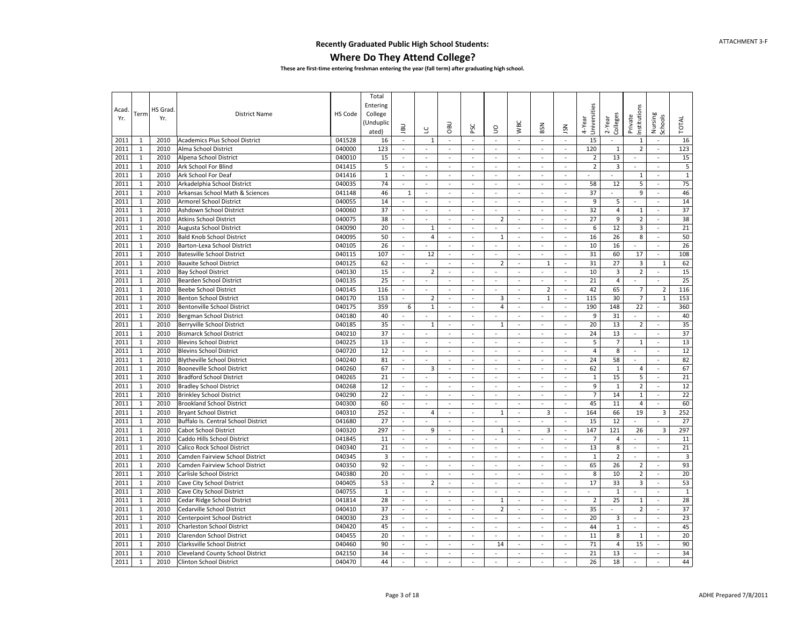### **Where Do They Attend College?**

|              |                   |         |                                                               |                  | Total                   |                |                          |                          |                          |                |                          |                          |                          |                |                         |                          |                          |                         |
|--------------|-------------------|---------|---------------------------------------------------------------|------------------|-------------------------|----------------|--------------------------|--------------------------|--------------------------|----------------|--------------------------|--------------------------|--------------------------|----------------|-------------------------|--------------------------|--------------------------|-------------------------|
| Acad         |                   | HS Grad |                                                               |                  | Entering                |                |                          |                          |                          |                |                          |                          |                          | Universities   |                         |                          |                          |                         |
| Yr.          | Term              | Yr.     | <b>District Name</b>                                          | HS Code          | College                 |                |                          |                          |                          |                |                          |                          |                          |                |                         |                          |                          |                         |
|              |                   |         |                                                               |                  | Unduplic)               | <b>UBL</b>     | $\cup$                   | OBU                      | PSC                      | S              | <b>WBC</b>               | BSN                      | <b>NSL</b>               | 4-Year         | Colleges<br>2-Year      | nstitutions<br>Private   | Nursing<br>Schools       | <b>TOTAL</b>            |
|              |                   | 2010    |                                                               |                  | ated)<br>16             | $\sim$         | $\mathbf{1}$             | $\overline{\phantom{a}}$ | $\omega$                 | $\omega$       | ä,                       | $\overline{\phantom{a}}$ | $\omega$                 | 15             |                         |                          | ÷,                       | 16                      |
| 2011<br>2011 | 1<br>$\mathbf{1}$ | 2010    | <b>Academics Plus School District</b><br>Alma School District | 041528<br>040000 | 123                     | $\sim$         | $\sim$                   | $\sim$                   | $\sim$                   |                | $\sim$                   | $\sim$                   | ÷                        | 120            | $\mathbf{1}$            | 1<br>2                   | $\bar{a}$                | 123                     |
| 2011         | $\mathbf{1}$      | 2010    | Alpena School District                                        | 040010           | 15                      | $\sim$         | $\omega$                 | $\sim$                   | $\omega$                 | $\omega$       | $\bar{a}$                | $\overline{\phantom{a}}$ | $\blacksquare$           | $\overline{2}$ | 13                      | $\sim$                   | $\sim$                   | 15                      |
| 2011         | $\mathbf{1}$      | 2010    | Ark School For Blind                                          | 041415           | $\overline{\mathbf{5}}$ | $\bar{a}$      | $\omega$                 | $\sim$                   | $\sim$                   | $\sim$         | $\sim$                   | $\overline{\phantom{a}}$ | $\sim$                   | $\overline{2}$ | 3                       | $\sim$                   | $\sim$                   | $\overline{\mathbf{5}}$ |
| 2011         | $1\,$             | 2010    | Ark School For Deaf                                           | 041416           | $\mathbf{1}$            | $\Box$         | $\blacksquare$           | $\overline{\phantom{a}}$ | $\sim$                   | $\sim$         | $\sim$                   | $\overline{\phantom{a}}$ | $\overline{\phantom{a}}$ |                | $\sim$                  | $1\,$                    | $\blacksquare$           | $1\,$                   |
| 2011         | $\mathbf{1}$      | 2010    | Arkadelphia School District                                   | 040035           | 74                      | $\sim$         | $\blacksquare$           | $\blacksquare$           | $\omega$                 | $\sim$         | $\overline{\phantom{a}}$ | $\sim$                   | $\overline{\phantom{a}}$ | 58             | 12                      | 5                        | $\blacksquare$           | 75                      |
| 2011         | $\mathbf 1$       | 2010    | Arkansas School Math & Sciences                               | 041148           | 46                      | $\mathbf{1}$   | $\blacksquare$           | $\overline{\phantom{a}}$ | $\sim$                   | $\sim$         | $\bar{a}$                | ä,                       | $\bar{\phantom{a}}$      | 37             |                         | 9                        | ÷,                       | 46                      |
| 2011         | $\mathbf{1}$      | 2010    | <b>Armorel School District</b>                                | 040055           | 14                      | $\sim$         | $\sim$                   | $\sim$                   | $\sim$                   | $\mathcal{L}$  | $\omega$                 | $\omega$                 | ÷.                       | 9              | 5                       | $\sim$                   | ÷,                       | 14                      |
| 2011         | $\mathbf{1}$      | 2010    | Ashdown School District                                       | 040060           | 37                      | $\omega$       | $\omega$                 | $\sim$                   | $\sim$                   | $\omega$       | $\omega$                 | $\omega$                 | $\omega$                 | 32             | $\overline{\mathbf{4}}$ | $\mathbf{1}$             | $\omega$                 | 37                      |
| 2011         | $\mathbf{1}$      | 2010    | <b>Atkins School District</b>                                 | 040075           | 38                      | $\sim$         | $\sim$                   | $\omega$                 | $\overline{\phantom{a}}$ | $\overline{2}$ | $\blacksquare$           | $\blacksquare$           | $\sim$                   | 27             | 9                       | $\overline{2}$           | $\sim$                   | 38                      |
| 2011         | $1\,$             | 2010    | Augusta School District                                       | 040090           | 20                      | $\omega$       | $\,1\,$                  | $\omega$                 | $\omega$                 | $\sim$         | $\omega$                 | $\omega$                 | ä,                       | 6              | 12                      | $\overline{\mathbf{3}}$  | ä,                       | 21                      |
| 2011         | $\mathbf 1$       | 2010    | <b>Bald Knob School District</b>                              | 040095           | 50                      | $\bar{a}$      | 4                        | $\overline{\phantom{a}}$ | $\overline{\phantom{a}}$ | $\mathbf{1}$   | $\Box$                   | ÷,                       | $\overline{\phantom{a}}$ | 16             | 26                      | 8                        | $\overline{\phantom{a}}$ | 50                      |
| 2011         | $\mathbf{1}$      | 2010    | Barton-Lexa School District                                   | 040105           | 26                      | $\omega$       | $\sim$                   | $\mathbf{r}$             | $\omega$                 | $\omega$       | $\omega$                 | $\omega$                 | $\omega$                 | 10             | 16                      | $\mathbf{r}$             | ä,                       | 26                      |
| 2011         | $\mathbf{1}$      | 2010    | <b>Batesville School District</b>                             | 040115           | 107                     | $\bar{a}$      | 12                       | ä,                       | $\omega$                 | $\omega$       | $\omega$                 | $\overline{\phantom{a}}$ | ä,                       | 31             | 60                      | 17                       | $\omega$                 | 108                     |
| 2011         | $\mathbf{1}$      | 2010    | <b>Bauxite School District</b>                                | 040125           | 62                      | $\sim$         | $\sim$                   | $\sim$                   | $\sim$                   | $\overline{2}$ | $\sim$                   | $\mathbf{1}$             | ÷.                       | 31             | 27                      | 3                        | $\mathbf{1}$             | 62                      |
| 2011         | $\mathbf{1}$      | 2010    | <b>Bay School District</b>                                    | 040130           | 15                      | $\bar{a}$      | $\overline{2}$           | ÷,                       | $\sim$                   | $\sim$         | $\bar{a}$                | ÷,                       | L.                       | 10             | 3                       | $\overline{2}$           | ÷,                       | 15                      |
| 2011         | $\mathbf{1}$      | 2010    | Bearden School District                                       | 040135           | 25                      | $\sim$         | $\sim$                   | $\sim$                   | $\sim$                   | $\sim$         | $\sim$                   | $\sim$                   | $\bar{\phantom{a}}$      | 21             | 4                       | $\sim$                   | ÷.                       | 25                      |
| 2011         | $\mathbf{1}$      | 2010    | <b>Beebe School District</b>                                  | 040145           | 116                     | $\blacksquare$ | $\sim$                   | $\sim$                   | $\sim$                   | $\sim$         | $\blacksquare$           | $\overline{2}$           | $\sim$                   | 42             | 65                      | $\overline{7}$           | $\overline{2}$           | 116                     |
| 2011         | $\mathbf{1}$      | 2010    | <b>Benton School District</b>                                 | 040170           | 153                     | $\blacksquare$ | $\mathbf 2$              | $\overline{\phantom{a}}$ | $\omega$                 | 3              | $\overline{\phantom{a}}$ | $\mathbf{1}$             | $\blacksquare$           | 115            | 30                      | $\overline{7}$           | $\mathbf{1}$             | 153                     |
| 2011         | $\mathbf{1}$      | 2010    | <b>Bentonville School District</b>                            | 040175           | 359                     | 6              | $\mathbf 1$              | $\sim$                   | $\sim$                   | $\overline{4}$ | $\bar{a}$                | ä,                       | $\blacksquare$           | 190            | 148                     | 22                       | $\blacksquare$           | 360                     |
| 2011         | $\mathbf{1}$      | 2010    | Bergman School District                                       | 040180           | 40                      | $\sim$         |                          | $\bar{a}$                | $\mathbb{Z}$             |                | $\bar{a}$                | ÷.                       | $\blacksquare$           | 9              | 31                      |                          | ä,                       | 40                      |
| 2011         | $\mathbf{1}$      | 2010    | <b>Berryville School District</b>                             | 040185           | 35                      | $\sim$         | $\mathbf{1}$             | $\sim$                   | $\sim$                   | 1              | $\sim$                   | $\sim$                   | $\sim$                   | 20             | 13                      | $\overline{2}$           | $\bar{a}$                | 35                      |
| 2011         | $\mathbf{1}$      | 2010    | <b>Bismarck School District</b>                               | 040210           | 37                      | $\sim$         | $\sim$                   | $\omega$                 | $\overline{\phantom{a}}$ | $\sim$         | $\sim$                   | $\blacksquare$           | $\omega$                 | 24             | 13                      | $\sim$                   | $\sim$                   | 37                      |
| 2011         | $\mathbf{1}$      | 2010    | <b>Blevins School District</b>                                | 040225           | 13                      | $\omega$       | $\sim$                   | $\sim$                   | $\sim$                   | $\omega$       | $\sim$                   | $\sim$                   | $\omega$                 | 5              | $\overline{7}$          | 1                        | $\omega$                 | 13                      |
| 2011         | $\mathbf 1$       | 2010    | <b>Blevins School District</b>                                | 040720           | 12                      | $\bar{a}$      | $\overline{\phantom{a}}$ | ÷,                       | ÷,                       | $\sim$         | $\blacksquare$           | ä,                       | L                        | $\overline{4}$ | 8                       | $\blacksquare$           | ÷,                       | 12                      |
| 2011         | $\mathbf{1}$      | 2010    | <b>Blytheville School District</b>                            | 040240           | 81                      | $\omega$       | $\omega$                 | L.                       | $\omega$                 | $\omega$       | $\omega$                 | $\omega$                 | $\omega$                 | 24             | 58                      | $\omega$                 | ä,                       | 82                      |
| 2011         | $\mathbf{1}$      | 2010    | <b>Booneville School District</b>                             | 040260           | 67                      | $\omega$       | 3                        | $\omega$                 | $\omega$                 | $\sim$         | $\overline{\phantom{a}}$ | $\blacksquare$           | $\overline{\phantom{a}}$ | 62             | $1\,$                   | $\overline{4}$           | $\bar{\phantom{a}}$      | 67                      |
| 2011         | $\mathbf{1}$      | 2010    | <b>Bradford School District</b>                               | 040265           | 21                      | $\sim$         | $\sim$                   | $\sim$                   | $\sim$                   | $\sim$         | $\sim$                   | $\overline{\phantom{a}}$ | $\sim$                   | $\mathbf 1$    | 15                      | 5                        | $\bar{a}$                | 21                      |
| 2011         | $\mathbf{1}$      | 2010    | <b>Bradley School District</b>                                | 040268           | 12                      | $\bar{a}$      | $\omega$                 | ÷,                       | $\omega$                 | $\omega$       | $\bar{a}$                | $\overline{\phantom{a}}$ | $\bar{\phantom{a}}$      | 9              | $\mathbf{1}$            | $\overline{2}$           | $\bar{a}$                | 12                      |
| 2011         | $\mathbf{1}$      | 2010    | <b>Brinkley School District</b>                               | 040290           | 22                      | $\sim$         | $\omega$                 | $\omega$                 | $\omega$                 | $\mathcal{L}$  | $\bar{a}$                | $\omega$                 | ä,                       | $\overline{7}$ | 14                      | $1\,$                    | ä,                       | 22                      |
| 2011         | $\mathbf{1}$      | 2010    | <b>Brookland School District</b>                              | 040300           | 60                      | $\omega$       | $\omega$                 | $\omega$                 | $\sim$                   | $\sim$         | $\omega$                 | $\omega$                 | $\omega$                 | 45             | 11                      | $\overline{4}$           | $\omega$                 | 60                      |
| 2011         | $\mathbf{1}$      | 2010    | <b>Bryant School District</b>                                 | 040310           | 252                     | $\blacksquare$ | 4                        | $\overline{\phantom{a}}$ | $\sim$                   | $\mathbf{1}$   | $\omega$                 | 3                        | $\blacksquare$           | 164            | 66                      | 19                       | 3                        | 252                     |
| 2011         | $\mathbf{1}$      | 2010    | Buffalo Is. Central School District                           | 041680           | 27                      | $\bar{a}$      | ÷,                       | $\sim$                   | $\mathbb{Z}^2$           | $\sim$         | $\bar{a}$                | ä,                       | $\blacksquare$           | 15             | 12                      | $\omega$                 | $\bar{\phantom{a}}$      | 27                      |
| 2011         | $\mathbf{1}$      | 2010    | Cabot School District                                         | 040320           | 297                     | ÷,             | 9                        | $\omega$                 | $\omega$                 | $\mathbf{1}$   | ä,                       | 3                        | ä,                       | 147            | 121                     | 26                       | 3                        | 297                     |
| 2011         | $\mathbf{1}$      | 2010    | Caddo Hills School District                                   | 041845           | 11                      | $\sim$         | $\sim$                   | $\sim$                   | $\sim$                   | $\sim$         | $\sim$                   | $\mathbf{r}$             | $\sim$                   | $\overline{7}$ | $\overline{4}$          | $\mathbf{r}$             | $\mathbf{r}$             | 11                      |
| 2011         | $\mathbf{1}$      | 2010    | Calico Rock School District                                   | 040340           | 21                      | $\sim$         | $\sim$                   | ÷,                       | $\sim$                   | $\sim$         | $\sim$                   | $\overline{\phantom{a}}$ | $\overline{\phantom{a}}$ | 13             | 8                       | $\omega$                 | $\overline{\phantom{a}}$ | 21                      |
| 2011         | $\mathbf{1}$      | 2010    | Camden Fairview School District                               | 040345           | 3                       | $\sim$         | $\sim$                   | $\sim$                   | $\sim$                   | $\sim$         | $\omega$                 | $\sim$                   | $\omega$                 | $\mathbf{1}$   | $\overline{2}$          | $\sim$                   | $\overline{\phantom{a}}$ | $\overline{\mathbf{3}}$ |
| 2011         | $\mathbf 1$       | 2010    | Camden Fairview School District                               | 040350           | 92                      | $\bar{a}$      | $\overline{\phantom{a}}$ | ÷,                       | $\sim$                   | $\sim$         | $\sim$                   | ä,                       | L.                       | 65             | 26                      | $\overline{2}$           | $\bar{\phantom{a}}$      | 93                      |
| 2011         | $\mathbf{1}$      | 2010    | Carlisle School District                                      | 040380           | 20                      | $\mathbf{r}$   | $\overline{a}$           | $\mathbf{r}$             | $\sim$                   | $\sim$         | $\omega$                 | $\mathbf{r}$             | ÷.                       | 8              | 10                      | $\overline{2}$           | $\mathbf{r}$             | 20                      |
| 2011         | $\mathbf 1$       | 2010    | Cave City School District                                     | 040405           | 53                      | $\blacksquare$ | $\overline{2}$           | $\omega$                 | $\omega$                 | $\omega$       | $\blacksquare$           | $\sim$                   | $\sim$                   | 17             | 33                      | 3                        | ä,                       | 53                      |
| 2011         | $\mathbf{1}$      | 2010    | Cave City School District                                     | 040755           | $\mathbf{1}$            | $\sim$         | $\sim$                   | $\omega$                 | $\sim$                   | $\sim$         | $\omega$                 | $\omega$                 | $\overline{\phantom{a}}$ | $\overline{a}$ | $\,1\,$                 | $\sim$                   | $\overline{\phantom{a}}$ | $\mathbf{1}$            |
| 2011         | $\mathbf{1}$      | 2010    | Cedar Ridge School District                                   | 041814           | 28                      | $\bar{a}$      | $\omega$                 | $\sim$                   | $\omega$                 | $\mathbf{1}$   | $\omega$                 | $\overline{\phantom{a}}$ | $\blacksquare$           | $\overline{2}$ | 25                      | $1\,$                    | $\bar{a}$                | 28                      |
| 2011         | $1\,$             | 2010    | Cedarville School District                                    | 040410           | 37                      | ä,             | $\omega$                 | ÷,                       | $\sim$                   | $\overline{2}$ | $\bar{a}$                | ä,                       | $\bar{\phantom{a}}$      | 35             |                         | $\overline{2}$           | $\overline{\phantom{a}}$ | 37                      |
| 2011         | $\mathbf{1}$      | 2010    | Centerpoint School District                                   | 040030           | 23                      | $\omega$       | $\sim$                   | $\sim$                   | $\omega$                 | $\sim$         | $\omega$                 | $\omega$                 | $\omega$                 | 20             | 3                       | $\sim$                   | $\bar{a}$                | 23                      |
| 2011         | $\mathbf{1}$      | 2010    | <b>Charleston School District</b>                             | 040420           | 45                      | $\omega$       | $\blacksquare$           | $\omega$                 | $\omega$                 | $\omega$       | $\overline{\phantom{a}}$ | $\overline{\phantom{a}}$ | $\overline{\phantom{a}}$ | 44             | $\mathbf 1$             | $\overline{\phantom{a}}$ | $\omega$                 | 45                      |
| 2011         | $\mathbf{1}$      | 2010    | Clarendon School District                                     | 040455           | 20                      | $\sim$         | $\sim$                   | $\sim$                   | $\sim$                   | $\sim$         | $\bar{a}$                | ä,                       | $\bar{\phantom{a}}$      | 11             | 8                       | $\mathbf{1}$             | $\overline{\phantom{a}}$ | 20                      |
| 2011         | $1\,$             | 2010    | Clarksville School District                                   | 040460           | 90                      | $\Box$         | $\Box$                   | ÷,                       | $\blacksquare$           | 14             | $\Box$                   | ä,                       | L,                       | 71             | $\overline{\mathbf{4}}$ | 15                       | ÷,                       | 90                      |
| 2011         | $\mathbf{1}$      | 2010    | Cleveland County School District                              | 042150           | 34                      | $\mathcal{L}$  | $\omega$                 | $\omega$                 | $\mathcal{L}$            | $\mathcal{L}$  | ÷,                       | ÷.                       | ÷.                       | 21             | 13                      | $\sim$                   | $\sim$                   | 34                      |
| 2011         | $\mathbf{1}$      | 2010    | <b>Clinton School District</b>                                | 040470           | 44                      | $\sim$         | $\overline{\phantom{a}}$ | ÷,                       | $\sim$                   | $\sim$         | $\sim$                   | $\overline{\phantom{a}}$ | $\overline{\phantom{a}}$ | 26             | 18                      | $\blacksquare$           | ÷,                       | 44                      |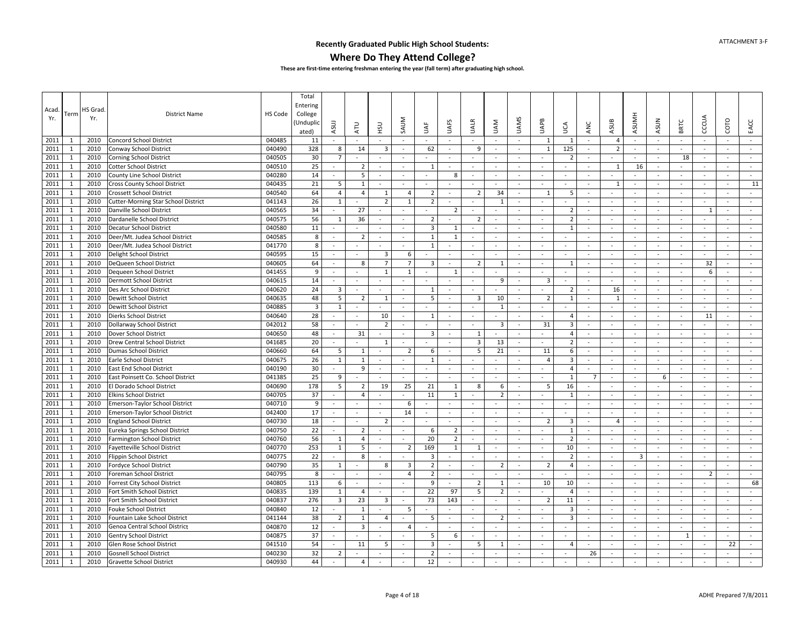### **Where Do They Attend College?**

| Acad.<br>Yr. | Term         | HS Grad<br>Yr. | <b>District Name</b>                       | HS Code | Total<br>Entering<br>College<br>Unduplid<br>ated) | ASUJ                     | <b>ATU</b>                   | <b>CSH</b>     | SAUM                     | ₹                   | <b>UAFS</b>              | <b>UALR</b>              | <b>UAM</b>               | <b>UAMS</b>              | UAPB           | Š              | ANC                      | ASUB                     | <b>ASUMH</b>             | <b>ASUN</b>              | BRTC   | CCCUA          | COTO                     | EACC     |
|--------------|--------------|----------------|--------------------------------------------|---------|---------------------------------------------------|--------------------------|------------------------------|----------------|--------------------------|---------------------|--------------------------|--------------------------|--------------------------|--------------------------|----------------|----------------|--------------------------|--------------------------|--------------------------|--------------------------|--------|----------------|--------------------------|----------|
| 2011         | -1           | 2010           | <b>Concord School District</b>             | 040485  | 11                                                | $\sim$                   | $\sim$                       | $\sim$         | $\sim$                   | $\sim$              | $\sim$                   | $\sim$                   | $\sim$                   | $\sim$                   | 1              | -1             | $\sim$                   | 4                        | $\sim$                   | $\sim$                   | $\sim$ | $\sim$         | $\sim$                   | $\sim$   |
| 2011         | $\mathbf{1}$ | 2010           | Conway School District                     | 040490  | 328                                               | 8                        | 14                           | 3              | $\sim$                   | 62                  | $\sim$                   | 9                        | $\sim$                   | $\sim$                   | $\mathbf{1}$   | 125            | $\omega$                 | $\overline{2}$           | $\sim$                   | $\omega$                 | $\sim$ | $\omega$       | $\sim$                   | $\sim$   |
| 2011         | $\mathbf{1}$ | 2010           | <b>Corning School District</b>             | 040505  | 30                                                | $\overline{7}$           | ä,                           | $\sim$         | $\overline{\phantom{a}}$ | ÷                   | $\sim$                   | $\overline{\phantom{a}}$ | $\sim$                   | $\sim$                   | $\sim$         | $\overline{2}$ | ÷                        |                          | $\sim$                   | $\blacksquare$           | 18     | $\sim$         | $\sim$                   | $\omega$ |
| 2011         | $\mathbf{1}$ | 2010           | <b>Cotter School District</b>              | 040510  | 25                                                |                          | $\overline{2}$               | $\sim$         | $\sim$                   | 1                   | $\sim$                   | ÷,                       | $\sim$                   | $\sim$                   | $\sim$         | $\sim$         | $\omega$                 | $\mathbf{1}$             | 16                       | $\sim$                   | $\sim$ | $\omega$       | $\sim$                   | $\sim$   |
| 2011         | $\mathbf{1}$ | 2010           | County Line School District                | 040280  | 14                                                | $\sim$                   | 5                            | $\sim$         | $\sim$                   | $\omega$            | 8                        | $\overline{\phantom{a}}$ | $\sim$                   | $\sim$                   | $\omega$       | $\sim$         | $\bar{\phantom{a}}$      | $\blacksquare$           |                          | $\omega$                 | $\sim$ | $\blacksquare$ | $\blacksquare$           | $\omega$ |
| 2011         | $\mathbf{1}$ | 2010           | <b>Cross County School District</b>        | 040435  | 21                                                | 5                        | 1                            | $\sim$         | $\omega$                 | $\omega$            | $\overline{\phantom{a}}$ | $\blacksquare$           | $\sim$                   | $\sim$                   | $\omega$       | $\sim$         | $\omega$                 | 1                        | $\overline{\phantom{a}}$ | $\equiv$                 | $\sim$ | $\blacksquare$ | $\sim$                   | 11       |
| 2011         | $\mathbf{1}$ | 2010           | Crossett School District                   | 040540  | 64                                                | $\overline{4}$           | $\overline{4}$               | 1              | $\overline{4}$           | $\overline{2}$      | $\sim$                   | $\overline{2}$           | 34                       | $\sim$                   | $\mathbf{1}$   | 5              | $\overline{\phantom{a}}$ | $\sim$                   |                          | $\omega$                 | $\sim$ | $\omega$       | $\sim$                   | $\sim$   |
| 2011         | 1            | 2010           | <b>Cutter-Morning Star School District</b> | 041143  | 26                                                | $\mathbf{1}$             |                              | $\overline{2}$ | $\mathbf{1}$             | $\overline{2}$      | $\sim$                   | ÷.                       | 1                        | $\sim$                   | $\sim$         | $\sim$         | ÷                        | $\sim$                   | $\sim$                   | $\sim$                   | $\sim$ | $\sim$         | $\sim$                   | $\sim$   |
| 2011         | $\mathbf{1}$ | 2010           | Danville School District                   | 040565  | 34                                                |                          | 27                           |                |                          | $\sim$              | $\overline{2}$           | $\overline{\phantom{a}}$ | $\overline{\phantom{a}}$ | $\sim$                   | $\equiv$       | $\overline{2}$ | $\blacksquare$           | $\overline{\phantom{a}}$ | $\sim$                   | $\overline{\phantom{a}}$ | $\sim$ | 1              | $\overline{\phantom{a}}$ | $\sim$   |
| 2011         | 1            | 2010           | Dardanelle School District                 | 040575  | 56                                                | 1                        | 36                           | $\sim$         | $\overline{\phantom{a}}$ | $\overline{2}$      | $\sim$                   | $\overline{2}$           | $\sim$                   | $\sim$                   | $\sim$         | $\overline{2}$ | $\sim$                   | $\sim$                   | $\sim$                   | ÷                        | $\sim$ | $\sim$         | $\sim$                   | $\sim$   |
| 2011         | 1            | 2010           | Decatur School District                    | 040580  | 11                                                | $\sim$                   |                              |                | $\sim$                   | 3                   | 1                        | $\sim$                   | $\sim$                   | $\sim$                   | $\blacksquare$ | 1              | $\bar{a}$                | $\sim$                   | $\overline{\phantom{a}}$ | $\blacksquare$           | $\sim$ | $\sim$         | $\blacksquare$           | $\sim$   |
| 2011         | $\mathbf{1}$ | 2010           | Deer/Mt. Judea School District             | 040585  | $\bf 8$                                           | $\sim$                   | $\overline{2}$               | $\sim$         | $\sim$                   | $\mathbf{1}$        | $\mathbf{1}$             | $\overline{\phantom{a}}$ | $\sim$                   | $\sim$                   | $\sim$         | $\sim$         | ÷.                       | $\sim$                   | $\sim$                   | $\mathbf{r}$             | $\sim$ | $\sim$         | $\sim$                   | $\sim$   |
| 2011         | 1            | 2010           | Deer/Mt. Judea School District             | 041770  | 8                                                 | $\sim$                   | ä,                           |                | $\bar{a}$                | 1                   | $\sim$                   | $\bar{\phantom{a}}$      | $\sim$                   | $\sim$                   | $\sim$         | $\sim$         | $\overline{\phantom{a}}$ | $\sim$                   | $\sim$                   | $\overline{\phantom{a}}$ | $\sim$ | $\omega$       | $\sim$                   | $\sim$   |
| 2011         | $\mathbf{1}$ | 2010           | Delight School District                    | 040595  | 15                                                | $\sim$                   | $\omega$                     | $\overline{3}$ | 6                        | $\sim$              | $\sim$                   | $\sim$                   | $\sim$                   | $\overline{\phantom{a}}$ | $\omega$       | $\sim$         | $\omega$                 | $\sim$                   | $\sim$                   | $\sim$                   | $\sim$ | $\sim$         | $\sim$                   | $\sim$   |
| 2011         | $\mathbf{1}$ | 2010           | DeQueen School District                    | 040605  | 64                                                | $\sim$                   | 8                            | $\overline{7}$ | $\overline{7}$           | 3                   | $\sim$                   | $\overline{2}$           | 1                        | $\sim$                   | $\sim$         | - 1            | $\sim$                   | $\sim$                   |                          | ÷                        | $\sim$ | 32             | $\sim$                   | $\omega$ |
| 2011         | 1            | 2010           | Dequeen School District                    | 041455  | 9                                                 | $\blacksquare$           |                              | 1              | $\mathbf{1}$             |                     | 1                        | $\sim$                   |                          | $\sim$                   | $\sim$         | $\sim$         | $\sim$                   | $\sim$                   |                          | $\omega$                 | $\sim$ | 6              | $\sim$                   | $\sim$   |
| 2011         | 1            | 2010           | Dermott School District                    | 040615  | 14                                                | $\sim$                   | ä,                           | $\sim$         | $\sim$                   | $\sim$              | $\sim$                   | ÷.                       | 9                        | $\sim$                   | 3              | $\sim$         | ÷.                       | $\sim$                   | $\sim$                   | $\sim$                   | $\sim$ | $\sim$         | $\sim$                   | $\sim$   |
| 2011         | $\mathbf{1}$ | 2010           | Des Arc School District                    | 040620  | 24                                                | $\overline{\mathbf{3}}$  | $\blacksquare$               | $\sim$         | $\sim$                   | $\mathbf{1}$        | $\sim$                   | $\overline{\phantom{a}}$ | $\sim$                   | $\blacksquare$           | $\sim$         | $\overline{2}$ | $\sim$                   | 16                       | $\sim$                   | $\omega$                 | $\sim$ | $\blacksquare$ | $\sim$                   | $\omega$ |
| 2011         | $\mathbf{1}$ | 2010           | Dewitt School District                     | 040635  | 48                                                | 5                        | $\overline{2}$               | 1              | $\omega$                 | 5                   | $\sim$                   | $\overline{\mathbf{3}}$  | 10                       | $\sim$                   | $\overline{2}$ | 1              | $\sim$                   | $\mathbf{1}$             | $\sim$                   | $\sim$                   | $\sim$ | $\sim$         | $\sim$                   | $\sim$   |
| 2011         | $\mathbf{1}$ | 2010           | Dewitt School District                     | 040885  | $\overline{3}$                                    | $\mathbf{1}$             | $\overline{\phantom{a}}$     |                | $\overline{a}$           |                     | $\sim$                   | $\bar{\phantom{a}}$      | $\mathbf{1}$             | $\omega$                 | $\blacksquare$ |                | $\bar{\phantom{a}}$      | $\overline{\phantom{a}}$ |                          | $\blacksquare$           | $\sim$ | $\blacksquare$ | $\sim$                   | $\omega$ |
| 2011         | 1            | 2010           | Dierks School District                     | 040640  | 28                                                | $\sim$                   | $\sim$                       | 10             | $\sim$                   | $\mathbf{1}$        | $\sim$                   | $\sim$                   | $\sim$                   | $\sim$                   | $\mathbf{r}$   | $\overline{4}$ | $\sim$                   | $\sim$                   | $\sim$                   | $\sim$                   | $\sim$ | 11             | $\sim$                   | $\sim$   |
| 2011         | 1            | 2010           | Dollarway School District                  | 042012  | 58                                                | $\sim$                   | ÷.                           | $\overline{2}$ | $\sim$                   | $\sim$              | $\sim$                   | $\omega$                 | 3                        | $\sim$                   | 31             | $\overline{3}$ | $\sim$                   | $\sim$                   | $\sim$                   | $\sim$                   | $\sim$ | $\sim$         | $\sim$                   | $\sim$   |
| 2011         | $\mathbf{1}$ | 2010           | Dover School District                      | 040650  | 48                                                | $\overline{\phantom{a}}$ | 31                           | $\sim$         | $\overline{\phantom{a}}$ | 3                   | $\sim$                   | 1                        | $\sim$                   | $\sim$                   | $\sim$         | $\overline{4}$ | $\overline{\phantom{a}}$ | $\sim$                   | $\overline{\phantom{a}}$ | $\blacksquare$           | $\sim$ | $\sim$         | $\sim$                   | $\sim$   |
| 2011         | $\mathbf{1}$ | 2010           | Drew Central School District               | 041685  | 20                                                | $\sim$                   | $\blacksquare$               | $\overline{1}$ | $\sim$                   |                     | $\sim$                   | 3                        | 13                       | $\sim$                   | $\sim$         | $\overline{2}$ | $\sim$                   | $\sim$                   | $\sim$                   | $\blacksquare$           | $\sim$ | $\sim$         | $\sim$                   | $\sim$   |
| 2011         | $\mathbf{1}$ | 2010           | Dumas School District                      | 040660  | 64                                                | 5                        | $\mathbf{1}$                 | $\sim$         | $\overline{2}$           | 6                   | $\sim$                   | 5                        | 21                       | $\bar{a}$                | 11             | 6              | $\blacksquare$           | $\sim$                   | $\sim$                   | $\omega$                 | $\sim$ | $\omega$       | $\sim$                   | $\sim$   |
| 2011         | $\mathbf{1}$ | 2010           | Earle School District                      | 040675  | 26                                                | 1                        | $\mathbf{1}$                 | $\sim$         | $\sim$                   | $\mathbf{1}$        | $\sim$                   | $\sim$                   |                          |                          | $\overline{4}$ | 3              | $\sim$                   | $\sim$                   | $\sim$                   | $\omega$                 | $\sim$ |                | $\sim$                   |          |
| 2011         | $\mathbf{1}$ | 2010           | East End School District                   | 040190  | 30                                                |                          | 9                            | $\sim$         | $\overline{\phantom{a}}$ | $\equiv$            | $\sim$                   | $\blacksquare$           | $\sim$                   | $\overline{\phantom{a}}$ | $\sim$         | $\overline{4}$ | $\omega$                 | $\sim$                   | $\sim$                   | $\sim$                   | $\sim$ | $\sim$         | $\sim$                   | $\sim$   |
| 2011         | $\mathbf{1}$ | 2010           | East Poinsett Co. School District          | 041385  | 25                                                | 9                        |                              |                |                          |                     | $\sim$                   | $\sim$                   | $\sim$                   | $\overline{\phantom{a}}$ | $\sim$         | 1              | $\overline{7}$           | $\sim$                   | $\overline{\phantom{a}}$ | 6                        | $\sim$ | $\sim$         | $\sim$                   | $\sim$   |
| 2011         | 1            | 2010           | El Dorado School District                  | 040690  | 178                                               | 5                        | $\overline{2}$               | 19             | 25                       | 21                  | 1                        | 8                        | -6                       | $\sim$                   | 5              | 16             |                          | $\sim$                   |                          | $\blacksquare$           | $\sim$ | $\sim$         | $\blacksquare$           | $\sim$   |
| 2011         | 1            | 2010           | <b>Elkins School District</b>              | 040705  | 37                                                | $\sim$                   | $\overline{4}$               | $\sim$         | $\sim$                   | 11                  | 1                        | ÷.                       | $\overline{2}$           | $\sim$                   | $\mathbf{r}$   | 1              | ÷                        | $\sim$                   | $\sim$                   | $\sim$                   | $\sim$ | $\sim$         | $\sim$                   | $\sim$   |
| 2011         | $\mathbf{1}$ | 2010           | Emerson-Taylor School District             | 040710  | 9                                                 | $\overline{\phantom{a}}$ | $\blacksquare$               | $\sim$         | 6                        | $\blacksquare$      |                          | $\sim$                   |                          |                          | $\blacksquare$ |                | $\sim$                   | $\sim$                   |                          | $\blacksquare$           | $\sim$ | $\sim$         | $\sim$                   | $\sim$   |
| 2011         | $\mathbf{1}$ | 2010           | Emerson-Taylor School District             | 042400  | 17                                                | $\sim$                   | $\omega$                     | $\sim$         | 14                       | $\sim$              | $\sim$                   | $\overline{\phantom{a}}$ | $\sim$                   | $\sim$                   | $\omega$       | $\sim$         | $\omega$                 | $\sim$                   | $\sim$                   | $\omega$                 | $\sim$ | $\sim$         | $\sim$                   | $\sim$   |
| 2011         | $\mathbf{1}$ | 2010           | <b>England School District</b>             | 040730  | 18                                                | $\omega$                 | $\qquad \qquad \blacksquare$ | $\overline{2}$ |                          |                     |                          | $\overline{\phantom{a}}$ | $\blacksquare$           |                          | $\overline{2}$ | 3              | $\bar{\phantom{a}}$      | $\overline{4}$           |                          | $\frac{1}{2}$            | $\sim$ | $\blacksquare$ | $\sim$                   | $\omega$ |
| 2011         | 1            | 2010           | Eureka Springs School District             | 040750  | 22                                                | $\sim$                   | $\overline{2}$               | $\sim$         | $\sim$                   | 6                   | $\overline{2}$           | $\overline{\phantom{a}}$ | $\sim$                   | $\sim$                   | $\mathbf{r}$   | 1              | ÷.                       | ÷.                       | $\sim$                   | $\sim$                   | $\sim$ | $\sim$         | $\sim$                   | $\sim$   |
| 2011         | 1            | 2010           | <b>Farmington School District</b>          | 040760  | 56                                                | 1                        | $\overline{4}$               | $\sim$         |                          | 20                  | $\overline{2}$           | $\overline{\phantom{a}}$ | $\sim$                   | $\sim$                   | $\omega$       | $\overline{2}$ | $\overline{\phantom{a}}$ | $\sim$                   |                          | $\sim$                   | $\sim$ | $\omega$       | $\sim$                   | $\sim$   |
| 2011         | $\mathbf{1}$ | 2010           | Fayetteville School District               | 040770  | 253                                               | $\mathbf{1}$             | 5                            | $\sim$         | $\overline{2}$           | 169                 | $\mathbf{1}$             | 1                        | $\sim$                   | $\sim$                   | $\equiv$       | 10             | $\sim$                   | $\sim$                   | $\sim$                   | $\blacksquare$           | $\sim$ | $\sim$         | $\sim$                   | $\sim$   |
| 2011         | 1            | 2010           | Flippin School District                    | 040775  | 22                                                |                          | 8                            | $\sim$         |                          | 3                   | $\sim$                   | $\sim$                   | $\sim$                   | $\overline{\phantom{a}}$ | $\blacksquare$ | $\overline{2}$ | $\sim$                   | $\sim$                   | $\overline{\mathbf{3}}$  | $\sim$                   | $\sim$ | $\sim$         | $\sim$                   | $\sim$   |
| 2011         | $\mathbf{1}$ | 2010           | Fordyce School District                    | 040790  | 35                                                | $\mathbf{1}$             |                              | 8              | $\overline{3}$           | $\overline{2}$      | $\omega$                 | ÷,                       | $\overline{2}$           | ÷,                       | $\overline{2}$ | $\overline{4}$ | ÷,                       | $\bar{\phantom{a}}$      |                          | ÷,                       | $\sim$ |                | ÷.                       | $\omega$ |
| 2011         | $\mathbf{1}$ | 2010           | Foreman School District                    | 040795  | 8                                                 | $\sim$                   | $\sim$                       |                | $\overline{4}$           | $\overline{2}$      | $\sim$                   | $\sim$                   | $\omega$                 | $\overline{\phantom{a}}$ |                | $\sim$         | $\sim$                   | $\sim$                   | $\overline{\phantom{a}}$ | ÷                        | $\sim$ | $\overline{2}$ | $\sim$                   | $\sim$   |
| 2011         | $\mathbf{1}$ | 2010           | Forrest City School District               | 040805  | 113                                               | 6                        | $\equiv$                     | $\sim$         | $\sim$                   | 9                   | $\blacksquare$           | $\overline{2}$           | $\mathbf{1}$             | $\sim$                   | 10             | 10             | $\blacksquare$           | $\sim$                   |                          | $\equiv$                 |        | $\blacksquare$ | $\sim$                   | 68       |
| 2011         | $\mathbf{1}$ | 2010           | Fort Smith School District                 | 040835  | 139                                               | $\mathbf{1}$             | $\overline{4}$               | $\sim$         | $\sim$                   | 22                  | 97                       | 5                        | $\overline{2}$           | $\sim$                   | $\sim$         | $\overline{4}$ | $\sim$                   | $\sim$                   | $\sim$                   | $\sim$                   | $\sim$ | $\sim$         | $\sim$                   | $\sim$   |
| 2011         | 1            | 2010           | Fort Smith School District                 | 040837  | 276                                               | $\overline{3}$           | 23                           | 3              | $\sim$                   | 73                  | 143                      | $\sim$                   |                          | $\overline{\phantom{a}}$ | $\overline{2}$ | 11             | $\omega$                 | $\sim$                   | $\overline{\phantom{a}}$ | $\omega$                 | $\sim$ | $\sim$         | $\sim$                   | $\sim$   |
| 2011         | $\mathbf{1}$ | 2010           | Fouke School District                      | 040840  | 12                                                | $\sim$                   | $\mathbf{1}$                 | $\sim$         | 5                        | $\mathbf{r}$        | $\sim$                   | $\overline{\phantom{a}}$ | $\sim$                   | $\sim$                   | $\mathbf{r}$   | 3              | $\sim$                   | $\sim$                   | $\sim$                   | $\sim$                   | $\sim$ | $\sim$         | $\sim$                   | $\omega$ |
| 2011         | 1            | 2010           | Fountain Lake School District              | 041144  | 38                                                | $\overline{2}$           | 1                            | $\overline{4}$ | $\sim$                   | 5                   | $\sim$                   | $\overline{\phantom{a}}$ | $\overline{2}$           | $\sim$                   | $\omega$       | $\overline{3}$ | $\overline{\phantom{a}}$ | $\sim$                   | $\sim$                   | $\sim$                   | $\sim$ | $\omega$       | $\sim$                   | $\sim$   |
| 2011         | $\mathbf{1}$ | 2010           | Genoa Central School District              | 040870  | 12                                                |                          | $\overline{3}$               | $\sim$         | $\overline{4}$           | $\bar{\phantom{a}}$ | $\overline{\phantom{a}}$ | $\overline{\phantom{a}}$ | $\blacksquare$           | $\overline{\phantom{a}}$ | $\blacksquare$ | $\sim$         | $\omega$                 | $\sim$                   | $\sim$                   | $\blacksquare$           | $\sim$ | $\blacksquare$ | $\blacksquare$           | $\sim$   |
| 2011         | $\mathbf{1}$ | 2010           | <b>Gentry School District</b>              | 040875  | 37                                                | $\blacksquare$           | $\blacksquare$               |                | $\sim$                   | 5                   | 6                        | $\sim$                   | $\sim$                   | $\overline{\phantom{a}}$ | $\sim$         | $\sim$         | $\omega$                 | $\sim$                   | $\overline{\phantom{a}}$ | $\omega$                 | 1      | $\sim$         | $\sim$                   | $\sim$   |
| 2011         | 1            | 2010           | Glen Rose School District                  | 041510  | 54                                                |                          | 11                           | 5              | $\sim$                   | 3                   |                          | 5                        | $\mathbf{1}$             | $\sim$                   | $\omega$       | 4              |                          | ÷.                       |                          | $\omega$                 | $\sim$ |                | 22                       | $\sim$   |
| 2011         | 1            | 2010           | <b>Gosnell School District</b>             | 040230  | 32                                                | $\overline{2}$           |                              |                | $\overline{\phantom{a}}$ | $\overline{2}$      |                          |                          |                          | $\overline{a}$           |                | $\sim$         | 26                       | ÷.                       |                          | ÷                        | $\sim$ |                | ÷                        |          |
| 2011         | $\mathbf{1}$ | 2010           | Gravette School District                   | 040930  | 44                                                | $\sim$                   | $\overline{4}$               |                | $\sim$                   | 12                  | $\sim$                   | $\sim$                   | $\sim$                   | $\sim$                   | $\blacksquare$ |                |                          | $\blacksquare$           |                          | $\blacksquare$           |        |                | $\blacksquare$           | $\sim$   |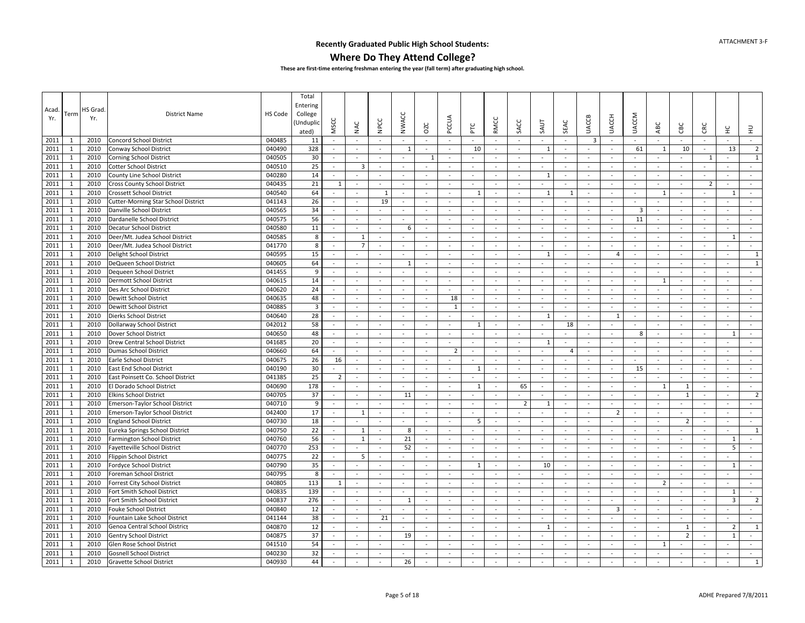### **Where Do They Attend College?**

| Acad.<br>Yr. | Term         | HS Grad<br>Yr. | <b>District Name</b>                       | HS Code | Total<br>Entering<br>College<br>(Unduplic<br>ated) | MSCC           | NAC                      | <b>NPCC</b>    | <b>NWACC</b>             | OZC                      | PCCUA                    | 눈                        | <b>RMCC</b> | SACC                     | SAUT                     | SEAC                     | <b>UACCB</b>             | <b>UACCH</b>            | <b>UACCM</b>             | ABC            | CВC                      | CRC                      | 呈                               | 긒                           |
|--------------|--------------|----------------|--------------------------------------------|---------|----------------------------------------------------|----------------|--------------------------|----------------|--------------------------|--------------------------|--------------------------|--------------------------|-------------|--------------------------|--------------------------|--------------------------|--------------------------|-------------------------|--------------------------|----------------|--------------------------|--------------------------|---------------------------------|-----------------------------|
| 2011         | -1           | 2010           | <b>Concord School District</b>             | 040485  | 11                                                 | $\sim$         | $\sim$                   | $\sim$         | $\overline{\phantom{a}}$ | $\sim$                   | $\sim$                   | $\sim$                   | $\sim$      | $\sim$                   | $\sim$                   | $\sim$                   | 3                        | $\sim$                  | $\sim$                   | $\sim$         | $\sim$                   | $\sim$                   | $\sim$                          | $\sim$                      |
| 2011         | $\mathbf{1}$ | 2010           | Conway School District                     | 040490  | 328                                                | $\sim$         | $\overline{\phantom{a}}$ | $\sim$         | $\mathbf{1}$             | $\sim$                   | $\sim$                   | 10                       | $\sim$      | $\omega$                 | 1                        | $\sim$                   | $\sim$                   | $\sim$                  | 61                       | 1              | 10                       | $\sim$                   | 13                              | $\overline{2}$              |
| 2011         | $\mathbf{1}$ | 2010           | <b>Corning School District</b>             | 040505  | 30                                                 | $\sim$         |                          | $\sim$         | $\sim$                   | 1                        | $\sim$                   |                          | $\sim$      | $\sim$                   | $\sim$                   | $\sim$                   | $\sim$                   | $\sim$                  | $\sim$                   | $\sim$         |                          | 1                        | $\sim$                          | $\mathbf 1$                 |
| 2011         | $\mathbf{1}$ | 2010           | <b>Cotter School District</b>              | 040510  | 25                                                 | $\sim$         | $\overline{3}$           | $\sim$         | $\sim$                   | $\sim$                   | $\sim$                   | $\sim$                   | $\sim$      | $\sim$                   | $\sim$                   | $\sim$                   | $\overline{\phantom{a}}$ | $\sim$                  | $\sim$                   | $\sim$         | $\sim$                   | $\omega$                 | $\sim$                          | $\sim$                      |
| 2011         | $\mathbf{1}$ | 2010           | County Line School District                | 040280  | 14                                                 | $\sim$         | $\overline{\phantom{a}}$ | $\sim$         | $\sim$                   |                          | $\overline{\phantom{a}}$ | $\overline{\phantom{a}}$ | $\sim$      | $\overline{\phantom{a}}$ | 1                        | $\blacksquare$           | $\overline{\phantom{a}}$ | $\sim$                  | $\sim$                   | $\sim$         | $\overline{\phantom{a}}$ | $\overline{\phantom{a}}$ | $\sim$                          | $\sim$                      |
| 2011         | $\mathbf{1}$ | 2010           | Cross County School District               | 040435  | 21                                                 | 1              | $\sim$                   | $\sim$         | $\sim$                   | $\sim$                   | $\sim$                   | $\blacksquare$           | $\omega$    | $\sim$                   | $\equiv$                 | $\sim$                   | $\blacksquare$           | $\sim$                  | $\sim$                   | $\omega$       | $\blacksquare$           | $\overline{2}$           | $\sim$                          | $\sim$                      |
| 2011         | $\mathbf{1}$ | 2010           | <b>Crossett School District</b>            | 040540  | 64                                                 |                | $\overline{\phantom{a}}$ | $\overline{1}$ | $\sim$                   | $\sim$                   | $\sim$                   | $\mathbf{1}$             | $\sim$      | $\sim$                   | $\mathbf{1}$             | 1                        | $\bar{a}$                | $\sim$                  | $\sim$                   | $\mathbf{1}$   | $\sim$                   |                          | $\overline{1}$                  | $\mathcal{L}_{\mathcal{C}}$ |
| 2011         | 1            | 2010           | <b>Cutter-Morning Star School District</b> | 041143  | 26                                                 |                |                          | 19             | $\sim$                   |                          | $\sim$                   |                          | $\sim$      | $\overline{\phantom{a}}$ |                          |                          | $\overline{\phantom{a}}$ | $\sim$                  | $\sim$                   | $\sim$         | $\sim$                   |                          |                                 |                             |
| 2011         | $\mathbf{1}$ | 2010           | Danville School District                   | 040565  | 34                                                 |                | $\blacksquare$           | $\sim$         | $\overline{\phantom{a}}$ | $\overline{\phantom{a}}$ | $\overline{\phantom{a}}$ | ÷,                       | $\sim$      | $\sim$                   | $\blacksquare$           | $\sim$                   | $\overline{\phantom{a}}$ | $\sim$                  | $\overline{3}$           | $\blacksquare$ | $\overline{\phantom{a}}$ | ÷,                       | $\sim$                          | $\blacksquare$              |
| 2011         | $\mathbf{1}$ | 2010           | Dardanelle School District                 | 040575  | 56                                                 | $\sim$         | $\overline{\phantom{a}}$ | $\sim$         | $\sim$                   |                          | $\sim$                   | $\sim$                   | $\sim$      | $\overline{\phantom{a}}$ | $\overline{\phantom{a}}$ | $\sim$                   | $\sim$                   | $\sim$                  | 11                       | $\sim$         | $\sim$                   | $\overline{\phantom{a}}$ | $\sim$                          | $\sim$                      |
| 2011         | $\mathbf{1}$ | 2010           | Decatur School District                    | 040580  | 11                                                 | $\blacksquare$ | $\bar{\phantom{a}}$      | $\sim$         | 6                        | $\sim$                   | $\blacksquare$           | $\overline{\phantom{a}}$ | $\sim$      | $\bar{a}$                | $\overline{\phantom{a}}$ | $\sim$                   | $\overline{\phantom{a}}$ | $\sim$                  | $\sim$                   | L.             | $\sim$                   | $\bar{\phantom{a}}$      | $\bar{a}$                       | $\omega$                    |
| 2011         | $\mathbf{1}$ | 2010           | Deer/Mt. Judea School District             | 040585  | 8                                                  | $\sim$         | $\mathbf{1}$             | $\sim$         | $\sim$                   | $\sim$                   | $\sim$                   | $\sim$                   | $\sim$      | $\sim$                   | $\mathbf{r}$             | $\sim$                   | $\sim$                   | $\sim$                  | $\sim$                   | $\sim$         | $\sim$                   | ÷.                       | $\overline{1}$                  | $\sim$                      |
| 2011         | $\mathbf{1}$ | 2010           | Deer/Mt. Judea School District             | 041770  | 8                                                  | $\sim$         | $\overline{7}$           | $\sim$         | $\sim$                   | $\sim$                   | $\sim$                   | $\sim$                   | $\sim$      | $\sim$                   | $\sim$                   | $\sim$                   | $\overline{\phantom{a}}$ | $\sim$                  | $\sim$                   | $\bar{a}$      | $\sim$                   | $\overline{\phantom{a}}$ | $\sim$                          | $\sim$                      |
| 2011         | $\mathbf{1}$ | 2010           | Delight School District                    | 040595  | 15                                                 | $\sim$         |                          | $\sim$         | $\sim$                   | $\sim$                   | $\sim$                   | $\omega$                 | $\sim$      | $\sim$                   | 1                        | $\sim$                   | $\overline{\phantom{a}}$ | $\overline{4}$          | $\sim$                   | $\sim$         | $\sim$                   | $\sim$                   | $\sim$                          | $1\,$                       |
| 2011         | $\mathbf{1}$ | 2010           | DeQueen School District                    | 040605  | 64                                                 | $\sim$         | $\sim$                   | $\sim$         | $\overline{1}$           | $\sim$                   | $\sim$                   | $\sim$                   | $\sim$      | $\sim$                   | $\sim$                   | $\sim$                   | $\sim$                   | $\sim$                  | $\sim$                   | $\sim$         | $\sim$                   | $\sim$                   | $\sim$                          | $\mathbf{1}$                |
| 2011         | $\mathbf{1}$ | 2010           | Dequeen School District                    | 041455  | 9                                                  | $\sim$         | $\overline{\phantom{a}}$ | $\sim$         | $\sim$                   | $\sim$                   | $\sim$                   | ä,                       | $\sim$      | $\sim$                   | ÷                        | $\sim$                   | ÷,                       | $\sim$                  | $\sim$                   | $\sim$         | $\sim$                   | ÷,                       | $\overline{a}$                  |                             |
| 2011         | 1            | 2010           | Dermott School District                    | 040615  | 14                                                 | $\sim$         | $\sim$                   | $\sim$         | $\sim$                   | $\sim$                   | $\sim$                   | $\sim$                   | $\sim$      | $\sim$                   | $\sim$                   | $\sim$                   | $\sim$                   | $\sim$                  | $\sim$                   | 1              | $\sim$                   | $\sim$                   | $\sim$                          | $\sim$                      |
| 2011         | $\mathbf{1}$ | 2010           | Des Arc School District                    | 040620  | 24                                                 | $\sim$         | $\sim$                   | $\sim$         | $\sim$                   |                          | $\blacksquare$           | $\blacksquare$           | $\sim$      | $\sim$                   | $\omega$                 | $\sim$                   | $\overline{\phantom{a}}$ | $\sim$                  | $\sim$                   | $\omega$       | $\sim$                   | $\overline{\phantom{a}}$ | $\sim$                          | $\sim$                      |
| 2011         | $\mathbf{1}$ | 2010           | Dewitt School District                     | 040635  | 48                                                 | $\sim$         | $\sim$                   | $\sim$         | $\sim$                   | $\sim$                   | 18                       | $\omega$                 | $\sim$      | $\sim$                   | $\sim$                   | $\sim$                   | $\overline{\phantom{a}}$ | $\sim$                  | $\sim$                   | $\blacksquare$ | $\sim$                   | $\sim$                   | $\sim$                          | $\sim$                      |
| 2011         | $\mathbf{1}$ | 2010           | Dewitt School District                     | 040885  | $\overline{3}$                                     | $\omega$       | $\bar{\phantom{a}}$      | $\sim$         | $\overline{a}$           | $\sim$                   | $\mathbf{1}$             | ÷,                       | $\sim$      | $\overline{a}$           | $\blacksquare$           | $\blacksquare$           | $\overline{\phantom{a}}$ | $\blacksquare$          | $\sim$                   | $\frac{1}{2}$  | $\sim$                   | $\bar{\phantom{a}}$      | $\sim$                          | $\omega$                    |
| 2011         | $\mathbf{1}$ | 2010           | Dierks School District                     | 040640  | 28                                                 | $\sim$         | ÷.                       | $\sim$         | $\sim$                   | $\sim$                   | $\sim$                   | ä,                       | $\sim$      | $\sim$                   | 1                        | $\sim$                   | $\sim$                   | $\mathbf{1}$            | $\sim$                   | $\sim$         | $\sim$                   | ÷.                       | $\sim$                          | $\sim$                      |
| 2011         | 1            | 2010           | Dollarway School District                  | 042012  | 58                                                 | $\sim$         | $\overline{\phantom{a}}$ | $\sim$         | $\sim$                   | $\sim$                   | $\sim$                   | 1                        | $\sim$      | $\sim$                   | $\sim$                   | 18                       | $\overline{\phantom{a}}$ | $\sim$                  | $\sim$                   | $\omega$       | $\sim$                   | $\overline{\phantom{a}}$ | $\sim$                          | $\sim$                      |
| 2011         | $\mathbf{1}$ | 2010           | Dover School District                      | 040650  | 48                                                 | $\sim$         | $\overline{\phantom{a}}$ | $\sim$         | $\sim$                   | $\sim$                   | $\sim$                   | $\blacksquare$           | $\sim$      | $\sim$                   | $\bar{\phantom{a}}$      | $\sim$                   | $\overline{\phantom{a}}$ | $\sim$                  | 8                        | $\sim$         | $\sim$                   | $\overline{\phantom{a}}$ | -1                              | $\sim$                      |
| 2011         | $\mathbf{1}$ | 2010           | Drew Central School District               | 041685  | 20                                                 | $\blacksquare$ | $\overline{\phantom{a}}$ | $\sim$         | $\sim$                   | $\sim$                   | $\sim$                   | $\blacksquare$           | $\sim$      | $\sim$                   | 1                        | $\sim$                   | $\blacksquare$           | $\sim$                  | $\sim$                   | $\omega$       | $\sim$                   | $\sim$                   | $\sim$                          | $\sim$                      |
| 2011         | $\mathbf{1}$ | 2010           | Dumas School District                      | 040660  | 64                                                 | $\sim$         |                          | $\sim$         | $\sim$                   | $\omega$                 | $\overline{2}$           | $\overline{\phantom{a}}$ | $\sim$      | $\sim$                   | $\omega$                 | $\overline{4}$           | $\bar{a}$                | $\sim$                  | $\sim$                   | $\sim$         | $\sim$                   | ÷,                       | $\sim$                          | $\sim$                      |
| 2011         | 1            | 2010           | Earle School District                      | 040675  | 26                                                 | 16             | $\sim$                   | $\sim$         | $\sim$                   | $\sim$                   | $\sim$                   | $\omega$                 | $\sim$      | $\sim$                   | $\sim$                   | $\sim$                   | $\overline{\phantom{a}}$ | $\sim$                  | $\sim$                   | $\blacksquare$ | $\sim$                   | $\overline{\phantom{a}}$ | $\sim$                          | $\sim$                      |
| 2011         | $\mathbf{1}$ | 2010           | East End School District                   | 040190  | 30                                                 |                | $\sim$                   | $\sim$         | $\sim$                   | $\overline{\phantom{a}}$ | $\sim$                   | 1                        | $\sim$      | $\overline{\phantom{a}}$ | $\bar{\phantom{a}}$      | $\sim$                   | $\sim$                   | $\sim$                  | 15                       | $\sim$         | $\sim$                   | $\sim$                   | $\sim$                          | $\sim$                      |
| 2011         | $\mathbf{1}$ | 2010           | East Poinsett Co. School District          | 041385  | 25                                                 | $\overline{2}$ | $\sim$                   | $\sim$         | $\sim$                   | $\sim$                   | $\sim$                   | $\sim$                   | $\sim$      | $\sim$                   | $\sim$                   | $\sim$                   | $\sim$                   | $\sim$                  | $\overline{\phantom{a}}$ | $\sim$         | $\sim$                   | $\sim$                   | $\sim$                          | $\sim$                      |
| 2011         | $\mathbf{1}$ | 2010           | El Dorado School District                  | 040690  | 178                                                |                |                          | $\sim$         | $\sim$                   | $\overline{\phantom{a}}$ | $\sim$                   | 1                        | $\sim$      | 65                       | $\omega$                 | $\sim$                   | $\sim$                   | $\sim$                  | $\sim$                   | 1              | 1                        | $\overline{\phantom{a}}$ | $\sim$                          | $\sim$                      |
| 2011         | 1            | 2010           | <b>Elkins School District</b>              | 040705  | 37                                                 | $\sim$         | $\sim$                   | $\sim$         | 11                       | $\sim$                   | $\sim$                   | $\tilde{\phantom{a}}$    | $\sim$      | $\sim$                   | $\sim$                   | $\sim$                   | $\sim$                   | $\sim$                  | $\sim$                   | $\sim$         | 1                        | $\sim$                   | $\sim$                          | $\overline{2}$              |
| 2011         | $\mathbf{1}$ | 2010           | Emerson-Taylor School District             | 040710  | 9                                                  | $\blacksquare$ | $\sim$                   | $\sim$         | $\sim$                   | $\sim$                   | $\sim$                   | $\blacksquare$           | $\sim$      | $\overline{2}$           | 1                        | $\overline{\phantom{a}}$ | $\overline{\phantom{a}}$ | $\sim$                  | $\overline{\phantom{a}}$ | $\sim$         |                          | $\sim$                   | $\sim$                          | $\sim$                      |
| 2011         | $\mathbf{1}$ | 2010           | Emerson-Taylor School District             | 042400  | 17                                                 | $\sim$         | $\mathbf{1}$             | $\sim$         | $\sim$                   | $\sim$                   | $\sim$                   | $\blacksquare$           | $\sim$      | $\sim$                   | $\omega$                 | $\sim$                   | $\omega$                 | $\overline{2}$          | $\sim$                   | $\blacksquare$ | $\sim$                   | $\sim$                   | $\sim$                          | $\sim$                      |
| 2011         | $\mathbf{1}$ | 2010           | <b>England School District</b>             | 040730  | 18                                                 | $\omega$       |                          | $\sim$         |                          | $\overline{\phantom{a}}$ | $\blacksquare$           | 5                        | $\sim$      |                          |                          |                          | $\overline{\phantom{a}}$ | $\sim$                  |                          | $\frac{1}{2}$  | $\overline{2}$           | $\sim$                   | $\omega$                        | $\omega$                    |
| 2011         | $\mathbf{1}$ | 2010           | Eureka Springs School District             | 040750  | 22                                                 | $\sim$         | $\mathbf{1}$             | $\sim$         | 8                        | $\sim$                   | $\sim$                   | ä,                       | $\sim$      | $\sim$                   | $\sim$                   | $\sim$                   | $\sim$                   | $\sim$                  | $\sim$                   | $\sim$         | $\sim$                   | ÷.                       | $\sim$                          | $\mathbf{1}$                |
| 2011         | 1            | 2010           | <b>Farmington School District</b>          | 040760  | 56                                                 | $\sim$         | $\mathbf{1}$             | $\sim$         | 21                       | $\sim$                   | $\sim$                   | $\omega$                 | $\sim$      | $\sim$                   | $\sim$                   | $\sim$                   | $\overline{\phantom{a}}$ | $\sim$                  | $\sim$                   | $\omega$       | $\sim$                   | $\omega$                 | $\overline{1}$                  | $\sim$                      |
| 2011         | $\mathbf{1}$ | 2010           | Fayetteville School District               | 040770  | 253                                                | $\blacksquare$ | $\blacksquare$           | $\sim$         | 52                       | $\sim$                   | $\sim$                   | $\blacksquare$           | $\sim$      | $\overline{\phantom{a}}$ | $\blacksquare$           | $\sim$                   | $\overline{\phantom{a}}$ | $\sim$                  | $\sim$                   | $\sim$         | $\sim$                   | $\overline{\phantom{a}}$ | 5                               | $\sim$                      |
| 2011         | 1            | 2010           | Flippin School District                    | 040775  | 22                                                 | $\sim$         | 5                        | $\sim$         | $\sim$                   | $\sim$                   | $\sim$                   | $\omega$                 | $\sim$      | $\sim$                   | $\sim$                   | $\sim$                   | $\sim$                   | $\sim$                  | $\sim$                   | $\mathbf{r}$   | $\sim$                   | $\sim$                   |                                 | $\sim$                      |
| 2011         | $\mathbf{1}$ | 2010           | Fordyce School District                    | 040790  | 35                                                 | $\omega$       |                          | $\sim$         |                          |                          | $\omega$                 | $\mathbf{1}$             | $\sim$      | $\overline{a}$           | 10                       | $\omega$                 | $\overline{\phantom{a}}$ | $\sim$                  | $\sim$                   | $\frac{1}{2}$  | $\sim$                   | $\overline{a}$           | $\overline{1}$                  | $\sim$                      |
| 2011         | $\mathbf{1}$ | 2010           | Foreman School District                    | 040795  | 8                                                  | $\sim$         | $\sim$                   | $\sim$         | $\sim$                   | $\sim$                   | $\sim$                   | ä,                       | $\sim$      | $\sim$                   | $\mathbf{r}$             | $\sim$                   | $\sim$                   | $\sim$                  | $\sim$                   | $\mathbf{r}$   | $\sim$                   | $\sim$                   | $\mathbf{r}$                    | $\mathbf{r}$                |
| 2011         | $\mathbf{1}$ | 2010           | Forrest City School District               | 040805  | 113                                                | 1              | $\sim$                   | $\sim$         | $\bar{a}$                | $\blacksquare$           | $\blacksquare$           | $\overline{\phantom{a}}$ | $\sim$      |                          | $\blacksquare$           | $\blacksquare$           | $\overline{\phantom{a}}$ | $\blacksquare$          | $\sim$                   | $\overline{2}$ | $\blacksquare$           | $\bar{\phantom{a}}$      | $\centering \label{eq:reduced}$ | $\blacksquare$              |
| 2011         | $\mathbf{1}$ | 2010           | Fort Smith School District                 | 040835  | 139                                                | $\sim$         | $\sim$                   | $\sim$         | $\sim$                   | $\sim$                   | $\sim$                   | $\sim$                   | $\sim$      | $\sim$                   | $\sim$                   | $\sim$                   | $\sim$                   | $\sim$                  | $\sim$                   | $\sim$         | $\sim$                   | $\sim$                   | $\mathbf{1}$                    | $\sim$                      |
| 2011         | 1            | 2010           | Fort Smith School District                 | 040837  | 276                                                |                | $\sim$                   | $\sim$         | 1                        | $\sim$                   | $\sim$                   | $\sim$                   | $\sim$      | $\sim$                   | $\omega$                 | $\sim$                   | $\overline{\phantom{a}}$ | $\sim$                  | $\omega$                 | $\frac{1}{2}$  | $\sim$                   | $\overline{\phantom{a}}$ | 3                               | $\overline{2}$              |
| 2011         | $\mathbf{1}$ | 2010           | Fouke School District                      | 040840  | 12                                                 | $\sim$         | $\sim$                   | $\sim$         | $\sim$                   | $\sim$                   | $\sim$                   | $\sim$                   | $\sim$      | $\sim$                   | $\blacksquare$           | $\sim$                   | $\overline{\phantom{a}}$ | $\overline{\mathbf{3}}$ | $\sim$                   | $\blacksquare$ | $\sim$                   | $\sim$                   | $\sim$                          | $\sim$                      |
| 2011         | 1            | 2010           | Fountain Lake School District              | 041144  | 38                                                 | $\omega$       | $\sim$                   | 21             | $\sim$                   |                          | $\sim$                   | $\sim$                   | $\sim$      | $\sim$                   | $\sim$                   | $\sim$                   | $\sim$                   |                         | $\sim$                   | $\sim$         | $\sim$                   | $\overline{\phantom{a}}$ | ÷.                              | $\sim$                      |
| 2011         | $\mathbf{1}$ | 2010           | Genoa Central School District              | 040870  | 12                                                 | $\sim$         | $\overline{\phantom{a}}$ | $\sim$         | $\overline{\phantom{a}}$ | $\sim$                   | $\blacksquare$           | $\overline{\phantom{a}}$ | $\sim$      | $\sim$                   | $\mathbf{1}$             | $\blacksquare$           | $\overline{\phantom{a}}$ | $\sim$                  | $\overline{\phantom{a}}$ | $\equiv$       | $\mathbf{1}$             | $\sim$                   | $\overline{2}$                  | $\mathbf{1}$                |
| 2011         | $\mathbf{1}$ | 2010           | <b>Gentry School District</b>              | 040875  | 37                                                 | $\sim$         | $\overline{\phantom{a}}$ | $\sim$         | 19                       | $\sim$                   | $\overline{\phantom{a}}$ | $\blacksquare$           | $\sim$      | $\overline{\phantom{a}}$ |                          | $\sim$                   | $\overline{\phantom{a}}$ | $\sim$                  | $\overline{\phantom{a}}$ | $\sim$         | $\overline{2}$           | $\blacksquare$           | $\mathbf{1}$                    | $\sim$                      |
| 2011         | 1            | 2010           | Glen Rose School District                  | 041510  | 54                                                 | $\sim$         |                          | $\sim$         |                          | $\sim$                   | $\sim$                   |                          | $\sim$      | ÷,                       | $\omega$                 | $\sim$                   | $\sim$                   | $\sim$                  | $\sim$                   | $\mathbf{1}$   |                          |                          |                                 | $\omega$                    |
| 2011         | 1            | 2010           | <b>Gosnell School District</b>             | 040230  | 32                                                 | $\sim$         |                          |                |                          |                          | $\sim$                   |                          | $\sim$      | $\overline{\phantom{a}}$ | ÷                        | $\sim$                   |                          | $\sim$                  | $\sim$                   |                |                          |                          | $\sim$                          | $\sim$                      |
| 2011         | $\mathbf{1}$ | 2010           | <b>Gravette School District</b>            | 040930  | 44                                                 | $\omega$       | ÷,                       | $\sim$         | 26                       |                          | $\sim$                   | $\blacksquare$           | $\sim$      | $\sim$                   | $\blacksquare$           | $\sim$                   | $\sim$                   | $\sim$                  | $\sim$                   |                |                          | $\sim$                   | $\sim$                          | $\mathbf{1}$                |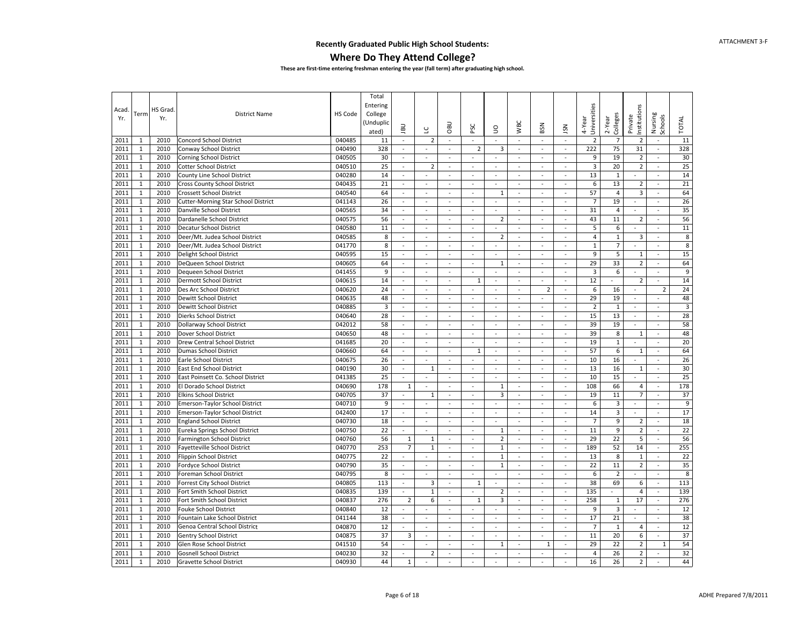#### **Where Do They Attend College?**

| Acad |              | HS Grad |                                            |         | Total<br>Entering             |                          |                          |                          |                          |                |                          |                          |                          |                         |                         |                          |                          |                         |
|------|--------------|---------|--------------------------------------------|---------|-------------------------------|--------------------------|--------------------------|--------------------------|--------------------------|----------------|--------------------------|--------------------------|--------------------------|-------------------------|-------------------------|--------------------------|--------------------------|-------------------------|
| Yr.  | Term         | Yr.     | <b>District Name</b>                       | HS Code | College<br>Unduplic)<br>ated) | <b>UBL</b>               | $\cup$                   | OBU                      | PSC                      | S              | <b>WBC</b>               | BSN                      | <b>NSL</b>               | Universities<br>4-Year  | Colleges<br>2-Year      | nstitutions<br>Private   | Nursing<br>Schools       | <b>TOTAL</b>            |
| 2011 | 1            | 2010    | <b>Concord School District</b>             | 040485  | 11                            | $\sim$                   | $\overline{2}$           | $\sim$                   | $\omega$                 | $\omega$       | $\omega$                 | $\overline{\phantom{a}}$ | $\omega$                 | $\overline{2}$          | $\overline{7}$          | $\overline{2}$           | $\overline{\phantom{a}}$ | 11                      |
| 2011 | $\mathbf{1}$ | 2010    | Conway School District                     | 040490  | 328                           | $\sim$                   | $\mathcal{L}$            | $\sim$                   | $\overline{2}$           | 3              | $\sim$                   | $\sim$                   | $\blacksquare$           | 222                     | 75                      | 31                       | $\bar{a}$                | 328                     |
| 2011 | $\mathbf{1}$ | 2010    | <b>Corning School District</b>             | 040505  | 30                            | $\sim$                   | $\sim$                   | $\bar{a}$                | $\bar{\phantom{a}}$      | $\sim$         | $\bar{a}$                | $\overline{\phantom{a}}$ | $\blacksquare$           | 9                       | 19                      | $\overline{2}$           | $\bar{a}$                | 30                      |
| 2011 | $\mathbf{1}$ | 2010    | <b>Cotter School District</b>              | 040510  | 25                            | $\bar{a}$                | $\overline{2}$           | $\sim$                   | $\sim$                   | $\sim$         | $\sim$                   | $\overline{\phantom{a}}$ | $\sim$                   | $\overline{\mathbf{3}}$ | 20                      | $\overline{2}$           | $\bar{a}$                | 25                      |
| 2011 | $\mathbf{1}$ | 2010    | County Line School District                | 040280  | 14                            | $\Box$                   | $\overline{\phantom{a}}$ | $\overline{\phantom{a}}$ | $\sim$                   | $\sim$         | $\sim$                   | $\overline{\phantom{a}}$ | $\overline{\phantom{a}}$ | 13                      | $1\,$                   | $\omega$                 | ä,                       | 14                      |
| 2011 | $\mathbf{1}$ | 2010    | Cross County School District               | 040435  | 21                            | $\blacksquare$           | $\blacksquare$           | $\blacksquare$           | $\omega$                 | $\sim$         | $\overline{\phantom{a}}$ | $\sim$                   | $\overline{\phantom{a}}$ | 6                       | 13                      | $\mathbf 2$              | $\Box$                   | 21                      |
| 2011 | $\mathbf{1}$ | 2010    | Crossett School District                   | 040540  | 64                            | $\bar{a}$                | $\sim$                   | $\overline{\phantom{a}}$ | $\sim$                   | $\mathbf{1}$   | $\bar{a}$                | ä,                       | $\bar{\phantom{a}}$      | 57                      | $\overline{\mathbf{4}}$ | $\overline{\mathbf{3}}$  | ÷,                       | 64                      |
| 2011 | $\mathbf{1}$ | 2010    | <b>Cutter-Morning Star School District</b> | 041143  | 26                            | $\sim$                   | $\sim$                   | $\sim$                   | $\mathcal{L}$            | $\mathcal{L}$  | $\mathbf{r}$             | $\omega$                 | ÷.                       | $\overline{7}$          | 19                      | $\mathbf{r}$             | $\overline{\phantom{a}}$ | 26                      |
| 2011 | $\mathbf{1}$ | 2010    | Danville School District                   | 040565  | 34                            | $\omega$                 | $\omega$                 | $\sim$                   | $\sim$                   | $\omega$       | $\omega$                 | $\omega$                 | $\omega$                 | 31                      | $\overline{4}$          | $\omega$                 | $\omega$                 | 35                      |
| 2011 | $\mathbf{1}$ | 2010    | Dardanelle School District                 | 040575  | 56                            | $\omega$                 | $\overline{\phantom{a}}$ | $\sim$                   | $\overline{\phantom{a}}$ | $\overline{2}$ | $\overline{\phantom{a}}$ | $\omega$                 | $\sim$                   | 43                      | 11                      | $\overline{2}$           | $\sim$                   | 56                      |
| 2011 | $1\,$        | 2010    | Decatur School District                    | 040580  | 11                            | $\omega$                 | $\omega$                 | $\omega$                 | $\omega$                 | $\sim$         | $\omega$                 | $\omega$                 | ä,                       | 5                       | 6                       | $\omega$                 | ä,                       | 11                      |
| 2011 | $\mathbf 1$  | 2010    | Deer/Mt. Judea School District             | 040585  | 8                             | $\bar{a}$                | $\bar{\phantom{a}}$      | ÷,                       | $\overline{\phantom{a}}$ | $\overline{2}$ | $\Box$                   | ä,                       | $\bar{\phantom{a}}$      | $\overline{4}$          | $\mathbf{1}$            | $\overline{\mathbf{3}}$  | $\overline{\phantom{a}}$ | $\,$ 8 $\,$             |
| 2011 | $\mathbf{1}$ | 2010    | Deer/Mt. Judea School District             | 041770  | 8                             | $\omega$                 | $\omega$                 | $\omega$                 | $\omega$                 | $\omega$       | $\omega$                 | $\omega$                 | ä,                       | $\mathbf{1}$            | $\overline{7}$          | $\mathbf{r}$             | ä,                       | $\bf 8$                 |
| 2011 | $\mathbf{1}$ | 2010    | Delight School District                    | 040595  | 15                            | $\bar{a}$                | $\sim$                   | $\omega$                 | $\omega$                 | $\omega$       | $\omega$                 | $\overline{\phantom{a}}$ | $\blacksquare$           | 9                       | 5                       | $\mathbf 1$              | ä,                       | 15                      |
| 2011 | $\mathbf{1}$ | 2010    | DeQueen School District                    | 040605  | 64                            | $\sim$                   | $\sim$                   | $\sim$                   | $\sim$                   | $\mathbf{1}$   | $\sim$                   | $\sim$                   | ÷.                       | 29                      | 33                      | $\overline{2}$           | $\overline{a}$           | 64                      |
| 2011 | $\mathbf{1}$ | 2010    | Dequeen School District                    | 041455  | 9                             | $\bar{a}$                | $\overline{\phantom{a}}$ | ÷,                       | ÷,                       | $\sim$         | $\bar{a}$                | $\overline{\phantom{a}}$ | L.                       | $\overline{\mathbf{3}}$ | 6                       |                          | ÷,                       | 9                       |
| 2011 | $\mathbf{1}$ | 2010    | Dermott School District                    | 040615  | 14                            | $\sim$                   | $\sim$                   | $\sim$                   | $\mathbf{1}$             | $\sim$         | $\sim$                   | $\sim$                   | $\sim$                   | 12                      | $\omega$                | $\overline{2}$           | $\sim$                   | 14                      |
| 2011 | $\mathbf{1}$ | 2010    | Des Arc School District                    | 040620  | 24                            | $\overline{\phantom{a}}$ | $\sim$                   | $\sim$                   | $\sim$                   | $\sim$         | $\blacksquare$           | $\overline{2}$           | $\sim$                   | $\,6$                   | 16                      | $\blacksquare$           | $\overline{2}$           | 24                      |
| 2011 | $\mathbf{1}$ | 2010    | Dewitt School District                     | 040635  | 48                            | $\blacksquare$           | $\blacksquare$           | $\blacksquare$           | $\omega$                 | $\omega$       | $\blacksquare$           | $\blacksquare$           | $\omega$                 | 29                      | 19                      | $\overline{\phantom{a}}$ | $\omega$                 | 48                      |
| 2011 | $\mathbf{1}$ | 2010    | Dewitt School District                     | 040885  | 3                             | $\blacksquare$           | $\sim$                   | $\sim$                   | $\sim$                   | $\sim$         | $\bar{a}$                | ä,                       | $\bar{\phantom{a}}$      | $\overline{2}$          | $\mathbf{1}$            | $\overline{\phantom{a}}$ | $\bar{a}$                | $\overline{\mathbf{3}}$ |
| 2011 | $\mathbf{1}$ | 2010    | Dierks School District                     | 040640  | 28                            | $\sim$                   | $\omega$                 | $\blacksquare$           | $\omega$                 | $\sim$         | $\bar{a}$                | $\bar{\phantom{a}}$      | ä,                       | 15                      | 13                      | $\mathbb{Z}^2$           | ä,                       | 28                      |
| 2011 | $\mathbf{1}$ | 2010    | Dollarway School District                  | 042012  | 58                            | $\sim$                   | $\sim$                   | $\sim$                   | $\sim$                   | $\sim$         | $\sim$                   | $\sim$                   | $\sim$                   | 39                      | 19                      | $\mathbf{r}$             | $\sim$                   | 58                      |
| 2011 | $\mathbf{1}$ | 2010    | Dover School District                      | 040650  | 48                            | $\sim$                   | $\overline{\phantom{a}}$ | $\omega$                 | $\overline{\phantom{a}}$ | $\sim$         | $\sim$                   | $\blacksquare$           | $\omega$                 | 39                      | 8                       | $1\,$                    | $\blacksquare$           | 48                      |
| 2011 | $\mathbf{1}$ | 2010    | Drew Central School District               | 041685  | 20                            | $\sim$                   | $\omega$                 | $\sim$                   | $\sim$                   | $\omega$       | $\sim$                   | $\sim$                   | $\blacksquare$           | 19                      | $\mathbf 1$             | $\omega$                 | $\bar{a}$                | 20                      |
| 2011 | $\mathbf 1$  | 2010    | <b>Dumas School District</b>               | 040660  | 64                            | $\bar{a}$                | $\overline{\phantom{a}}$ | ÷,                       | $\mathbf{1}$             | $\sim$         | $\blacksquare$           | $\blacksquare$           | $\overline{a}$           | 57                      | 6                       | $\mathbf{1}$             | ÷,                       | 64                      |
| 2011 | $\mathbf{1}$ | 2010    | Earle School District                      | 040675  | 26                            | $\omega$                 | $\omega$                 | L.                       | $\omega$                 | $\omega$       | $\omega$                 | $\omega$                 | $\omega$                 | 10                      | 16                      | $\omega$                 | ä,                       | 26                      |
| 2011 | $\mathbf{1}$ | 2010    | <b>East End School District</b>            | 040190  | 30                            | $\overline{\phantom{a}}$ | $\mathbf 1$              | $\omega$                 | $\omega$                 | $\omega$       | $\overline{\phantom{a}}$ | $\overline{\phantom{a}}$ | $\overline{\phantom{a}}$ | 13                      | 16                      | $1\,$                    | $\bar{\phantom{a}}$      | 30                      |
| 2011 | $\mathbf{1}$ | 2010    | East Poinsett Co. School District          | 041385  | 25                            | $\sim$                   | $\overline{\phantom{a}}$ | $\sim$                   | $\overline{\phantom{a}}$ | $\sim$         | $\sim$                   | $\overline{\phantom{a}}$ | $\sim$                   | 10                      | 15                      | $\sim$                   | ÷,                       | 25                      |
| 2011 | $\mathbf{1}$ | 2010    | El Dorado School District                  | 040690  | 178                           | $1\,$                    | ÷,                       | ÷,                       | $\omega$                 | $\mathbf{1}$   | $\sim$                   | $\bar{\phantom{a}}$      | $\blacksquare$           | 108                     | 66                      | $\overline{4}$           | $\bar{a}$                | 178                     |
| 2011 | $\mathbf{1}$ | 2010    | <b>Elkins School District</b>              | 040705  | 37                            | $\sim$                   | $1\,$                    | $\omega$                 | $\omega$                 | 3              | $\bar{a}$                | $\sim$                   | $\blacksquare$           | 19                      | 11                      | $\overline{7}$           | ÷.                       | 37                      |
| 2011 | $\mathbf{1}$ | 2010    | Emerson-Taylor School District             | 040710  | 9                             | $\omega$                 | $\mathcal{L}$            | $\omega$                 | $\sim$                   | $\sim$         | $\omega$                 | $\mathcal{L}$            | $\omega$                 | $\,6$                   | 3                       | $\omega$                 | $\overline{\phantom{a}}$ | $\overline{9}$          |
| 2011 | $\mathbf{1}$ | 2010    | Emerson-Taylor School District             | 042400  | 17                            | $\blacksquare$           | $\blacksquare$           | $\omega$                 | $\sim$                   | $\omega$       | $\omega$                 | $\overline{\phantom{a}}$ | $\blacksquare$           | 14                      | 3                       | $\overline{\phantom{a}}$ | $\overline{\phantom{a}}$ | 17                      |
| 2011 | $\mathbf{1}$ | 2010    | <b>England School District</b>             | 040730  | 18                            | $\overline{\phantom{a}}$ | $\overline{\phantom{a}}$ | $\sim$                   | $\mathbb{Z}^2$           | $\sim$         | $\Box$                   | ä,                       | $\blacksquare$           | $\overline{7}$          | 9                       | $\overline{2}$           | $\omega$                 | 18                      |
| 2011 | $\mathbf{1}$ | 2010    | Eureka Springs School District             | 040750  | 22                            |                          | $\overline{a}$           | $\omega$                 | $\omega$                 | $\mathbf{1}$   | ä,                       | $\omega$                 | ä,                       | 11                      | 9                       | $\overline{2}$           | ä,                       | 22                      |
| 2011 | $\mathbf{1}$ | 2010    | <b>Farmington School District</b>          | 040760  | 56                            | $\mathbf{1}$             | $1\,$                    | $\sim$                   | $\sim$                   | $\overline{2}$ | $\mathbf{r}$             | $\sim$                   | $\sim$                   | 29                      | 22                      | 5                        | $\sim$                   | 56                      |
| 2011 | $\mathbf{1}$ | 2010    | <b>Fayetteville School District</b>        | 040770  | 253                           | $\overline{7}$           | $\mathbf{1}$             | ÷,                       | $\sim$                   | $\mathbf{1}$   | $\sim$                   | $\overline{\phantom{a}}$ | $\omega$                 | 189                     | 52                      | 14                       | $\bar{a}$                | 255                     |
| 2011 | $\mathbf{1}$ | 2010    | Flippin School District                    | 040775  | 22                            | $\sim$                   | $\mathcal{L}$            | $\sim$                   | $\sim$                   | $\mathbf{1}$   | $\omega$                 | $\sim$                   | $\omega$                 | 13                      | 8                       | $1\,$                    | $\overline{\phantom{a}}$ | 22                      |
| 2011 | $\mathbf 1$  | 2010    | Fordyce School District                    | 040790  | 35                            | $\bar{a}$                | $\bar{\phantom{a}}$      | $\blacksquare$           | $\sim$                   | $\mathbf{1}$   | $\sim$                   | ÷,                       | L.                       | 22                      | 11                      | $\overline{2}$           | ÷,                       | 35                      |
| 2011 | $\mathbf{1}$ | 2010    | Foreman School District                    | 040795  | 8                             | ÷.                       | $\overline{a}$           | $\mathbf{r}$             | $\sim$                   | $\sim$         | $\mathbf{r}$             | $\mathbf{r}$             | ÷.                       | 6                       | $\overline{2}$          | $\sim$                   | ÷.                       | 8                       |
| 2011 | $\mathbf 1$  | 2010    | Forrest City School District               | 040805  | 113                           | $\blacksquare$           | 3                        | $\omega$                 | $1\,$                    | $\sim$         | $\blacksquare$           | $\sim$                   | $\sim$                   | 38                      | 69                      | 6                        | ä,                       | 113                     |
| 2011 | $\mathbf{1}$ | 2010    | Fort Smith School District                 | 040835  | 139                           | $\sim$                   | $\mathbf 1$              | $\omega$                 | $\sim$                   | $\mathbf 2$    | $\omega$                 | $\omega$                 | $\omega$                 | 135                     | $\blacksquare$          | $\overline{4}$           | $\sim$                   | 139                     |
| 2011 | $\mathbf{1}$ | 2010    | Fort Smith School District                 | 040837  | 276                           | $\overline{2}$           | 6                        | $\blacksquare$           | $1\,$                    | 3              | $\omega$                 | $\bar{\phantom{a}}$      | $\blacksquare$           | 258                     | $\mathbf 1$             | 17                       | $\bar{a}$                | 276                     |
| 2011 | $1\,$        | 2010    | <b>Fouke School District</b>               | 040840  | 12                            | $\bar{a}$                | $\sim$                   | ÷,                       | ÷,                       |                | $\bar{a}$                | ä,                       | ä,                       | 9                       | 3                       | $\blacksquare$           | $\overline{a}$           | 12                      |
| 2011 | $\mathbf{1}$ | 2010    | Fountain Lake School District              | 041144  | 38                            | $\omega$                 | $\omega$                 | $\sim$                   | $\omega$                 | $\omega$       | $\omega$                 | $\omega$                 | $\omega$                 | 17                      | 21                      | $\mathbf{r}$             | $\bar{a}$                | 38                      |
| 2011 | $\mathbf{1}$ | 2010    | Genoa Central School District              | 040870  | 12                            | $\overline{\phantom{a}}$ | $\blacksquare$           | $\omega$                 | $\omega$                 | $\omega$       | $\overline{\phantom{a}}$ | $\blacksquare$           | $\blacksquare$           | $\overline{7}$          | $1\,$                   | $\overline{4}$           | $\overline{\phantom{a}}$ | 12                      |
| 2011 | $\mathbf{1}$ | 2010    | Gentry School District                     | 040875  | 37                            | $\mathsf 3$              | $\overline{\phantom{a}}$ | $\sim$                   | $\sim$                   | $\sim$         | $\bar{a}$                | ä,                       | ä,                       | 11                      | 20                      | 6                        | ä,                       | 37                      |
| 2011 | $1\,$        | 2010    | Glen Rose School District                  | 041510  | 54                            | $\blacksquare$           | ÷,                       | ÷,                       | ÷,                       | $\mathbf{1}$   | $\Box$                   | $\mathbf{1}$             | L,                       | 29                      | 22                      | $\overline{2}$           | $1\,$                    | 54                      |
| 2011 | $\mathbf{1}$ | 2010    | <b>Gosnell School District</b>             | 040230  | 32                            | $\sim$                   | $\overline{2}$           | $\omega$                 | $\mathcal{L}$            | $\mathcal{L}$  | $\sim$                   | $\mathbf{r}$             | ÷.                       | $\overline{4}$          | 26                      | $\overline{2}$           | $\mathbf{r}$             | 32                      |
| 2011 | $\mathbf{1}$ | 2010    | <b>Gravette School District</b>            | 040930  | 44                            | $\mathbf{1}$             | $\overline{\phantom{a}}$ | $\omega$                 | $\sim$                   | $\sim$         | $\sim$                   | ä,                       | ÷.                       | 16                      | 26                      | $\overline{2}$           | $\sim$                   | 44                      |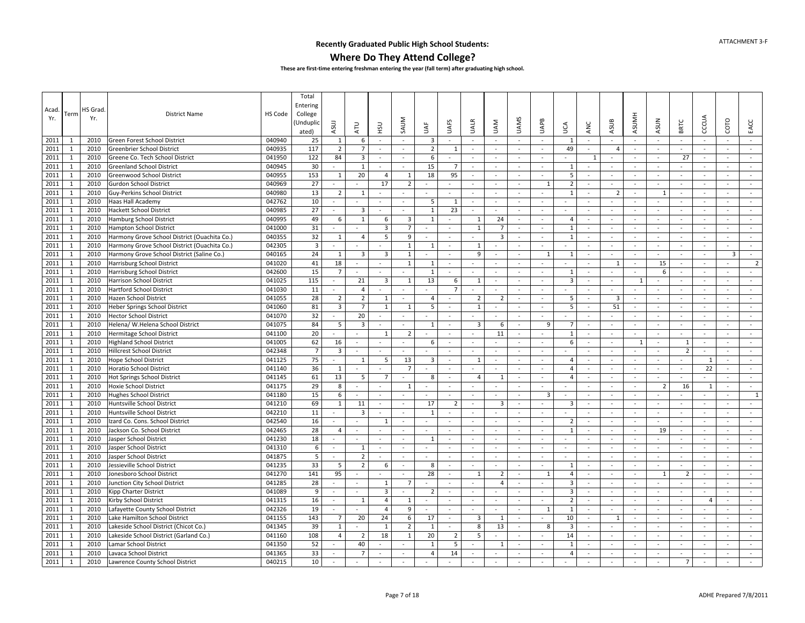### **Where Do They Attend College?**

| Acad.<br>Yr. | Term         | HS Grad<br>Yr. | <b>District Name</b>                         | HS Code | Total<br>Entering<br>College<br>Unduplic<br>ated) | ASUJ                     | <b>ATU</b>     | <b>CSH</b>              | SAUM                     | щ<br>₹                  | <b>UAFS</b>    | <b>UALR</b>              | <b>UAM</b>               | <b>UAMS</b>              | UAPB                     | Š                       | ANC                      | ASUB                     | <b>ASUMH</b>             | <b>ASUN</b>              | BRTC           | CCCUA               | COTO                     | EACC           |
|--------------|--------------|----------------|----------------------------------------------|---------|---------------------------------------------------|--------------------------|----------------|-------------------------|--------------------------|-------------------------|----------------|--------------------------|--------------------------|--------------------------|--------------------------|-------------------------|--------------------------|--------------------------|--------------------------|--------------------------|----------------|---------------------|--------------------------|----------------|
| 2011         | -1           | 2010           | Green Forest School District                 | 040940  | 25                                                | 1                        | 6              | $\sim$                  | $\sim$                   | 3                       | $\sim$         | $\sim$                   | $\sim$                   | $\sim$                   | $\sim$                   | -1                      | $\sim$                   | $\sim$                   | $\sim$                   | $\sim$                   | $\sim$         | $\sim$              | $\sim$                   | $\sim$         |
| 2011         | $\mathbf{1}$ | 2010           | Greenbrier School District                   | 040935  | 117                                               | $\overline{2}$           | $\overline{7}$ |                         | $\sim$                   | $\overline{2}$          | 1              | $\overline{\phantom{a}}$ | $\sim$                   | $\sim$                   | $\omega$                 | 49                      | $\sim$                   | $\Delta$                 | $\sim$                   | $\omega$                 | $\sim$         | $\omega$            |                          | $\omega$       |
| 2011         | 1            | 2010           | Greene Co. Tech School District              | 041950  | 122                                               | 84                       | 3              | $\sim$                  | $\sim$                   | 6                       | $\sim$         | $\overline{\phantom{a}}$ | $\sim$                   | $\sim$                   | $\blacksquare$           | $\sim$                  | 1                        | ÷.                       | $\sim$                   | $\blacksquare$           | 27             | $\sim$              | $\sim$                   | $\sim$         |
| 2011         | $\mathbf{1}$ | 2010           | <b>Greenland School District</b>             | 040945  | 30                                                |                          | $\mathbf{1}$   | $\sim$                  | $\sim$                   | 15                      | $\overline{7}$ | $\sim$                   | $\sim$                   | $\sim$                   | $\omega$                 | 1                       | $\blacksquare$           | $\sim$                   | $\sim$                   | $\mathcal{L}$            | $\sim$         | $\omega$            | $\sim$                   | $\sim$         |
| 2011         | $\mathbf{1}$ | 2010           | Greenwood School District                    | 040955  | 153                                               | 1                        | 20             | $\overline{4}$          | 1                        | 18                      | 95             | $\bar{\phantom{a}}$      | $\sim$                   | $\sim$                   | $\equiv$                 | 5                       | $\blacksquare$           | $\sim$                   | $\sim$                   | $\equiv$                 | $\sim$         | $\bar{\phantom{a}}$ | $\sim$                   | $\sim$         |
| 2011         | $\mathbf{1}$ | 2010           | <b>Gurdon School District</b>                | 040969  | 27                                                |                          | $\blacksquare$ | 17                      | $\overline{2}$           |                         |                | $\overline{\phantom{a}}$ | $\sim$                   | $\sim$                   | 1                        | $\overline{2}$          | $\blacksquare$           | $\sim$                   | $\sim$                   | $\omega$                 | $\sim$         | $\blacksquare$      | $\sim$                   | $\omega$       |
| 2011         | $\mathbf{1}$ | 2010           | Guy-Perkins School District                  | 040980  | 13                                                | $\overline{2}$           | $\mathbf{1}$   | $\sim$                  | ÷,                       | $\omega$                |                | ÷,                       | $\sim$                   | $\sim$                   | $\sim$                   | $\overline{1}$          | $\overline{\phantom{a}}$ | $\overline{2}$           | $\sim$                   | $\mathbf{1}$             | $\sim$         | $\omega$            | $\sim$                   | $\omega$       |
| 2011         | 1            | 2010           | Haas Hall Academy                            | 042762  | 10                                                | $\sim$                   |                | $\sim$                  | $\sim$                   | 5                       | 1              | $\blacksquare$           | $\sim$                   | $\sim$                   | $\sim$                   | $\sim$                  | ÷.                       | ÷.                       | $\sim$                   | $\mathbf{r}$             | $\sim$         | $\sim$              | $\sim$                   | $\sim$         |
| 2011         | $\mathbf{1}$ | 2010           | <b>Hackett School District</b>               | 040985  | 27                                                |                          | 3              | $\sim$                  | $\sim$                   | $\mathbf{1}$            | 23             | $\overline{\phantom{a}}$ | $\overline{\phantom{a}}$ | $\overline{\phantom{a}}$ | $\overline{\phantom{a}}$ | $\sim$                  | $\sim$                   | $\overline{\phantom{a}}$ |                          | $\overline{\phantom{a}}$ | $\sim$         | $\sim$              | $\overline{\phantom{a}}$ | $\sim$         |
| 2011         | $\mathbf{1}$ | 2010           | <b>Hamburg School District</b>               | 040995  | 49                                                | 6                        | 1              | 6                       | 3                        | 1                       | $\sim$         | 1                        | 24                       | $\sim$                   | $\omega$                 | $\overline{4}$          | $\sim$                   | $\sim$                   | $\sim$                   | ÷                        | $\sim$         | $\omega$            | $\sim$                   | $\sim$         |
| 2011         | 1            | 2010           | <b>Hampton School District</b>               | 041000  | 31                                                |                          |                | 3                       | $\overline{7}$           |                         |                | 1                        | $\overline{7}$           | $\sim$                   | $\blacksquare$           | 1                       | $\blacksquare$           | $\sim$                   | $\overline{\phantom{a}}$ | $\blacksquare$           | $\sim$         | $\sim$              | $\blacksquare$           | $\sim$         |
| 2011         | $\mathbf{1}$ | 2010           | Harmony Grove School District (Ouachita Co.) | 040355  | 32                                                | $\mathbf{1}$             | $\overline{4}$ | 5                       | 9                        | $\mathbf{r}$            | $\sim$         |                          | $\overline{3}$           | $\sim$                   | $\mathbf{r}$             | $\overline{1}$          | $\sim$                   | $\sim$                   | $\sim$                   | $\sim$                   | $\sim$         | $\sim$              | $\sim$                   | $\sim$         |
| 2011         | 1            | 2010           | Harmony Grove School District (Ouachita Co.) | 042305  | $\overline{\mathbf{3}}$                           | $\sim$                   |                |                         | $\mathbf{1}$             | 1                       | $\sim$         | 1                        | $\sim$                   | $\sim$                   | $\blacksquare$           | $\sim$                  | $\bar{\phantom{a}}$      | $\sim$                   | $\sim$                   | $\overline{\phantom{a}}$ | $\sim$         | $\omega$            | $\bar{\phantom{a}}$      | $\sim$         |
| 2011         | $\mathbf{1}$ | 2010           | Harmony Grove School District (Saline Co.)   | 040165  | 24                                                | 1                        | $\overline{3}$ | $\overline{3}$          | $\mathbf{1}$             | $\sim$                  | $\sim$         | 9                        | $\sim$                   | $\overline{\phantom{a}}$ | $\mathbf{1}$             | 1                       | $\sim$                   | $\sim$                   | $\sim$                   | $\sim$                   | $\sim$         | $\sim$              | 3                        | $\sim$         |
| 2011         | 1            | 2010           | Harrisburg School District                   | 041020  | 41                                                | 18                       | ÷.             |                         | $\mathbf{1}$             | 1                       | $\sim$         | $\sim$                   | $\sim$                   | $\overline{\phantom{a}}$ | ÷                        |                         | $\overline{\phantom{a}}$ | $\mathbf{1}$             | $\sim$                   | 15                       | $\sim$         | $\sim$              | ÷                        | $\overline{2}$ |
| 2011         | $\mathbf{1}$ | 2010           | Harrisburg School District                   | 042600  | 15                                                | $\overline{7}$           | ä,             |                         |                          | $\mathbf{1}$            | $\sim$         | $\overline{\phantom{a}}$ | $\sim$                   | $\sim$                   | $\omega$                 | 1                       | $\overline{\phantom{a}}$ | $\sim$                   |                          | 6                        | $\sim$         | $\omega$            | ÷                        |                |
| 2011         | 1            | 2010           | Harrison School District                     | 041025  | 115                                               | $\sim$                   | 21             | $\overline{\mathbf{3}}$ | $\mathbf{1}$             | 13                      | 6              | 1                        | $\sim$                   | $\sim$                   | $\sim$                   | 3                       | $\sim$                   | $\sim$                   | 1                        | $\sim$                   | $\sim$         | $\sim$              | $\sim$                   | $\sim$         |
| 2011         | $\mathbf{1}$ | 2010           | <b>Hartford School District</b>              | 041030  | 11                                                | $\omega$                 | $\overline{4}$ | $\sim$                  | $\sim$                   | ä,                      | $\overline{7}$ | $\equiv$                 | $\sim$                   | $\sim$                   | $\omega$                 | $\sim$                  | $\overline{\phantom{a}}$ | $\sim$                   | $\sim$                   | $\omega$                 | $\sim$         | $\blacksquare$      | $\blacksquare$           | $\omega$       |
| 2011         | $\mathbf{1}$ | 2010           | Hazen School District                        | 041055  | 28                                                | $\overline{2}$           | $\overline{2}$ | 1                       | $\sim$                   | $\overline{4}$          | $\sim$         | $\overline{2}$           | $\overline{2}$           | $\sim$                   | $\blacksquare$           | 5                       | $\blacksquare$           | $\overline{\mathbf{3}}$  | $\sim$                   | $\sim$                   | $\sim$         | $\sim$              | $\sim$                   | $\sim$         |
| 2011         | $\mathbf{1}$ | 2010           | Heber Springs School District                | 041060  | 81                                                | $\overline{3}$           | $\overline{7}$ | 1                       | 1                        | 5                       | $\omega$       | $\mathbf{1}$             | $\blacksquare$           | $\bar{a}$                | $\Box$                   | 5                       | $\sim$                   | 51                       | $\blacksquare$           | ä,                       | $\sim$         | $\blacksquare$      | $\sim$                   | $\sim$         |
| 2011         | $\mathbf{1}$ | 2010           | <b>Hector School District</b>                | 041070  | 32                                                |                          | 20             | $\sim$                  | $\sim$                   | $\overline{a}$          | $\sim$         | $\sim$                   | $\sim$                   | $\sim$                   | $\mathbf{r}$             | $\sim$                  | $\sim$                   | $\overline{a}$           | $\sim$                   | $\sim$                   | $\sim$         | $\sim$              | $\sim$                   | $\sim$         |
| 2011         | 1            | 2010           | Helena/ W.Helena School District             | 041075  | 84                                                | 5                        | $\overline{3}$ | $\sim$                  | $\sim$                   | $\mathbf{1}$            | $\sim$         | $\overline{3}$           | 6                        | $\sim$                   | 9                        | $\overline{7}$          | $\omega$                 | $\sim$                   | $\sim$                   | $\sim$                   | $\sim$         | $\omega$            | $\sim$                   | $\sim$         |
| 2011         | $\mathbf{1}$ | 2010           | Hermitage School District                    | 041100  | 20                                                | $\sim$                   | $\sim$         | 1                       | $\overline{2}$           | $\bar{\phantom{a}}$     | $\sim$         | $\overline{\phantom{a}}$ | 11                       | $\sim$                   | $\sim$                   | 1                       | $\overline{\phantom{a}}$ | $\sim$                   | $\overline{\phantom{a}}$ | $\bar{\phantom{a}}$      | $\sim$         | $\blacksquare$      | $\sim$                   | $\sim$         |
| 2011         | $\mathbf{1}$ | 2010           | <b>Highland School District</b>              | 041005  | 62                                                | 16                       | $\blacksquare$ |                         | $\sim$                   | 6                       | $\blacksquare$ | $\overline{\phantom{a}}$ |                          |                          | $\omega$                 | 6                       | $\sim$                   | $\sim$                   | $\mathbf{1}$             | $\blacksquare$           | $\mathbf{1}$   | $\blacksquare$      | $\sim$                   | $\sim$         |
| 2011         | $\mathbf{1}$ | 2010           | <b>Hillcrest School District</b>             | 042348  | $\overline{7}$                                    | $\overline{\mathbf{3}}$  | ÷,             | $\sim$                  | $\bar{a}$                |                         | $\sim$         | $\bar{\phantom{a}}$      | $\sim$                   | $\sim$                   | $\omega$                 |                         | $\overline{\phantom{a}}$ | $\sim$                   |                          | ä,                       | $\overline{2}$ | $\omega$            | $\sim$                   | $\omega$       |
| 2011         | $\mathbf{1}$ | 2010           | <b>Hope School District</b>                  | 041125  | 75                                                |                          | $\mathbf{1}$   | 5                       | 13                       | $\overline{\mathbf{3}}$ | $\sim$         | 1                        | $\sim$                   | $\sim$                   | $\omega$                 | $\overline{4}$          | $\overline{\phantom{a}}$ | $\sim$                   |                          | $\omega$                 | $\sim$         | 1                   | $\sim$                   | $\sim$         |
| 2011         | $\mathbf{1}$ | 2010           | <b>Horatio School District</b>               | 041140  | 36                                                | 1                        | $\blacksquare$ | $\sim$                  | $\overline{7}$           | $\bar{\phantom{a}}$     | $\sim$         | $\sim$                   | $\sim$                   | $\overline{\phantom{a}}$ | $\sim$                   | 4                       | $\omega$                 | $\sim$                   | $\sim$                   | $\sim$                   | $\sim$         | 22                  | $\sim$                   | $\sim$         |
| 2011         | $\mathbf{1}$ | 2010           | <b>Hot Springs School District</b>           | 041145  | 61                                                | 13                       | 5              | 7                       | $\sim$                   | 8                       | $\sim$         | 4                        | 1                        | $\sim$                   | $\sim$                   | $\overline{4}$          | $\sim$                   | $\sim$                   | $\overline{\phantom{a}}$ | $\omega$                 | $\sim$         |                     | $\sim$                   | $\sim$         |
| 2011         | 1            | 2010           | <b>Hoxie School District</b>                 | 041175  | 29                                                | 8                        | $\frac{1}{2}$  |                         | $\mathbf{1}$             |                         | $\sim$         |                          | $\sim$                   | $\sim$                   | $\omega$                 | $\sim$                  | $\sim$                   | $\sim$                   | $\sim$                   | $\overline{2}$           | 16             | $\mathbf{1}$        | ÷.                       | $\sim$         |
| 2011         | 1            | 2010           | <b>Hughes School District</b>                | 041180  | 15                                                | 6                        | ÷.             | $\sim$                  | $\sim$                   | $\sim$                  | $\sim$         | $\sim$                   | $\sim$                   | $\sim$                   | 3                        | $\sim$                  | ÷.                       | $\sim$                   | $\sim$                   | $\mathbf{r}$             | $\sim$         | $\sim$              | $\sim$                   | 1              |
| 2011         | $\mathbf{1}$ | 2010           | Huntsville School District                   | 041210  | 69                                                | $\mathbf{1}$             | 11             | $\sim$                  | $\sim$                   | 17                      | $\overline{2}$ | $\overline{\phantom{a}}$ | $\overline{\mathbf{3}}$  | $\overline{\phantom{a}}$ | $\blacksquare$           | $\overline{3}$          | $\overline{\phantom{a}}$ | $\sim$                   |                          | $\blacksquare$           |                | $\sim$              | $\blacksquare$           | $\sim$         |
| 2011         | $\mathbf{1}$ | 2010           | Huntsville School District                   | 042210  | 11                                                |                          | 3              | $\sim$                  | $\sim$                   | $\mathbf{1}$            | $\sim$         | $\sim$                   | $\sim$                   | $\sim$                   | $\omega$                 | $\sim$                  | $\omega$                 | $\sim$                   | $\sim$                   | $\mathbf{r}$             | $\sim$         | $\sim$              | $\sim$                   | $\sim$         |
| 2011         | $\mathbf{1}$ | 2010           | Izard Co. Cons. School District              | 042540  | 16                                                |                          |                | - 1                     | $\sim$                   |                         |                | $\overline{\phantom{a}}$ | $\sim$                   |                          | $\overline{\phantom{a}}$ | $\overline{2}$          | $\bar{\phantom{a}}$      | $\sim$                   |                          | $\blacksquare$           | $\sim$         | $\blacksquare$      | $\blacksquare$           | $\omega$       |
| 2011         | $\mathbf{1}$ | 2010           | Jackson Co. School District                  | 042465  | 28                                                | $\overline{4}$           | $\sim$         | $\sim$                  | $\sim$                   | $\mathbf{r}$            | $\sim$         | $\sim$                   | $\sim$                   | $\sim$                   | $\mathbf{r}$             | $\mathbf{1}$            | ÷.                       | $\sim$                   | $\sim$                   | 19                       | $\sim$         | $\sim$              | $\sim$                   | $\sim$         |
| 2011         | 1            | 2010           | Jasper School District                       | 041230  | 18                                                | $\sim$                   | ÷.             | $\sim$                  | $\sim$                   | $\mathbf{1}$            | $\sim$         | $\overline{\phantom{a}}$ | $\sim$                   | $\sim$                   | $\omega$                 | $\sim$                  | $\omega$                 | $\sim$                   |                          | $\omega$                 | $\sim$         | $\omega$            | ÷.                       | $\sim$         |
| 2011         | $\mathbf{1}$ | 2010           | Jasper School District                       | 041310  | 6                                                 | $\sim$                   | 1              | $\sim$                  | $\overline{\phantom{a}}$ | $\bar{\phantom{a}}$     | $\sim$         | $\overline{\phantom{a}}$ | $\sim$                   | $\overline{\phantom{a}}$ | $\sim$                   | $\sim$                  | $\sim$                   | $\sim$                   | $\sim$                   | $\bar{\phantom{a}}$      | $\sim$         | $\sim$              | $\sim$                   | $\sim$         |
| 2011         | $\mathbf{1}$ | 2010           | Jasper School District                       | 041875  | 5                                                 | $\sim$                   | $\overline{2}$ | $\sim$                  | $\sim$                   | $\mathbf{r}$            | $\sim$         | $\sim$                   | $\sim$                   | $\sim$                   | $\blacksquare$           | $\sim$                  | $\omega$                 | $\sim$                   | $\overline{\phantom{a}}$ | $\blacksquare$           | $\sim$         | $\sim$              | $\sim$                   | $\sim$         |
| 2011         | $\mathbf{1}$ | 2010           | Jessieville School District                  | 041235  | 33                                                | 5                        | $\overline{2}$ | 6                       | $\bar{\mathcal{L}}$      | 8                       | $\omega$       | $\overline{\phantom{a}}$ | $\bar{a}$                | $\overline{\phantom{a}}$ | $\omega$                 | $\mathbf{1}$            | $\bar{\phantom{a}}$      | $\bar{\phantom{a}}$      |                          | ÷.                       | $\sim$         |                     | ä,                       | $\omega$       |
| 2011         | $\mathbf{1}$ | 2010           | Jonesboro School District                    | 041270  | 141                                               | 95                       |                |                         | $\sim$                   | 28                      | $\sim$         | 1                        | $\overline{2}$           | $\sim$                   | $\mathbf{1}$             | $\overline{4}$          | $\sim$                   | $\sim$                   | $\sim$                   | $\mathbf{1}$             | $\overline{2}$ | $\sim$              | $\sim$                   | $\sim$         |
| 2011         | $\mathbf{1}$ | 2010           | Junction City School District                | 041285  | 28                                                |                          | $\blacksquare$ | 1                       | $\overline{7}$           | $\equiv$                | $\blacksquare$ | $\blacksquare$           | $\overline{4}$           | $\sim$                   | $\equiv$                 | 3                       | $\blacksquare$           | $\sim$                   |                          | $\equiv$                 | $\sim$         | $\blacksquare$      | $\sim$                   | $\sim$         |
| 2011         | $\mathbf{1}$ | 2010           | Kipp Charter District                        | 041089  | 9                                                 | $\sim$                   | $\sim$         | $\overline{3}$          | $\sim$                   | $\overline{2}$          | $\sim$         | $\sim$                   | $\sim$                   | $\sim$                   | $\sim$                   | $\overline{3}$          | $\sim$                   | $\sim$                   | $\sim$                   | $\sim$                   | $\sim$         | $\sim$              | $\sim$                   | $\sim$         |
| 2011         | $\mathbf{1}$ | 2010           | Kirby School District                        | 041315  | 16                                                | $\sim$                   | 1              | $\overline{4}$          | 1                        |                         | $\sim$         | $\sim$                   | $\omega$                 | $\sim$                   | $\overline{\phantom{a}}$ | $\overline{2}$          | $\omega$                 | $\sim$                   | $\sim$                   | $\omega$                 | $\sim$         | 4                   | $\sim$                   | $\sim$         |
| 2011         | $\mathbf{1}$ | 2010           | Lafayette County School District             | 042326  | 19                                                | $\sim$                   | ä,             | $\overline{4}$          | 9                        | ÷                       | $\sim$         | $\overline{\phantom{a}}$ | $\sim$                   | $\sim$                   | $\mathbf{1}$             | $\mathbf{1}$            | $\sim$                   | $\sim$                   | $\sim$                   | $\omega$                 | $\sim$         | $\sim$              | $\sim$                   | $\sim$         |
| 2011         | 1            | 2010           | Lake Hamilton School District                | 041155  | 143                                               | $\overline{7}$           | 20             | 24                      | 6                        | 17                      | $\sim$         | 3                        | 1                        | $\sim$                   | $\sim$                   | 10                      | $\sim$                   | 1                        | $\sim$                   | $\omega$                 | $\sim$         | $\omega$            | $\sim$                   | $\sim$         |
| 2011         | $\mathbf{1}$ | 2010           | Lakeside School District (Chicot Co.)        | 041345  | 39                                                | $\mathbf{1}$             | $\equiv$       | 1                       | $\overline{2}$           | $\mathbf{1}$            | $\blacksquare$ | 8                        | 13                       | $\blacksquare$           | 8                        | $\overline{\mathbf{3}}$ | $\blacksquare$           | $\sim$                   | $\sim$                   | $\blacksquare$           | $\sim$         | $\blacksquare$      | $\blacksquare$           | $\sim$         |
| 2011         | 1            | 2010           | Lakeside School District (Garland Co.)       | 041160  | 108                                               | $\overline{4}$           | $\overline{2}$ | 18                      | $\mathbf{1}$             | 20                      | $\overline{2}$ | 5                        | $\sim$                   | $\omega$                 | $\sim$                   | 14                      | $\sim$                   | $\sim$                   | $\overline{\phantom{a}}$ | $\omega$                 | $\sim$         | $\omega$            | $\sim$                   | $\sim$         |
| 2011         | 1            | 2010           | Lamar School District                        | 041350  | 52                                                |                          | 40             |                         |                          | $\mathbf{1}$            | 5              |                          | $\mathbf{1}$             | $\sim$                   | $\omega$                 | 1                       |                          | $\sim$                   |                          | $\omega$                 | $\sim$         |                     | ÷                        | $\sim$         |
| 2011         | 1            | 2010           | Lavaca School District                       | 041365  | 33                                                |                          | $\overline{7}$ |                         | ÷,                       | $\overline{4}$          | 14             |                          | $\sim$                   | $\sim$                   |                          | 4                       |                          | ÷.                       |                          | ÷                        |                |                     | ÷                        |                |
| 2011         | $\mathbf{1}$ | 2010           | Lawrence County School District              | 040215  | 10                                                | $\overline{\phantom{a}}$ |                |                         | $\sim$                   |                         |                |                          | $\sim$                   | $\sim$                   | $\blacksquare$           |                         |                          | $\sim$                   | $\sim$                   | $\blacksquare$           | $\overline{7}$ | $\sim$              | $\blacksquare$           | $\sim$         |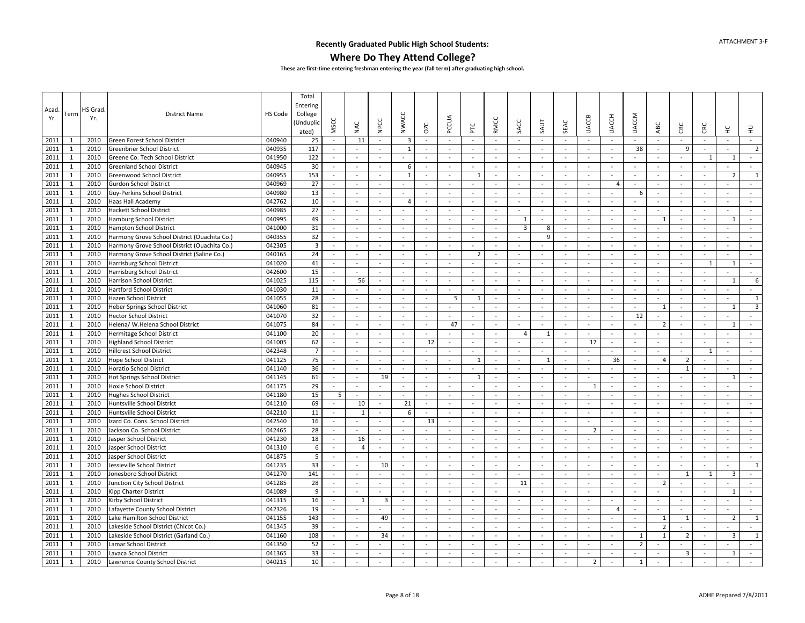### **Where Do They Attend College?**

| Acad.<br>Yr. | Term         | HS Grad<br>Yr. | <b>District Name</b>                         | HS Code | Total<br>Entering<br>College<br>Unduplic<br>ated) | MSCC                     | NAC                          | NPCC   | <b>NWACC</b>             | OZC                      | PCCUA                    | 눈                        | <b>RMCC</b>              | SACC                     | <b>SAUT</b>    | SEAC                     | <b>UACCB</b>             | <b>UACCH</b>             | <b>UACCM</b>             | ABC                      | CBC                      | CRC                      | 呈                        | $\exists$      |
|--------------|--------------|----------------|----------------------------------------------|---------|---------------------------------------------------|--------------------------|------------------------------|--------|--------------------------|--------------------------|--------------------------|--------------------------|--------------------------|--------------------------|----------------|--------------------------|--------------------------|--------------------------|--------------------------|--------------------------|--------------------------|--------------------------|--------------------------|----------------|
| 2011         | -1           | 2010           | Green Forest School District                 | 040940  | 25                                                | $\sim$                   | 11                           | $\sim$ | 3                        | $\sim$                   | $\sim$                   | $\sim$                   | $\sim$                   | $\sim$                   | $\sim$         | $\sim$                   | $\sim$                   | $\sim$                   | $\sim$                   | $\sim$                   | $\sim$                   | $\sim$                   | $\sim$                   | $\sim$         |
| 2011         | $\mathbf{1}$ | 2010           | Greenbrier School District                   | 040935  | 117                                               | $\sim$                   | $\sim$                       |        | $\mathbf{1}$             | $\omega$                 | $\sim$                   | $\overline{\phantom{a}}$ | $\sim$                   | $\sim$                   | $\omega$       | $\sim$                   | $\omega$                 | $\sim$                   | 38                       | $\omega$                 | 9                        | $\sim$                   | ÷.                       | $2^{\circ}$    |
| 2011         | $\mathbf{1}$ | 2010           | Greene Co. Tech School District              | 041950  | 122                                               | $\sim$                   | $\tilde{\phantom{a}}$        | $\sim$ |                          | $\sim$                   | $\sim$                   | $\overline{\phantom{a}}$ | $\sim$                   | $\sim$                   | $\mathbf{r}$   | $\sim$                   | $\overline{\phantom{a}}$ | $\sim$                   |                          | $\sim$                   | $\sim$                   | 1                        | $\mathbf{1}$             | $\sim$         |
| 2011         | $\mathbf{1}$ | 2010           | <b>Greenland School District</b>             | 040945  | 30                                                | $\sim$                   | $\sim$                       | $\sim$ | 6                        | $\omega$                 | $\sim$                   | $\overline{\phantom{a}}$ | $\sim$                   | $\sim$                   | $\sim$         | $\sim$                   | $\omega$                 | $\sim$                   | $\sim$                   | $\omega$                 | $\sim$                   | $\sim$                   | ÷.                       | $\sim$         |
| 2011         | $\mathbf{1}$ | 2010           | Greenwood School District                    | 040955  | 153                                               | $\blacksquare$           | $\overline{\phantom{a}}$     | $\sim$ | $\mathbf{1}$             | $\omega$                 | $\sim$                   | $\mathbf{1}$             | $\sim$                   | $\omega$                 | $\omega$       | $\sim$                   | $\bar{\phantom{a}}$      | $\sim$                   | $\sim$                   | $\omega$                 | $\sim$                   | $\blacksquare$           | $\overline{2}$           | $\mathbf{1}$   |
| 2011         | $\mathbf{1}$ | 2010           | <b>Gurdon School District</b>                | 040969  | 27                                                | $\blacksquare$           | $\blacksquare$               | $\sim$ | $\sim$                   | $\omega$                 | $\sim$                   | $\sim$                   | $\sim$                   | $\sim$                   | $\omega$       | $\sim$                   | $\blacksquare$           | $\overline{4}$           | $\overline{\phantom{a}}$ | $\sim$                   | $\sim$                   | $\omega$                 |                          | $\sim$         |
| 2011         | $\mathbf{1}$ | 2010           | Guy-Perkins School District                  | 040980  | 13                                                | $\blacksquare$           | $\sim$                       | $\sim$ | $\sim$                   | ÷                        | $\sim$                   | ÷,                       | $\sim$                   | $\sim$                   | $\sim$         | $\sim$                   | $\overline{\phantom{a}}$ | $\sim$                   | 6                        | $\omega$                 | $\sim$                   | $\omega$                 | ÷.                       | $\sim$         |
| 2011         | 1            | 2010           | Haas Hall Academy                            | 042762  | 10                                                | $\sim$                   | $\sim$                       | $\sim$ | $\overline{4}$           | $\sim$                   | $\sim$                   | $\sim$                   | $\sim$                   | $\sim$                   | $\sim$         | $\sim$                   | ÷                        | $\sim$                   |                          | $\sim$                   | $\sim$                   | $\sim$                   | $\sim$                   | $\sim$         |
| 2011         | $\mathbf{1}$ | 2010           | <b>Hackett School District</b>               | 040985  | 27                                                | $\sim$                   | $\overline{\phantom{a}}$     | $\sim$ | $\overline{\phantom{a}}$ | $\blacksquare$           | $\overline{\phantom{a}}$ | $\overline{\phantom{a}}$ | $\overline{\phantom{a}}$ | $\overline{\phantom{a}}$ | $\equiv$       | $\sim$                   | $\sim$                   | $\overline{\phantom{a}}$ |                          | $\sim$                   | $\overline{\phantom{a}}$ | $\sim$                   | $\sim$                   | $\sim$         |
| 2011         | $\mathbf{1}$ | 2010           | <b>Hamburg School District</b>               | 040995  | 49                                                | $\sim$                   | $\omega$                     | $\sim$ | $\overline{\phantom{a}}$ |                          | $\sim$                   | $\overline{\phantom{a}}$ | $\sim$                   | 1                        | $\sim$         | $\sim$                   | $\omega$                 | $\sim$                   | $\sim$                   | 1                        | $\sim$                   | $\omega$                 | 1                        | $\sim$         |
| 2011         | $\mathbf{1}$ | 2010           | <b>Hampton School District</b>               | 041000  | 31                                                | $\sim$                   | $\sim$                       | $\sim$ | $\sim$                   | $\blacksquare$           | $\sim$                   | $\sim$                   | $\sim$                   | $\overline{\mathbf{3}}$  | 8              | $\sim$                   | $\bar{a}$                | $\sim$                   | $\overline{\phantom{a}}$ | $\bar{a}$                |                          | $\sim$                   | $\blacksquare$           | $\sim$         |
| 2011         | $\mathbf{1}$ | 2010           | Harmony Grove School District (Ouachita Co.) | 040355  | 32                                                | $\sim$                   | $\sim$                       | $\sim$ | $\sim$                   | $\sim$                   | $\sim$                   | $\sim$                   | $\sim$                   | $\sim$                   | 9              | $\overline{a}$           | ÷.                       | $\sim$                   | $\sim$                   | $\sim$                   | $\sim$                   | $\sim$                   | $\sim$                   | $\sim$         |
| 2011         | 1            | 2010           | Harmony Grove School District (Ouachita Co.) | 042305  | $\overline{\mathbf{3}}$                           | $\sim$                   | $\sim$                       | $\sim$ | $\sim$                   |                          | $\sim$                   | $\bar{\phantom{a}}$      | $\sim$                   | $\sim$                   |                | $\sim$                   | $\overline{\phantom{a}}$ | $\sim$                   | $\sim$                   | $\overline{\phantom{a}}$ | $\sim$                   | $\omega$                 | $\bar{\phantom{a}}$      | $\sim$         |
| 2011         | $\mathbf{1}$ | 2010           | Harmony Grove School District (Saline Co.)   | 040165  | 24                                                | $\sim$                   | $\omega$                     | $\sim$ | $\overline{\phantom{a}}$ | $\sim$                   | $\sim$                   | $\overline{2}$           | $\sim$                   | $\overline{\phantom{a}}$ | $\omega$       | $\sim$                   | $\omega$                 | $\sim$                   | $\sim$                   | $\sim$                   | $\sim$                   | $\sim$                   | $\sim$                   | $\sim$         |
| 2011         | $\mathbf{1}$ | 2010           | Harrisburg School District                   | 041020  | 41                                                | $\sim$                   | $\omega$                     | $\sim$ | $\sim$                   | ÷                        | $\sim$                   | $\sim$                   | $\sim$                   | $\overline{\phantom{a}}$ | $\sim$         | $\sim$                   | $\bar{a}$                | $\sim$                   | $\overline{\phantom{a}}$ | ä,                       | $\sim$                   | 1                        | $\overline{1}$           | $\sim$         |
| 2011         | $\mathbf{1}$ | 2010           | Harrisburg School District                   | 042600  | 15                                                | $\sim$                   |                              | $\sim$ | $\sim$                   | $\omega$                 | $\sim$                   | ÷,                       | $\sim$                   | $\sim$                   | $\omega$       | $\sim$                   | $\overline{\phantom{a}}$ | $\sim$                   | $\sim$                   | $\sim$                   | $\sim$                   |                          |                          | $\blacksquare$ |
| 2011         | $\mathbf{1}$ | 2010           | Harrison School District                     | 041025  | 115                                               | $\sim$                   | 56                           | $\sim$ | $\sim$                   | $\sim$                   | $\sim$                   | $\sim$                   | $\sim$                   | $\sim$                   | $\sim$         | $\sim$                   | $\sim$                   | $\sim$                   | $\sim$                   | $\sim$                   | $\sim$                   | $\sim$                   | 1                        | 6              |
| 2011         | $\mathbf{1}$ | 2010           | <b>Hartford School District</b>              | 041030  | 11                                                | $\omega$                 | $\equiv$                     | $\sim$ | $\sim$                   | $\blacksquare$           | $\blacksquare$           | $\overline{\phantom{a}}$ | $\blacksquare$           | $\blacksquare$           | $\blacksquare$ | $\sim$                   | $\bar{\phantom{a}}$      | $\sim$                   | $\blacksquare$           | $\omega$                 | $\sim$                   | $\blacksquare$           | ÷.                       | $\sim$         |
| 2011         | $\mathbf{1}$ | 2010           | Hazen School District                        | 041055  | 28                                                | $\sim$                   | $\omega$                     | $\sim$ | $\sim$                   | $\blacksquare$           | 5                        | 1                        | $\sim$                   | $\sim$                   | $\omega$       | $\sim$                   | $\sim$                   | $\sim$                   | $\sim$                   | $\blacksquare$           | $\sim$                   | $\sim$                   | ÷.                       | $\mathbf{1}$   |
| 2011         | $\mathbf{1}$ | 2010           | Heber Springs School District                | 041060  | 81                                                | $\omega$                 | $\overline{\phantom{a}}$     | $\sim$ | $\sim$                   | $\frac{1}{2}$            | $\blacksquare$           | $\bar{\phantom{a}}$      | $\omega$                 | $\sim$                   | $\blacksquare$ | $\sim$                   | $\bar{\phantom{a}}$      | $\omega$                 |                          | 1                        | $\sim$                   | $\omega$                 | $\mathbf{1}$             | $\overline{3}$ |
| 2011         | $\mathbf{1}$ | 2010           | <b>Hector School District</b>                | 041070  | 32                                                | $\sim$                   | $\sim$                       | $\sim$ | $\sim$                   | $\sim$                   | $\sim$                   | $\sim$                   | $\sim$                   | $\sim$                   | $\mathbf{r}$   | $\sim$                   | $\sim$                   | $\sim$                   | 12                       | $\sim$                   | $\sim$                   | $\sim$                   |                          | $\sim$         |
| 2011         | 1            | 2010           | Helena/ W.Helena School District             | 041075  | 84                                                | $\sim$                   | $\sim$                       | $\sim$ | $\sim$                   | $\sim$                   | 47                       | $\overline{\phantom{a}}$ | $\sim$                   | $\sim$                   | $\sim$         | $\sim$                   | $\omega$                 | $\sim$                   | $\sim$                   | $\overline{2}$           | $\sim$                   | $\sim$                   | 1                        | $\sim$         |
| 2011         | $\mathbf{1}$ | 2010           | Hermitage School District                    | 041100  | 20                                                | $\sim$                   | $\sim$                       | $\sim$ | $\overline{\phantom{a}}$ | $\blacksquare$           | $\sim$                   | $\overline{\phantom{a}}$ | $\sim$                   | $\overline{4}$           | 1              | $\sim$                   | $\overline{\phantom{a}}$ | $\sim$                   | $\sim$                   | $\bar{\phantom{a}}$      | $\sim$                   | $\overline{\phantom{a}}$ | $\sim$                   | $\sim$         |
| 2011         | $\mathbf{1}$ | 2010           | <b>Highland School District</b>              | 041005  | 62                                                | $\sim$                   | $\sim$                       | $\sim$ | $\sim$                   | 12                       | $\blacksquare$           | $\sim$                   | $\sim$                   | $\overline{\phantom{a}}$ | $\sim$         | $\sim$                   | 17                       | $\sim$                   | $\sim$                   | $\sim$                   | $\sim$                   | $\sim$                   | $\blacksquare$           | $\sim$         |
| 2011         | $\mathbf{1}$ | 2010           | <b>Hillcrest School District</b>             | 042348  | $\overline{7}$                                    | $\omega$                 | $\overline{\phantom{a}}$     | $\sim$ | $\sim$                   | $\bar{\phantom{a}}$      | $\sim$                   | $\bar{\phantom{a}}$      | $\sim$                   | $\sim$                   | $\blacksquare$ | $\sim$                   | $\bar{\phantom{a}}$      | $\sim$                   | $\sim$                   | $\omega$                 | $\sim$                   | $\mathbf{1}$             | $\sim$                   | $\sim$         |
| 2011         | $\mathbf{1}$ | 2010           | Hope School District                         | 041125  | 75                                                | $\sim$                   | $\sim$                       | $\sim$ | $\sim$                   | $\omega$                 | $\sim$                   | 1                        | $\sim$                   | $\sim$                   | $\mathbf{1}$   | $\sim$                   | $\overline{\phantom{a}}$ | 36                       | $\sim$                   | $\overline{4}$           | $\overline{2}$           |                          | $\sim$                   | $\sim$         |
| 2011         | $\mathbf{1}$ | 2010           | <b>Horatio School District</b>               | 041140  | 36                                                | $\sim$                   | $\blacksquare$               | $\sim$ | $\overline{\phantom{a}}$ | $\omega$                 | $\sim$                   | $\sim$                   | $\sim$                   | $\overline{\phantom{a}}$ | $\omega$       | $\sim$                   | $\omega$                 | $\sim$                   | $\sim$                   | $\sim$                   | $\mathbf{1}$             | $\omega$                 | $\sim$                   | $\sim$         |
| 2011         | $\mathbf{1}$ | 2010           | <b>Hot Springs School District</b>           | 041145  | 61                                                | $\sim$                   | $\sim$                       | 19     | $\sim$                   | $\sim$                   | $\sim$                   | 1                        | $\sim$                   | $\sim$                   |                | $\overline{\phantom{a}}$ | $\sim$                   | $\sim$                   | $\overline{\phantom{a}}$ | $\overline{\phantom{a}}$ | $\sim$                   | $\sim$                   | 1                        | $\sim$         |
| 2011         | $\mathbf{1}$ | 2010           | <b>Hoxie School District</b>                 | 041175  | 29                                                | $\sim$                   | $\qquad \qquad \blacksquare$ |        | $\sim$                   | $\omega$                 | $\sim$                   |                          | $\sim$                   | $\sim$                   | $\omega$       | $\sim$                   | $\mathbf{1}$             | $\sim$                   | $\sim$                   | $\sim$                   | $\sim$                   |                          | $\blacksquare$           |                |
| 2011         | 1            | 2010           | <b>Hughes School District</b>                | 041180  | 15                                                | -5                       | $\sim$                       | $\sim$ | $\sim$                   | $\sim$                   | $\sim$                   | $\sim$                   | $\sim$                   | $\sim$                   | $\sim$         | $\sim$                   | ÷                        | $\sim$                   | $\sim$                   | $\sim$                   | $\sim$                   | $\sim$                   | $\sim$                   | $\sim$         |
| 2011         | $\mathbf{1}$ | 2010           | Huntsville School District                   | 041210  | 69                                                | $\overline{\phantom{a}}$ | 10                           | $\sim$ | 21                       | $\blacksquare$           | $\sim$                   | $\overline{\phantom{a}}$ | $\sim$                   | $\sim$                   | $\sim$         | $\sim$                   | $\overline{\phantom{a}}$ | $\sim$                   |                          | $\sim$                   | $\sim$                   | $\sim$                   | $\sim$                   | $\sim$         |
| 2011         | $\mathbf{1}$ | 2010           | Huntsville School District                   | 042210  | 11                                                | $\sim$                   | $\mathbf{1}$                 | $\sim$ | 6                        | $\sim$                   | $\sim$                   | $\overline{\phantom{a}}$ | $\sim$                   | $\overline{\phantom{a}}$ | $\omega$       | $\sim$                   | $\omega$                 | $\sim$                   | $\sim$                   | $\sim$                   | $\sim$                   | $\sim$                   | $\sim$                   | $\sim$         |
| 2011         | $\mathbf{1}$ | 2010           | Izard Co. Cons. School District              | 042540  | 16                                                | $\blacksquare$           |                              | $\sim$ |                          | 13                       | $\omega$                 | $\overline{\phantom{a}}$ | $\blacksquare$           |                          |                | $\sim$                   | $\bar{\phantom{a}}$      | $\sim$                   |                          | $\frac{1}{2}$            | $\sim$                   | $\blacksquare$           | $\blacksquare$           | $\omega$       |
| 2011         | $\mathbf{1}$ | 2010           | Jackson Co. School District                  | 042465  | 28                                                | $\sim$                   | ÷.                           | $\sim$ | $\sim$                   | $\mathbf{r}$             | $\sim$                   | $\sim$                   | $\sim$                   | $\sim$                   | $\mathbf{r}$   | $\sim$                   | $\overline{2}$           | $\sim$                   | $\sim$                   | $\sim$                   | $\sim$                   | $\sim$                   | $\sim$                   | $\sim$         |
| 2011         | 1            | 2010           | Jasper School District                       | 041230  | 18                                                | $\sim$                   | 16                           | $\sim$ | $\sim$                   | $\omega$                 | $\sim$                   | $\overline{\phantom{a}}$ | $\sim$                   | $\sim$                   | $\omega$       | $\sim$                   | $\omega$                 | $\sim$                   |                          | $\sim$                   | $\sim$                   | $\omega$                 | $\sim$                   | $\sim$         |
| 2011         | $\mathbf{1}$ | 2010           | Jasper School District                       | 041310  | 6                                                 | $\blacksquare$           | $\overline{4}$               | $\sim$ | $\overline{\phantom{a}}$ | $\blacksquare$           | $\sim$                   | $\overline{\phantom{a}}$ | $\sim$                   | $\overline{\phantom{a}}$ | $\sim$         | $\sim$                   | $\bar{a}$                | $\sim$                   | $\sim$                   | $\overline{\phantom{a}}$ | $\sim$                   | $\sim$                   | $\sim$                   | $\sim$         |
| 2011         | $\mathbf{1}$ | 2010           | Jasper School District                       | 041875  | 5                                                 | $\sim$                   | $\blacksquare$               |        | $\sim$                   | $\sim$                   | $\sim$                   | $\sim$                   | $\sim$                   | $\sim$                   | $\omega$       | $\sim$                   | $\bar{a}$                | $\sim$                   | $\sim$                   | $\blacksquare$           | $\sim$                   | $\sim$                   | $\sim$                   | $\sim$         |
| 2011         | $\mathbf{1}$ | 2010           | Jessieville School District                  | 041235  | 33                                                | $\omega$                 | $\qquad \qquad \blacksquare$ | 10     | ÷,                       | $\overline{\phantom{a}}$ | $\sim$                   | $\overline{\phantom{a}}$ | $\sim$                   | $\overline{\phantom{a}}$ | $\Box$         | $\sim$                   | $\bar{\phantom{a}}$      | $\bar{\phantom{a}}$      |                          | ä,                       | $\sim$                   |                          | $\blacksquare$           | $\mathbf{1}$   |
| 2011         | $\mathbf{1}$ | 2010           | Jonesboro School District                    | 041270  | 141                                               | $\sim$                   | $\sim$                       | $\sim$ | ÷.                       | $\sim$                   | $\sim$                   | $\sim$                   | $\sim$                   | $\sim$                   | $\sim$         | $\sim$                   | ÷.                       | $\sim$                   | $\sim$                   | $\sim$                   | $\mathbf{1}$             | $\mathbf{1}$             | $\overline{3}$           | $\sim$         |
| 2011         | $\mathbf{1}$ | 2010           | Junction City School District                | 041285  | 28                                                | $\blacksquare$           | $\blacksquare$               | $\sim$ | $\sim$                   | $\blacksquare$           | $\blacksquare$           | $\overline{\phantom{a}}$ | $\blacksquare$           | 11                       | $\blacksquare$ | $\sim$                   | $\blacksquare$           | $\sim$                   | $\blacksquare$           | $\overline{2}$           | $\sim$                   | $\blacksquare$           | $\bar{\phantom{a}}$      | $\sim$         |
| 2011         | $\mathbf{1}$ | 2010           | Kipp Charter District                        | 041089  | 9                                                 | $\sim$                   | $\sim$                       | $\sim$ | $\sim$                   | $\sim$                   | $\sim$                   | $\sim$                   | $\sim$                   | $\sim$                   | $\overline{a}$ | $\sim$                   | $\sim$                   | $\sim$                   | $\sim$                   | $\sim$                   | $\sim$                   | $\sim$                   | $\mathbf{1}$             | $\sim$         |
| 2011         | $\mathbf{1}$ | 2010           | Kirby School District                        | 041315  | 16                                                | $\sim$                   | 1                            | 3      | $\sim$                   | $\omega$                 | $\sim$                   | $\sim$                   | $\sim$                   | $\overline{\phantom{a}}$ | $\blacksquare$ | $\sim$                   | $\bar{a}$                | $\sim$                   | $\sim$                   | $\omega$                 | $\sim$                   | $\sim$                   | $\sim$                   | $\sim$         |
| 2011         | $\mathbf{1}$ | 2010           | Lafayette County School District             | 042326  | 19                                                | $\sim$                   | ä,                           |        | $\sim$                   | $\sim$                   | $\sim$                   | $\overline{\phantom{a}}$ | $\sim$                   | $\sim$                   | $\sim$         | $\sim$                   | $\omega$                 | $\overline{4}$           | $\sim$                   | $\blacksquare$           | $\sim$                   | $\sim$                   | $\overline{\phantom{a}}$ | $\sim$         |
| 2011         | 1            | 2010           | Lake Hamilton School District                | 041155  | 143                                               | $\sim$                   | $\omega$                     | 49     | $\sim$                   | $\sim$                   | $\sim$                   | $\overline{\phantom{a}}$ | $\sim$                   | $\sim$                   | $\sim$         | $\sim$                   | $\overline{\phantom{a}}$ | $\sim$                   | $\sim$                   | 1                        | 1                        | $\sim$                   | $\overline{2}$           | $\mathbf{1}$   |
| 2011         | $\mathbf{1}$ | 2010           | Lakeside School District (Chicot Co.)        | 041345  | 39                                                | $\sim$                   | $\overline{\phantom{a}}$     | $\sim$ | $\overline{\phantom{a}}$ | $\blacksquare$           | $\overline{\phantom{a}}$ | $\overline{\phantom{a}}$ | $\sim$                   | $\blacksquare$           | $\blacksquare$ | $\sim$                   | $\overline{\phantom{a}}$ | $\sim$                   | $\sim$                   | $\overline{2}$           | $\sim$                   | $\blacksquare$           | $\bar{\phantom{a}}$      | $\sim$         |
| 2011         | $\mathbf{1}$ | 2010           | Lakeside School District (Garland Co.)       | 041160  | 108                                               | $\sim$                   | $\blacksquare$               | 34     | $\sim$                   | $\blacksquare$           | $\sim$                   | $\overline{\phantom{a}}$ | $\sim$                   | $\overline{\phantom{a}}$ | $\sim$         | $\sim$                   | $\blacksquare$           | $\sim$                   | $\mathbf{1}$             | 1                        | $\overline{2}$           | $\sim$                   | 3                        | 1              |
| 2011         | $\mathbf{1}$ | 2010           | Lamar School District                        | 041350  | 52                                                | $\sim$                   | $\frac{1}{2}$                |        | ÷,                       | $\omega$                 | $\sim$                   | $\sim$                   | $\sim$                   | $\sim$                   | $\omega$       | $\sim$                   |                          | $\sim$                   | $\overline{2}$           |                          |                          | $\sim$                   |                          |                |
| 2011         | 1            | 2010           | Lavaca School District                       | 041365  | 33                                                | $\sim$                   |                              |        | $\overline{\phantom{a}}$ | ÷                        | $\sim$                   |                          | $\sim$                   | $\overline{\phantom{a}}$ | $\sim$         | $\sim$                   |                          | ÷.                       |                          |                          | 3                        |                          | 1                        |                |
| 2011         | $\mathbf{1}$ | 2010           | Lawrence County School District              | 040215  | 10                                                | $\sim$                   | $\blacksquare$               | $\sim$ | $\sim$                   | $\blacksquare$           | $\sim$                   | $\sim$                   | $\sim$                   | $\overline{\phantom{a}}$ | $\blacksquare$ | $\sim$                   | $\overline{2}$           | $\sim$                   | $\mathbf{1}$             | $\bar{a}$                | $\sim$                   | $\sim$                   | $\blacksquare$           | $\sim$         |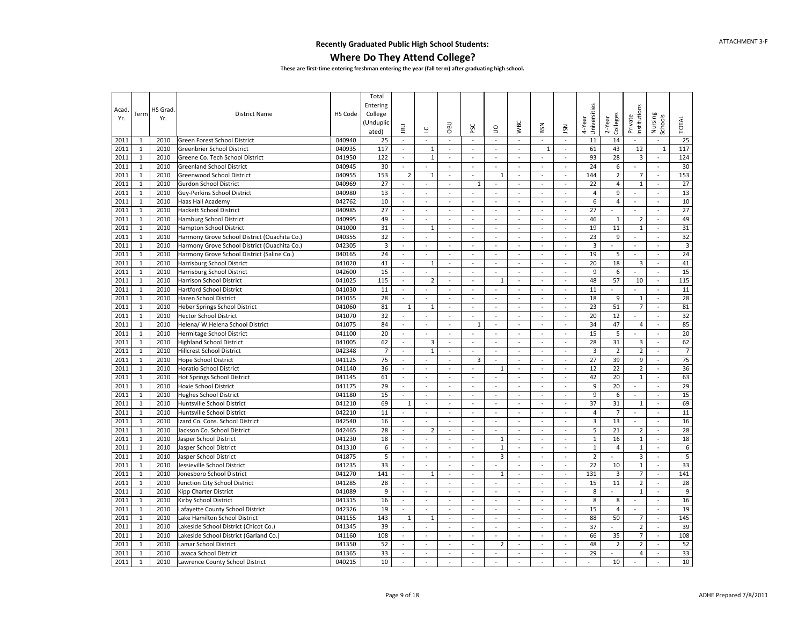### **Where Do They Attend College?**

| Acad.<br>Yr. | Term         | HS Grad<br>Yr. | <b>District Name</b>                         | HS Code | Total<br>Entering<br>College<br>(Unduplic<br>ated) | BU                          | ں                        | <b>DBO</b>               | PSC                      | $\mathsf{S}$             | <b>WBC</b>               | BSN                      | <b>NSL</b>               | Universities<br>4-Year | Colleges<br>$2 - Y$ ear | nstitutions<br>Private   | Nursing<br>Schools       | <b>TOTAL</b>     |
|--------------|--------------|----------------|----------------------------------------------|---------|----------------------------------------------------|-----------------------------|--------------------------|--------------------------|--------------------------|--------------------------|--------------------------|--------------------------|--------------------------|------------------------|-------------------------|--------------------------|--------------------------|------------------|
| 2011         | 1            | 2010           | Green Forest School District                 | 040940  | 25                                                 | $\sim$                      | $\Box$                   | $\blacksquare$           | $\omega$                 | ÷.                       | ÷.                       | $\Box$                   | $\overline{\phantom{a}}$ | 11                     | 14                      | $\overline{\phantom{a}}$ | $\blacksquare$           | 25               |
| 2011         | $\mathbf{1}$ | 2010           | Greenbrier School District                   | 040935  | 117                                                | $\sim$                      | $1\,$                    | $\sim$                   | $\sim$                   | ÷.                       | $\mathbf{r}$             | 1                        | $\overline{\phantom{a}}$ | 61                     | 43                      | 12                       | $\mathbf{1}$             | 117              |
| 2011         | $\mathbf{1}$ | 2010           | Greene Co. Tech School District              | 041950  | 122                                                | $\bar{\phantom{a}}$         | $1\,$                    | $\omega$                 | $\omega$                 | $\sim$                   | $\overline{\phantom{a}}$ | $\omega$                 | $\blacksquare$           | 93                     | 28                      | $\overline{\mathbf{3}}$  | $\frac{1}{2}$            | 124              |
| 2011         | $\mathbf{1}$ | 2010           | <b>Greenland School District</b>             | 040945  | 30                                                 | $\sim$                      | $\sim$                   | $\sim$                   | $\omega$                 | $\omega$                 | $\sim$                   | $\sim$                   | $\sim$                   | 24                     | 6                       | $\mathbf{r}$             | $\sim$                   | 30               |
| 2011         | $\mathbf 1$  | 2010           | Greenwood School District                    | 040955  | 153                                                | $\overline{2}$              | $\mathbf{1}$             | $\overline{\phantom{a}}$ | $\sim$                   | 1                        | $\overline{\phantom{a}}$ | $\omega$                 | $\omega$                 | 144                    | $\overline{2}$          | $\overline{7}$           | $\overline{\phantom{a}}$ | 153              |
| 2011         | $\mathbf{1}$ | 2010           | <b>Gurdon School District</b>                | 040969  | 27                                                 | $\sim$                      | $\sim$                   | $\sim$                   | 1                        | $\sim$                   | $\omega$                 | $\omega$                 | $\omega$                 | 22                     | $\overline{4}$          | $\mathbf{1}$             | $\sim$                   | 27               |
| 2011         | $\mathbf{1}$ | 2010           | Guy-Perkins School District                  | 040980  | 13                                                 | $\omega$                    | $\overline{\phantom{a}}$ | ÷,                       | $\sim$                   | $\sim$                   | $\overline{\phantom{a}}$ | $\sim$                   | ÷,                       | $\overline{4}$         | 9                       | $\overline{\phantom{a}}$ | $\overline{\phantom{a}}$ | 13               |
| 2011         | $\mathbf{1}$ | 2010           | Haas Hall Academy                            | 042762  | 10                                                 | $\omega$                    | $\omega$                 | $\sim$                   | $\omega$                 | $\omega$                 | $\omega$                 | $\omega$                 | $\omega$                 | 6                      | $\overline{4}$          | ä,                       | $\sim$                   | 10               |
| 2011         | $\mathbf 1$  | 2010           | Hackett School District                      | 040985  | 27                                                 | $\overline{\phantom{a}}$    | $\overline{\phantom{a}}$ | $\omega$                 | $\sim$                   | $\sim$                   | $\overline{\phantom{a}}$ | $\Box$                   | $\overline{\phantom{a}}$ | 27                     | $\omega$                | $\overline{\phantom{a}}$ | $\mathbb{Z}$             | 27               |
| 2011         | $\mathbf{1}$ | 2010           | Hamburg School District                      | 040995  | 49                                                 | $\blacksquare$              | $\omega$                 | $\sim$                   | $\sim$                   | $\sim$                   | $\omega$                 | $\omega$                 | $\sim$                   | 46                     | $\mathbf{1}$            | $\overline{2}$           | $\sim$                   | 49               |
| 2011         | $\mathbf{1}$ | 2010           | <b>Hampton School District</b>               | 041000  | 31                                                 | $\mathbf{r}$                | $\mathbf{1}$             | $\blacksquare$           | $\sim$                   | ÷.                       | $\bar{\phantom{a}}$      | $\sim$                   | $\sim$                   | 19                     | 11                      | $\mathbf{1}$             | $\overline{a}$           | 31               |
| 2011         | $\mathbf{1}$ | 2010           | Harmony Grove School District (Ouachita Co.) | 040355  | 32                                                 | $\omega$                    | $\sim$                   | $\omega$                 | $\mathcal{L}$            | $\sim$                   | $\omega$                 | $\mathbf{r}$             | ÷.                       | 23                     | 9                       | $\overline{\phantom{a}}$ | $\sim$                   | 32               |
| 2011         | $\mathbf{1}$ | 2010           | Harmony Grove School District (Ouachita Co.) | 042305  | $\mathsf 3$                                        | $\sim$                      | $\omega$                 | $\sim$                   | $\sim$                   | $\omega$                 | $\sim$                   | $\sim$                   | $\sim$                   | $\overline{3}$         | $\sim$                  | $\sim$                   | $\sim$                   | $\overline{3}$   |
| 2011         | $\mathbf{1}$ | 2010           | Harmony Grove School District (Saline Co.)   | 040165  | 24                                                 | $\overline{\phantom{a}}$    | $\overline{\phantom{a}}$ | $\sim$                   | $\overline{\phantom{a}}$ | $\omega$                 | $\overline{\phantom{a}}$ | $\omega$                 | $\omega$                 | 19                     | 5                       | $\omega$                 | $\overline{\phantom{a}}$ | 24               |
| 2011         | $\mathbf{1}$ | 2010           | Harrisburg School District                   | 041020  | 41                                                 | $\omega$                    | $\mathbf{1}$             | $\omega$                 | $\omega$                 | $\sim$                   | $\omega$                 | $\blacksquare$           | $\overline{\phantom{a}}$ | 20                     | 18                      | 3                        | $\overline{\phantom{a}}$ | 41               |
| 2011         | $\mathbf{1}$ | 2010           | Harrisburg School District                   | 042600  | 15                                                 | $\omega$                    | L,                       | $\sim$                   | $\omega$                 | $\sim$                   | $\overline{\phantom{a}}$ | $\omega$                 | $\overline{\phantom{a}}$ | 9                      | 6                       | $\overline{\phantom{a}}$ | ä,                       | 15               |
| 2011         | $\mathbf{1}$ | 2010           | Harrison School District                     | 041025  | 115                                                | $\omega$                    | $\overline{2}$           | $\omega$                 | $\omega$                 | $\mathbf{1}$             | $\omega$                 | $\omega$                 | L.                       | 48                     | 57                      | 10                       | $\sim$                   | 115              |
| 2011         | $\mathbf 1$  | 2010           | <b>Hartford School District</b>              | 041030  | 11                                                 | $\overline{\phantom{a}}$    | $\Box$                   | $\blacksquare$           | $\overline{\phantom{a}}$ | $\blacksquare$           | $\overline{\phantom{a}}$ | $\overline{\phantom{a}}$ | $\overline{\phantom{a}}$ | 11                     | $\bar{a}$               | ÷.                       | $\sim$                   | 11               |
| 2011         | $\mathbf{1}$ | 2010           | Hazen School District                        | 041055  | 28                                                 | $\bar{\phantom{a}}$         | ÷,                       | $\omega$                 | $\omega$                 | $\overline{\phantom{a}}$ | $\overline{\phantom{a}}$ | $\mathbb{Z}^2$           | $\overline{\phantom{a}}$ | 18                     | 9                       | $\mathbf{1}$             | $\mathbb{Z}$             | 28               |
| 2011         | $\mathbf 1$  | 2010           | Heber Springs School District                | 041060  | 81                                                 | $\mathbf 1$                 | $\mathbf{1}$             | $\sim$                   | $\omega$                 | $\sim$                   | ä,                       | $\frac{1}{2}$            | ÷,                       | 23                     | 51                      | $\overline{7}$           | $\overline{\phantom{a}}$ | 81               |
| 2011         | $\mathbf{1}$ | 2010           | <b>Hector School District</b>                | 041070  | 32                                                 | $\mathbf{r}$                | $\sim$                   | $\sim$                   | $\mathcal{L}$            | $\sim$                   | $\omega$                 | $\omega$                 | $\sim$                   | 20                     | 12                      | $\overline{\phantom{a}}$ | $\overline{a}$           | 32               |
| 2011         | $\mathbf{1}$ | 2010           | Helena/ W.Helena School District             | 041075  | 84                                                 | $\sim$                      | $\omega$                 | $\sim$                   | 1                        | $\omega$                 | $\omega$                 | $\omega$                 | $\omega$                 | 34                     | 47                      | $\overline{4}$           | $\overline{\phantom{a}}$ | 85               |
| 2011         | $\mathbf{1}$ | 2010           | Hermitage School District                    | 041100  | 20                                                 | $\sim$                      | $\sim$                   | $\sim$                   | $\overline{\phantom{a}}$ | $\sim$                   | $\omega$                 | $\omega$                 | $\omega$                 | 15                     | 5                       | $\blacksquare$           | $\sim$                   | 20               |
| 2011         | $\mathbf{1}$ | 2010           | <b>Highland School District</b>              | 041005  | 62                                                 | $\sim$                      | 3                        | $\blacksquare$           | $\omega$                 | $\omega$                 | $\blacksquare$           | $\blacksquare$           | $\sim$                   | 28                     | 31                      | 3                        | $\overline{\phantom{a}}$ | 62               |
| 2011         | $\mathbf{1}$ | 2010           | <b>Hillcrest School District</b>             | 042348  | $\overline{7}$                                     | $\mathbf{r}$                | $1\,$                    | $\sim$                   | $\sim$                   | $\overline{a}$           | $\mathbb{L}$             | $\sim$                   | ÷,                       | 3                      | $\overline{2}$          | $\overline{2}$           | $\overline{a}$           | $\overline{7}$   |
| 2011         | $\mathbf{1}$ | 2010           | <b>Hope School District</b>                  | 041125  | 75                                                 | $\sim$                      | $\sim$                   | $\sim$                   | 3                        | $\overline{\phantom{a}}$ | $\blacksquare$           | $\blacksquare$           | $\sim$                   | 27                     | 39                      | 9                        | $\sim$                   | 75               |
| 2011         | $\mathbf{1}$ | 2010           | Horatio School District                      | 041140  | 36                                                 | $\blacksquare$              | $\overline{\phantom{a}}$ | $\sim$                   | $\blacksquare$           | 1                        | $\blacksquare$           | $\blacksquare$           | $\blacksquare$           | 12                     | 22                      | $\overline{2}$           | $\overline{\phantom{a}}$ | 36               |
| 2011         | $\mathbf{1}$ | 2010           | Hot Springs School District                  | 041145  | 61                                                 | $\blacksquare$              | $\blacksquare$           | $\blacksquare$           | $\overline{\phantom{a}}$ | $\overline{\phantom{a}}$ | $\overline{\phantom{a}}$ | $\omega$                 | $\overline{\phantom{a}}$ | 42                     | 20                      | $\mathbf{1}$             | $\sim$                   | 63               |
| 2011         | $\mathbf{1}$ | 2010           | <b>Hoxie School District</b>                 | 041175  | 29                                                 | $\mathcal{L}^{\mathcal{L}}$ | $\omega$                 | $\omega$                 | $\omega$                 | $\overline{\phantom{a}}$ | L.                       | $\omega$                 | $\omega$                 | 9                      | 20                      | $\overline{a}$           | $\overline{a}$           | 29               |
| 2011         | $\mathbf{1}$ | 2010           | <b>Hughes School District</b>                | 041180  | 15                                                 | $\sim$                      | $\sim$                   | $\sim$                   | $\sim$                   | $\mathbf{r}$             | $\omega$                 | $\sim$                   | $\sim$                   | 9                      | 6                       | $\mathbf{r}$             | $\sim$                   | 15               |
| 2011         | $\mathbf{1}$ | 2010           | Huntsville School District                   | 041210  | 69                                                 | $\mathbf 1$                 | $\bar{a}$                | $\overline{\phantom{a}}$ | $\overline{\phantom{a}}$ | $\sim$                   | $\overline{\phantom{a}}$ | $\sim$                   | $\blacksquare$           | 37                     | 31                      | $\mathbf{1}$             | $\bar{a}$                | 69               |
| 2011         | $\mathbf{1}$ | 2010           | Huntsville School District                   | 042210  | 11                                                 | $\omega$                    | $\omega$                 | $\omega$                 | $\omega$                 | $\omega$                 | $\omega$                 | $\sim$                   | $\overline{\phantom{a}}$ | 4                      | $\overline{7}$          | $\bar{a}$                | $\sim$                   | 11               |
| 2011         | $\mathbf{1}$ | 2010           | Izard Co. Cons. School District              | 042540  | 16                                                 | $\Box$                      | $\overline{a}$           | $\sim$                   | $\omega$                 | ÷.                       | $\omega$                 | $\sim$                   | ÷,                       | 3                      | 13                      | $\bar{a}$                | $\overline{\phantom{a}}$ | 16               |
| 2011         | $\mathbf{1}$ | 2010           | Jackson Co. School District                  | 042465  | 28                                                 | $\omega$                    | $\overline{2}$           | $\omega$                 | $\omega$                 | $\sim$                   | $\omega$                 | $\omega$                 | $\overline{a}$           | 5                      | 21                      | $\overline{2}$           | $\overline{a}$           | 28               |
| 2011         | $\mathbf 1$  | 2010           | Jasper School District                       | 041230  | 18                                                 | $\overline{\phantom{a}}$    | $\overline{\phantom{a}}$ | $\blacksquare$           | $\omega$                 | 1                        | $\overline{\phantom{a}}$ | $\bar{\phantom{a}}$      | $\overline{\phantom{a}}$ | $\mathbf 1$            | 16                      | $\mathbf 1$              | $\mathbb{Z}$             | 18               |
| 2011         | $\mathbf{1}$ | 2010           | Jasper School District                       | 041310  | 6                                                  | $\sim$                      | $\sim$                   | $\sim$                   | $\sim$                   | $\mathbf{1}$             | $\overline{\phantom{a}}$ | $\omega$                 | $\sim$                   | $\mathbf{1}$           | $\overline{4}$          | $1\,$                    | $\sim$                   | $\boldsymbol{6}$ |
| 2011         | $\mathbf{1}$ | 2010           | Jasper School District                       | 041875  | 5                                                  | ä,                          | $\overline{\phantom{a}}$ | $\sim$                   | $\omega$                 | $\overline{3}$           | $\omega$                 | $\omega$                 | $\omega$                 | $\overline{2}$         |                         | 3                        | $\sim$                   | 5                |
| 2011         | $\mathbf{1}$ | 2010           | Jessieville School District                  | 041235  | 33                                                 | $\omega$                    | $\overline{\phantom{a}}$ | $\mathcal{L}$            | $\mathcal{L}$            |                          | $\omega$                 | $\sim$                   | ÷.                       | 22                     | 10                      | $\mathbf{1}$             | $\sim$                   | 33               |
| 2011         | $\mathbf{1}$ | 2010           | Jonesboro School District                    | 041270  | 141                                                | $\sim$                      | $\mathbf{1}$             | $\sim$                   | $\sim$                   | $\mathbf{1}$             | $\sim$                   | $\sim$                   | $\sim$                   | 131                    | 3                       | $\overline{7}$           | $\sim$                   | 141              |
| 2011         | $\mathbf{1}$ | 2010           | Junction City School District                | 041285  | 28                                                 | $\omega$                    | $\sim$                   | $\sim$                   | $\overline{\phantom{a}}$ | $\sim$                   | $\omega$                 | $\omega$                 | $\omega$                 | 15                     | 11                      | $\overline{2}$           | $\sim$                   | 28               |
| 2011         | $\mathbf{1}$ | 2010           | Kipp Charter District                        | 041089  | 9                                                  | $\omega$                    | $\omega$                 | $\omega$                 | $\omega$                 | $\sim$                   | $\overline{\phantom{a}}$ | $\blacksquare$           | $\omega$                 | 8                      | $\sim$                  | $\mathbf{1}$             | $\blacksquare$           | 9                |
| 2011         | $\mathbf{1}$ | 2010           | Kirby School District                        | 041315  | 16                                                 | $\overline{\phantom{a}}$    | $\blacksquare$           | $\sim$                   | $\sim$                   | $\sim$                   | $\overline{\phantom{a}}$ | $\blacksquare$           | ÷,                       | 8                      | 8                       | ä,                       | $\overline{\phantom{a}}$ | 16               |
| 2011         | $\mathbf{1}$ | 2010           | Lafayette County School District             | 042326  | 19                                                 | $\sim$                      | $\overline{\phantom{a}}$ | $\sim$                   | $\sim$                   | ÷.                       | $\omega$                 | $\sim$                   | $\omega$                 | 15                     | $\overline{4}$          | $\mathbf{r}$             | $\sim$                   | 19               |
| 2011         | $\mathbf{1}$ | 2010           | Lake Hamilton School District                | 041155  | 143                                                | $\mathbf{1}$                | $\mathbf{1}$             | $\blacksquare$           | $\overline{\phantom{a}}$ | $\sim$                   | $\overline{\phantom{a}}$ | $\sim$                   | $\overline{\phantom{a}}$ | 88                     | 50                      | $\overline{7}$           | $\overline{\phantom{a}}$ | 145              |
| 2011         | $\mathbf{1}$ | 2010           | Lakeside School District (Chicot Co.)        | 041345  | 39                                                 | $\blacksquare$              | $\blacksquare$           | $\sim$                   | $\sim$                   | $\omega$                 | $\omega$                 | $\omega$                 | $\blacksquare$           | 37                     | $\sim$                  | $\mathbf 2$              | $\sim$                   | 39               |
| 2011         | $\mathbf 1$  | 2010           | Lakeside School District (Garland Co.)       | 041160  | 108                                                | $\overline{\phantom{a}}$    | ÷,                       | $\sim$                   | $\sim$                   | ÷.                       | ÷,                       | $\sim$                   | ÷,                       | 66                     | 35                      | $\overline{7}$           | ÷,                       | 108              |
| 2011         | $\mathbf{1}$ | 2010           | Lamar School District                        | 041350  | 52                                                 | $\mathcal{L}^{\mathcal{L}}$ | $\omega$                 | $\mathcal{L}$            | $\omega$                 | $\overline{2}$           | $\omega$                 | $\omega$                 | $\omega$                 | 48                     | $\overline{2}$          | $\overline{2}$           | $\sim$                   | 52               |
| 2011         | $\mathbf{1}$ | 2010           | Lavaca School District                       | 041365  | 33                                                 | $\omega$                    | $\omega$                 | $\sim$                   | $\omega$                 | $\omega$                 | $\omega$                 | $\omega$                 | $\omega$                 | 29                     | $\sim$                  | $\overline{4}$           | $\sim$                   | 33               |
| 2011         | $\mathbf{1}$ | 2010           | Lawrence County School District              | 040215  | 10                                                 | $\sim$                      | $\sim$                   | $\sim$                   | $\sim$                   | $\sim$                   | $\sim$                   | $\sim$                   | $\sim$                   | $\sim$                 | 10                      | $\sim$                   | $\sim$                   | 10               |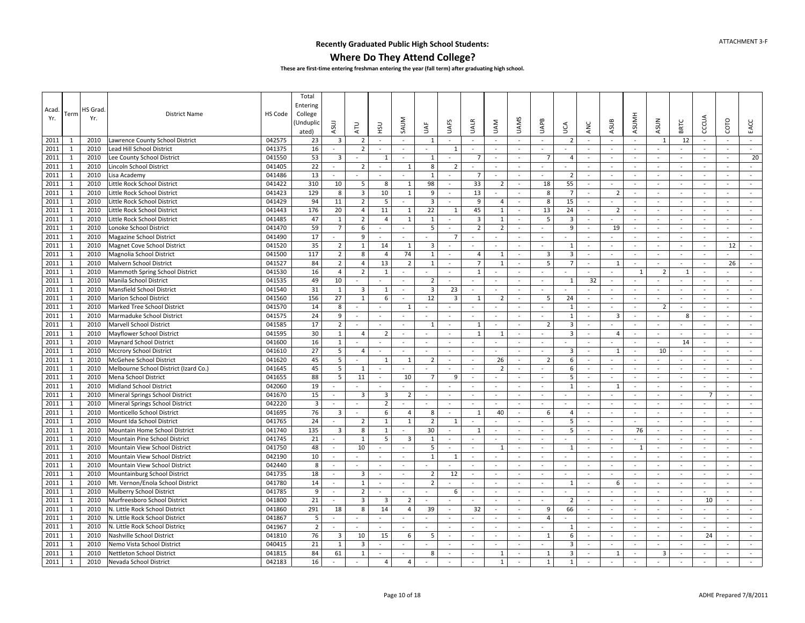### **Where Do They Attend College?**

| Acad.<br>Yr. | Term         | HS Grad<br>Yr. | <b>District Name</b>                  | HS Code | Total<br>Entering<br>College<br>Unduplic<br>ated) | ASUJ                     | <b>ATU</b>               | <b>USH</b>     | SAUM                     | щ<br>S                   | <b>UAFS</b>              | <b>UALR</b>              | <b>NAU</b>     | <b>UAMS</b>              | UAPB                     | Š                       | ANC                      | ASUB                     | <b>ASUMH</b>             | <b>ASUN</b>              | <b>BRTC</b>              | CCCUA                    | COTO                     | EACC     |
|--------------|--------------|----------------|---------------------------------------|---------|---------------------------------------------------|--------------------------|--------------------------|----------------|--------------------------|--------------------------|--------------------------|--------------------------|----------------|--------------------------|--------------------------|-------------------------|--------------------------|--------------------------|--------------------------|--------------------------|--------------------------|--------------------------|--------------------------|----------|
| 2011         | -1           | 2010           | Lawrence County School District       | 042575  | 23                                                | 3                        | 2                        | $\sim$         | $\sim$                   | 1                        | $\sim$                   | $\overline{\phantom{a}}$ | $\sim$         | $\sim$                   | $\sim$                   | $\overline{2}$          | $\sim$                   | $\sim$                   | $\sim$                   | 1                        | 12                       | $\sim$                   | $\sim$                   | $\sim$   |
| 2011         | $\mathbf{1}$ | 2010           | Lead Hill School District             | 041375  | 16                                                | $\sim$                   | $\overline{2}$           |                | $\sim$                   | $\omega$                 | 1                        | $\sim$                   | $\sim$         | $\sim$                   | $\omega$                 |                         | $\overline{\phantom{a}}$ | $\sim$                   |                          | $\omega$                 | $\sim$                   | $\omega$                 | $\sim$                   | $\omega$ |
| 2011         | $\mathbf{1}$ | 2010           | Lee County School District            | 041550  | 53                                                | $\overline{3}$           |                          | $\overline{1}$ | $\sim$                   | $\mathbf{1}$             | $\sim$                   | $\overline{7}$           | $\sim$         | $\sim$                   | $\overline{7}$           | $\overline{4}$          | $\overline{\phantom{a}}$ | $\sim$                   | $\sim$                   | $\omega$                 | $\sim$                   | $\sim$                   | $\sim$                   | 20       |
| 2011         | $\mathbf{1}$ | 2010           | Lincoln School District               | 041405  | 22                                                | $\sim$                   | $\overline{2}$           | $\sim$         | $\mathbf{1}$             | $\bf 8$                  | $\overline{2}$           | $\sim$                   | $\sim$         | $\sim$                   | $\blacksquare$           | $\sim$                  | $\bar{\phantom{a}}$      | $\sim$                   | $\sim$                   | $\sim$                   | $\sim$                   | $\omega$                 | $\sim$                   | $\sim$   |
| 2011         | $\mathbf{1}$ | 2010           | Lisa Academy                          | 041486  | 13                                                | $\overline{\phantom{a}}$ |                          |                | $\sim$                   | $\mathbf{1}$             | $\overline{\phantom{a}}$ | $\overline{7}$           | $\blacksquare$ | $\overline{\phantom{a}}$ | $\blacksquare$           | $\overline{2}$          | $\overline{\phantom{a}}$ | $\sim$                   | $\overline{\phantom{a}}$ | $\overline{\phantom{a}}$ | $\sim$                   | $\blacksquare$           | $\overline{\phantom{a}}$ | $\sim$   |
| 2011         | $\mathbf{1}$ | 2010           | Little Rock School District           | 041422  | 310                                               | 10                       | 5                        | 8              | 1                        | 98                       | $\sim$                   | 33                       | $\overline{2}$ | $\sim$                   | 18                       | 55                      | $\omega$                 | $\sim$                   | $\sim$                   | $\omega$                 | $\sim$                   | $\sim$                   | $\sim$                   | $\sim$   |
| 2011         | $\mathbf{1}$ | 2010           | Little Rock School District           | 041423  | 129                                               | 8                        | $\overline{3}$           | 10             | $\mathbf{1}$             | 9                        | $\sim$                   | 13                       |                | $\sim$                   | 8                        | $\overline{7}$          | $\sim$                   | $\overline{2}$           | $\sim$                   | $\omega$                 | $\sim$                   | $\sim$                   | $\sim$                   | $\sim$   |
| 2011         | 1            | 2010           | Little Rock School District           | 041429  | 94                                                | 11                       | $\overline{2}$           | 5              |                          | 3                        | $\sim$                   | 9                        | $\overline{4}$ | $\sim$                   | 8                        | 15                      | $\sim$                   |                          | $\sim$                   | $\sim$                   | $\sim$                   | $\sim$                   | $\sim$                   | $\sim$   |
| 2011         | $\mathbf{1}$ | 2010           | Little Rock School District           | 041443  | 176                                               | 20                       | $\overline{4}$           | 11             | $\mathbf{1}$             | 22                       | 1                        | 45                       | $\mathbf{1}$   | $\overline{\phantom{a}}$ | 13                       | 24                      | $\blacksquare$           | $\overline{2}$           | $\overline{\phantom{a}}$ | $\overline{\phantom{a}}$ | $\overline{\phantom{a}}$ | $\sim$                   | $\overline{\phantom{a}}$ | $\sim$   |
| 2011         | $\mathbf{1}$ | 2010           | Little Rock School District           | 041485  | 47                                                | $\mathbf{1}$             | $\overline{2}$           | $\overline{4}$ | $\mathbf{1}$             | $\mathbf{1}$             | $\overline{\phantom{a}}$ | $\overline{\mathbf{3}}$  | $\mathbf{1}$   | $\sim$                   | 5                        | $\overline{\mathbf{3}}$ | $\sim$                   | $\blacksquare$           | $\sim$                   | $\omega$                 | $\sim$                   | $\sim$                   | $\sim$                   | $\sim$   |
| 2011         | $\mathbf{1}$ | 2010           | Lonoke School District                | 041470  | 59                                                | $\overline{7}$           | 6                        | $\sim$         |                          | 5                        | $\sim$                   | $\overline{2}$           | $\overline{2}$ | $\sim$                   | $\overline{\phantom{a}}$ | 9                       | $\sim$                   | 19                       | $\sim$                   | $\overline{\phantom{a}}$ | $\sim$                   | $\omega$                 | $\sim$                   | $\sim$   |
| 2011         | $\mathbf{1}$ | 2010           | Magazine School District              | 041490  | 17                                                |                          | 9                        | $\sim$         |                          | L.                       | $\overline{7}$           | ÷                        |                |                          | $\overline{a}$           | $\sim$                  | ÷                        | $\sim$                   |                          | $\mathbf{r}$             | $\overline{a}$           | $\overline{a}$           | $\mathbf{r}$             | $\sim$   |
| 2011         | 1            | 2010           | Magnet Cove School District           | 041520  | 35                                                | 2                        | $\mathbf{1}$             | 14             | 1                        | 3                        | $\sim$                   | $\sim$                   | $\sim$         | $\sim$                   | $\sim$                   | 1                       | $\sim$                   | $\sim$                   | $\sim$                   | $\sim$                   | $\sim$                   | $\sim$                   | 12                       | $\sim$   |
| 2011         | $\mathbf{1}$ | 2010           | Magnolia School District              | 041500  | 117                                               | $\overline{2}$           | 8                        | $\overline{4}$ | 74                       | $\mathbf{1}$             | $\overline{\phantom{a}}$ | $\overline{4}$           | $\mathbf{1}$   | $\sim$                   | 3                        | $\overline{\mathbf{3}}$ | $\sim$                   | $\sim$                   | $\sim$                   | $\sim$                   | $\sim$                   | $\omega$                 | $\blacksquare$           | $\sim$   |
| 2011         | $\mathbf{1}$ | 2010           | Malvern School District               | 041527  | 84                                                | $\overline{2}$           | $\overline{4}$           | 13             | $\overline{2}$           | 1                        | $\sim$                   | 7                        | 1              | $\sim$                   | 5                        | $\overline{7}$          | $\sim$                   | 1                        | $\sim$                   | $\blacksquare$           | $\sim$                   | $\sim$                   | 26                       | $\sim$   |
| 2011         | $\mathbf{1}$ | 2010           | Mammoth Spring School District        | 041530  | 16                                                | $\overline{4}$           | $\overline{2}$           | $\mathbf{1}$   | ÷,                       | ÷.                       | $\sim$                   | $\mathbf{1}$             |                |                          | $\blacksquare$           |                         | $\bar{\phantom{a}}$      | $\bar{\phantom{a}}$      | $\mathbf{1}$             | $\overline{2}$           | $\mathbf{1}$             | ÷,                       | ä,                       |          |
| 2011         | $\mathbf{1}$ | 2010           | Manila School District                | 041535  | 49                                                | 10                       |                          | $\sim$         | $\sim$                   | $\overline{2}$           | $\sim$                   | $\sim$                   | $\sim$         | $\sim$                   | $\sim$                   | 1                       | 32                       | $\sim$                   | $\sim$                   | $\overline{\phantom{a}}$ | $\sim$                   | $\omega$                 | $\sim$                   | $\sim$   |
| 2011         | $\mathbf{1}$ | 2010           | Mansfield School District             | 041540  | 31                                                | 1                        | $\overline{3}$           | 1              | $\sim$                   | $\overline{3}$           | 23                       | $\sim$                   | $\sim$         | $\sim$                   | $\omega$                 | $\sim$                  | ÷.                       | $\sim$                   | $\sim$                   | $\omega$                 | $\sim$                   | $\omega$                 | $\sim$                   | $\sim$   |
| 2011         | $\mathbf{1}$ | 2010           | <b>Marion School District</b>         | 041560  | 156                                               | 27                       | $\mathbf{1}$             | 6              | $\overline{\phantom{a}}$ | 12                       | $\overline{3}$           | 1                        | $\overline{2}$ | $\sim$                   | 5                        | 24                      | $\sim$                   | $\sim$                   | $\sim$                   | $\sim$                   | $\sim$                   | $\sim$                   | $\sim$                   | $\sim$   |
| 2011         | $\mathbf{1}$ | 2010           | Marked Tree School District           | 041570  | 14                                                | 8                        | ä,                       |                | $\mathbf{1}$             | $\omega$                 | $\sim$                   | $\overline{\phantom{a}}$ | $\sim$         | $\sim$                   | $\omega$                 | 1                       | $\omega$                 | $\sim$                   | $\sim$                   | $\overline{2}$           | $\sim$                   | $\omega$                 | $\sim$                   | $\sim$   |
| 2011         | $\mathbf{1}$ | 2010           | Marmaduke School District             | 041575  | 24                                                | 9                        | $\sim$                   | $\sim$         | $\overline{a}$           | $\sim$                   | $\sim$                   | $\overline{\phantom{a}}$ | $\sim$         | $\sim$                   | $\sim$                   | 1                       | $\sim$                   | $\overline{3}$           | $\sim$                   | $\overline{\phantom{a}}$ | 8                        | $\sim$                   | $\sim$                   | $\sim$   |
| 2011         | $\mathbf{1}$ | 2010           | Marvell School District               | 041585  | 17                                                | $\overline{2}$           | $\sim$                   | $\sim$         | $\sim$                   | 1                        | $\sim$                   | 1                        | $\sim$         | $\sim$                   | $\overline{2}$           | $\overline{\mathbf{3}}$ | $\sim$                   | $\sim$                   | $\sim$                   | $\blacksquare$           | $\sim$                   | $\sim$                   | $\sim$                   | $\sim$   |
| 2011         | $\mathbf{1}$ | 2010           | Mayflower School District             | 041595  | 30                                                | $\mathbf{1}$             | $\overline{4}$           | $\overline{2}$ | $\overline{\phantom{a}}$ | $\overline{\phantom{a}}$ | $\overline{\phantom{a}}$ | 1                        | 1              | $\overline{\phantom{a}}$ | $\blacksquare$           | $\overline{\mathbf{3}}$ | $\overline{\phantom{a}}$ | $\overline{4}$           | $\overline{\phantom{a}}$ | $\overline{\phantom{a}}$ | $\sim$                   | $\overline{\phantom{a}}$ | $\overline{\phantom{a}}$ | $\sim$   |
| 2011         | $\mathbf{1}$ | 2010           | <b>Maynard School District</b>        | 041600  | 16                                                | 1                        | $\sim$                   | $\sim$         | $\mathbf{r}$             | $\sim$                   | $\sim$                   | $\sim$                   | $\sim$         | $\sim$                   | $\omega$ .               | $\sim$                  | $\omega$                 | $\sim$                   | $\sim$                   | $\sim$                   | 14                       | $\sim$                   | $\sim$                   | $\sim$   |
| 2011         | $\mathbf{1}$ | 2010           | <b>Mccrory School District</b>        | 041610  | 27                                                | 5                        | 4                        | $\sim$         | $\sim$                   | $\omega$                 | $\sim$                   | $\sim$                   | $\sim$         | $\sim$                   | $\sim$                   | $\overline{3}$          | $\overline{\phantom{a}}$ | 1                        | $\sim$                   | 10                       | $\sim$                   | $\sim$                   | $\sim$                   | $\sim$   |
| 2011         | 1            | 2010           | McGehee School District               | 041620  | 45                                                | 5                        |                          | 1              | $\mathbf{1}$             | $\overline{2}$           | $\sim$                   | $\sim$                   | 26             | $\sim$                   | $\overline{2}$           | 6                       | $\sim$                   | ÷.                       | $\sim$                   | ÷                        | $\sim$                   | $\sim$                   | $\sim$                   | $\sim$   |
| 2011         | $\mathbf{1}$ | 2010           | Melbourne School District (Izard Co.) | 041645  | 45                                                | 5                        | $\mathbf{1}$             | $\sim$         | $\sim$                   | $\sim$                   | $\sim$                   | $\tilde{\phantom{a}}$    | $\overline{2}$ | $\sim$                   | $\equiv$                 | 6                       | $\sim$                   | $\sim$                   | $\sim$                   | $\sim$                   | $\sim$                   | $\blacksquare$           | $\blacksquare$           | $\sim$   |
| 2011         | $\mathbf{1}$ | 2010           | Mena School District                  | 041655  | 88                                                | 5                        | 11                       | $\sim$         | 10                       | $\overline{7}$           | 9                        | $\sim$                   | $\sim$         | $\sim$                   | $\sim$                   | 5                       | $\sim$                   | $\sim$                   | $\sim$                   | $\blacksquare$           | $\sim$                   | $\sim$                   | $\sim$                   | $\sim$   |
| 2011         | $\mathbf{1}$ | 2010           | Midland School District               | 042060  | 19                                                |                          |                          | $\sim$         |                          | $\omega$                 |                          | $\overline{\phantom{a}}$ | $\blacksquare$ | $\bar{a}$                | $\omega$                 | $\mathbf{1}$            | $\omega$                 | 1                        | $\mathbb{Z}$             | ÷.                       | $\sim$                   | $\blacksquare$           | $\sim$                   | $\omega$ |
| 2011         | $\mathbf{1}$ | 2010           | Mineral Springs School District       | 041670  | 15                                                | $\sim$                   | $\overline{3}$           | $\overline{3}$ | $\overline{2}$           | $\sim$                   | $\sim$                   | $\sim$                   | $\sim$         | $\sim$                   | $\sim$                   | $\sim$                  | $\sim$                   | $\sim$                   | $\sim$                   | $\sim$                   | $\sim$                   | $\overline{7}$           | $\sim$                   | $\sim$   |
| 2011         | 1            | 2010           | Mineral Springs School District       | 042220  | $\overline{3}$                                    | $\sim$                   | $\blacksquare$           | $\overline{2}$ | $\sim$                   | $\omega$                 | $\sim$                   | $\omega$                 | $\sim$         | $\sim$                   | $\omega$                 | $\sim$                  | $\omega$                 | $\sim$                   | $\sim$                   | $\sim$                   | $\sim$                   | $\omega$                 | $\sim$                   | $\sim$   |
| 2011         | $\mathbf{1}$ | 2010           | Monticello School District            | 041695  | 76                                                | $\overline{\mathbf{3}}$  | $\overline{\phantom{a}}$ | 6              | $\overline{4}$           | 8                        | $\overline{\phantom{a}}$ | 1                        | 40             | $\sim$                   | 6                        | 4                       | $\sim$                   | $\sim$                   | $\sim$                   | $\sim$                   | $\sim$                   | $\sim$                   | $\sim$                   | $\sim$   |
| 2011         | $\mathbf{1}$ | 2010           | Mount Ida School District             | 041765  | 24                                                | $\sim$                   | $\overline{2}$           | 1              | $\mathbf{1}$             | $\overline{2}$           | 1                        | $\sim$                   | $\sim$         | $\overline{\phantom{a}}$ | $\sim$                   | 5                       | $\sim$                   | $\sim$                   | $\sim$                   | $\omega$                 | $\sim$                   | $\omega$                 | $\sim$                   | $\omega$ |
| 2011         | $\mathbf{1}$ | 2010           | Mountain Home School District         | 041740  | 135                                               | $\overline{\mathbf{3}}$  | 8                        | 1              |                          | 30                       | $\sim$                   | 1                        | $\sim$         | $\sim$                   | $\omega$                 | 5                       | $\overline{\phantom{a}}$ | $\sim$                   | 76                       | $\blacksquare$           | $\sim$                   | $\omega$                 | ÷                        | $\sim$   |
| 2011         | $\mathbf{1}$ | 2010           | Mountain Pine School District         | 041745  | 21                                                | $\sim$                   | $\mathbf{1}$             | 5              | 3                        | 1                        | $\sim$                   | $\sim$                   | $\sim$         | $\sim$                   | $\bar{a}$                | $\sim$                  | $\sim$                   | $\sim$                   |                          | $\sim$                   | $\sim$                   | $\omega$                 | $\sim$                   | $\sim$   |
| 2011         | 1            | 2010           | Mountain View School District         | 041750  | 48                                                | $\sim$                   | 10                       |                |                          | 5                        | $\sim$                   | ÷,                       | 1              | $\sim$                   |                          | 1                       | ÷,                       | ÷.                       | 1                        |                          | $\sim$                   |                          |                          | $\sim$   |
| 2011         | $\mathbf{1}$ | 2010           | Mountain View School District         | 042190  | 10                                                | $\sim$                   | $\sim$                   | $\sim$         | $\sim$                   | $\mathbf{1}$             | 1                        | $\sim$                   | $\sim$         | $\sim$                   | $\sim$                   | $\sim$                  | $\sim$                   | $\sim$                   | $\sim$                   | $\sim$                   | $\sim$                   | $\sim$                   | $\sim$                   | $\sim$   |
| 2011         | $\mathbf{1}$ | 2010           | Mountain View School District         | 042440  | 8                                                 | $\overline{\phantom{a}}$ |                          | $\sim$         |                          |                          |                          | ÷,                       | $\sim$         |                          |                          |                         | $\overline{\phantom{a}}$ | $\overline{\phantom{a}}$ |                          | $\omega$                 |                          | $\sim$                   | $\sim$                   | $\sim$   |
| 2011         | $\mathbf{1}$ | 2010           | Mountainburg School District          | 041735  | 18                                                | $\sim$                   | $\overline{3}$           | $\sim$         | $\sim$                   | $\overline{2}$           | 12                       | $\sim$                   | $\sim$         | $\sim$                   | $\sim$                   | $\sim$                  | $\sim$                   | $\sim$                   | $\sim$                   | $\sim$                   | $\sim$                   | $\sim$                   | $\sim$                   | $\sim$   |
| 2011         | $\mathbf{1}$ | 2010           | Mt. Vernon/Enola School District      | 041780  | 14                                                | $\blacksquare$           | $\mathbf{1}$             | $\sim$         | $\sim$                   | $\overline{2}$           | $\sim$                   | $\overline{\phantom{a}}$ | $\sim$         | $\sim$                   | $\sim$                   | $\overline{1}$          | $\blacksquare$           | 6                        | $\sim$                   | $\sim$                   | $\sim$                   | $\blacksquare$           | $\sim$                   | $\sim$   |
| 2011         | $\mathbf{1}$ | 2010           | Mulberry School District              | 041785  | 9                                                 | $\blacksquare$           | $\overline{2}$           | $\sim$         | $\sim$                   | ÷.                       | 6                        | $\overline{\phantom{a}}$ | $\sim$         | $\omega$                 | $\sim$                   | $\sim$                  | $\overline{\phantom{a}}$ | $\sim$                   | $\sim$                   | $\omega$                 | $\sim$                   | $\omega$                 | $\sim$                   | $\sim$   |
| 2011         | $\mathbf{1}$ | 2010           | Murfreesboro School District          | 041800  | 21                                                | $\sim$                   | 3                        | $\overline{3}$ | $\overline{2}$           |                          | $\sim$                   | $\sim$                   | $\sim$         | $\sim$                   | $\mathbf{r}$             | $\overline{2}$          | ÷                        | $\sim$                   | $\sim$                   | $\blacksquare$           | $\sim$                   | 10                       | $\sim$                   | $\sim$   |
| 2011         | $\mathbf{1}$ | 2010           | N. Little Rock School District        | 041860  | 291                                               | 18                       | 8                        | 14             | $\overline{4}$           | 39                       | $\sim$                   | 32                       | $\sim$         | $\sim$                   | 9                        | 66                      | $\sim$                   | $\sim$                   |                          | $\blacksquare$           | $\sim$                   |                          | $\blacksquare$           | $\sim$   |
| 2011         | 1            | 2010           | N. Little Rock School District        | 041867  | 5                                                 | $\sim$                   | ÷.                       | $\sim$         | $\sim$                   | ÷                        | $\sim$                   | ÷.                       | $\sim$         | $\sim$                   | $\overline{4}$           | $\sim$                  | $\sim$                   | $\sim$                   | $\sim$                   | $\sim$                   | $\sim$                   | $\sim$                   | $\sim$                   | $\sim$   |
| 2011         | 1            | 2010           | N. Little Rock School District        | 041967  | $\overline{2}$                                    |                          | $\blacksquare$           | $\sim$         | $\sim$                   | $\bar{\phantom{a}}$      | $\overline{\phantom{a}}$ | $\sim$                   | $\sim$         | $\sim$                   | $\sim$                   | 1                       | $\sim$                   | $\sim$                   | $\sim$                   | $\sim$                   | $\overline{\phantom{a}}$ | $\sim$                   | $\sim$                   | $\sim$   |
| 2011         | $\mathbf{1}$ | 2010           | Nashville School District             | 041810  | 76                                                | $\overline{\mathbf{3}}$  | 10                       | 15             | 6                        | 5                        | $\sim$                   | $\overline{\phantom{a}}$ | $\sim$         | $\sim$                   | $\mathbf{1}$             | 6                       | $\sim$                   | $\sim$                   | $\sim$                   | $\omega$                 | $\sim$                   | 24                       | $\sim$                   | $\sim$   |
| 2011         | $\mathbf{1}$ | 2010           | Nemo Vista School District            | 040415  | 21                                                | $\mathbf{1}$             | 3                        |                |                          |                          | $\sim$                   | ÷,                       | $\sim$         | $\sim$                   | $\omega$                 | 3                       | $\sim$                   | $\sim$                   | $\sim$                   | $\omega$                 | $\sim$                   |                          | $\sim$                   | $\sim$   |
| 2011         | $\mathbf{1}$ | 2010           | Nettleton School District             | 041815  | 84                                                | 61                       | $\mathbf{1}$             | $\sim$         | $\sim$                   | 8                        | $\sim$                   | $\sim$                   | $\overline{1}$ | $\sim$                   | $\mathbf{1}$             | 3                       | ÷.                       | $\overline{1}$           | $\sim$                   | $\overline{3}$           | $\sim$                   | $\sim$                   | $\sim$                   | $\sim$   |
| 2011         | $\mathbf{1}$ | 2010           | Nevada School District                | 042183  | 16                                                | $\sim$                   | ÷.                       | $\overline{4}$ | $\overline{4}$           | $\omega$                 | $\sim$                   | $\sim$                   | $\mathbf{1}$   | $\omega$                 | $\mathbf{1}$             | $\mathbf{1}$            | $\sim$                   | $\sim$                   | $\sim$                   | $\omega$                 | $\sim$                   | $\sim$                   | $\sim$                   | $\sim$   |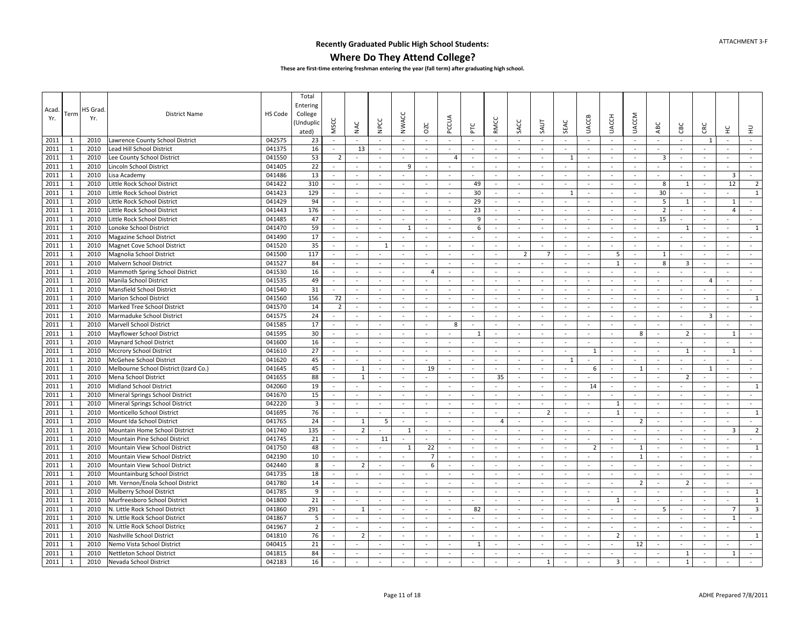### **Where Do They Attend College?**

| Acad<br>Yr.  | Term                         | HS Grad<br>Yr. | <b>District Name</b>                                          | HS Code          | Total<br>Entering<br>College<br>Unduplio)<br>ated) | MSCC                     | NAC                            | <b>NPCC</b>      | <b>NWACC</b>             | OZC                 | PCCUA              | PLC                      | RMCC           | SACC                     | SAUT                     | SEAC             | <b>UACCB</b>                 | <b>UACCH</b>       | <b>UACCM</b>             | ABC                      | CВC                      | CRC                            | ¥                       | 로                        |
|--------------|------------------------------|----------------|---------------------------------------------------------------|------------------|----------------------------------------------------|--------------------------|--------------------------------|------------------|--------------------------|---------------------|--------------------|--------------------------|----------------|--------------------------|--------------------------|------------------|------------------------------|--------------------|--------------------------|--------------------------|--------------------------|--------------------------------|-------------------------|--------------------------|
| 2011         | -1                           | 2010           | Lawrence County School District                               | 042575           | 23                                                 | $\sim$                   |                                |                  |                          |                     | $\omega$           | $\overline{\phantom{a}}$ |                | ÷.                       |                          | $\sim$           | $\sim$                       |                    | $\sim$                   | $\sim$                   | $\sim$                   | 1                              | $\sim$                  | $\sim$                   |
| 2011         | 1                            | 2010           | Lead Hill School District                                     | 041375           | 16                                                 | $\sim$                   | 13                             | $\sim$           | $\sim$                   | $\sim$              | $\sim$             | $\sim$                   | $\sim$         | $\sim$                   | $\sim$                   | $\sim$           | $\omega$                     | $\sim$             | $\sim$                   | $\sim$                   | $\sim$                   | $\sim$                         | $\sim$                  | $\sim$                   |
| 2011         | 1                            | 2010           | Lee County School District                                    | 041550           | 53                                                 | $\overline{2}$           |                                |                  |                          | $\sim$              | 4                  | $\sim$                   | $\sim$         | $\sim$                   | $\blacksquare$           | 1                | $\blacksquare$               | $\sim$             | $\sim$                   | 3                        | $\sim$                   |                                | $\sim$                  | $\omega$                 |
| 2011         | 1                            | 2010           | Lincoln School District                                       | 041405           | 22                                                 | $\sim$                   | $\sim$                         | $\sim$           | 9                        | $\sim$              | $\sim$             | ÷.                       | $\sim$         | $\sim$                   | $\sim$                   | $\sim$           | $\sim$                       | $\sim$             | $\sim$                   | $\sim$                   | $\sim$                   | ÷.                             | $\sim$                  | $\sim$                   |
| 2011         | $\mathbf{1}$                 | 2010           | Lisa Academy                                                  | 041486           | 13                                                 | $\omega$                 | $\overline{\phantom{a}}$       | $\sim$           | $\omega$                 | $\sim$              | $\sim$             | $\overline{\phantom{a}}$ | $\sim$         | $\sim$                   | $\omega$                 | $\sim$           | $\blacksquare$               | $\sim$             | $\sim$                   | $\sim$                   | $\sim$                   | $\sim$                         | $\overline{\mathbf{3}}$ | $\sim$                   |
| 2011         | $\mathbf{1}$                 | 2010           | Little Rock School District                                   | 041422           | 310                                                | $\sim$                   | $\sim$                         | $\sim$           | $\sim$                   | $\sim$              | $\sim$             | 49                       | $\sim$         | $\sim$                   | $\sim$                   | $\sim$           | $\sim$                       | $\sim$             | $\sim$                   | 8                        | $\mathbf{1}$             | $\sim$                         | 12                      | $\overline{2}$           |
| 2011         | $\mathbf{1}$                 | 2010           | Little Rock School District                                   | 041423           | 129                                                | $\blacksquare$           |                                | $\sim$           |                          | $\sim$              | $\sim$             | 30                       | $\sim$         | $\sim$                   | $\overline{\phantom{a}}$ | 1                | $\sim$                       | $\sim$             | $\sim$                   | 30                       |                          | ÷,                             |                         | $\,1\,$                  |
| 2011         | $\mathbf{1}$                 | 2010           | Little Rock School District                                   | 041429           | 94                                                 | $\sim$                   | $\sim$                         | $\sim$           | $\sim$                   | $\sim$              | $\sim$             | 29                       | $\sim$         | $\sim$                   | $\sim$                   | $\sim$           | $\sim$                       | $\sim$             | $\sim$                   | 5                        | 1                        | $\sim$                         | $\overline{1}$          | $\sim$                   |
| 2011         | 1                            | 2010           | Little Rock School District                                   | 041443           | 176                                                | $\sim$                   | $\sim$                         | $\sim$           | $\sim$                   | $\sim$              | $\sim$             | 23                       | $\sim$         | $\sim$                   | $\sim$                   | $\sim$           | $\omega$                     | $\sim$             | $\sim$                   | $\overline{2}$           | $\sim$                   | $\sim$                         | $\Delta$                | $\sim$                   |
| 2011         | 1                            | 2010           | Little Rock School District                                   | 041485           | 47                                                 | $\sim$                   | $\sim$                         | $\sim$           | $\sim$                   | $\sim$              | $\sim$             | 9                        | $\sim$         | $\sim$                   | $\sim$                   | $\sim$           | $\blacksquare$               | $\sim$             | $\sim$                   | 15                       | $\sim$                   | $\sim$                         | $\sim$                  | $\sim$                   |
| 2011         | $\mathbf{1}$                 | 2010           | Lonoke School District                                        | 041470           | 59                                                 | $\omega$                 | $\sim$                         | $\omega$         | $\mathbf{1}$             | $\omega$            | $\sim$             | 6                        | $\omega$       | $\sim$                   | $\sim$                   | $\sim$           | $\sim$                       | $\sim$             | $\sim$                   | ÷,                       | $\mathbf{1}$             | $\mathcal{L}$                  | $\sim$                  | $\mathbf{1}$             |
| 2011         | $\mathbf{1}$                 | 2010           | Magazine School District                                      | 041490           | 17                                                 | $\omega$                 |                                |                  |                          |                     | $\omega$           |                          |                | $\overline{\phantom{a}}$ |                          | $\sim$           | $\qquad \qquad \blacksquare$ | $\sim$             | $\sim$                   |                          |                          | $\overline{a}$                 |                         | $\omega$                 |
| 2011         | $\mathbf{1}$                 | 2010           | Magnet Cove School District                                   | 041520           | 35                                                 | $\sim$                   | $\sim$                         | $\overline{1}$   | $\sim$                   | $\sim$              | $\sim$             | ÷.                       | $\sim$         | $\sim$                   | $\sim$                   | $\sim$           | $\sim$                       | $\sim$             | $\sim$                   | $\sim$                   | $\sim$                   | ÷.                             | $\sim$                  | $\sim$                   |
| 2011         | $\mathbf{1}$                 | 2010           | Magnolia School District                                      | 041500           | 117                                                | $\omega$                 |                                | $\sim$           |                          | $\sim$              | $\omega$           |                          | $\sim$         | $\overline{2}$           | $\overline{7}$           | $\sim$           | $\sim$                       | 5                  | $\sim$                   | 1                        | $\sim$                   | $\overline{\phantom{a}}$       | $\sim$                  | $\sim$                   |
| 2011         | $\mathbf{1}$                 | 2010           | Malvern School District                                       | 041527           | 84                                                 | $\sim$                   | $\sim$                         | $\sim$           | $\sim$                   | $\sim$              | $\sim$             | $\sim$                   | $\sim$         | $\sim$                   | $\sim$                   | $\sim$           | $\sim$                       | $\mathbf{1}$       | $\sim$                   | 8                        | $\overline{\mathbf{3}}$  | $\sim$                         | $\sim$                  | $\sim$                   |
| 2011         | $\mathbf{1}$                 | 2010           | Mammoth Spring School District                                | 041530           | 16                                                 | $\blacksquare$           | $\overline{\phantom{a}}$       | $\sim$           | ä,                       | $\overline{4}$      | $\sim$             | $\overline{\phantom{a}}$ | $\sim$         | ÷,                       | $\omega$                 | $\sim$           | ÷,                           |                    | $\bar{a}$                |                          |                          | $\overline{\phantom{a}}$       | $\sim$                  | $\sim$                   |
| 2011         | 1                            | 2010           | Manila School District                                        | 041535           | 49                                                 | $\sim$                   | $\sim$                         | $\sim$           | $\sim$                   | $\sim$              | $\sim$             | $\sim$                   | $\sim$         | $\sim$                   | $\sim$                   | $\sim$           | $\sim$                       | $\sim$             | $\sim$                   | $\sim$                   | $\sim$                   | $\overline{4}$                 | $\sim$                  | $\sim$                   |
| 2011         | $\mathbf{1}$                 | 2010           | Mansfield School District                                     | 041540           | 31                                                 | $\blacksquare$           | $\sim$                         | $\sim$           | $\sim$                   |                     | $\sim$             | $\sim$                   | $\sim$         | $\sim$                   |                          | $\sim$           | $\sim$                       | $\sim$             | $\sim$                   | $\sim$                   | $\sim$                   |                                | $\sim$                  | $\sim$                   |
| 2011         | $\mathbf{1}$                 | 2010           | <b>Marion School District</b>                                 | 041560           | 156                                                | 72                       | $\tilde{\phantom{a}}$          | $\sim$           | $\overline{\phantom{a}}$ | $\sim$              | $\sim$             | $\overline{\phantom{a}}$ | $\sim$         | $\sim$                   | $\omega$                 | $\sim$           | $\blacksquare$               | $\sim$             | $\sim$                   | $\omega$                 | $\blacksquare$           | $\sim$                         | $\sim$                  | $\mathbf{1}$             |
| 2011         | 1                            | 2010           | Marked Tree School District                                   | 041570           | 14                                                 | $\overline{2}$           | $\sim$                         | $\sim$           | $\overline{\phantom{a}}$ | $\sim$              | $\sim$             | $\overline{\phantom{a}}$ | $\sim$         | $\sim$                   | $\sim$                   | $\sim$           | $\blacksquare$               | $\sim$             | $\overline{\phantom{a}}$ | $\sim$                   | $\sim$                   | $\sim$                         | $\sim$                  | $\sim$                   |
| 2011         | $\mathbf{1}$                 | 2010           | Marmaduke School District                                     | 041575           | 24                                                 |                          |                                | $\sim$           | $\sim$                   | $\sim$              | $\sim$             | $\overline{\phantom{a}}$ | $\sim$         | ÷.                       | $\sim$                   | $\sim$           | ä,                           | $\sim$             | $\sim$                   | $\omega$                 | $\sim$                   | 3                              | $\sim$                  | $\blacksquare$           |
| 2011         | 1                            | 2010           | Marvell School District                                       | 041585           | 17                                                 | $\sim$                   | $\sim$                         | $\sim$           | $\sim$                   | $\sim$              | 8                  | ÷.                       | $\sim$         | $\sim$                   | $\sim$                   | $\sim$           | $\sim$                       | $\sim$             | $\sim$                   | $\sim$                   | $\sim$                   | ÷.                             | $\sim$                  | $\sim$                   |
| 2011         | 1                            | 2010           | Mayflower School District                                     | 041595           | 30                                                 | $\sim$                   | $\sim$                         | $\sim$           | $\sim$                   |                     | $\sim$             | 1                        | $\sim$         | $\sim$                   |                          | $\sim$           | $\sim$                       | $\sim$             | 8                        | $\sim$                   | $\overline{2}$           | $\overline{\phantom{a}}$       | -1                      | $\sim$                   |
| 2011         | $\mathbf{1}$                 | 2010           | <b>Maynard School District</b>                                | 041600           | 16                                                 | $\omega$                 | $\sim$                         | $\sim$           | $\sim$                   | $\sim$              | $\sim$             | $\omega$                 | $\sim$         | $\sim$                   | $\sim$                   | $\sim$           | $\blacksquare$               | $\sim$             | $\sim$                   | $\blacksquare$           | $\sim$                   | $\sim$                         | $\sim$                  | $\sim$                   |
| 2011         | $\mathbf{1}$                 | 2010           | <b>Mccrory School District</b>                                | 041610           | 27                                                 | $\sim$                   |                                | $\sim$           |                          | $\sim$              | $\blacksquare$     |                          | ÷.             | $\sim$                   |                          | $\sim$           | $\mathbf{1}$                 | $\sim$             |                          | $\sim$                   | 1                        | $\sim$                         | $\mathbf{1}$            | $\sim$                   |
| 2011         | $\mathbf{1}$                 | 2010           | McGehee School District                                       | 041620           | 45                                                 | $\omega$                 | $\sim$                         | $\sim$           | $\sim$                   | $\sim$              | $\sim$             | $\sim$                   | $\sim$         | $\sim$                   | $\sim$                   | 1                | ÷.                           | $\sim$             | $\sim$                   | $\sim$                   | $\sim$                   | $\sim$                         | $\sim$                  | $\sim$                   |
| 2011         | $\mathbf{1}$                 | 2010           | Melbourne School District (Izard Co.)                         | 041645           | 45                                                 | $\sim$                   | $\mathbf{1}$                   | $\omega$         | $\omega$                 | 19                  | $\sim$             | $\overline{\phantom{a}}$ | $\sim$         | $\sim$                   | $\sim$                   | $\sim$           | 6                            | $\sim$             | 1                        | $\blacksquare$           | $\sim$                   | $\mathbf{1}$                   | $\sim$                  | $\sim$                   |
| 2011         | $\mathbf{1}$                 | 2010           | Mena School District                                          | 041655           | 88                                                 | $\sim$                   | $\mathbf{1}$                   | $\sim$           | $\sim$                   | $\sim$              | $\sim$             | $\sim$                   | 35             | $\sim$                   | $\sim$                   | $\sim$           | $\sim$                       | $\sim$             | $\sim$                   | $\sim$                   | $\overline{2}$           | $\overline{\phantom{a}}$       | $\sim$                  | $\sim$                   |
| 2011         | 1                            | 2010           | <b>Midland School District</b>                                | 042060           | 19                                                 | $\omega$                 |                                | $\sim$           | $\overline{\phantom{a}}$ | $\sim$              | $\sim$             | $\overline{\phantom{a}}$ |                | $\sim$                   | $\omega$                 | $\sim$           | 14                           | $\sim$             | $\omega$                 | $\sim$                   |                          | $\overline{\phantom{a}}$       | $\sim$                  | $\mathbf{1}$             |
| 2011         | 1                            | 2010           | Mineral Springs School District                               | 041670           | 15                                                 | $\sim$                   | $\sim$                         | $\sim$           | $\sim$                   | $\sim$              | $\sim$             | $\sim$                   | $\sim$         | $\sim$                   | $\sim$                   | $\sim$           | $\tilde{\phantom{a}}$        | $\sim$             | $\sim$                   | $\sim$                   | $\sim$                   | $\sim$                         | $\sim$                  | $\sim$                   |
| 2011         | $\mathbf{1}$                 | 2010           | Mineral Springs School District                               | 042220           | $\overline{\mathbf{3}}$                            | $\sim$                   | $\sim$                         | $\sim$           | $\sim$                   | $\sim$              | $\sim$             | $\sim$                   | $\sim$         | $\sim$                   | $\sim$                   | $\sim$           | $\omega$                     | $\mathbf{1}$       | $\sim$                   | $\sim$                   | $\sim$                   | $\sim$                         | $\sim$                  | $\sim$                   |
| 2011         | $\mathbf{1}$                 | 2010           | Monticello School District                                    | 041695           | 76                                                 | $\overline{\phantom{a}}$ | $\overline{\phantom{a}}$       | $\sim$           | $\blacksquare$           | $\sim$              | $\sim$             | $\overline{\phantom{a}}$ | $\sim$         | $\blacksquare$           | $\overline{2}$           | $\sim$           | $\blacksquare$               | $\mathbf{1}$       | $\sim$                   | $\sim$                   | $\overline{\phantom{a}}$ | $\overline{\phantom{a}}$       | $\sim$                  | $\mathbf{1}$             |
| 2011         | $\mathbf{1}$                 | 2010           | Mount Ida School District                                     | 041765           | 24                                                 | $\sim$<br>÷              | $\mathbf{1}$<br>$\overline{2}$ | - 5              | $\omega$                 | $\sim$<br>$\sim$    | $\sim$<br>$\sim$   | $\sim$                   | $\overline{4}$ | $\sim$<br>$\sim$         | $\omega$<br>÷            | $\sim$<br>$\sim$ | $\omega$                     | $\sim$<br>in 1919. | $\overline{2}$<br>÷.     | $\blacksquare$<br>$\sim$ | $\sim$<br>$\sim$         | $\omega$                       | $\sim$<br>3             | $\sim$                   |
| 2011         | 1                            | 2010           | Mountain Home School District                                 | 041740           | 135<br>21                                          | $\sim$                   | $\sim$                         |                  | 1<br>$\sim$              | $\sim$              | $\sim$             | $\sim$<br>$\sim$         | $\sim$         | $\sim$                   | $\sim$                   | $\sim$           | $\omega$<br>$\sim$           | $\sim$             | $\sim$                   | $\sim$                   | $\sim$                   | $\overline{\phantom{a}}$<br>÷. | $\sim$                  | $\overline{2}$<br>$\sim$ |
| 2011         | 1                            | 2010           | Mountain Pine School District                                 | 041745           |                                                    |                          |                                | 11               |                          |                     |                    |                          |                |                          |                          |                  |                              |                    |                          |                          |                          |                                |                         |                          |
| 2011         | $\mathbf{1}$<br>$\mathbf{1}$ | 2010           | Mountain View School District                                 | 041750           | 48                                                 | $\omega$                 |                                | $\sim$<br>$\sim$ | 1                        | 22                  | $\sim$             | ÷,                       | $\sim$         | $\sim$<br>$\sim$         | $\sim$                   | $\sim$           | $\overline{2}$               | $\sim$<br>$\sim$   | $\mathbf{1}$             |                          | $\sim$                   | $\sim$                         | $\sim$                  | $\mathbf{1}$<br>$\sim$   |
| 2011<br>2011 | $\mathbf{1}$                 | 2010<br>2010   | Mountain View School District                                 | 042190<br>042440 | 10<br>8                                            | $\sim$<br>ä,             | $\sim$<br>$\overline{2}$       | $\sim$           | $\sim$                   | $\overline{7}$<br>6 | $\sim$<br>$\omega$ | $\sim$<br>÷,             | $\sim$         |                          |                          | $\sim$<br>$\sim$ | $\sim$<br>÷,                 |                    | $\mathbf{1}$             | $\sim$                   | $\sim$                   | $\sim$<br>÷,                   |                         | $\mathcal{L}$            |
| 2011         | $\mathbf{1}$                 | 2010           | Mountain View School District<br>Mountainburg School District | 041735           | 18                                                 | $\sim$                   |                                | $\sim$           | $\sim$                   |                     | $\sim$             | ÷.                       | $\sim$         | $\sim$                   | $\sim$                   | $\sim$           | $\sim$                       | $\sim$             | ÷.                       | $\sim$                   | $\sim$                   | $\sim$                         | $\sim$                  | $\sim$                   |
| 2011         | $\mathbf{1}$                 | 2010           |                                                               | 041780           | 14                                                 | $\sim$                   | $\sim$                         | $\sim$           | $\sim$                   | $\sim$              | $\sim$             | $\sim$                   | $\sim$         | $\sim$                   | $\sim$                   | $\sim$           | $\blacksquare$               | $\sim$             | $\overline{2}$           | $\sim$                   | $\overline{2}$           | $\sim$                         | $\sim$                  | $\sim$                   |
| 2011         | $\mathbf{1}$                 | 2010           | Mt. Vernon/Enola School District<br>Mulberry School District  | 041785           | 9                                                  | $\sim$                   | $\sim$                         | $\sim$           | $\sim$                   | $\sim$              | $\sim$             | $\overline{\phantom{a}}$ | $\sim$         | $\sim$                   | $\sim$                   | $\sim$           | $\omega$                     | $\sim$             | $\sim$                   | $\sim$                   | $\sim$                   | $\sim$                         | $\sim$                  | $\mathbf{1}$             |
| 2011         | $\mathbf{1}$                 | 2010           | Murfreesboro School District                                  | 041800           | 21                                                 | $\omega$                 | $\sim$                         | $\sim$           | $\sim$                   | $\sim$              | $\sim$             | ÷                        | $\sim$         | $\sim$                   | $\sim$                   | $\sim$           | $\sim$                       | 1                  | $\sim$                   | $\sim$                   | $\sim$                   | $\sim$                         | $\sim$                  | $\mathbf{1}$             |
| 2011         | $\mathbf{1}$                 | 2010           | N. Little Rock School District                                | 041860           | 291                                                | $\sim$                   | $\mathbf{1}$                   | $\sim$           | $\sim$                   |                     | $\sim$             | 82                       | $\sim$         | $\sim$                   |                          | $\sim$           | $\blacksquare$               |                    | $\sim$                   | 5                        | $\sim$                   | ÷,                             | $\overline{7}$          | $\overline{3}$           |
| 2011         | $\mathbf{1}$                 | 2010           | N. Little Rock School District                                | 041867           | 5                                                  | $\sim$                   | ÷.                             | $\sim$           | $\sim$                   | $\sim$              | $\sim$             | ÷.                       | $\sim$         | $\sim$                   | $\sim$                   | $\sim$           | $\sim$                       | $\sim$             | $\sim$                   | $\sim$                   | $\sim$                   | $\sim$                         | 1                       | $\sim$                   |
| 2011         | $\mathbf{1}$                 | 2010           | N. Little Rock School District                                | 041967           | $\overline{2}$                                     | $\blacksquare$           | $\overline{\phantom{a}}$       | $\sim$           | $\sim$                   | $\sim$              | $\sim$             | $\overline{\phantom{a}}$ | $\sim$         | $\sim$                   | $\omega$                 | $\sim$           | $\blacksquare$               | $\sim$             | $\sim$                   | $\omega$                 | $\blacksquare$           | $\sim$                         | $\omega$                | $\sim$                   |
| 2011         | $\mathbf{1}$                 | 2010           | Nashville School District                                     | 041810           | 76                                                 | $\sim$                   | $\overline{2}$                 | $\sim$           | $\sim$                   | $\sim$              | $\sim$             | $\sim$                   | $\sim$         | $\sim$                   | $\sim$                   | $\sim$           | $\sim$                       | $\overline{2}$     | $\sim$                   | $\sim$                   | $\sim$                   | $\sim$                         | $\sim$                  | $\mathbf{1}$             |
| 2011         | $\mathbf{1}$                 | 2010           | Nemo Vista School District                                    | 040415           | 21                                                 | ÷                        |                                | $\sim$           | ÷,                       | $\sim$              | $\blacksquare$     | 1                        | $\sim$         | $\bar{a}$                | $\sim$                   | $\sim$           | ä,                           |                    | 12                       | $\sim$                   | $\sim$                   | $\bar{\phantom{a}}$            | $\overline{a}$          | $\omega$                 |
| 2011         | 1                            | 2010           | Nettleton School District                                     | 041815           | 84                                                 | $\sim$                   | $\sim$                         | $\sim$           | $\sim$                   | $\sim$              | $\sim$             |                          | $\sim$         | $\sim$                   | $\sim$                   | $\sim$           | $\sim$                       | $\sim$             | $\sim$                   | $\sim$                   | 1                        | $\sim$                         | $\overline{1}$          | $\sim$                   |
| 2011         | 1                            | 2010           | Nevada School District                                        | 042183           | 16                                                 | $\sim$                   | $\overline{\phantom{a}}$       | $\sim$           | $\sim$                   | $\sim$              | $\sim$             | $\overline{\phantom{a}}$ | $\sim$         | $\sim$                   | $\mathbf{1}$             | $\sim$           | $\omega$                     | $\overline{3}$     | $\sim$                   | $\sim$                   | 1                        | $\sim$                         | $\sim$                  | $\sim$                   |
|              |                              |                |                                                               |                  |                                                    |                          |                                |                  |                          |                     |                    |                          |                |                          |                          |                  |                              |                    |                          |                          |                          |                                |                         |                          |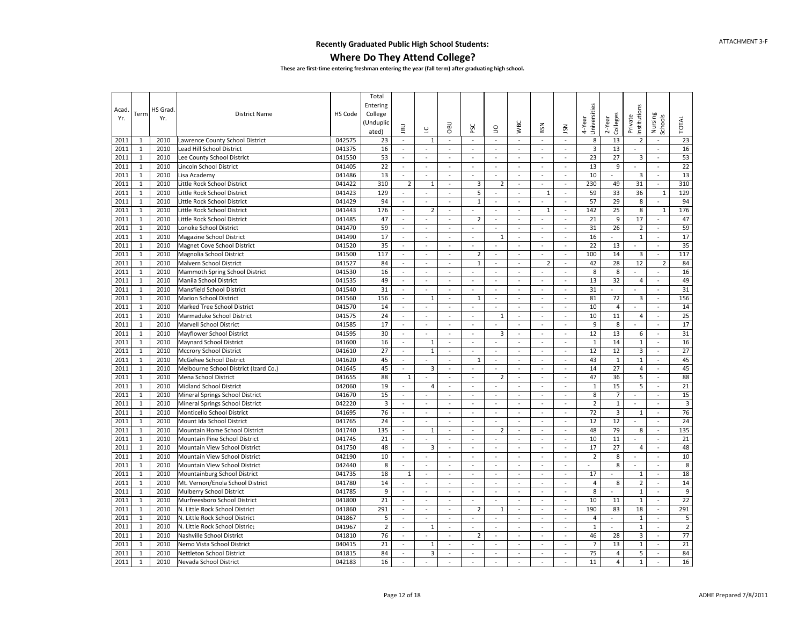#### **Where Do They Attend College?**

| Entering<br>Jniversities<br>nstitutions<br>HS Grad.<br>Acad<br>HS Code<br><b>District Name</b><br>College<br>Term<br>Nursing<br>Colleges<br>Schools<br>Private<br>Yr.<br>Yr.<br>2-Year<br><b>TOTAL</b><br>4-Year<br><b>WBC</b><br><b>Unduplic</b><br><b>UBO</b><br>BSN<br><b>UBL</b><br>PSC<br>SN<br>9<br>ں<br>ated)<br>23<br>2011<br>Lawrence County School District<br>042575<br>23<br>$1\,$<br>$\sim$<br>$\omega$<br>$\omega$<br>$\Box$<br>$\omega$<br>8<br>13<br>$\overline{2}$<br>1<br>2010<br>$\overline{\phantom{a}}$<br>$\sim$<br>$\blacksquare$<br>$\mathbf{1}$<br>2010<br>041375<br>16<br>13<br>16<br>2011<br>Lead Hill School District<br>3<br>$\blacksquare$<br>$\sim$<br>$\sim$<br>$\sim$<br>$\sim$<br>÷<br>$\sim$<br>$\blacksquare$<br>$\overline{\phantom{a}}$<br>$\sim$<br>23<br>27<br>53<br>2011<br>$\mathbf{1}$<br>2010<br>Lee County School District<br>53<br>$\overline{3}$<br>041550<br>$\overline{\phantom{a}}$<br>$\blacksquare$<br>$\sim$<br>$\omega$<br>$\blacksquare$<br>$\sim$<br>$\sim$<br>$\sim$<br>22<br>2010<br>22<br>13<br>9<br>2011<br>$\mathbf{1}$<br>Lincoln School District<br>041405<br>$\omega$<br>$\omega$<br>$\omega$<br>÷.<br>$\sim$<br>$\omega$<br>$\omega$<br>$\omega$<br>$\sim$<br>$\sim$<br>13<br>13<br>10<br>$\overline{3}$<br>2011<br>$\mathbf{1}$<br>2010<br>041486<br>Lisa Academy<br>$\omega$<br>÷,<br>$\overline{\phantom{a}}$<br>÷.<br>$\sim$<br>$\omega$<br>$\sim$<br>$\omega$<br>$\omega$<br>$\omega$<br>310<br>$\overline{2}$<br>310<br>2011<br>$\mathbf{1}$<br>2010<br>Little Rock School District<br>041422<br>3<br>$\overline{2}$<br>230<br>49<br>31<br>1<br>$\omega$<br>$\blacksquare$<br>$\overline{\phantom{a}}$<br>$\omega$<br>$\sim$<br>$\mathbf{1}$<br>129<br>5<br>59<br>33<br>129<br>2010<br>041423<br>36<br>2011<br>Little Rock School District<br>$\omega$<br>$\overline{\phantom{a}}$<br>1<br>$\sim$<br>$\sim$<br>$\overline{\phantom{a}}$<br>$\overline{\phantom{a}}$<br>1<br>2011<br>$1\,$<br>2010<br>Little Rock School District<br>041429<br>94<br>$\mathbf 1$<br>57<br>29<br>8<br>94<br>$\sim$<br>$\overline{a}$<br>$\sim$<br>$\sim$<br>$\omega$<br>$\sim$<br>$\sim$<br>$\sim$<br>176<br>25<br>8<br>176<br>2011<br>$\mathbf{1}$<br>2010<br>142<br>Little Rock School District<br>041443<br>$\overline{2}$<br>$\omega$<br>$\omega$<br>$\omega$<br>$\omega$<br>$\mathbf{1}$<br>$\sim$<br>$\blacksquare$<br>1<br>$\mathbf{1}$<br>2010<br>47<br>$\overline{2}$<br>21<br>9<br>17<br>47<br>2011<br>Little Rock School District<br>041485<br>$\omega$<br>$\omega$<br>$\overline{\phantom{a}}$<br>$\overline{\phantom{a}}$<br>$\sim$<br>$\blacksquare$<br>$\omega$<br>$\sim$<br>2011<br>$\mathbf{1}$<br>2010<br>59<br>31<br>26<br>$\mathbf 2$<br>59<br>Lonoke School District<br>041470<br>$\sim$<br>$\omega$<br>$\omega$<br>$\sim$<br>$\sim$<br>$\sim$<br>$\mathbb{Z}^2$<br>$\sim$<br>$\sim$<br>$\mathbf{1}$<br>17<br>$\mathbf{1}$<br>17<br>2011<br>2010<br>Magazine School District<br>041490<br>$\mathbf{1}$<br>16<br>$\omega$<br>$\bar{a}$<br>$\overline{\phantom{a}}$<br>÷,<br>$\overline{\phantom{a}}$<br>$\bar{\phantom{a}}$<br>÷.<br>$\sim$<br>$\sim$<br>2011<br>35<br>22<br>13<br>35<br>$\mathbf{1}$<br>2010<br>Magnet Cove School District<br>041520<br>$\mathcal{L}$<br>$\omega$<br>$\sim$<br>$\sim$<br>$\sim$<br>$\bar{a}$<br>$\sim$<br>$\sim$<br>$\sim$<br>$\sim$<br>117<br>117<br>$\overline{2}$<br>100<br>14<br>2011<br>$\mathbf{1}$<br>2010<br>3<br>Magnolia School District<br>041500<br>$\sim$<br>$\omega$<br>$\blacksquare$<br>$\omega$<br>$\omega$<br>$\sim$<br>$\overline{\phantom{a}}$<br>$\sim$<br>$\mathbf{1}$<br>2011<br>2010<br>Malvern School District<br>041527<br>84<br>$\mathbf{1}$<br>$\overline{2}$<br>42<br>28<br>12<br>$\overline{2}$<br>84<br>$\sim$<br>$\sim$<br>$\sim$<br>$\omega$<br>$\sim$<br>$\sim$<br>8<br>2011<br>$\mathbf{1}$<br>16<br>8<br>16<br>2010<br>Mammoth Spring School District<br>041530<br>$\omega$<br>$\overline{\phantom{a}}$<br>$\overline{\phantom{a}}$<br>$\sim$<br>$\sim$<br>$\omega$<br>$\overline{\phantom{a}}$<br>$\sim$<br>49<br>32<br>49<br>2011<br>$\mathbf{1}$<br>2010<br>Manila School District<br>041535<br>$\sim$<br>$\mathcal{L}$<br>$\omega$<br>13<br>$\overline{4}$<br>$\sim$<br>$\omega$<br>$\mathbf{r}$<br>÷.<br>$\sim$<br>$\sim$<br>31<br>31<br>2011<br>2010<br>041540<br>31<br>$\mathbf{1}$<br>Mansfield School District<br>$\sim$<br>$\bar{a}$<br>$\overline{\phantom{a}}$<br>$\blacksquare$<br>$\sim$<br>$\sim$<br>$\sim$<br>÷.<br>$\sim$<br>$\sim$<br>2011<br>2010<br>041560<br>156<br>81<br>72<br>3<br>156<br>$\mathbf{1}$<br><b>Marion School District</b><br>$\mathbf{1}$<br>1<br>$\overline{\phantom{a}}$<br>$\overline{\phantom{a}}$<br>$\blacksquare$<br>$\blacksquare$<br>$\blacksquare$<br>$\blacksquare$<br>$\blacksquare$<br>$1\,$<br>10<br>2011<br>2010<br>Marked Tree School District<br>041570<br>14<br>4<br>14<br>$\overline{\phantom{a}}$<br>$\sim$<br>$\bar{a}$<br>$\sim$<br>$\sim$<br>$\blacksquare$<br>$\sim$<br>$\sim$<br>$\sim$<br>$\sim$<br>2011<br>$\mathbf{1}$<br>2010<br>24<br>$\mathbf{1}$<br>10<br>11<br>25<br>Marmaduke School District<br>041575<br>$\omega$<br>$\omega$<br>$\omega$<br>$\omega$<br>$\omega$<br>$\overline{4}$<br>$\omega$<br>$\sim$<br>$\sim$<br>17<br>9<br>8<br>17<br>2011<br>$\mathbf{1}$<br>2010<br>Marvell School District<br>041585<br>$\omega$<br>$\omega$<br>$\omega$<br>$\omega$<br>$\sim$<br>$\sim$<br>$\sim$<br>$\omega$<br>$\sim$<br>$\sim$<br>30<br>$\overline{3}$<br>12<br>13<br>31<br>2011<br>$\mathbf{1}$<br>2010<br>Mayflower School District<br>041595<br>6<br>$\tilde{\phantom{a}}$<br>$\overline{\phantom{a}}$<br>$\blacksquare$<br>$\overline{\phantom{a}}$<br>$\sim$<br>$\sim$<br>$\sim$<br>$\sim$<br>16<br>16<br>2011<br>$\mathbf{1}$<br>2010<br>Maynard School District<br>041600<br>$1\,$<br>$\mathbf{1}$<br>14<br>$\mathbf{1}$<br>$\omega$<br>$\omega$<br>$\sim$<br>$\omega$<br>$\blacksquare$<br>$\sim$<br>$\sim$<br>$\sim$<br>$\mathbf{1}$<br>27<br>$\mathbf 1$<br>12<br>$\overline{\mathbf{3}}$<br>27<br>2011<br>2010<br>Mccrory School District<br>041610<br>$\overline{a}$<br>$\overline{a}$<br>12<br>$\sim$<br>$\overline{a}$<br>$\sim$<br>ä,<br>$\sim$<br>$\sim$<br>45<br>2011<br>$\mathbf{1}$<br>2010<br>041620<br>45<br>43<br>$\mathbf{1}$<br>$\mathbf 1$<br>McGehee School District<br>$\omega$<br>$\overline{a}$<br>$\mathbf{1}$<br>$\sim$<br>$\omega$<br>$\sim$<br>$\omega$<br>$\mathbf{r}$<br>45<br>45<br>3<br>14<br>27<br>$\overline{4}$<br>2011<br>$\mathbf{1}$<br>2010<br>Melbourne School District (Izard Co.)<br>041645<br>$\overline{\phantom{a}}$<br>$\bar{z}$<br>$\overline{\phantom{a}}$<br>$\bar{z}$<br>$\overline{\phantom{a}}$<br>$\omega$<br>$\bar{z}$<br>$\tilde{\phantom{a}}$<br>$\mathbf{1}$<br>2010<br>88<br>47<br>36<br>5<br>88<br>2011<br>Mena School District<br>041655<br>$\mathbf{1}$<br>$\overline{2}$<br>$\overline{\phantom{a}}$<br>$\blacksquare$<br>$\sim$<br>$\overline{\phantom{a}}$<br>$\sim$<br>$\overline{\phantom{a}}$<br>$\sim$<br>21<br>2011<br>$1\,$<br>2010<br>19<br>$\mathbf{1}$<br>15<br>5<br><b>Midland School District</b><br>042060<br>$\overline{4}$<br>$\overline{\phantom{a}}$<br>÷,<br>$\sim$<br>$\sim$<br>$\sim$<br>$\bar{\phantom{a}}$<br>$\sim$<br>$\sim$<br>15<br>8<br>$\overline{7}$<br>15<br>2011<br>$\mathbf{1}$<br>2010<br>Mineral Springs School District<br>041670<br>$\omega$<br>$\mathcal{L}$<br>$\omega$<br>$\sim$<br>$\omega$<br>$\omega$<br>$\sim$<br>$\omega$<br>$\sim$<br>$\sim$<br>$\overline{3}$<br>$\overline{2}$<br>$\mathbf 1$<br>$\overline{3}$<br>$\mathbf{1}$<br>2011<br>2010<br>Mineral Springs School District<br>042220<br>$\omega$<br>$\sim$<br>$\sim$<br>$\omega$<br>$\sim$<br>$\sim$<br>$\sim$<br>$\sim$<br>$\omega$<br>$\sim$<br>2011<br>76<br>$\overline{3}$<br>76<br>$\mathbf{1}$<br>2010<br>Monticello School District<br>041695<br>72<br>$\mathbf{1}$<br>$\omega$<br>$\overline{\phantom{a}}$<br>$\overline{\phantom{a}}$<br>$\blacksquare$<br>$\overline{\phantom{a}}$<br>$\overline{\phantom{a}}$<br>$\overline{\phantom{a}}$<br>$\blacksquare$<br>$\sim$<br>24<br>$\mathbf{1}$<br>24<br>12<br>12<br>2011<br>2010<br>041765<br>Mount Ida School District<br>$\omega$<br>$\overline{\phantom{a}}$<br>$\sim$<br>$\sim$<br>$\omega$<br>$\bar{\phantom{a}}$<br>÷,<br>$\sim$<br>$\sim$<br>$\overline{\phantom{a}}$<br>135<br>79<br>135<br>2011<br>$\mathbf{1}$<br>2010<br>Mountain Home School District<br>041740<br>$\overline{2}$<br>48<br>8<br>$\sim$<br>$1\,$<br>à,<br>$\mathbf{r}$<br>$\sim$<br>$\omega$<br>$\sim$<br>$\sim$<br>21<br>2010<br>21<br>10<br>11<br>2011<br>$\mathbf{1}$<br>Mountain Pine School District<br>041745<br>$\sim$<br>$\bar{a}$<br>$\overline{\phantom{a}}$<br>$\sim$<br>$\sim$<br>$\sim$<br>$\sim$<br>$\sim$<br>$\blacksquare$<br>$\sim$<br>27<br>$1\,$<br>2010<br>3<br>17<br>48<br>2011<br>Mountain View School District<br>041750<br>48<br>$\overline{4}$<br>÷,<br>$\omega$<br>$\blacksquare$<br>$\blacksquare$<br>$\sim$<br>$\blacksquare$<br>$\sim$<br>$\sim$<br>2011<br>$\mathbf{1}$<br>10<br>$\overline{2}$<br>8<br>10<br>2010<br>Mountain View School District<br>042190<br>$\omega$<br>$\omega$<br>$\omega$<br>$\omega$<br>$\omega$<br>$\omega$<br>$\sim$<br>$\overline{\phantom{a}}$<br>$\sim$<br>$\sim$<br>$1\,$<br>8<br>8<br>8<br>2011<br>2010<br>Mountain View School District<br>042440<br>$\sim$<br>÷,<br>à,<br>÷,<br>$\overline{\phantom{a}}$<br>÷,<br>$\sim$<br>$\sim$<br>$\bar{\phantom{a}}$<br>18<br>17<br>18<br>2011<br>$\mathbf{1}$<br>2010<br>Mountainburg School District<br>041735<br>$\mathbf{1}$<br>$\mathcal{L}$<br>$\sim$<br>$\omega$<br>$\omega$<br>$\mathbf{1}$<br>$\omega$<br>$\sim$<br>$\sim$<br>$\sim$<br>$\overline{\phantom{a}}$<br>14<br>$\overline{4}$<br>8<br>$\overline{2}$<br>14<br>2011<br>$\mathbf{1}$<br>2010<br>Mt. Vernon/Enola School District<br>041780<br>$\sim$<br>$\sim$<br>$\overline{\phantom{a}}$<br>$\omega$<br>$\sim$<br>$\omega$<br>$\sim$<br>$\omega$<br>$\omega$<br>$\mathbf{1}$<br>9<br>9<br>2011<br>2010<br>Mulberry School District<br>041785<br>8<br>$\mathbf{1}$<br>$\sim$<br>$\sim$<br>$\sim$<br>$\sim$<br>$\sim$<br>$\sim$<br>$\sim$<br>$\sim$<br>$\sim$<br>$\sim$<br>22<br>2011<br>$\mathbf{1}$<br>2010<br>21<br>10<br>11<br>$\mathbf{1}$<br>Murfreesboro School District<br>041800<br>$\overline{\phantom{a}}$<br>÷,<br>$\sim$<br>$\omega$<br>$\blacksquare$<br>$\sim$<br>$\sim$<br>$\sim$<br>291<br>2011<br>$1\,$<br>2010<br>041860<br>291<br>$\overline{2}$<br>190<br>83<br>18<br>N. Little Rock School District<br>$\omega$<br>ä,<br>$\omega$<br>$\mathbf{1}$<br>$\sim$<br>$\omega$<br>$\omega$<br>$\sim$<br>5<br>2010<br>$\mathbf 1$<br>5<br>2011<br>$\mathbf{1}$<br>N. Little Rock School District<br>041867<br>$\overline{4}$<br>$\sim$<br>$\bar{a}$<br>$\sim$<br>$\bar{a}$<br>$\sim$<br>$\sim$<br>$\sim$<br>$\sim$<br>$\sim$<br>$\sim$<br>$\overline{2}$<br>2011<br>$\mathbf{1}$<br>2010<br>041967<br>$\mathbf 2$<br>$\mathbf 1$<br>N. Little Rock School District<br>$\mathbf 1$<br>$\mathbf{1}$<br>$\omega$<br>$\overline{\phantom{a}}$<br>$\blacksquare$<br>$\overline{\phantom{a}}$<br>$\overline{\phantom{a}}$<br>$\overline{\phantom{a}}$<br>$\overline{\phantom{a}}$<br>$\blacksquare$<br>$\blacksquare$<br>$\mathbf{1}$<br>76<br>28<br>3<br>77<br>2011<br>2010<br>Nashville School District<br>041810<br>$\overline{2}$<br>46<br>$\sim$<br>$\sim$<br>$\overline{\phantom{a}}$<br>$\sim$<br>$\sim$<br>$\sim$<br>$\sim$<br>$\overline{\phantom{a}}$<br>2011<br>2010<br>21<br>$\overline{7}$<br>13<br>$\mathbf 1$<br>21<br>$\mathbf{1}$<br>Nemo Vista School District<br>040415<br>$\mathbf{1}$<br>$\sim$<br>$\overline{\phantom{a}}$<br>÷,<br>$\sim$<br>$\sim$<br>$\blacksquare$<br>$\sim$<br>$\sim$<br>5<br>84<br>84<br>3<br>75<br>$\overline{4}$<br>2011<br>$\mathbf{1}$<br>2010<br>Nettleton School District<br>041815<br>$\sim$<br>$\sim$<br>$\sim$<br>$\sim$<br>$\sim$<br>$\sim$<br>$\sim$<br>$\sim$<br>2011<br>2010<br>16<br>11<br>$\overline{4}$<br>$\mathbf{1}$<br>16<br>$\mathbf{1}$<br>Nevada School District<br>042183<br>$\omega$<br>$\sim$<br>÷,<br>$\sim$<br>$\overline{\phantom{a}}$<br>$\sim$<br>$\sim$<br>$\sim$<br>$\sim$ |  |  | Total |  |  |  |  |  |  |  |
|----------------------------------------------------------------------------------------------------------------------------------------------------------------------------------------------------------------------------------------------------------------------------------------------------------------------------------------------------------------------------------------------------------------------------------------------------------------------------------------------------------------------------------------------------------------------------------------------------------------------------------------------------------------------------------------------------------------------------------------------------------------------------------------------------------------------------------------------------------------------------------------------------------------------------------------------------------------------------------------------------------------------------------------------------------------------------------------------------------------------------------------------------------------------------------------------------------------------------------------------------------------------------------------------------------------------------------------------------------------------------------------------------------------------------------------------------------------------------------------------------------------------------------------------------------------------------------------------------------------------------------------------------------------------------------------------------------------------------------------------------------------------------------------------------------------------------------------------------------------------------------------------------------------------------------------------------------------------------------------------------------------------------------------------------------------------------------------------------------------------------------------------------------------------------------------------------------------------------------------------------------------------------------------------------------------------------------------------------------------------------------------------------------------------------------------------------------------------------------------------------------------------------------------------------------------------------------------------------------------------------------------------------------------------------------------------------------------------------------------------------------------------------------------------------------------------------------------------------------------------------------------------------------------------------------------------------------------------------------------------------------------------------------------------------------------------------------------------------------------------------------------------------------------------------------------------------------------------------------------------------------------------------------------------------------------------------------------------------------------------------------------------------------------------------------------------------------------------------------------------------------------------------------------------------------------------------------------------------------------------------------------------------------------------------------------------------------------------------------------------------------------------------------------------------------------------------------------------------------------------------------------------------------------------------------------------------------------------------------------------------------------------------------------------------------------------------------------------------------------------------------------------------------------------------------------------------------------------------------------------------------------------------------------------------------------------------------------------------------------------------------------------------------------------------------------------------------------------------------------------------------------------------------------------------------------------------------------------------------------------------------------------------------------------------------------------------------------------------------------------------------------------------------------------------------------------------------------------------------------------------------------------------------------------------------------------------------------------------------------------------------------------------------------------------------------------------------------------------------------------------------------------------------------------------------------------------------------------------------------------------------------------------------------------------------------------------------------------------------------------------------------------------------------------------------------------------------------------------------------------------------------------------------------------------------------------------------------------------------------------------------------------------------------------------------------------------------------------------------------------------------------------------------------------------------------------------------------------------------------------------------------------------------------------------------------------------------------------------------------------------------------------------------------------------------------------------------------------------------------------------------------------------------------------------------------------------------------------------------------------------------------------------------------------------------------------------------------------------------------------------------------------------------------------------------------------------------------------------------------------------------------------------------------------------------------------------------------------------------------------------------------------------------------------------------------------------------------------------------------------------------------------------------------------------------------------------------------------------------------------------------------------------------------------------------------------------------------------------------------------------------------------------------------------------------------------------------------------------------------------------------------------------------------------------------------------------------------------------------------------------------------------------------------------------------------------------------------------------------------------------------------------------------------------------------------------------------------------------------------------------------------------------------------------------------------------------------------------------------------------------------------------------------------------------------------------------------------------------------------------------------------------------------------------------------------------------------------------------------------------------------------------------------------------------------------------------------------------------------------------------------------------------------------------------------------------------------------------------------------------------------------------------------------------------------------------------------------------------------------------------------------------------------------------------------------------------------------------------------------------------------------------------------------------------------------------------------------------------------------------------------------------------------------------------------------------------------------------------------------------------------------------------------------------------------------------------------------------------------------------------------------------------------------------------------------------------------------------------------------------------------------------------------------------------------------------------------------------------------------------------------------------------------------------------------------------------------------------------------------------------------------------------------------------------------------------------------------------------------------------------------------------------------------------------------------------------------------------------------------------------------------------------------------------------------------------------------------------------------------------------------------------------------------------------------------------------------------------------------------------------------------------------------------------------------------------------------------------------------------------------------------------------------------------------------------------------------------------------------------------------------------------------------------------------------------------------------------------------------------------------------------------------------------------------------------------------------------------------------------------------------------------------------------------------------------------------------------------------------------------------------------------------------------------------------------------------------------------------------------------------------------------------------------------------------------------------------------------------------------------------------------------------------------------------------------------------------------------------------------------------------------------------------------------------------------------------------------------------------------------------------------------------------------------------------------------------------------------------------------------------------------------------------------------------------------------------------------------------------------------------------------------------------------------------------------------------------------------------------------------------------------------------------------------------------------------------------------------------------------------------------------------------------------------------------------------------------------------------------------------------------------------------------------------------------------------------------------------------------------------------------------------------------------------------------------------------------------------------------------------------------------------------------------------------------------------------------------------------------------------------------------------------------------------------------------------------------------------------------------------------------------------------------------------------------------------------------------------------------------------------------------------------------------------------------------------------------------------------------------------------------------------------------------------------|--|--|-------|--|--|--|--|--|--|--|
|                                                                                                                                                                                                                                                                                                                                                                                                                                                                                                                                                                                                                                                                                                                                                                                                                                                                                                                                                                                                                                                                                                                                                                                                                                                                                                                                                                                                                                                                                                                                                                                                                                                                                                                                                                                                                                                                                                                                                                                                                                                                                                                                                                                                                                                                                                                                                                                                                                                                                                                                                                                                                                                                                                                                                                                                                                                                                                                                                                                                                                                                                                                                                                                                                                                                                                                                                                                                                                                                                                                                                                                                                                                                                                                                                                                                                                                                                                                                                                                                                                                                                                                                                                                                                                                                                                                                                                                                                                                                                                                                                                                                                                                                                                                                                                                                                                                                                                                                                                                                                                                                                                                                                                                                                                                                                                                                                                                                                                                                                                                                                                                                                                                                                                                                                                                                                                                                                                                                                                                                                                                                                                                                                                                                                                                                                                                                                                                                                                                                                                                                                                                                                                                                                                                                                                                                                                                                                                                                                                                                                                                                                                                                                                                                                                                                                                                                                                                                                                                                                                                                                                                                                                                                                                                                                                                                                                                                                                                                                                                                                                                                                                                                                                                                                                                                                                                                                                                                                                                                                                                                                                                                                                                                                                                                                                                                                                                                                                                                                                                                                                                                                                                                                                                                                                                                                                                                                                                                                                                                                                                                                                                                                                                                                                                                                                                                                                                                                                                                                                                                                                                                                                                                                                                                                                                                                                                                                                                                                                                                                                                                                                                                                                                                                                                                                                                                                                                                                                                                                                                                                                                                                                                                                                                                                                                                                                                                                                                                                                                                                                                                                                                                                                                                                                                                                                                                                                                                                                                                                                                                                                                                                                                                                                            |  |  |       |  |  |  |  |  |  |  |
|                                                                                                                                                                                                                                                                                                                                                                                                                                                                                                                                                                                                                                                                                                                                                                                                                                                                                                                                                                                                                                                                                                                                                                                                                                                                                                                                                                                                                                                                                                                                                                                                                                                                                                                                                                                                                                                                                                                                                                                                                                                                                                                                                                                                                                                                                                                                                                                                                                                                                                                                                                                                                                                                                                                                                                                                                                                                                                                                                                                                                                                                                                                                                                                                                                                                                                                                                                                                                                                                                                                                                                                                                                                                                                                                                                                                                                                                                                                                                                                                                                                                                                                                                                                                                                                                                                                                                                                                                                                                                                                                                                                                                                                                                                                                                                                                                                                                                                                                                                                                                                                                                                                                                                                                                                                                                                                                                                                                                                                                                                                                                                                                                                                                                                                                                                                                                                                                                                                                                                                                                                                                                                                                                                                                                                                                                                                                                                                                                                                                                                                                                                                                                                                                                                                                                                                                                                                                                                                                                                                                                                                                                                                                                                                                                                                                                                                                                                                                                                                                                                                                                                                                                                                                                                                                                                                                                                                                                                                                                                                                                                                                                                                                                                                                                                                                                                                                                                                                                                                                                                                                                                                                                                                                                                                                                                                                                                                                                                                                                                                                                                                                                                                                                                                                                                                                                                                                                                                                                                                                                                                                                                                                                                                                                                                                                                                                                                                                                                                                                                                                                                                                                                                                                                                                                                                                                                                                                                                                                                                                                                                                                                                                                                                                                                                                                                                                                                                                                                                                                                                                                                                                                                                                                                                                                                                                                                                                                                                                                                                                                                                                                                                                                                                                                                                                                                                                                                                                                                                                                                                                                                                                                                                                                                            |  |  |       |  |  |  |  |  |  |  |
|                                                                                                                                                                                                                                                                                                                                                                                                                                                                                                                                                                                                                                                                                                                                                                                                                                                                                                                                                                                                                                                                                                                                                                                                                                                                                                                                                                                                                                                                                                                                                                                                                                                                                                                                                                                                                                                                                                                                                                                                                                                                                                                                                                                                                                                                                                                                                                                                                                                                                                                                                                                                                                                                                                                                                                                                                                                                                                                                                                                                                                                                                                                                                                                                                                                                                                                                                                                                                                                                                                                                                                                                                                                                                                                                                                                                                                                                                                                                                                                                                                                                                                                                                                                                                                                                                                                                                                                                                                                                                                                                                                                                                                                                                                                                                                                                                                                                                                                                                                                                                                                                                                                                                                                                                                                                                                                                                                                                                                                                                                                                                                                                                                                                                                                                                                                                                                                                                                                                                                                                                                                                                                                                                                                                                                                                                                                                                                                                                                                                                                                                                                                                                                                                                                                                                                                                                                                                                                                                                                                                                                                                                                                                                                                                                                                                                                                                                                                                                                                                                                                                                                                                                                                                                                                                                                                                                                                                                                                                                                                                                                                                                                                                                                                                                                                                                                                                                                                                                                                                                                                                                                                                                                                                                                                                                                                                                                                                                                                                                                                                                                                                                                                                                                                                                                                                                                                                                                                                                                                                                                                                                                                                                                                                                                                                                                                                                                                                                                                                                                                                                                                                                                                                                                                                                                                                                                                                                                                                                                                                                                                                                                                                                                                                                                                                                                                                                                                                                                                                                                                                                                                                                                                                                                                                                                                                                                                                                                                                                                                                                                                                                                                                                                                                                                                                                                                                                                                                                                                                                                                                                                                                                                                                                                            |  |  |       |  |  |  |  |  |  |  |
|                                                                                                                                                                                                                                                                                                                                                                                                                                                                                                                                                                                                                                                                                                                                                                                                                                                                                                                                                                                                                                                                                                                                                                                                                                                                                                                                                                                                                                                                                                                                                                                                                                                                                                                                                                                                                                                                                                                                                                                                                                                                                                                                                                                                                                                                                                                                                                                                                                                                                                                                                                                                                                                                                                                                                                                                                                                                                                                                                                                                                                                                                                                                                                                                                                                                                                                                                                                                                                                                                                                                                                                                                                                                                                                                                                                                                                                                                                                                                                                                                                                                                                                                                                                                                                                                                                                                                                                                                                                                                                                                                                                                                                                                                                                                                                                                                                                                                                                                                                                                                                                                                                                                                                                                                                                                                                                                                                                                                                                                                                                                                                                                                                                                                                                                                                                                                                                                                                                                                                                                                                                                                                                                                                                                                                                                                                                                                                                                                                                                                                                                                                                                                                                                                                                                                                                                                                                                                                                                                                                                                                                                                                                                                                                                                                                                                                                                                                                                                                                                                                                                                                                                                                                                                                                                                                                                                                                                                                                                                                                                                                                                                                                                                                                                                                                                                                                                                                                                                                                                                                                                                                                                                                                                                                                                                                                                                                                                                                                                                                                                                                                                                                                                                                                                                                                                                                                                                                                                                                                                                                                                                                                                                                                                                                                                                                                                                                                                                                                                                                                                                                                                                                                                                                                                                                                                                                                                                                                                                                                                                                                                                                                                                                                                                                                                                                                                                                                                                                                                                                                                                                                                                                                                                                                                                                                                                                                                                                                                                                                                                                                                                                                                                                                                                                                                                                                                                                                                                                                                                                                                                                                                                                                                                                            |  |  |       |  |  |  |  |  |  |  |
|                                                                                                                                                                                                                                                                                                                                                                                                                                                                                                                                                                                                                                                                                                                                                                                                                                                                                                                                                                                                                                                                                                                                                                                                                                                                                                                                                                                                                                                                                                                                                                                                                                                                                                                                                                                                                                                                                                                                                                                                                                                                                                                                                                                                                                                                                                                                                                                                                                                                                                                                                                                                                                                                                                                                                                                                                                                                                                                                                                                                                                                                                                                                                                                                                                                                                                                                                                                                                                                                                                                                                                                                                                                                                                                                                                                                                                                                                                                                                                                                                                                                                                                                                                                                                                                                                                                                                                                                                                                                                                                                                                                                                                                                                                                                                                                                                                                                                                                                                                                                                                                                                                                                                                                                                                                                                                                                                                                                                                                                                                                                                                                                                                                                                                                                                                                                                                                                                                                                                                                                                                                                                                                                                                                                                                                                                                                                                                                                                                                                                                                                                                                                                                                                                                                                                                                                                                                                                                                                                                                                                                                                                                                                                                                                                                                                                                                                                                                                                                                                                                                                                                                                                                                                                                                                                                                                                                                                                                                                                                                                                                                                                                                                                                                                                                                                                                                                                                                                                                                                                                                                                                                                                                                                                                                                                                                                                                                                                                                                                                                                                                                                                                                                                                                                                                                                                                                                                                                                                                                                                                                                                                                                                                                                                                                                                                                                                                                                                                                                                                                                                                                                                                                                                                                                                                                                                                                                                                                                                                                                                                                                                                                                                                                                                                                                                                                                                                                                                                                                                                                                                                                                                                                                                                                                                                                                                                                                                                                                                                                                                                                                                                                                                                                                                                                                                                                                                                                                                                                                                                                                                                                                                                                                                                            |  |  |       |  |  |  |  |  |  |  |
|                                                                                                                                                                                                                                                                                                                                                                                                                                                                                                                                                                                                                                                                                                                                                                                                                                                                                                                                                                                                                                                                                                                                                                                                                                                                                                                                                                                                                                                                                                                                                                                                                                                                                                                                                                                                                                                                                                                                                                                                                                                                                                                                                                                                                                                                                                                                                                                                                                                                                                                                                                                                                                                                                                                                                                                                                                                                                                                                                                                                                                                                                                                                                                                                                                                                                                                                                                                                                                                                                                                                                                                                                                                                                                                                                                                                                                                                                                                                                                                                                                                                                                                                                                                                                                                                                                                                                                                                                                                                                                                                                                                                                                                                                                                                                                                                                                                                                                                                                                                                                                                                                                                                                                                                                                                                                                                                                                                                                                                                                                                                                                                                                                                                                                                                                                                                                                                                                                                                                                                                                                                                                                                                                                                                                                                                                                                                                                                                                                                                                                                                                                                                                                                                                                                                                                                                                                                                                                                                                                                                                                                                                                                                                                                                                                                                                                                                                                                                                                                                                                                                                                                                                                                                                                                                                                                                                                                                                                                                                                                                                                                                                                                                                                                                                                                                                                                                                                                                                                                                                                                                                                                                                                                                                                                                                                                                                                                                                                                                                                                                                                                                                                                                                                                                                                                                                                                                                                                                                                                                                                                                                                                                                                                                                                                                                                                                                                                                                                                                                                                                                                                                                                                                                                                                                                                                                                                                                                                                                                                                                                                                                                                                                                                                                                                                                                                                                                                                                                                                                                                                                                                                                                                                                                                                                                                                                                                                                                                                                                                                                                                                                                                                                                                                                                                                                                                                                                                                                                                                                                                                                                                                                                                                                                            |  |  |       |  |  |  |  |  |  |  |
|                                                                                                                                                                                                                                                                                                                                                                                                                                                                                                                                                                                                                                                                                                                                                                                                                                                                                                                                                                                                                                                                                                                                                                                                                                                                                                                                                                                                                                                                                                                                                                                                                                                                                                                                                                                                                                                                                                                                                                                                                                                                                                                                                                                                                                                                                                                                                                                                                                                                                                                                                                                                                                                                                                                                                                                                                                                                                                                                                                                                                                                                                                                                                                                                                                                                                                                                                                                                                                                                                                                                                                                                                                                                                                                                                                                                                                                                                                                                                                                                                                                                                                                                                                                                                                                                                                                                                                                                                                                                                                                                                                                                                                                                                                                                                                                                                                                                                                                                                                                                                                                                                                                                                                                                                                                                                                                                                                                                                                                                                                                                                                                                                                                                                                                                                                                                                                                                                                                                                                                                                                                                                                                                                                                                                                                                                                                                                                                                                                                                                                                                                                                                                                                                                                                                                                                                                                                                                                                                                                                                                                                                                                                                                                                                                                                                                                                                                                                                                                                                                                                                                                                                                                                                                                                                                                                                                                                                                                                                                                                                                                                                                                                                                                                                                                                                                                                                                                                                                                                                                                                                                                                                                                                                                                                                                                                                                                                                                                                                                                                                                                                                                                                                                                                                                                                                                                                                                                                                                                                                                                                                                                                                                                                                                                                                                                                                                                                                                                                                                                                                                                                                                                                                                                                                                                                                                                                                                                                                                                                                                                                                                                                                                                                                                                                                                                                                                                                                                                                                                                                                                                                                                                                                                                                                                                                                                                                                                                                                                                                                                                                                                                                                                                                                                                                                                                                                                                                                                                                                                                                                                                                                                                                                                                            |  |  |       |  |  |  |  |  |  |  |
|                                                                                                                                                                                                                                                                                                                                                                                                                                                                                                                                                                                                                                                                                                                                                                                                                                                                                                                                                                                                                                                                                                                                                                                                                                                                                                                                                                                                                                                                                                                                                                                                                                                                                                                                                                                                                                                                                                                                                                                                                                                                                                                                                                                                                                                                                                                                                                                                                                                                                                                                                                                                                                                                                                                                                                                                                                                                                                                                                                                                                                                                                                                                                                                                                                                                                                                                                                                                                                                                                                                                                                                                                                                                                                                                                                                                                                                                                                                                                                                                                                                                                                                                                                                                                                                                                                                                                                                                                                                                                                                                                                                                                                                                                                                                                                                                                                                                                                                                                                                                                                                                                                                                                                                                                                                                                                                                                                                                                                                                                                                                                                                                                                                                                                                                                                                                                                                                                                                                                                                                                                                                                                                                                                                                                                                                                                                                                                                                                                                                                                                                                                                                                                                                                                                                                                                                                                                                                                                                                                                                                                                                                                                                                                                                                                                                                                                                                                                                                                                                                                                                                                                                                                                                                                                                                                                                                                                                                                                                                                                                                                                                                                                                                                                                                                                                                                                                                                                                                                                                                                                                                                                                                                                                                                                                                                                                                                                                                                                                                                                                                                                                                                                                                                                                                                                                                                                                                                                                                                                                                                                                                                                                                                                                                                                                                                                                                                                                                                                                                                                                                                                                                                                                                                                                                                                                                                                                                                                                                                                                                                                                                                                                                                                                                                                                                                                                                                                                                                                                                                                                                                                                                                                                                                                                                                                                                                                                                                                                                                                                                                                                                                                                                                                                                                                                                                                                                                                                                                                                                                                                                                                                                                                                                                            |  |  |       |  |  |  |  |  |  |  |
|                                                                                                                                                                                                                                                                                                                                                                                                                                                                                                                                                                                                                                                                                                                                                                                                                                                                                                                                                                                                                                                                                                                                                                                                                                                                                                                                                                                                                                                                                                                                                                                                                                                                                                                                                                                                                                                                                                                                                                                                                                                                                                                                                                                                                                                                                                                                                                                                                                                                                                                                                                                                                                                                                                                                                                                                                                                                                                                                                                                                                                                                                                                                                                                                                                                                                                                                                                                                                                                                                                                                                                                                                                                                                                                                                                                                                                                                                                                                                                                                                                                                                                                                                                                                                                                                                                                                                                                                                                                                                                                                                                                                                                                                                                                                                                                                                                                                                                                                                                                                                                                                                                                                                                                                                                                                                                                                                                                                                                                                                                                                                                                                                                                                                                                                                                                                                                                                                                                                                                                                                                                                                                                                                                                                                                                                                                                                                                                                                                                                                                                                                                                                                                                                                                                                                                                                                                                                                                                                                                                                                                                                                                                                                                                                                                                                                                                                                                                                                                                                                                                                                                                                                                                                                                                                                                                                                                                                                                                                                                                                                                                                                                                                                                                                                                                                                                                                                                                                                                                                                                                                                                                                                                                                                                                                                                                                                                                                                                                                                                                                                                                                                                                                                                                                                                                                                                                                                                                                                                                                                                                                                                                                                                                                                                                                                                                                                                                                                                                                                                                                                                                                                                                                                                                                                                                                                                                                                                                                                                                                                                                                                                                                                                                                                                                                                                                                                                                                                                                                                                                                                                                                                                                                                                                                                                                                                                                                                                                                                                                                                                                                                                                                                                                                                                                                                                                                                                                                                                                                                                                                                                                                                                                                                                            |  |  |       |  |  |  |  |  |  |  |
|                                                                                                                                                                                                                                                                                                                                                                                                                                                                                                                                                                                                                                                                                                                                                                                                                                                                                                                                                                                                                                                                                                                                                                                                                                                                                                                                                                                                                                                                                                                                                                                                                                                                                                                                                                                                                                                                                                                                                                                                                                                                                                                                                                                                                                                                                                                                                                                                                                                                                                                                                                                                                                                                                                                                                                                                                                                                                                                                                                                                                                                                                                                                                                                                                                                                                                                                                                                                                                                                                                                                                                                                                                                                                                                                                                                                                                                                                                                                                                                                                                                                                                                                                                                                                                                                                                                                                                                                                                                                                                                                                                                                                                                                                                                                                                                                                                                                                                                                                                                                                                                                                                                                                                                                                                                                                                                                                                                                                                                                                                                                                                                                                                                                                                                                                                                                                                                                                                                                                                                                                                                                                                                                                                                                                                                                                                                                                                                                                                                                                                                                                                                                                                                                                                                                                                                                                                                                                                                                                                                                                                                                                                                                                                                                                                                                                                                                                                                                                                                                                                                                                                                                                                                                                                                                                                                                                                                                                                                                                                                                                                                                                                                                                                                                                                                                                                                                                                                                                                                                                                                                                                                                                                                                                                                                                                                                                                                                                                                                                                                                                                                                                                                                                                                                                                                                                                                                                                                                                                                                                                                                                                                                                                                                                                                                                                                                                                                                                                                                                                                                                                                                                                                                                                                                                                                                                                                                                                                                                                                                                                                                                                                                                                                                                                                                                                                                                                                                                                                                                                                                                                                                                                                                                                                                                                                                                                                                                                                                                                                                                                                                                                                                                                                                                                                                                                                                                                                                                                                                                                                                                                                                                                                                                                            |  |  |       |  |  |  |  |  |  |  |
|                                                                                                                                                                                                                                                                                                                                                                                                                                                                                                                                                                                                                                                                                                                                                                                                                                                                                                                                                                                                                                                                                                                                                                                                                                                                                                                                                                                                                                                                                                                                                                                                                                                                                                                                                                                                                                                                                                                                                                                                                                                                                                                                                                                                                                                                                                                                                                                                                                                                                                                                                                                                                                                                                                                                                                                                                                                                                                                                                                                                                                                                                                                                                                                                                                                                                                                                                                                                                                                                                                                                                                                                                                                                                                                                                                                                                                                                                                                                                                                                                                                                                                                                                                                                                                                                                                                                                                                                                                                                                                                                                                                                                                                                                                                                                                                                                                                                                                                                                                                                                                                                                                                                                                                                                                                                                                                                                                                                                                                                                                                                                                                                                                                                                                                                                                                                                                                                                                                                                                                                                                                                                                                                                                                                                                                                                                                                                                                                                                                                                                                                                                                                                                                                                                                                                                                                                                                                                                                                                                                                                                                                                                                                                                                                                                                                                                                                                                                                                                                                                                                                                                                                                                                                                                                                                                                                                                                                                                                                                                                                                                                                                                                                                                                                                                                                                                                                                                                                                                                                                                                                                                                                                                                                                                                                                                                                                                                                                                                                                                                                                                                                                                                                                                                                                                                                                                                                                                                                                                                                                                                                                                                                                                                                                                                                                                                                                                                                                                                                                                                                                                                                                                                                                                                                                                                                                                                                                                                                                                                                                                                                                                                                                                                                                                                                                                                                                                                                                                                                                                                                                                                                                                                                                                                                                                                                                                                                                                                                                                                                                                                                                                                                                                                                                                                                                                                                                                                                                                                                                                                                                                                                                                                                                                            |  |  |       |  |  |  |  |  |  |  |
|                                                                                                                                                                                                                                                                                                                                                                                                                                                                                                                                                                                                                                                                                                                                                                                                                                                                                                                                                                                                                                                                                                                                                                                                                                                                                                                                                                                                                                                                                                                                                                                                                                                                                                                                                                                                                                                                                                                                                                                                                                                                                                                                                                                                                                                                                                                                                                                                                                                                                                                                                                                                                                                                                                                                                                                                                                                                                                                                                                                                                                                                                                                                                                                                                                                                                                                                                                                                                                                                                                                                                                                                                                                                                                                                                                                                                                                                                                                                                                                                                                                                                                                                                                                                                                                                                                                                                                                                                                                                                                                                                                                                                                                                                                                                                                                                                                                                                                                                                                                                                                                                                                                                                                                                                                                                                                                                                                                                                                                                                                                                                                                                                                                                                                                                                                                                                                                                                                                                                                                                                                                                                                                                                                                                                                                                                                                                                                                                                                                                                                                                                                                                                                                                                                                                                                                                                                                                                                                                                                                                                                                                                                                                                                                                                                                                                                                                                                                                                                                                                                                                                                                                                                                                                                                                                                                                                                                                                                                                                                                                                                                                                                                                                                                                                                                                                                                                                                                                                                                                                                                                                                                                                                                                                                                                                                                                                                                                                                                                                                                                                                                                                                                                                                                                                                                                                                                                                                                                                                                                                                                                                                                                                                                                                                                                                                                                                                                                                                                                                                                                                                                                                                                                                                                                                                                                                                                                                                                                                                                                                                                                                                                                                                                                                                                                                                                                                                                                                                                                                                                                                                                                                                                                                                                                                                                                                                                                                                                                                                                                                                                                                                                                                                                                                                                                                                                                                                                                                                                                                                                                                                                                                                                                                                            |  |  |       |  |  |  |  |  |  |  |
|                                                                                                                                                                                                                                                                                                                                                                                                                                                                                                                                                                                                                                                                                                                                                                                                                                                                                                                                                                                                                                                                                                                                                                                                                                                                                                                                                                                                                                                                                                                                                                                                                                                                                                                                                                                                                                                                                                                                                                                                                                                                                                                                                                                                                                                                                                                                                                                                                                                                                                                                                                                                                                                                                                                                                                                                                                                                                                                                                                                                                                                                                                                                                                                                                                                                                                                                                                                                                                                                                                                                                                                                                                                                                                                                                                                                                                                                                                                                                                                                                                                                                                                                                                                                                                                                                                                                                                                                                                                                                                                                                                                                                                                                                                                                                                                                                                                                                                                                                                                                                                                                                                                                                                                                                                                                                                                                                                                                                                                                                                                                                                                                                                                                                                                                                                                                                                                                                                                                                                                                                                                                                                                                                                                                                                                                                                                                                                                                                                                                                                                                                                                                                                                                                                                                                                                                                                                                                                                                                                                                                                                                                                                                                                                                                                                                                                                                                                                                                                                                                                                                                                                                                                                                                                                                                                                                                                                                                                                                                                                                                                                                                                                                                                                                                                                                                                                                                                                                                                                                                                                                                                                                                                                                                                                                                                                                                                                                                                                                                                                                                                                                                                                                                                                                                                                                                                                                                                                                                                                                                                                                                                                                                                                                                                                                                                                                                                                                                                                                                                                                                                                                                                                                                                                                                                                                                                                                                                                                                                                                                                                                                                                                                                                                                                                                                                                                                                                                                                                                                                                                                                                                                                                                                                                                                                                                                                                                                                                                                                                                                                                                                                                                                                                                                                                                                                                                                                                                                                                                                                                                                                                                                                                                                                            |  |  |       |  |  |  |  |  |  |  |
|                                                                                                                                                                                                                                                                                                                                                                                                                                                                                                                                                                                                                                                                                                                                                                                                                                                                                                                                                                                                                                                                                                                                                                                                                                                                                                                                                                                                                                                                                                                                                                                                                                                                                                                                                                                                                                                                                                                                                                                                                                                                                                                                                                                                                                                                                                                                                                                                                                                                                                                                                                                                                                                                                                                                                                                                                                                                                                                                                                                                                                                                                                                                                                                                                                                                                                                                                                                                                                                                                                                                                                                                                                                                                                                                                                                                                                                                                                                                                                                                                                                                                                                                                                                                                                                                                                                                                                                                                                                                                                                                                                                                                                                                                                                                                                                                                                                                                                                                                                                                                                                                                                                                                                                                                                                                                                                                                                                                                                                                                                                                                                                                                                                                                                                                                                                                                                                                                                                                                                                                                                                                                                                                                                                                                                                                                                                                                                                                                                                                                                                                                                                                                                                                                                                                                                                                                                                                                                                                                                                                                                                                                                                                                                                                                                                                                                                                                                                                                                                                                                                                                                                                                                                                                                                                                                                                                                                                                                                                                                                                                                                                                                                                                                                                                                                                                                                                                                                                                                                                                                                                                                                                                                                                                                                                                                                                                                                                                                                                                                                                                                                                                                                                                                                                                                                                                                                                                                                                                                                                                                                                                                                                                                                                                                                                                                                                                                                                                                                                                                                                                                                                                                                                                                                                                                                                                                                                                                                                                                                                                                                                                                                                                                                                                                                                                                                                                                                                                                                                                                                                                                                                                                                                                                                                                                                                                                                                                                                                                                                                                                                                                                                                                                                                                                                                                                                                                                                                                                                                                                                                                                                                                                                                                                            |  |  |       |  |  |  |  |  |  |  |
|                                                                                                                                                                                                                                                                                                                                                                                                                                                                                                                                                                                                                                                                                                                                                                                                                                                                                                                                                                                                                                                                                                                                                                                                                                                                                                                                                                                                                                                                                                                                                                                                                                                                                                                                                                                                                                                                                                                                                                                                                                                                                                                                                                                                                                                                                                                                                                                                                                                                                                                                                                                                                                                                                                                                                                                                                                                                                                                                                                                                                                                                                                                                                                                                                                                                                                                                                                                                                                                                                                                                                                                                                                                                                                                                                                                                                                                                                                                                                                                                                                                                                                                                                                                                                                                                                                                                                                                                                                                                                                                                                                                                                                                                                                                                                                                                                                                                                                                                                                                                                                                                                                                                                                                                                                                                                                                                                                                                                                                                                                                                                                                                                                                                                                                                                                                                                                                                                                                                                                                                                                                                                                                                                                                                                                                                                                                                                                                                                                                                                                                                                                                                                                                                                                                                                                                                                                                                                                                                                                                                                                                                                                                                                                                                                                                                                                                                                                                                                                                                                                                                                                                                                                                                                                                                                                                                                                                                                                                                                                                                                                                                                                                                                                                                                                                                                                                                                                                                                                                                                                                                                                                                                                                                                                                                                                                                                                                                                                                                                                                                                                                                                                                                                                                                                                                                                                                                                                                                                                                                                                                                                                                                                                                                                                                                                                                                                                                                                                                                                                                                                                                                                                                                                                                                                                                                                                                                                                                                                                                                                                                                                                                                                                                                                                                                                                                                                                                                                                                                                                                                                                                                                                                                                                                                                                                                                                                                                                                                                                                                                                                                                                                                                                                                                                                                                                                                                                                                                                                                                                                                                                                                                                                                                                            |  |  |       |  |  |  |  |  |  |  |
|                                                                                                                                                                                                                                                                                                                                                                                                                                                                                                                                                                                                                                                                                                                                                                                                                                                                                                                                                                                                                                                                                                                                                                                                                                                                                                                                                                                                                                                                                                                                                                                                                                                                                                                                                                                                                                                                                                                                                                                                                                                                                                                                                                                                                                                                                                                                                                                                                                                                                                                                                                                                                                                                                                                                                                                                                                                                                                                                                                                                                                                                                                                                                                                                                                                                                                                                                                                                                                                                                                                                                                                                                                                                                                                                                                                                                                                                                                                                                                                                                                                                                                                                                                                                                                                                                                                                                                                                                                                                                                                                                                                                                                                                                                                                                                                                                                                                                                                                                                                                                                                                                                                                                                                                                                                                                                                                                                                                                                                                                                                                                                                                                                                                                                                                                                                                                                                                                                                                                                                                                                                                                                                                                                                                                                                                                                                                                                                                                                                                                                                                                                                                                                                                                                                                                                                                                                                                                                                                                                                                                                                                                                                                                                                                                                                                                                                                                                                                                                                                                                                                                                                                                                                                                                                                                                                                                                                                                                                                                                                                                                                                                                                                                                                                                                                                                                                                                                                                                                                                                                                                                                                                                                                                                                                                                                                                                                                                                                                                                                                                                                                                                                                                                                                                                                                                                                                                                                                                                                                                                                                                                                                                                                                                                                                                                                                                                                                                                                                                                                                                                                                                                                                                                                                                                                                                                                                                                                                                                                                                                                                                                                                                                                                                                                                                                                                                                                                                                                                                                                                                                                                                                                                                                                                                                                                                                                                                                                                                                                                                                                                                                                                                                                                                                                                                                                                                                                                                                                                                                                                                                                                                                                                                                                            |  |  |       |  |  |  |  |  |  |  |
|                                                                                                                                                                                                                                                                                                                                                                                                                                                                                                                                                                                                                                                                                                                                                                                                                                                                                                                                                                                                                                                                                                                                                                                                                                                                                                                                                                                                                                                                                                                                                                                                                                                                                                                                                                                                                                                                                                                                                                                                                                                                                                                                                                                                                                                                                                                                                                                                                                                                                                                                                                                                                                                                                                                                                                                                                                                                                                                                                                                                                                                                                                                                                                                                                                                                                                                                                                                                                                                                                                                                                                                                                                                                                                                                                                                                                                                                                                                                                                                                                                                                                                                                                                                                                                                                                                                                                                                                                                                                                                                                                                                                                                                                                                                                                                                                                                                                                                                                                                                                                                                                                                                                                                                                                                                                                                                                                                                                                                                                                                                                                                                                                                                                                                                                                                                                                                                                                                                                                                                                                                                                                                                                                                                                                                                                                                                                                                                                                                                                                                                                                                                                                                                                                                                                                                                                                                                                                                                                                                                                                                                                                                                                                                                                                                                                                                                                                                                                                                                                                                                                                                                                                                                                                                                                                                                                                                                                                                                                                                                                                                                                                                                                                                                                                                                                                                                                                                                                                                                                                                                                                                                                                                                                                                                                                                                                                                                                                                                                                                                                                                                                                                                                                                                                                                                                                                                                                                                                                                                                                                                                                                                                                                                                                                                                                                                                                                                                                                                                                                                                                                                                                                                                                                                                                                                                                                                                                                                                                                                                                                                                                                                                                                                                                                                                                                                                                                                                                                                                                                                                                                                                                                                                                                                                                                                                                                                                                                                                                                                                                                                                                                                                                                                                                                                                                                                                                                                                                                                                                                                                                                                                                                                                                                            |  |  |       |  |  |  |  |  |  |  |
|                                                                                                                                                                                                                                                                                                                                                                                                                                                                                                                                                                                                                                                                                                                                                                                                                                                                                                                                                                                                                                                                                                                                                                                                                                                                                                                                                                                                                                                                                                                                                                                                                                                                                                                                                                                                                                                                                                                                                                                                                                                                                                                                                                                                                                                                                                                                                                                                                                                                                                                                                                                                                                                                                                                                                                                                                                                                                                                                                                                                                                                                                                                                                                                                                                                                                                                                                                                                                                                                                                                                                                                                                                                                                                                                                                                                                                                                                                                                                                                                                                                                                                                                                                                                                                                                                                                                                                                                                                                                                                                                                                                                                                                                                                                                                                                                                                                                                                                                                                                                                                                                                                                                                                                                                                                                                                                                                                                                                                                                                                                                                                                                                                                                                                                                                                                                                                                                                                                                                                                                                                                                                                                                                                                                                                                                                                                                                                                                                                                                                                                                                                                                                                                                                                                                                                                                                                                                                                                                                                                                                                                                                                                                                                                                                                                                                                                                                                                                                                                                                                                                                                                                                                                                                                                                                                                                                                                                                                                                                                                                                                                                                                                                                                                                                                                                                                                                                                                                                                                                                                                                                                                                                                                                                                                                                                                                                                                                                                                                                                                                                                                                                                                                                                                                                                                                                                                                                                                                                                                                                                                                                                                                                                                                                                                                                                                                                                                                                                                                                                                                                                                                                                                                                                                                                                                                                                                                                                                                                                                                                                                                                                                                                                                                                                                                                                                                                                                                                                                                                                                                                                                                                                                                                                                                                                                                                                                                                                                                                                                                                                                                                                                                                                                                                                                                                                                                                                                                                                                                                                                                                                                                                                                                                                            |  |  |       |  |  |  |  |  |  |  |
|                                                                                                                                                                                                                                                                                                                                                                                                                                                                                                                                                                                                                                                                                                                                                                                                                                                                                                                                                                                                                                                                                                                                                                                                                                                                                                                                                                                                                                                                                                                                                                                                                                                                                                                                                                                                                                                                                                                                                                                                                                                                                                                                                                                                                                                                                                                                                                                                                                                                                                                                                                                                                                                                                                                                                                                                                                                                                                                                                                                                                                                                                                                                                                                                                                                                                                                                                                                                                                                                                                                                                                                                                                                                                                                                                                                                                                                                                                                                                                                                                                                                                                                                                                                                                                                                                                                                                                                                                                                                                                                                                                                                                                                                                                                                                                                                                                                                                                                                                                                                                                                                                                                                                                                                                                                                                                                                                                                                                                                                                                                                                                                                                                                                                                                                                                                                                                                                                                                                                                                                                                                                                                                                                                                                                                                                                                                                                                                                                                                                                                                                                                                                                                                                                                                                                                                                                                                                                                                                                                                                                                                                                                                                                                                                                                                                                                                                                                                                                                                                                                                                                                                                                                                                                                                                                                                                                                                                                                                                                                                                                                                                                                                                                                                                                                                                                                                                                                                                                                                                                                                                                                                                                                                                                                                                                                                                                                                                                                                                                                                                                                                                                                                                                                                                                                                                                                                                                                                                                                                                                                                                                                                                                                                                                                                                                                                                                                                                                                                                                                                                                                                                                                                                                                                                                                                                                                                                                                                                                                                                                                                                                                                                                                                                                                                                                                                                                                                                                                                                                                                                                                                                                                                                                                                                                                                                                                                                                                                                                                                                                                                                                                                                                                                                                                                                                                                                                                                                                                                                                                                                                                                                                                                                                                            |  |  |       |  |  |  |  |  |  |  |
|                                                                                                                                                                                                                                                                                                                                                                                                                                                                                                                                                                                                                                                                                                                                                                                                                                                                                                                                                                                                                                                                                                                                                                                                                                                                                                                                                                                                                                                                                                                                                                                                                                                                                                                                                                                                                                                                                                                                                                                                                                                                                                                                                                                                                                                                                                                                                                                                                                                                                                                                                                                                                                                                                                                                                                                                                                                                                                                                                                                                                                                                                                                                                                                                                                                                                                                                                                                                                                                                                                                                                                                                                                                                                                                                                                                                                                                                                                                                                                                                                                                                                                                                                                                                                                                                                                                                                                                                                                                                                                                                                                                                                                                                                                                                                                                                                                                                                                                                                                                                                                                                                                                                                                                                                                                                                                                                                                                                                                                                                                                                                                                                                                                                                                                                                                                                                                                                                                                                                                                                                                                                                                                                                                                                                                                                                                                                                                                                                                                                                                                                                                                                                                                                                                                                                                                                                                                                                                                                                                                                                                                                                                                                                                                                                                                                                                                                                                                                                                                                                                                                                                                                                                                                                                                                                                                                                                                                                                                                                                                                                                                                                                                                                                                                                                                                                                                                                                                                                                                                                                                                                                                                                                                                                                                                                                                                                                                                                                                                                                                                                                                                                                                                                                                                                                                                                                                                                                                                                                                                                                                                                                                                                                                                                                                                                                                                                                                                                                                                                                                                                                                                                                                                                                                                                                                                                                                                                                                                                                                                                                                                                                                                                                                                                                                                                                                                                                                                                                                                                                                                                                                                                                                                                                                                                                                                                                                                                                                                                                                                                                                                                                                                                                                                                                                                                                                                                                                                                                                                                                                                                                                                                                                                                                            |  |  |       |  |  |  |  |  |  |  |
|                                                                                                                                                                                                                                                                                                                                                                                                                                                                                                                                                                                                                                                                                                                                                                                                                                                                                                                                                                                                                                                                                                                                                                                                                                                                                                                                                                                                                                                                                                                                                                                                                                                                                                                                                                                                                                                                                                                                                                                                                                                                                                                                                                                                                                                                                                                                                                                                                                                                                                                                                                                                                                                                                                                                                                                                                                                                                                                                                                                                                                                                                                                                                                                                                                                                                                                                                                                                                                                                                                                                                                                                                                                                                                                                                                                                                                                                                                                                                                                                                                                                                                                                                                                                                                                                                                                                                                                                                                                                                                                                                                                                                                                                                                                                                                                                                                                                                                                                                                                                                                                                                                                                                                                                                                                                                                                                                                                                                                                                                                                                                                                                                                                                                                                                                                                                                                                                                                                                                                                                                                                                                                                                                                                                                                                                                                                                                                                                                                                                                                                                                                                                                                                                                                                                                                                                                                                                                                                                                                                                                                                                                                                                                                                                                                                                                                                                                                                                                                                                                                                                                                                                                                                                                                                                                                                                                                                                                                                                                                                                                                                                                                                                                                                                                                                                                                                                                                                                                                                                                                                                                                                                                                                                                                                                                                                                                                                                                                                                                                                                                                                                                                                                                                                                                                                                                                                                                                                                                                                                                                                                                                                                                                                                                                                                                                                                                                                                                                                                                                                                                                                                                                                                                                                                                                                                                                                                                                                                                                                                                                                                                                                                                                                                                                                                                                                                                                                                                                                                                                                                                                                                                                                                                                                                                                                                                                                                                                                                                                                                                                                                                                                                                                                                                                                                                                                                                                                                                                                                                                                                                                                                                                                                                                            |  |  |       |  |  |  |  |  |  |  |
|                                                                                                                                                                                                                                                                                                                                                                                                                                                                                                                                                                                                                                                                                                                                                                                                                                                                                                                                                                                                                                                                                                                                                                                                                                                                                                                                                                                                                                                                                                                                                                                                                                                                                                                                                                                                                                                                                                                                                                                                                                                                                                                                                                                                                                                                                                                                                                                                                                                                                                                                                                                                                                                                                                                                                                                                                                                                                                                                                                                                                                                                                                                                                                                                                                                                                                                                                                                                                                                                                                                                                                                                                                                                                                                                                                                                                                                                                                                                                                                                                                                                                                                                                                                                                                                                                                                                                                                                                                                                                                                                                                                                                                                                                                                                                                                                                                                                                                                                                                                                                                                                                                                                                                                                                                                                                                                                                                                                                                                                                                                                                                                                                                                                                                                                                                                                                                                                                                                                                                                                                                                                                                                                                                                                                                                                                                                                                                                                                                                                                                                                                                                                                                                                                                                                                                                                                                                                                                                                                                                                                                                                                                                                                                                                                                                                                                                                                                                                                                                                                                                                                                                                                                                                                                                                                                                                                                                                                                                                                                                                                                                                                                                                                                                                                                                                                                                                                                                                                                                                                                                                                                                                                                                                                                                                                                                                                                                                                                                                                                                                                                                                                                                                                                                                                                                                                                                                                                                                                                                                                                                                                                                                                                                                                                                                                                                                                                                                                                                                                                                                                                                                                                                                                                                                                                                                                                                                                                                                                                                                                                                                                                                                                                                                                                                                                                                                                                                                                                                                                                                                                                                                                                                                                                                                                                                                                                                                                                                                                                                                                                                                                                                                                                                                                                                                                                                                                                                                                                                                                                                                                                                                                                                                                                            |  |  |       |  |  |  |  |  |  |  |
|                                                                                                                                                                                                                                                                                                                                                                                                                                                                                                                                                                                                                                                                                                                                                                                                                                                                                                                                                                                                                                                                                                                                                                                                                                                                                                                                                                                                                                                                                                                                                                                                                                                                                                                                                                                                                                                                                                                                                                                                                                                                                                                                                                                                                                                                                                                                                                                                                                                                                                                                                                                                                                                                                                                                                                                                                                                                                                                                                                                                                                                                                                                                                                                                                                                                                                                                                                                                                                                                                                                                                                                                                                                                                                                                                                                                                                                                                                                                                                                                                                                                                                                                                                                                                                                                                                                                                                                                                                                                                                                                                                                                                                                                                                                                                                                                                                                                                                                                                                                                                                                                                                                                                                                                                                                                                                                                                                                                                                                                                                                                                                                                                                                                                                                                                                                                                                                                                                                                                                                                                                                                                                                                                                                                                                                                                                                                                                                                                                                                                                                                                                                                                                                                                                                                                                                                                                                                                                                                                                                                                                                                                                                                                                                                                                                                                                                                                                                                                                                                                                                                                                                                                                                                                                                                                                                                                                                                                                                                                                                                                                                                                                                                                                                                                                                                                                                                                                                                                                                                                                                                                                                                                                                                                                                                                                                                                                                                                                                                                                                                                                                                                                                                                                                                                                                                                                                                                                                                                                                                                                                                                                                                                                                                                                                                                                                                                                                                                                                                                                                                                                                                                                                                                                                                                                                                                                                                                                                                                                                                                                                                                                                                                                                                                                                                                                                                                                                                                                                                                                                                                                                                                                                                                                                                                                                                                                                                                                                                                                                                                                                                                                                                                                                                                                                                                                                                                                                                                                                                                                                                                                                                                                                                                                            |  |  |       |  |  |  |  |  |  |  |
|                                                                                                                                                                                                                                                                                                                                                                                                                                                                                                                                                                                                                                                                                                                                                                                                                                                                                                                                                                                                                                                                                                                                                                                                                                                                                                                                                                                                                                                                                                                                                                                                                                                                                                                                                                                                                                                                                                                                                                                                                                                                                                                                                                                                                                                                                                                                                                                                                                                                                                                                                                                                                                                                                                                                                                                                                                                                                                                                                                                                                                                                                                                                                                                                                                                                                                                                                                                                                                                                                                                                                                                                                                                                                                                                                                                                                                                                                                                                                                                                                                                                                                                                                                                                                                                                                                                                                                                                                                                                                                                                                                                                                                                                                                                                                                                                                                                                                                                                                                                                                                                                                                                                                                                                                                                                                                                                                                                                                                                                                                                                                                                                                                                                                                                                                                                                                                                                                                                                                                                                                                                                                                                                                                                                                                                                                                                                                                                                                                                                                                                                                                                                                                                                                                                                                                                                                                                                                                                                                                                                                                                                                                                                                                                                                                                                                                                                                                                                                                                                                                                                                                                                                                                                                                                                                                                                                                                                                                                                                                                                                                                                                                                                                                                                                                                                                                                                                                                                                                                                                                                                                                                                                                                                                                                                                                                                                                                                                                                                                                                                                                                                                                                                                                                                                                                                                                                                                                                                                                                                                                                                                                                                                                                                                                                                                                                                                                                                                                                                                                                                                                                                                                                                                                                                                                                                                                                                                                                                                                                                                                                                                                                                                                                                                                                                                                                                                                                                                                                                                                                                                                                                                                                                                                                                                                                                                                                                                                                                                                                                                                                                                                                                                                                                                                                                                                                                                                                                                                                                                                                                                                                                                                                                                                            |  |  |       |  |  |  |  |  |  |  |
|                                                                                                                                                                                                                                                                                                                                                                                                                                                                                                                                                                                                                                                                                                                                                                                                                                                                                                                                                                                                                                                                                                                                                                                                                                                                                                                                                                                                                                                                                                                                                                                                                                                                                                                                                                                                                                                                                                                                                                                                                                                                                                                                                                                                                                                                                                                                                                                                                                                                                                                                                                                                                                                                                                                                                                                                                                                                                                                                                                                                                                                                                                                                                                                                                                                                                                                                                                                                                                                                                                                                                                                                                                                                                                                                                                                                                                                                                                                                                                                                                                                                                                                                                                                                                                                                                                                                                                                                                                                                                                                                                                                                                                                                                                                                                                                                                                                                                                                                                                                                                                                                                                                                                                                                                                                                                                                                                                                                                                                                                                                                                                                                                                                                                                                                                                                                                                                                                                                                                                                                                                                                                                                                                                                                                                                                                                                                                                                                                                                                                                                                                                                                                                                                                                                                                                                                                                                                                                                                                                                                                                                                                                                                                                                                                                                                                                                                                                                                                                                                                                                                                                                                                                                                                                                                                                                                                                                                                                                                                                                                                                                                                                                                                                                                                                                                                                                                                                                                                                                                                                                                                                                                                                                                                                                                                                                                                                                                                                                                                                                                                                                                                                                                                                                                                                                                                                                                                                                                                                                                                                                                                                                                                                                                                                                                                                                                                                                                                                                                                                                                                                                                                                                                                                                                                                                                                                                                                                                                                                                                                                                                                                                                                                                                                                                                                                                                                                                                                                                                                                                                                                                                                                                                                                                                                                                                                                                                                                                                                                                                                                                                                                                                                                                                                                                                                                                                                                                                                                                                                                                                                                                                                                                                                                            |  |  |       |  |  |  |  |  |  |  |
|                                                                                                                                                                                                                                                                                                                                                                                                                                                                                                                                                                                                                                                                                                                                                                                                                                                                                                                                                                                                                                                                                                                                                                                                                                                                                                                                                                                                                                                                                                                                                                                                                                                                                                                                                                                                                                                                                                                                                                                                                                                                                                                                                                                                                                                                                                                                                                                                                                                                                                                                                                                                                                                                                                                                                                                                                                                                                                                                                                                                                                                                                                                                                                                                                                                                                                                                                                                                                                                                                                                                                                                                                                                                                                                                                                                                                                                                                                                                                                                                                                                                                                                                                                                                                                                                                                                                                                                                                                                                                                                                                                                                                                                                                                                                                                                                                                                                                                                                                                                                                                                                                                                                                                                                                                                                                                                                                                                                                                                                                                                                                                                                                                                                                                                                                                                                                                                                                                                                                                                                                                                                                                                                                                                                                                                                                                                                                                                                                                                                                                                                                                                                                                                                                                                                                                                                                                                                                                                                                                                                                                                                                                                                                                                                                                                                                                                                                                                                                                                                                                                                                                                                                                                                                                                                                                                                                                                                                                                                                                                                                                                                                                                                                                                                                                                                                                                                                                                                                                                                                                                                                                                                                                                                                                                                                                                                                                                                                                                                                                                                                                                                                                                                                                                                                                                                                                                                                                                                                                                                                                                                                                                                                                                                                                                                                                                                                                                                                                                                                                                                                                                                                                                                                                                                                                                                                                                                                                                                                                                                                                                                                                                                                                                                                                                                                                                                                                                                                                                                                                                                                                                                                                                                                                                                                                                                                                                                                                                                                                                                                                                                                                                                                                                                                                                                                                                                                                                                                                                                                                                                                                                                                                                                                                            |  |  |       |  |  |  |  |  |  |  |
|                                                                                                                                                                                                                                                                                                                                                                                                                                                                                                                                                                                                                                                                                                                                                                                                                                                                                                                                                                                                                                                                                                                                                                                                                                                                                                                                                                                                                                                                                                                                                                                                                                                                                                                                                                                                                                                                                                                                                                                                                                                                                                                                                                                                                                                                                                                                                                                                                                                                                                                                                                                                                                                                                                                                                                                                                                                                                                                                                                                                                                                                                                                                                                                                                                                                                                                                                                                                                                                                                                                                                                                                                                                                                                                                                                                                                                                                                                                                                                                                                                                                                                                                                                                                                                                                                                                                                                                                                                                                                                                                                                                                                                                                                                                                                                                                                                                                                                                                                                                                                                                                                                                                                                                                                                                                                                                                                                                                                                                                                                                                                                                                                                                                                                                                                                                                                                                                                                                                                                                                                                                                                                                                                                                                                                                                                                                                                                                                                                                                                                                                                                                                                                                                                                                                                                                                                                                                                                                                                                                                                                                                                                                                                                                                                                                                                                                                                                                                                                                                                                                                                                                                                                                                                                                                                                                                                                                                                                                                                                                                                                                                                                                                                                                                                                                                                                                                                                                                                                                                                                                                                                                                                                                                                                                                                                                                                                                                                                                                                                                                                                                                                                                                                                                                                                                                                                                                                                                                                                                                                                                                                                                                                                                                                                                                                                                                                                                                                                                                                                                                                                                                                                                                                                                                                                                                                                                                                                                                                                                                                                                                                                                                                                                                                                                                                                                                                                                                                                                                                                                                                                                                                                                                                                                                                                                                                                                                                                                                                                                                                                                                                                                                                                                                                                                                                                                                                                                                                                                                                                                                                                                                                                                                                                            |  |  |       |  |  |  |  |  |  |  |
|                                                                                                                                                                                                                                                                                                                                                                                                                                                                                                                                                                                                                                                                                                                                                                                                                                                                                                                                                                                                                                                                                                                                                                                                                                                                                                                                                                                                                                                                                                                                                                                                                                                                                                                                                                                                                                                                                                                                                                                                                                                                                                                                                                                                                                                                                                                                                                                                                                                                                                                                                                                                                                                                                                                                                                                                                                                                                                                                                                                                                                                                                                                                                                                                                                                                                                                                                                                                                                                                                                                                                                                                                                                                                                                                                                                                                                                                                                                                                                                                                                                                                                                                                                                                                                                                                                                                                                                                                                                                                                                                                                                                                                                                                                                                                                                                                                                                                                                                                                                                                                                                                                                                                                                                                                                                                                                                                                                                                                                                                                                                                                                                                                                                                                                                                                                                                                                                                                                                                                                                                                                                                                                                                                                                                                                                                                                                                                                                                                                                                                                                                                                                                                                                                                                                                                                                                                                                                                                                                                                                                                                                                                                                                                                                                                                                                                                                                                                                                                                                                                                                                                                                                                                                                                                                                                                                                                                                                                                                                                                                                                                                                                                                                                                                                                                                                                                                                                                                                                                                                                                                                                                                                                                                                                                                                                                                                                                                                                                                                                                                                                                                                                                                                                                                                                                                                                                                                                                                                                                                                                                                                                                                                                                                                                                                                                                                                                                                                                                                                                                                                                                                                                                                                                                                                                                                                                                                                                                                                                                                                                                                                                                                                                                                                                                                                                                                                                                                                                                                                                                                                                                                                                                                                                                                                                                                                                                                                                                                                                                                                                                                                                                                                                                                                                                                                                                                                                                                                                                                                                                                                                                                                                                                                                            |  |  |       |  |  |  |  |  |  |  |
|                                                                                                                                                                                                                                                                                                                                                                                                                                                                                                                                                                                                                                                                                                                                                                                                                                                                                                                                                                                                                                                                                                                                                                                                                                                                                                                                                                                                                                                                                                                                                                                                                                                                                                                                                                                                                                                                                                                                                                                                                                                                                                                                                                                                                                                                                                                                                                                                                                                                                                                                                                                                                                                                                                                                                                                                                                                                                                                                                                                                                                                                                                                                                                                                                                                                                                                                                                                                                                                                                                                                                                                                                                                                                                                                                                                                                                                                                                                                                                                                                                                                                                                                                                                                                                                                                                                                                                                                                                                                                                                                                                                                                                                                                                                                                                                                                                                                                                                                                                                                                                                                                                                                                                                                                                                                                                                                                                                                                                                                                                                                                                                                                                                                                                                                                                                                                                                                                                                                                                                                                                                                                                                                                                                                                                                                                                                                                                                                                                                                                                                                                                                                                                                                                                                                                                                                                                                                                                                                                                                                                                                                                                                                                                                                                                                                                                                                                                                                                                                                                                                                                                                                                                                                                                                                                                                                                                                                                                                                                                                                                                                                                                                                                                                                                                                                                                                                                                                                                                                                                                                                                                                                                                                                                                                                                                                                                                                                                                                                                                                                                                                                                                                                                                                                                                                                                                                                                                                                                                                                                                                                                                                                                                                                                                                                                                                                                                                                                                                                                                                                                                                                                                                                                                                                                                                                                                                                                                                                                                                                                                                                                                                                                                                                                                                                                                                                                                                                                                                                                                                                                                                                                                                                                                                                                                                                                                                                                                                                                                                                                                                                                                                                                                                                                                                                                                                                                                                                                                                                                                                                                                                                                                                                                                            |  |  |       |  |  |  |  |  |  |  |
|                                                                                                                                                                                                                                                                                                                                                                                                                                                                                                                                                                                                                                                                                                                                                                                                                                                                                                                                                                                                                                                                                                                                                                                                                                                                                                                                                                                                                                                                                                                                                                                                                                                                                                                                                                                                                                                                                                                                                                                                                                                                                                                                                                                                                                                                                                                                                                                                                                                                                                                                                                                                                                                                                                                                                                                                                                                                                                                                                                                                                                                                                                                                                                                                                                                                                                                                                                                                                                                                                                                                                                                                                                                                                                                                                                                                                                                                                                                                                                                                                                                                                                                                                                                                                                                                                                                                                                                                                                                                                                                                                                                                                                                                                                                                                                                                                                                                                                                                                                                                                                                                                                                                                                                                                                                                                                                                                                                                                                                                                                                                                                                                                                                                                                                                                                                                                                                                                                                                                                                                                                                                                                                                                                                                                                                                                                                                                                                                                                                                                                                                                                                                                                                                                                                                                                                                                                                                                                                                                                                                                                                                                                                                                                                                                                                                                                                                                                                                                                                                                                                                                                                                                                                                                                                                                                                                                                                                                                                                                                                                                                                                                                                                                                                                                                                                                                                                                                                                                                                                                                                                                                                                                                                                                                                                                                                                                                                                                                                                                                                                                                                                                                                                                                                                                                                                                                                                                                                                                                                                                                                                                                                                                                                                                                                                                                                                                                                                                                                                                                                                                                                                                                                                                                                                                                                                                                                                                                                                                                                                                                                                                                                                                                                                                                                                                                                                                                                                                                                                                                                                                                                                                                                                                                                                                                                                                                                                                                                                                                                                                                                                                                                                                                                                                                                                                                                                                                                                                                                                                                                                                                                                                                                                                                            |  |  |       |  |  |  |  |  |  |  |
|                                                                                                                                                                                                                                                                                                                                                                                                                                                                                                                                                                                                                                                                                                                                                                                                                                                                                                                                                                                                                                                                                                                                                                                                                                                                                                                                                                                                                                                                                                                                                                                                                                                                                                                                                                                                                                                                                                                                                                                                                                                                                                                                                                                                                                                                                                                                                                                                                                                                                                                                                                                                                                                                                                                                                                                                                                                                                                                                                                                                                                                                                                                                                                                                                                                                                                                                                                                                                                                                                                                                                                                                                                                                                                                                                                                                                                                                                                                                                                                                                                                                                                                                                                                                                                                                                                                                                                                                                                                                                                                                                                                                                                                                                                                                                                                                                                                                                                                                                                                                                                                                                                                                                                                                                                                                                                                                                                                                                                                                                                                                                                                                                                                                                                                                                                                                                                                                                                                                                                                                                                                                                                                                                                                                                                                                                                                                                                                                                                                                                                                                                                                                                                                                                                                                                                                                                                                                                                                                                                                                                                                                                                                                                                                                                                                                                                                                                                                                                                                                                                                                                                                                                                                                                                                                                                                                                                                                                                                                                                                                                                                                                                                                                                                                                                                                                                                                                                                                                                                                                                                                                                                                                                                                                                                                                                                                                                                                                                                                                                                                                                                                                                                                                                                                                                                                                                                                                                                                                                                                                                                                                                                                                                                                                                                                                                                                                                                                                                                                                                                                                                                                                                                                                                                                                                                                                                                                                                                                                                                                                                                                                                                                                                                                                                                                                                                                                                                                                                                                                                                                                                                                                                                                                                                                                                                                                                                                                                                                                                                                                                                                                                                                                                                                                                                                                                                                                                                                                                                                                                                                                                                                                                                                                                            |  |  |       |  |  |  |  |  |  |  |
|                                                                                                                                                                                                                                                                                                                                                                                                                                                                                                                                                                                                                                                                                                                                                                                                                                                                                                                                                                                                                                                                                                                                                                                                                                                                                                                                                                                                                                                                                                                                                                                                                                                                                                                                                                                                                                                                                                                                                                                                                                                                                                                                                                                                                                                                                                                                                                                                                                                                                                                                                                                                                                                                                                                                                                                                                                                                                                                                                                                                                                                                                                                                                                                                                                                                                                                                                                                                                                                                                                                                                                                                                                                                                                                                                                                                                                                                                                                                                                                                                                                                                                                                                                                                                                                                                                                                                                                                                                                                                                                                                                                                                                                                                                                                                                                                                                                                                                                                                                                                                                                                                                                                                                                                                                                                                                                                                                                                                                                                                                                                                                                                                                                                                                                                                                                                                                                                                                                                                                                                                                                                                                                                                                                                                                                                                                                                                                                                                                                                                                                                                                                                                                                                                                                                                                                                                                                                                                                                                                                                                                                                                                                                                                                                                                                                                                                                                                                                                                                                                                                                                                                                                                                                                                                                                                                                                                                                                                                                                                                                                                                                                                                                                                                                                                                                                                                                                                                                                                                                                                                                                                                                                                                                                                                                                                                                                                                                                                                                                                                                                                                                                                                                                                                                                                                                                                                                                                                                                                                                                                                                                                                                                                                                                                                                                                                                                                                                                                                                                                                                                                                                                                                                                                                                                                                                                                                                                                                                                                                                                                                                                                                                                                                                                                                                                                                                                                                                                                                                                                                                                                                                                                                                                                                                                                                                                                                                                                                                                                                                                                                                                                                                                                                                                                                                                                                                                                                                                                                                                                                                                                                                                                                                                                            |  |  |       |  |  |  |  |  |  |  |
|                                                                                                                                                                                                                                                                                                                                                                                                                                                                                                                                                                                                                                                                                                                                                                                                                                                                                                                                                                                                                                                                                                                                                                                                                                                                                                                                                                                                                                                                                                                                                                                                                                                                                                                                                                                                                                                                                                                                                                                                                                                                                                                                                                                                                                                                                                                                                                                                                                                                                                                                                                                                                                                                                                                                                                                                                                                                                                                                                                                                                                                                                                                                                                                                                                                                                                                                                                                                                                                                                                                                                                                                                                                                                                                                                                                                                                                                                                                                                                                                                                                                                                                                                                                                                                                                                                                                                                                                                                                                                                                                                                                                                                                                                                                                                                                                                                                                                                                                                                                                                                                                                                                                                                                                                                                                                                                                                                                                                                                                                                                                                                                                                                                                                                                                                                                                                                                                                                                                                                                                                                                                                                                                                                                                                                                                                                                                                                                                                                                                                                                                                                                                                                                                                                                                                                                                                                                                                                                                                                                                                                                                                                                                                                                                                                                                                                                                                                                                                                                                                                                                                                                                                                                                                                                                                                                                                                                                                                                                                                                                                                                                                                                                                                                                                                                                                                                                                                                                                                                                                                                                                                                                                                                                                                                                                                                                                                                                                                                                                                                                                                                                                                                                                                                                                                                                                                                                                                                                                                                                                                                                                                                                                                                                                                                                                                                                                                                                                                                                                                                                                                                                                                                                                                                                                                                                                                                                                                                                                                                                                                                                                                                                                                                                                                                                                                                                                                                                                                                                                                                                                                                                                                                                                                                                                                                                                                                                                                                                                                                                                                                                                                                                                                                                                                                                                                                                                                                                                                                                                                                                                                                                                                                                                                            |  |  |       |  |  |  |  |  |  |  |
|                                                                                                                                                                                                                                                                                                                                                                                                                                                                                                                                                                                                                                                                                                                                                                                                                                                                                                                                                                                                                                                                                                                                                                                                                                                                                                                                                                                                                                                                                                                                                                                                                                                                                                                                                                                                                                                                                                                                                                                                                                                                                                                                                                                                                                                                                                                                                                                                                                                                                                                                                                                                                                                                                                                                                                                                                                                                                                                                                                                                                                                                                                                                                                                                                                                                                                                                                                                                                                                                                                                                                                                                                                                                                                                                                                                                                                                                                                                                                                                                                                                                                                                                                                                                                                                                                                                                                                                                                                                                                                                                                                                                                                                                                                                                                                                                                                                                                                                                                                                                                                                                                                                                                                                                                                                                                                                                                                                                                                                                                                                                                                                                                                                                                                                                                                                                                                                                                                                                                                                                                                                                                                                                                                                                                                                                                                                                                                                                                                                                                                                                                                                                                                                                                                                                                                                                                                                                                                                                                                                                                                                                                                                                                                                                                                                                                                                                                                                                                                                                                                                                                                                                                                                                                                                                                                                                                                                                                                                                                                                                                                                                                                                                                                                                                                                                                                                                                                                                                                                                                                                                                                                                                                                                                                                                                                                                                                                                                                                                                                                                                                                                                                                                                                                                                                                                                                                                                                                                                                                                                                                                                                                                                                                                                                                                                                                                                                                                                                                                                                                                                                                                                                                                                                                                                                                                                                                                                                                                                                                                                                                                                                                                                                                                                                                                                                                                                                                                                                                                                                                                                                                                                                                                                                                                                                                                                                                                                                                                                                                                                                                                                                                                                                                                                                                                                                                                                                                                                                                                                                                                                                                                                                                                                                            |  |  |       |  |  |  |  |  |  |  |
|                                                                                                                                                                                                                                                                                                                                                                                                                                                                                                                                                                                                                                                                                                                                                                                                                                                                                                                                                                                                                                                                                                                                                                                                                                                                                                                                                                                                                                                                                                                                                                                                                                                                                                                                                                                                                                                                                                                                                                                                                                                                                                                                                                                                                                                                                                                                                                                                                                                                                                                                                                                                                                                                                                                                                                                                                                                                                                                                                                                                                                                                                                                                                                                                                                                                                                                                                                                                                                                                                                                                                                                                                                                                                                                                                                                                                                                                                                                                                                                                                                                                                                                                                                                                                                                                                                                                                                                                                                                                                                                                                                                                                                                                                                                                                                                                                                                                                                                                                                                                                                                                                                                                                                                                                                                                                                                                                                                                                                                                                                                                                                                                                                                                                                                                                                                                                                                                                                                                                                                                                                                                                                                                                                                                                                                                                                                                                                                                                                                                                                                                                                                                                                                                                                                                                                                                                                                                                                                                                                                                                                                                                                                                                                                                                                                                                                                                                                                                                                                                                                                                                                                                                                                                                                                                                                                                                                                                                                                                                                                                                                                                                                                                                                                                                                                                                                                                                                                                                                                                                                                                                                                                                                                                                                                                                                                                                                                                                                                                                                                                                                                                                                                                                                                                                                                                                                                                                                                                                                                                                                                                                                                                                                                                                                                                                                                                                                                                                                                                                                                                                                                                                                                                                                                                                                                                                                                                                                                                                                                                                                                                                                                                                                                                                                                                                                                                                                                                                                                                                                                                                                                                                                                                                                                                                                                                                                                                                                                                                                                                                                                                                                                                                                                                                                                                                                                                                                                                                                                                                                                                                                                                                                                                                                            |  |  |       |  |  |  |  |  |  |  |
|                                                                                                                                                                                                                                                                                                                                                                                                                                                                                                                                                                                                                                                                                                                                                                                                                                                                                                                                                                                                                                                                                                                                                                                                                                                                                                                                                                                                                                                                                                                                                                                                                                                                                                                                                                                                                                                                                                                                                                                                                                                                                                                                                                                                                                                                                                                                                                                                                                                                                                                                                                                                                                                                                                                                                                                                                                                                                                                                                                                                                                                                                                                                                                                                                                                                                                                                                                                                                                                                                                                                                                                                                                                                                                                                                                                                                                                                                                                                                                                                                                                                                                                                                                                                                                                                                                                                                                                                                                                                                                                                                                                                                                                                                                                                                                                                                                                                                                                                                                                                                                                                                                                                                                                                                                                                                                                                                                                                                                                                                                                                                                                                                                                                                                                                                                                                                                                                                                                                                                                                                                                                                                                                                                                                                                                                                                                                                                                                                                                                                                                                                                                                                                                                                                                                                                                                                                                                                                                                                                                                                                                                                                                                                                                                                                                                                                                                                                                                                                                                                                                                                                                                                                                                                                                                                                                                                                                                                                                                                                                                                                                                                                                                                                                                                                                                                                                                                                                                                                                                                                                                                                                                                                                                                                                                                                                                                                                                                                                                                                                                                                                                                                                                                                                                                                                                                                                                                                                                                                                                                                                                                                                                                                                                                                                                                                                                                                                                                                                                                                                                                                                                                                                                                                                                                                                                                                                                                                                                                                                                                                                                                                                                                                                                                                                                                                                                                                                                                                                                                                                                                                                                                                                                                                                                                                                                                                                                                                                                                                                                                                                                                                                                                                                                                                                                                                                                                                                                                                                                                                                                                                                                                                                                                                            |  |  |       |  |  |  |  |  |  |  |
|                                                                                                                                                                                                                                                                                                                                                                                                                                                                                                                                                                                                                                                                                                                                                                                                                                                                                                                                                                                                                                                                                                                                                                                                                                                                                                                                                                                                                                                                                                                                                                                                                                                                                                                                                                                                                                                                                                                                                                                                                                                                                                                                                                                                                                                                                                                                                                                                                                                                                                                                                                                                                                                                                                                                                                                                                                                                                                                                                                                                                                                                                                                                                                                                                                                                                                                                                                                                                                                                                                                                                                                                                                                                                                                                                                                                                                                                                                                                                                                                                                                                                                                                                                                                                                                                                                                                                                                                                                                                                                                                                                                                                                                                                                                                                                                                                                                                                                                                                                                                                                                                                                                                                                                                                                                                                                                                                                                                                                                                                                                                                                                                                                                                                                                                                                                                                                                                                                                                                                                                                                                                                                                                                                                                                                                                                                                                                                                                                                                                                                                                                                                                                                                                                                                                                                                                                                                                                                                                                                                                                                                                                                                                                                                                                                                                                                                                                                                                                                                                                                                                                                                                                                                                                                                                                                                                                                                                                                                                                                                                                                                                                                                                                                                                                                                                                                                                                                                                                                                                                                                                                                                                                                                                                                                                                                                                                                                                                                                                                                                                                                                                                                                                                                                                                                                                                                                                                                                                                                                                                                                                                                                                                                                                                                                                                                                                                                                                                                                                                                                                                                                                                                                                                                                                                                                                                                                                                                                                                                                                                                                                                                                                                                                                                                                                                                                                                                                                                                                                                                                                                                                                                                                                                                                                                                                                                                                                                                                                                                                                                                                                                                                                                                                                                                                                                                                                                                                                                                                                                                                                                                                                                                                                                                            |  |  |       |  |  |  |  |  |  |  |
|                                                                                                                                                                                                                                                                                                                                                                                                                                                                                                                                                                                                                                                                                                                                                                                                                                                                                                                                                                                                                                                                                                                                                                                                                                                                                                                                                                                                                                                                                                                                                                                                                                                                                                                                                                                                                                                                                                                                                                                                                                                                                                                                                                                                                                                                                                                                                                                                                                                                                                                                                                                                                                                                                                                                                                                                                                                                                                                                                                                                                                                                                                                                                                                                                                                                                                                                                                                                                                                                                                                                                                                                                                                                                                                                                                                                                                                                                                                                                                                                                                                                                                                                                                                                                                                                                                                                                                                                                                                                                                                                                                                                                                                                                                                                                                                                                                                                                                                                                                                                                                                                                                                                                                                                                                                                                                                                                                                                                                                                                                                                                                                                                                                                                                                                                                                                                                                                                                                                                                                                                                                                                                                                                                                                                                                                                                                                                                                                                                                                                                                                                                                                                                                                                                                                                                                                                                                                                                                                                                                                                                                                                                                                                                                                                                                                                                                                                                                                                                                                                                                                                                                                                                                                                                                                                                                                                                                                                                                                                                                                                                                                                                                                                                                                                                                                                                                                                                                                                                                                                                                                                                                                                                                                                                                                                                                                                                                                                                                                                                                                                                                                                                                                                                                                                                                                                                                                                                                                                                                                                                                                                                                                                                                                                                                                                                                                                                                                                                                                                                                                                                                                                                                                                                                                                                                                                                                                                                                                                                                                                                                                                                                                                                                                                                                                                                                                                                                                                                                                                                                                                                                                                                                                                                                                                                                                                                                                                                                                                                                                                                                                                                                                                                                                                                                                                                                                                                                                                                                                                                                                                                                                                                                                                                            |  |  |       |  |  |  |  |  |  |  |
|                                                                                                                                                                                                                                                                                                                                                                                                                                                                                                                                                                                                                                                                                                                                                                                                                                                                                                                                                                                                                                                                                                                                                                                                                                                                                                                                                                                                                                                                                                                                                                                                                                                                                                                                                                                                                                                                                                                                                                                                                                                                                                                                                                                                                                                                                                                                                                                                                                                                                                                                                                                                                                                                                                                                                                                                                                                                                                                                                                                                                                                                                                                                                                                                                                                                                                                                                                                                                                                                                                                                                                                                                                                                                                                                                                                                                                                                                                                                                                                                                                                                                                                                                                                                                                                                                                                                                                                                                                                                                                                                                                                                                                                                                                                                                                                                                                                                                                                                                                                                                                                                                                                                                                                                                                                                                                                                                                                                                                                                                                                                                                                                                                                                                                                                                                                                                                                                                                                                                                                                                                                                                                                                                                                                                                                                                                                                                                                                                                                                                                                                                                                                                                                                                                                                                                                                                                                                                                                                                                                                                                                                                                                                                                                                                                                                                                                                                                                                                                                                                                                                                                                                                                                                                                                                                                                                                                                                                                                                                                                                                                                                                                                                                                                                                                                                                                                                                                                                                                                                                                                                                                                                                                                                                                                                                                                                                                                                                                                                                                                                                                                                                                                                                                                                                                                                                                                                                                                                                                                                                                                                                                                                                                                                                                                                                                                                                                                                                                                                                                                                                                                                                                                                                                                                                                                                                                                                                                                                                                                                                                                                                                                                                                                                                                                                                                                                                                                                                                                                                                                                                                                                                                                                                                                                                                                                                                                                                                                                                                                                                                                                                                                                                                                                                                                                                                                                                                                                                                                                                                                                                                                                                                                                                                            |  |  |       |  |  |  |  |  |  |  |
|                                                                                                                                                                                                                                                                                                                                                                                                                                                                                                                                                                                                                                                                                                                                                                                                                                                                                                                                                                                                                                                                                                                                                                                                                                                                                                                                                                                                                                                                                                                                                                                                                                                                                                                                                                                                                                                                                                                                                                                                                                                                                                                                                                                                                                                                                                                                                                                                                                                                                                                                                                                                                                                                                                                                                                                                                                                                                                                                                                                                                                                                                                                                                                                                                                                                                                                                                                                                                                                                                                                                                                                                                                                                                                                                                                                                                                                                                                                                                                                                                                                                                                                                                                                                                                                                                                                                                                                                                                                                                                                                                                                                                                                                                                                                                                                                                                                                                                                                                                                                                                                                                                                                                                                                                                                                                                                                                                                                                                                                                                                                                                                                                                                                                                                                                                                                                                                                                                                                                                                                                                                                                                                                                                                                                                                                                                                                                                                                                                                                                                                                                                                                                                                                                                                                                                                                                                                                                                                                                                                                                                                                                                                                                                                                                                                                                                                                                                                                                                                                                                                                                                                                                                                                                                                                                                                                                                                                                                                                                                                                                                                                                                                                                                                                                                                                                                                                                                                                                                                                                                                                                                                                                                                                                                                                                                                                                                                                                                                                                                                                                                                                                                                                                                                                                                                                                                                                                                                                                                                                                                                                                                                                                                                                                                                                                                                                                                                                                                                                                                                                                                                                                                                                                                                                                                                                                                                                                                                                                                                                                                                                                                                                                                                                                                                                                                                                                                                                                                                                                                                                                                                                                                                                                                                                                                                                                                                                                                                                                                                                                                                                                                                                                                                                                                                                                                                                                                                                                                                                                                                                                                                                                                                                                                            |  |  |       |  |  |  |  |  |  |  |
|                                                                                                                                                                                                                                                                                                                                                                                                                                                                                                                                                                                                                                                                                                                                                                                                                                                                                                                                                                                                                                                                                                                                                                                                                                                                                                                                                                                                                                                                                                                                                                                                                                                                                                                                                                                                                                                                                                                                                                                                                                                                                                                                                                                                                                                                                                                                                                                                                                                                                                                                                                                                                                                                                                                                                                                                                                                                                                                                                                                                                                                                                                                                                                                                                                                                                                                                                                                                                                                                                                                                                                                                                                                                                                                                                                                                                                                                                                                                                                                                                                                                                                                                                                                                                                                                                                                                                                                                                                                                                                                                                                                                                                                                                                                                                                                                                                                                                                                                                                                                                                                                                                                                                                                                                                                                                                                                                                                                                                                                                                                                                                                                                                                                                                                                                                                                                                                                                                                                                                                                                                                                                                                                                                                                                                                                                                                                                                                                                                                                                                                                                                                                                                                                                                                                                                                                                                                                                                                                                                                                                                                                                                                                                                                                                                                                                                                                                                                                                                                                                                                                                                                                                                                                                                                                                                                                                                                                                                                                                                                                                                                                                                                                                                                                                                                                                                                                                                                                                                                                                                                                                                                                                                                                                                                                                                                                                                                                                                                                                                                                                                                                                                                                                                                                                                                                                                                                                                                                                                                                                                                                                                                                                                                                                                                                                                                                                                                                                                                                                                                                                                                                                                                                                                                                                                                                                                                                                                                                                                                                                                                                                                                                                                                                                                                                                                                                                                                                                                                                                                                                                                                                                                                                                                                                                                                                                                                                                                                                                                                                                                                                                                                                                                                                                                                                                                                                                                                                                                                                                                                                                                                                                                                                                                            |  |  |       |  |  |  |  |  |  |  |
|                                                                                                                                                                                                                                                                                                                                                                                                                                                                                                                                                                                                                                                                                                                                                                                                                                                                                                                                                                                                                                                                                                                                                                                                                                                                                                                                                                                                                                                                                                                                                                                                                                                                                                                                                                                                                                                                                                                                                                                                                                                                                                                                                                                                                                                                                                                                                                                                                                                                                                                                                                                                                                                                                                                                                                                                                                                                                                                                                                                                                                                                                                                                                                                                                                                                                                                                                                                                                                                                                                                                                                                                                                                                                                                                                                                                                                                                                                                                                                                                                                                                                                                                                                                                                                                                                                                                                                                                                                                                                                                                                                                                                                                                                                                                                                                                                                                                                                                                                                                                                                                                                                                                                                                                                                                                                                                                                                                                                                                                                                                                                                                                                                                                                                                                                                                                                                                                                                                                                                                                                                                                                                                                                                                                                                                                                                                                                                                                                                                                                                                                                                                                                                                                                                                                                                                                                                                                                                                                                                                                                                                                                                                                                                                                                                                                                                                                                                                                                                                                                                                                                                                                                                                                                                                                                                                                                                                                                                                                                                                                                                                                                                                                                                                                                                                                                                                                                                                                                                                                                                                                                                                                                                                                                                                                                                                                                                                                                                                                                                                                                                                                                                                                                                                                                                                                                                                                                                                                                                                                                                                                                                                                                                                                                                                                                                                                                                                                                                                                                                                                                                                                                                                                                                                                                                                                                                                                                                                                                                                                                                                                                                                                                                                                                                                                                                                                                                                                                                                                                                                                                                                                                                                                                                                                                                                                                                                                                                                                                                                                                                                                                                                                                                                                                                                                                                                                                                                                                                                                                                                                                                                                                                                                                                            |  |  |       |  |  |  |  |  |  |  |
|                                                                                                                                                                                                                                                                                                                                                                                                                                                                                                                                                                                                                                                                                                                                                                                                                                                                                                                                                                                                                                                                                                                                                                                                                                                                                                                                                                                                                                                                                                                                                                                                                                                                                                                                                                                                                                                                                                                                                                                                                                                                                                                                                                                                                                                                                                                                                                                                                                                                                                                                                                                                                                                                                                                                                                                                                                                                                                                                                                                                                                                                                                                                                                                                                                                                                                                                                                                                                                                                                                                                                                                                                                                                                                                                                                                                                                                                                                                                                                                                                                                                                                                                                                                                                                                                                                                                                                                                                                                                                                                                                                                                                                                                                                                                                                                                                                                                                                                                                                                                                                                                                                                                                                                                                                                                                                                                                                                                                                                                                                                                                                                                                                                                                                                                                                                                                                                                                                                                                                                                                                                                                                                                                                                                                                                                                                                                                                                                                                                                                                                                                                                                                                                                                                                                                                                                                                                                                                                                                                                                                                                                                                                                                                                                                                                                                                                                                                                                                                                                                                                                                                                                                                                                                                                                                                                                                                                                                                                                                                                                                                                                                                                                                                                                                                                                                                                                                                                                                                                                                                                                                                                                                                                                                                                                                                                                                                                                                                                                                                                                                                                                                                                                                                                                                                                                                                                                                                                                                                                                                                                                                                                                                                                                                                                                                                                                                                                                                                                                                                                                                                                                                                                                                                                                                                                                                                                                                                                                                                                                                                                                                                                                                                                                                                                                                                                                                                                                                                                                                                                                                                                                                                                                                                                                                                                                                                                                                                                                                                                                                                                                                                                                                                                                                                                                                                                                                                                                                                                                                                                                                                                                                                                                                                            |  |  |       |  |  |  |  |  |  |  |
|                                                                                                                                                                                                                                                                                                                                                                                                                                                                                                                                                                                                                                                                                                                                                                                                                                                                                                                                                                                                                                                                                                                                                                                                                                                                                                                                                                                                                                                                                                                                                                                                                                                                                                                                                                                                                                                                                                                                                                                                                                                                                                                                                                                                                                                                                                                                                                                                                                                                                                                                                                                                                                                                                                                                                                                                                                                                                                                                                                                                                                                                                                                                                                                                                                                                                                                                                                                                                                                                                                                                                                                                                                                                                                                                                                                                                                                                                                                                                                                                                                                                                                                                                                                                                                                                                                                                                                                                                                                                                                                                                                                                                                                                                                                                                                                                                                                                                                                                                                                                                                                                                                                                                                                                                                                                                                                                                                                                                                                                                                                                                                                                                                                                                                                                                                                                                                                                                                                                                                                                                                                                                                                                                                                                                                                                                                                                                                                                                                                                                                                                                                                                                                                                                                                                                                                                                                                                                                                                                                                                                                                                                                                                                                                                                                                                                                                                                                                                                                                                                                                                                                                                                                                                                                                                                                                                                                                                                                                                                                                                                                                                                                                                                                                                                                                                                                                                                                                                                                                                                                                                                                                                                                                                                                                                                                                                                                                                                                                                                                                                                                                                                                                                                                                                                                                                                                                                                                                                                                                                                                                                                                                                                                                                                                                                                                                                                                                                                                                                                                                                                                                                                                                                                                                                                                                                                                                                                                                                                                                                                                                                                                                                                                                                                                                                                                                                                                                                                                                                                                                                                                                                                                                                                                                                                                                                                                                                                                                                                                                                                                                                                                                                                                                                                                                                                                                                                                                                                                                                                                                                                                                                                                                                                                            |  |  |       |  |  |  |  |  |  |  |
|                                                                                                                                                                                                                                                                                                                                                                                                                                                                                                                                                                                                                                                                                                                                                                                                                                                                                                                                                                                                                                                                                                                                                                                                                                                                                                                                                                                                                                                                                                                                                                                                                                                                                                                                                                                                                                                                                                                                                                                                                                                                                                                                                                                                                                                                                                                                                                                                                                                                                                                                                                                                                                                                                                                                                                                                                                                                                                                                                                                                                                                                                                                                                                                                                                                                                                                                                                                                                                                                                                                                                                                                                                                                                                                                                                                                                                                                                                                                                                                                                                                                                                                                                                                                                                                                                                                                                                                                                                                                                                                                                                                                                                                                                                                                                                                                                                                                                                                                                                                                                                                                                                                                                                                                                                                                                                                                                                                                                                                                                                                                                                                                                                                                                                                                                                                                                                                                                                                                                                                                                                                                                                                                                                                                                                                                                                                                                                                                                                                                                                                                                                                                                                                                                                                                                                                                                                                                                                                                                                                                                                                                                                                                                                                                                                                                                                                                                                                                                                                                                                                                                                                                                                                                                                                                                                                                                                                                                                                                                                                                                                                                                                                                                                                                                                                                                                                                                                                                                                                                                                                                                                                                                                                                                                                                                                                                                                                                                                                                                                                                                                                                                                                                                                                                                                                                                                                                                                                                                                                                                                                                                                                                                                                                                                                                                                                                                                                                                                                                                                                                                                                                                                                                                                                                                                                                                                                                                                                                                                                                                                                                                                                                                                                                                                                                                                                                                                                                                                                                                                                                                                                                                                                                                                                                                                                                                                                                                                                                                                                                                                                                                                                                                                                                                                                                                                                                                                                                                                                                                                                                                                                                                                                                                                            |  |  |       |  |  |  |  |  |  |  |
|                                                                                                                                                                                                                                                                                                                                                                                                                                                                                                                                                                                                                                                                                                                                                                                                                                                                                                                                                                                                                                                                                                                                                                                                                                                                                                                                                                                                                                                                                                                                                                                                                                                                                                                                                                                                                                                                                                                                                                                                                                                                                                                                                                                                                                                                                                                                                                                                                                                                                                                                                                                                                                                                                                                                                                                                                                                                                                                                                                                                                                                                                                                                                                                                                                                                                                                                                                                                                                                                                                                                                                                                                                                                                                                                                                                                                                                                                                                                                                                                                                                                                                                                                                                                                                                                                                                                                                                                                                                                                                                                                                                                                                                                                                                                                                                                                                                                                                                                                                                                                                                                                                                                                                                                                                                                                                                                                                                                                                                                                                                                                                                                                                                                                                                                                                                                                                                                                                                                                                                                                                                                                                                                                                                                                                                                                                                                                                                                                                                                                                                                                                                                                                                                                                                                                                                                                                                                                                                                                                                                                                                                                                                                                                                                                                                                                                                                                                                                                                                                                                                                                                                                                                                                                                                                                                                                                                                                                                                                                                                                                                                                                                                                                                                                                                                                                                                                                                                                                                                                                                                                                                                                                                                                                                                                                                                                                                                                                                                                                                                                                                                                                                                                                                                                                                                                                                                                                                                                                                                                                                                                                                                                                                                                                                                                                                                                                                                                                                                                                                                                                                                                                                                                                                                                                                                                                                                                                                                                                                                                                                                                                                                                                                                                                                                                                                                                                                                                                                                                                                                                                                                                                                                                                                                                                                                                                                                                                                                                                                                                                                                                                                                                                                                                                                                                                                                                                                                                                                                                                                                                                                                                                                                                                                            |  |  |       |  |  |  |  |  |  |  |
|                                                                                                                                                                                                                                                                                                                                                                                                                                                                                                                                                                                                                                                                                                                                                                                                                                                                                                                                                                                                                                                                                                                                                                                                                                                                                                                                                                                                                                                                                                                                                                                                                                                                                                                                                                                                                                                                                                                                                                                                                                                                                                                                                                                                                                                                                                                                                                                                                                                                                                                                                                                                                                                                                                                                                                                                                                                                                                                                                                                                                                                                                                                                                                                                                                                                                                                                                                                                                                                                                                                                                                                                                                                                                                                                                                                                                                                                                                                                                                                                                                                                                                                                                                                                                                                                                                                                                                                                                                                                                                                                                                                                                                                                                                                                                                                                                                                                                                                                                                                                                                                                                                                                                                                                                                                                                                                                                                                                                                                                                                                                                                                                                                                                                                                                                                                                                                                                                                                                                                                                                                                                                                                                                                                                                                                                                                                                                                                                                                                                                                                                                                                                                                                                                                                                                                                                                                                                                                                                                                                                                                                                                                                                                                                                                                                                                                                                                                                                                                                                                                                                                                                                                                                                                                                                                                                                                                                                                                                                                                                                                                                                                                                                                                                                                                                                                                                                                                                                                                                                                                                                                                                                                                                                                                                                                                                                                                                                                                                                                                                                                                                                                                                                                                                                                                                                                                                                                                                                                                                                                                                                                                                                                                                                                                                                                                                                                                                                                                                                                                                                                                                                                                                                                                                                                                                                                                                                                                                                                                                                                                                                                                                                                                                                                                                                                                                                                                                                                                                                                                                                                                                                                                                                                                                                                                                                                                                                                                                                                                                                                                                                                                                                                                                                                                                                                                                                                                                                                                                                                                                                                                                                                                                                                                            |  |  |       |  |  |  |  |  |  |  |
|                                                                                                                                                                                                                                                                                                                                                                                                                                                                                                                                                                                                                                                                                                                                                                                                                                                                                                                                                                                                                                                                                                                                                                                                                                                                                                                                                                                                                                                                                                                                                                                                                                                                                                                                                                                                                                                                                                                                                                                                                                                                                                                                                                                                                                                                                                                                                                                                                                                                                                                                                                                                                                                                                                                                                                                                                                                                                                                                                                                                                                                                                                                                                                                                                                                                                                                                                                                                                                                                                                                                                                                                                                                                                                                                                                                                                                                                                                                                                                                                                                                                                                                                                                                                                                                                                                                                                                                                                                                                                                                                                                                                                                                                                                                                                                                                                                                                                                                                                                                                                                                                                                                                                                                                                                                                                                                                                                                                                                                                                                                                                                                                                                                                                                                                                                                                                                                                                                                                                                                                                                                                                                                                                                                                                                                                                                                                                                                                                                                                                                                                                                                                                                                                                                                                                                                                                                                                                                                                                                                                                                                                                                                                                                                                                                                                                                                                                                                                                                                                                                                                                                                                                                                                                                                                                                                                                                                                                                                                                                                                                                                                                                                                                                                                                                                                                                                                                                                                                                                                                                                                                                                                                                                                                                                                                                                                                                                                                                                                                                                                                                                                                                                                                                                                                                                                                                                                                                                                                                                                                                                                                                                                                                                                                                                                                                                                                                                                                                                                                                                                                                                                                                                                                                                                                                                                                                                                                                                                                                                                                                                                                                                                                                                                                                                                                                                                                                                                                                                                                                                                                                                                                                                                                                                                                                                                                                                                                                                                                                                                                                                                                                                                                                                                                                                                                                                                                                                                                                                                                                                                                                                                                                                                                                            |  |  |       |  |  |  |  |  |  |  |
|                                                                                                                                                                                                                                                                                                                                                                                                                                                                                                                                                                                                                                                                                                                                                                                                                                                                                                                                                                                                                                                                                                                                                                                                                                                                                                                                                                                                                                                                                                                                                                                                                                                                                                                                                                                                                                                                                                                                                                                                                                                                                                                                                                                                                                                                                                                                                                                                                                                                                                                                                                                                                                                                                                                                                                                                                                                                                                                                                                                                                                                                                                                                                                                                                                                                                                                                                                                                                                                                                                                                                                                                                                                                                                                                                                                                                                                                                                                                                                                                                                                                                                                                                                                                                                                                                                                                                                                                                                                                                                                                                                                                                                                                                                                                                                                                                                                                                                                                                                                                                                                                                                                                                                                                                                                                                                                                                                                                                                                                                                                                                                                                                                                                                                                                                                                                                                                                                                                                                                                                                                                                                                                                                                                                                                                                                                                                                                                                                                                                                                                                                                                                                                                                                                                                                                                                                                                                                                                                                                                                                                                                                                                                                                                                                                                                                                                                                                                                                                                                                                                                                                                                                                                                                                                                                                                                                                                                                                                                                                                                                                                                                                                                                                                                                                                                                                                                                                                                                                                                                                                                                                                                                                                                                                                                                                                                                                                                                                                                                                                                                                                                                                                                                                                                                                                                                                                                                                                                                                                                                                                                                                                                                                                                                                                                                                                                                                                                                                                                                                                                                                                                                                                                                                                                                                                                                                                                                                                                                                                                                                                                                                                                                                                                                                                                                                                                                                                                                                                                                                                                                                                                                                                                                                                                                                                                                                                                                                                                                                                                                                                                                                                                                                                                                                                                                                                                                                                                                                                                                                                                                                                                                                                                                                            |  |  |       |  |  |  |  |  |  |  |
|                                                                                                                                                                                                                                                                                                                                                                                                                                                                                                                                                                                                                                                                                                                                                                                                                                                                                                                                                                                                                                                                                                                                                                                                                                                                                                                                                                                                                                                                                                                                                                                                                                                                                                                                                                                                                                                                                                                                                                                                                                                                                                                                                                                                                                                                                                                                                                                                                                                                                                                                                                                                                                                                                                                                                                                                                                                                                                                                                                                                                                                                                                                                                                                                                                                                                                                                                                                                                                                                                                                                                                                                                                                                                                                                                                                                                                                                                                                                                                                                                                                                                                                                                                                                                                                                                                                                                                                                                                                                                                                                                                                                                                                                                                                                                                                                                                                                                                                                                                                                                                                                                                                                                                                                                                                                                                                                                                                                                                                                                                                                                                                                                                                                                                                                                                                                                                                                                                                                                                                                                                                                                                                                                                                                                                                                                                                                                                                                                                                                                                                                                                                                                                                                                                                                                                                                                                                                                                                                                                                                                                                                                                                                                                                                                                                                                                                                                                                                                                                                                                                                                                                                                                                                                                                                                                                                                                                                                                                                                                                                                                                                                                                                                                                                                                                                                                                                                                                                                                                                                                                                                                                                                                                                                                                                                                                                                                                                                                                                                                                                                                                                                                                                                                                                                                                                                                                                                                                                                                                                                                                                                                                                                                                                                                                                                                                                                                                                                                                                                                                                                                                                                                                                                                                                                                                                                                                                                                                                                                                                                                                                                                                                                                                                                                                                                                                                                                                                                                                                                                                                                                                                                                                                                                                                                                                                                                                                                                                                                                                                                                                                                                                                                                                                                                                                                                                                                                                                                                                                                                                                                                                                                                                                                                            |  |  |       |  |  |  |  |  |  |  |
|                                                                                                                                                                                                                                                                                                                                                                                                                                                                                                                                                                                                                                                                                                                                                                                                                                                                                                                                                                                                                                                                                                                                                                                                                                                                                                                                                                                                                                                                                                                                                                                                                                                                                                                                                                                                                                                                                                                                                                                                                                                                                                                                                                                                                                                                                                                                                                                                                                                                                                                                                                                                                                                                                                                                                                                                                                                                                                                                                                                                                                                                                                                                                                                                                                                                                                                                                                                                                                                                                                                                                                                                                                                                                                                                                                                                                                                                                                                                                                                                                                                                                                                                                                                                                                                                                                                                                                                                                                                                                                                                                                                                                                                                                                                                                                                                                                                                                                                                                                                                                                                                                                                                                                                                                                                                                                                                                                                                                                                                                                                                                                                                                                                                                                                                                                                                                                                                                                                                                                                                                                                                                                                                                                                                                                                                                                                                                                                                                                                                                                                                                                                                                                                                                                                                                                                                                                                                                                                                                                                                                                                                                                                                                                                                                                                                                                                                                                                                                                                                                                                                                                                                                                                                                                                                                                                                                                                                                                                                                                                                                                                                                                                                                                                                                                                                                                                                                                                                                                                                                                                                                                                                                                                                                                                                                                                                                                                                                                                                                                                                                                                                                                                                                                                                                                                                                                                                                                                                                                                                                                                                                                                                                                                                                                                                                                                                                                                                                                                                                                                                                                                                                                                                                                                                                                                                                                                                                                                                                                                                                                                                                                                                                                                                                                                                                                                                                                                                                                                                                                                                                                                                                                                                                                                                                                                                                                                                                                                                                                                                                                                                                                                                                                                                                                                                                                                                                                                                                                                                                                                                                                                                                                                                                                            |  |  |       |  |  |  |  |  |  |  |
|                                                                                                                                                                                                                                                                                                                                                                                                                                                                                                                                                                                                                                                                                                                                                                                                                                                                                                                                                                                                                                                                                                                                                                                                                                                                                                                                                                                                                                                                                                                                                                                                                                                                                                                                                                                                                                                                                                                                                                                                                                                                                                                                                                                                                                                                                                                                                                                                                                                                                                                                                                                                                                                                                                                                                                                                                                                                                                                                                                                                                                                                                                                                                                                                                                                                                                                                                                                                                                                                                                                                                                                                                                                                                                                                                                                                                                                                                                                                                                                                                                                                                                                                                                                                                                                                                                                                                                                                                                                                                                                                                                                                                                                                                                                                                                                                                                                                                                                                                                                                                                                                                                                                                                                                                                                                                                                                                                                                                                                                                                                                                                                                                                                                                                                                                                                                                                                                                                                                                                                                                                                                                                                                                                                                                                                                                                                                                                                                                                                                                                                                                                                                                                                                                                                                                                                                                                                                                                                                                                                                                                                                                                                                                                                                                                                                                                                                                                                                                                                                                                                                                                                                                                                                                                                                                                                                                                                                                                                                                                                                                                                                                                                                                                                                                                                                                                                                                                                                                                                                                                                                                                                                                                                                                                                                                                                                                                                                                                                                                                                                                                                                                                                                                                                                                                                                                                                                                                                                                                                                                                                                                                                                                                                                                                                                                                                                                                                                                                                                                                                                                                                                                                                                                                                                                                                                                                                                                                                                                                                                                                                                                                                                                                                                                                                                                                                                                                                                                                                                                                                                                                                                                                                                                                                                                                                                                                                                                                                                                                                                                                                                                                                                                                                                                                                                                                                                                                                                                                                                                                                                                                                                                                                                                                            |  |  |       |  |  |  |  |  |  |  |
|                                                                                                                                                                                                                                                                                                                                                                                                                                                                                                                                                                                                                                                                                                                                                                                                                                                                                                                                                                                                                                                                                                                                                                                                                                                                                                                                                                                                                                                                                                                                                                                                                                                                                                                                                                                                                                                                                                                                                                                                                                                                                                                                                                                                                                                                                                                                                                                                                                                                                                                                                                                                                                                                                                                                                                                                                                                                                                                                                                                                                                                                                                                                                                                                                                                                                                                                                                                                                                                                                                                                                                                                                                                                                                                                                                                                                                                                                                                                                                                                                                                                                                                                                                                                                                                                                                                                                                                                                                                                                                                                                                                                                                                                                                                                                                                                                                                                                                                                                                                                                                                                                                                                                                                                                                                                                                                                                                                                                                                                                                                                                                                                                                                                                                                                                                                                                                                                                                                                                                                                                                                                                                                                                                                                                                                                                                                                                                                                                                                                                                                                                                                                                                                                                                                                                                                                                                                                                                                                                                                                                                                                                                                                                                                                                                                                                                                                                                                                                                                                                                                                                                                                                                                                                                                                                                                                                                                                                                                                                                                                                                                                                                                                                                                                                                                                                                                                                                                                                                                                                                                                                                                                                                                                                                                                                                                                                                                                                                                                                                                                                                                                                                                                                                                                                                                                                                                                                                                                                                                                                                                                                                                                                                                                                                                                                                                                                                                                                                                                                                                                                                                                                                                                                                                                                                                                                                                                                                                                                                                                                                                                                                                                                                                                                                                                                                                                                                                                                                                                                                                                                                                                                                                                                                                                                                                                                                                                                                                                                                                                                                                                                                                                                                                                                                                                                                                                                                                                                                                                                                                                                                                                                                                                                                            |  |  |       |  |  |  |  |  |  |  |
|                                                                                                                                                                                                                                                                                                                                                                                                                                                                                                                                                                                                                                                                                                                                                                                                                                                                                                                                                                                                                                                                                                                                                                                                                                                                                                                                                                                                                                                                                                                                                                                                                                                                                                                                                                                                                                                                                                                                                                                                                                                                                                                                                                                                                                                                                                                                                                                                                                                                                                                                                                                                                                                                                                                                                                                                                                                                                                                                                                                                                                                                                                                                                                                                                                                                                                                                                                                                                                                                                                                                                                                                                                                                                                                                                                                                                                                                                                                                                                                                                                                                                                                                                                                                                                                                                                                                                                                                                                                                                                                                                                                                                                                                                                                                                                                                                                                                                                                                                                                                                                                                                                                                                                                                                                                                                                                                                                                                                                                                                                                                                                                                                                                                                                                                                                                                                                                                                                                                                                                                                                                                                                                                                                                                                                                                                                                                                                                                                                                                                                                                                                                                                                                                                                                                                                                                                                                                                                                                                                                                                                                                                                                                                                                                                                                                                                                                                                                                                                                                                                                                                                                                                                                                                                                                                                                                                                                                                                                                                                                                                                                                                                                                                                                                                                                                                                                                                                                                                                                                                                                                                                                                                                                                                                                                                                                                                                                                                                                                                                                                                                                                                                                                                                                                                                                                                                                                                                                                                                                                                                                                                                                                                                                                                                                                                                                                                                                                                                                                                                                                                                                                                                                                                                                                                                                                                                                                                                                                                                                                                                                                                                                                                                                                                                                                                                                                                                                                                                                                                                                                                                                                                                                                                                                                                                                                                                                                                                                                                                                                                                                                                                                                                                                                                                                                                                                                                                                                                                                                                                                                                                                                                                                                                                            |  |  |       |  |  |  |  |  |  |  |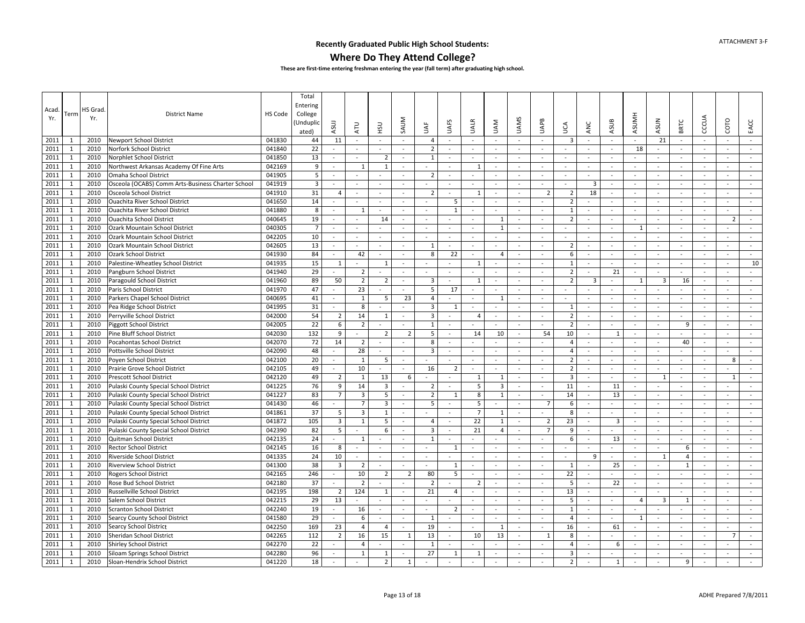### **Where Do They Attend College?**

| Acad.<br>Yr. | Term         | HS Grad<br>Yr. | <b>District Name</b>                              | HS Code | Total<br>Entering<br>College<br>Unduplio)<br>ated) | ASUJ                     | ATU                      | нsи                     | SAUM                     | ξ                   | <b>UAFS</b>              | <b>UALR</b>              | <b>UAM</b>               | <b>UAMS</b>              | <b>UAPB</b>              | Š                       | ANC                      | ASUB                     | <b>ASUMH</b>             | <b>ASUN</b>         | <b>BRTC</b>              | CCCUA          | COTO                     | EACC     |
|--------------|--------------|----------------|---------------------------------------------------|---------|----------------------------------------------------|--------------------------|--------------------------|-------------------------|--------------------------|---------------------|--------------------------|--------------------------|--------------------------|--------------------------|--------------------------|-------------------------|--------------------------|--------------------------|--------------------------|---------------------|--------------------------|----------------|--------------------------|----------|
| 2011         | 1            | 2010           | Newport School District                           | 041830  | 44                                                 | 11                       | $\sim$                   |                         | $\sim$                   | 4                   | $\sim$                   | $\sim$                   |                          |                          | $\sim$                   | 3                       | ÷.                       |                          |                          | 21                  |                          | $\sim$         | $\sim$                   | $\omega$ |
| 2011         | $\mathbf{1}$ | 2010           | Norfork School District                           | 041840  | 22                                                 | $\sim$                   | $\sim$                   | $\sim$                  | $\sim$                   | $\overline{2}$      | $\sim$                   | $\sim$                   | $\sim$                   | $\sim$                   | $\sim$                   | $\sim$                  | $\sim$                   | $\sim$                   | 18                       | $\bar{\phantom{a}}$ | $\sim$                   | $\sim$         | $\sim$                   | $\sim$   |
| 2011         | 1            | 2010           | Norphlet School District                          | 041850  | 13                                                 | $\sim$                   |                          | $\overline{2}$          | $\sim$                   | 1                   | $\sim$                   | $\sim$                   | $\sim$                   | $\sim$                   | $\blacksquare$           |                         |                          | $\sim$                   |                          | $\blacksquare$      |                          |                | $\sim$                   |          |
| 2011         | 1            | 2010           | Northwest Arkansas Academy Of Fine Arts           | 042169  | 9                                                  | $\sim$                   | 1                        | $\overline{1}$          | $\sim$                   | ÷                   | $\sim$                   | 1                        | $\sim$                   | $\sim$                   | $\sim$                   | $\sim$                  | ÷                        | $\sim$                   | $\sim$                   | $\sim$              | $\sim$                   | $\sim$         | $\sim$                   | $\sim$   |
| 2011         | 1            | 2010           | Omaha School District                             | 041905  | 5                                                  | $\blacksquare$           | $\blacksquare$           |                         |                          | 2                   | $\overline{\phantom{a}}$ | $\sim$                   | $\sim$                   | $\sim$                   | $\sim$                   | $\sim$                  | $\bar{a}$                | $\sim$                   |                          | $\blacksquare$      | $\sim$                   | $\sim$         | $\sim$                   | $\sim$   |
| 2011         | $\mathbf{1}$ | 2010           | Osceola (OCABS) Comm Arts-Business Charter School | 041919  | $\overline{3}$                                     | $\blacksquare$           | $\sim$                   | $\sim$                  | $\sim$                   | $\blacksquare$      | $\sim$                   | $\blacksquare$           | $\sim$                   | $\sim$                   | $\blacksquare$           | $\sim$                  | $\overline{\mathbf{3}}$  | $\sim$                   | $\sim$                   | $\blacksquare$      | $\sim$                   | $\blacksquare$ | $\sim$                   | $\sim$   |
| 2011         | $\mathbf{1}$ | 2010           | Osceola School District                           | 041910  | 31                                                 | 4                        | $\overline{\phantom{a}}$ | $\sim$                  | ÷,                       | $\overline{2}$      | $\sim$                   | $\mathbf{1}$             | $\sim$                   |                          | $\overline{2}$           | $\overline{2}$          | 18                       | $\sim$                   |                          | $\omega$            | $\sim$                   | $\omega$       | $\sim$                   | $\sim$   |
| 2011         | $\mathbf{1}$ | 2010           | <b>Ouachita River School District</b>             | 041650  | 14                                                 | $\blacksquare$           | $\overline{\phantom{a}}$ | $\sim$                  | $\sim$                   | $\sim$              | 5                        | $\overline{\phantom{a}}$ | $\sim$                   | $\sim$                   | $\blacksquare$           | $\overline{2}$          | $\omega$                 | $\sim$                   | $\blacksquare$           | $\blacksquare$      | $\sim$                   | $\sim$         | $\sim$                   | $\omega$ |
| 2011         | 1            | 2010           | Ouachita River School District                    | 041880  | 8                                                  | $\sim$                   | $\mathbf{1}$             | $\sim$                  | $\sim$                   | $\sim$              | 1                        | $\overline{\phantom{a}}$ | $\sim$                   | $\sim$                   | $\blacksquare$           | 1                       | $\omega$                 | $\sim$                   | $\sim$                   | $\blacksquare$      | $\sim$                   | $\sim$         | $\sim$                   | $\sim$   |
| 2011         | $\mathbf{1}$ | 2010           | <b>Ouachita School District</b>                   | 040645  | 19                                                 | $\sim$                   | $\sim$                   | 14                      | $\sim$                   | $\sim$              | $\sim$                   | $\sim$                   | 1                        | $\sim$                   | $\sim$                   | $\overline{2}$          | $\sim$                   | $\sim$                   | $\sim$                   | $\sim$              | $\sim$                   | $\sim$         | $\overline{2}$           | $\sim$   |
| 2011         | 1            | 2010           | Ozark Mountain School District                    | 040305  | $\overline{7}$                                     | $\sim$                   | ä,                       |                         | $\sim$                   | $\sim$              | $\sim$                   | $\overline{\phantom{a}}$ | $\mathbf{1}$             | $\sim$                   | $\mathbf{r}$             | $\sim$                  | $\omega$                 | $\sim$                   | $\mathbf{1}$             | $\sim$              | $\sim$                   | $\sim$         |                          | $\sim$   |
| 2011         | $\mathbf{1}$ | 2010           | Ozark Mountain School District                    | 042205  | 10                                                 | $\sim$                   | $\blacksquare$           | $\sim$                  | $\overline{\phantom{a}}$ | $\omega$            | $\sim$                   | $\overline{\phantom{a}}$ | $\sim$                   | $\sim$                   | $\sim$                   | $\sim$                  | $\sim$                   | $\sim$                   |                          | $\omega$            | $\sim$                   | $\sim$         | $\sim$                   | $\sim$   |
| 2011         | 1            | 2010           | Ozark Mountain School District                    | 042605  | 13                                                 | $\sim$                   | $\sim$                   | $\sim$                  | $\sim$                   | $\mathbf{1}$        | $\sim$                   | $\sim$                   | $\sim$                   | $\sim$                   | $\mathbf{r}$             | $\overline{2}$          | $\sim$                   | $\sim$                   | $\sim$                   | $\sim$              | $\sim$                   | $\sim$         | $\sim$                   | $\sim$   |
| 2011         | $\mathbf{1}$ | 2010           | <b>Ozark School District</b>                      | 041930  | 84                                                 | $\blacksquare$           | 42                       | $\sim$                  | $\sim$                   | 8                   | 22                       | $\blacksquare$           | $\overline{4}$           | $\sim$                   | $\blacksquare$           | 6                       | $\blacksquare$           | $\sim$                   | $\sim$                   | $\equiv$            | $\sim$                   | $\blacksquare$ | $\blacksquare$           | $\sim$   |
| 2011         | $\mathbf{1}$ | 2010           | Palestine-Wheatley School District                | 041935  | 15                                                 | $\mathbf{1}$             | $\sim$                   | 1                       | $\sim$                   | $\mathbf{r}$        | $\sim$                   | $\mathbf{1}$             | $\sim$                   | $\sim$                   | $\omega$                 | 1                       | $\sim$                   | $\sim$                   | $\sim$                   | $\omega$            | $\sim$                   | $\blacksquare$ | $\sim$                   | 10       |
| 2011         | $\mathbf{1}$ | 2010           | Pangburn School District                          | 041940  | 29                                                 |                          | $\overline{2}$           |                         | $\blacksquare$           | $\blacksquare$      | $\sim$                   |                          |                          |                          | $\blacksquare$           | $\overline{2}$          | $\bar{\phantom{a}}$      | 21                       |                          |                     | $\sim$                   | $\blacksquare$ | $\blacksquare$           |          |
| 2011         | 1            | 2010           | Paragould School District                         | 041960  | 89                                                 | 50                       | $\overline{2}$           | $\overline{2}$          | $\sim$                   | 3                   | $\sim$                   | 1                        | $\sim$                   | $\sim$                   | $\sim$                   | $\overline{2}$          | 3                        | $\sim$                   | $\mathbf{1}$             | 3                   | 16                       | $\sim$         | $\sim$                   | $\sim$   |
| 2011         | 1            | 2010           | Paris School District                             | 041970  | 47                                                 | $\sim$                   | 23                       | $\sim$                  | $\sim$                   | 5                   | 17                       | $\sim$                   | $\sim$                   | $\sim$                   | $\sim$                   | $\sim$                  | $\overline{\phantom{a}}$ | $\sim$                   |                          |                     |                          | $\omega$       | $\sim$                   | $\sim$   |
| 2011         | 1            | 2010           | Parkers Chapel School District                    | 040695  | 41                                                 | $\sim$                   | 1                        | 5                       | 23                       | $\overline{4}$      | $\sim$                   | $\overline{\phantom{a}}$ | $\mathbf{1}$             | $\overline{\phantom{a}}$ | $\sim$                   | $\sim$                  | $\bar{a}$                | $\sim$                   | $\overline{\phantom{a}}$ | $\bar{\phantom{a}}$ | $\sim$                   | $\sim$         | $\sim$                   | $\sim$   |
| 2011         | $\mathbf{1}$ | 2010           | Pea Ridge School District                         | 041995  | 31                                                 | $\sim$                   | 8                        |                         | $\sim$                   | 3                   | 1                        | $\overline{\phantom{a}}$ | $\sim$                   | $\sim$                   | $\sim$                   | - 1                     | $\sim$                   | $\sim$                   | $\overline{\phantom{a}}$ | $\blacksquare$      | $\sim$                   | $\sim$         | $\sim$                   | $\sim$   |
| 2011         | $\mathbf{1}$ | 2010           | Perryville School District                        | 042000  | 54                                                 | $\overline{2}$           | 14                       | 1                       | $\omega$                 | 3                   | $\sim$                   | 4                        | $\sim$                   | $\sim$                   | $\omega$                 | $\overline{2}$          | $\sim$                   | $\sim$                   | $\sim$                   | $\blacksquare$      | $\sim$                   | $\sim$         | $\sim$                   | $\omega$ |
| 2011         | $\mathbf{1}$ | 2010           | <b>Piggott School District</b>                    | 042005  | 22                                                 | 6                        | $\overline{2}$           |                         | $\sim$                   | $\mathbf{1}$        | $\sim$                   |                          | $\sim$                   | ÷,                       | $\blacksquare$           | $\overline{2}$          | ä,                       | $\sim$                   | $\sim$                   | $\blacksquare$      | 9                        | $\sim$         | $\sim$                   | $\sim$   |
| 2011         | $\mathbf{1}$ | 2010           | Pine Bluff School District                        | 042030  | 132                                                | 9                        | $\blacksquare$           | $\overline{2}$          | $\overline{2}$           | 5                   | $\sim$                   | 14                       | 10                       | $\sim$                   | 54                       | 10                      | $\sim$                   | 1                        | $\sim$                   | $\equiv$            | $\sim$                   | $\blacksquare$ | $\overline{\phantom{a}}$ | $\sim$   |
| 2011         | $\mathbf{1}$ | 2010           | Pocahontas School District                        | 042070  | 72                                                 | 14                       | $\overline{2}$           | $\sim$                  | $\sim$                   | 8                   | $\sim$                   | $\sim$                   | $\sim$                   | $\sim$                   | $\sim$                   | 4                       | ÷                        | $\sim$                   | $\overline{\phantom{a}}$ | $\blacksquare$      | 40                       | $\sim$         | $\sim$                   | $\sim$   |
| 2011         | $\mathbf{1}$ | 2010           | Pottsville School District                        | 042090  | 48                                                 |                          | 28                       | $\sim$                  | $\sim$                   | $\overline{3}$      | $\sim$                   | ÷,                       | $\sim$                   | $\sim$                   | $\omega$                 | 4                       | $\overline{\phantom{a}}$ | $\sim$                   |                          | $\omega$            |                          | $\omega$       | ÷                        | $\sim$   |
| 2011         | 1            | 2010           | Poyen School District                             | 042100  | 20                                                 | $\sim$                   | 1                        | 5                       | $\sim$                   |                     | $\sim$                   | $\sim$                   | $\sim$                   | $\sim$                   | $\sim$                   | $\overline{2}$          | $\sim$                   | $\sim$                   | $\sim$                   | $\sim$              | $\sim$                   | $\sim$         | 8                        | $\sim$   |
| 2011         | $\mathbf{1}$ | 2010           | Prairie Grove School District                     | 042105  | 49                                                 | $\sim$                   | 10                       |                         | $\overline{\phantom{a}}$ | 16                  | $\overline{2}$           | $\blacksquare$           | $\overline{\phantom{a}}$ | $\blacksquare$           | $\overline{\phantom{a}}$ | $\overline{2}$          | $\overline{\phantom{a}}$ | $\sim$                   | $\sim$                   | $\sim$              | $\overline{\phantom{a}}$ | $\blacksquare$ | $\overline{\phantom{a}}$ | $\sim$   |
| 2011         | $\mathbf{1}$ | 2010           | <b>Prescott School District</b>                   | 042120  | 49                                                 | $\overline{2}$           | 1                        | 13                      | 6                        | $\overline{a}$      | $\sim$                   | 1                        | 1                        | $\sim$                   | $\omega$                 | $\overline{\mathbf{3}}$ | $\sim$                   | $\sim$                   | $\sim$                   | 1                   | $\sim$                   | $\omega$       | 1                        | $\sim$   |
| 2011         | $\mathbf{1}$ | 2010           | Pulaski County Special School District            | 041225  | 76                                                 | 9                        | 14                       | $\overline{3}$          | $\sim$                   | $\overline{2}$      | $\sim$                   | 5                        | $\overline{3}$           | $\bar{a}$                | $\omega$                 | 11                      | $\blacksquare$           | 11                       | $\blacksquare$           |                     |                          | $\omega$       |                          |          |
| 2011         | $\mathbf{1}$ | 2010           | Pulaski County Special School District            | 041227  | 83                                                 | $\overline{7}$           | $\overline{3}$           | 5                       | $\omega$                 | $\overline{2}$      | $\mathbf{1}$             | 8                        | $\mathbf{1}$             | $\sim$                   | $\omega$                 | 14                      | $\bar{\phantom{a}}$      | 13                       | $\sim$                   | $\blacksquare$      | $\sim$                   | $\sim$         | $\sim$                   | $\omega$ |
| 2011         | $\mathbf{1}$ | 2010           | Pulaski County Special School District            | 041430  | 46                                                 |                          | $\overline{7}$           | $\overline{\mathbf{3}}$ | $\sim$                   | 5                   | $\blacksquare$           | 5                        | $\sim$                   | $\sim$                   | $\overline{7}$           | 6                       | $\sim$                   | $\sim$                   | $\sim$                   | ÷                   | $\sim$                   | $\sim$         | $\sim$                   | $\sim$   |
| 2011         | $\mathbf{1}$ | 2010           | Pulaski County Special School District            | 041861  | 37                                                 | 5                        | 3                        | $\mathbf{1}$            | $\overline{\phantom{a}}$ | $\sim$              | $\sim$                   | $\overline{7}$           | $\mathbf{1}$             | $\sim$                   | $\sim$                   | 8                       | $\sim$                   | $\sim$                   | $\sim$                   | $\sim$              | $\sim$                   | $\sim$         | $\sim$                   | $\sim$   |
| 2011         | $\mathbf{1}$ | 2010           | Pulaski County Special School District            | 041872  | 105                                                | $\overline{3}$           | $\mathbf{1}$             | 5                       | $\sim$                   | $\overline{4}$      | $\sim$                   | 22                       | $\mathbf{1}$             | $\sim$                   | $\overline{2}$           | 23                      | $\omega$                 | 3                        | $\sim$                   | $\omega$            | $\sim$                   | $\omega$       |                          | $\omega$ |
| 2011         | 1            | 2010           | Pulaski County Special School District            | 042390  | 82                                                 | 5                        |                          | 6                       | $\sim$                   | 3                   | $\sim$                   | 21                       | $\overline{4}$           | $\sim$                   | $\overline{7}$           | 9                       | $\sim$                   | $\sim$                   | $\sim$                   | $\blacksquare$      | $\sim$                   | $\sim$         | $\sim$                   | $\sim$   |
| 2011         | 1            | 2010           | Quitman School District                           | 042135  | 24                                                 |                          | 1                        | $\sim$                  | $\sim$                   | $\mathbf{1}$        | $\sim$                   | $\omega$                 | $\sim$                   | $\sim$                   | $\omega$                 | 6                       | $\omega$                 | 13                       | $\sim$                   | $\sim$              | $\sim$                   | $\omega$       | $\sim$                   | $\sim$   |
| 2011         | $\mathbf{1}$ | 2010           | <b>Rector School District</b>                     | 042145  | 16                                                 | 8                        | $\blacksquare$           | $\sim$                  | $\overline{\phantom{a}}$ | $\bar{\phantom{a}}$ | $\mathbf{1}$             | $\tilde{\phantom{a}}$    | $\sim$                   | $\overline{\phantom{a}}$ | $\sim$                   | $\sim$                  | $\bar{a}$                | $\sim$                   | $\sim$                   | $\bar{\phantom{a}}$ | 6                        | $\sim$         | $\sim$                   | $\sim$   |
| 2011         | $\mathbf{1}$ | 2010           | Riverside School District                         | 041335  | 24                                                 | 10                       | $\blacksquare$           | $\omega$                | $\sim$                   | $\omega$            | $\sim$                   | $\blacksquare$           | $\sim$                   | $\sim$                   | $\omega$                 | $\sim$                  | 9                        | $\omega$                 | $\sim$                   | $\mathbf{1}$        | $\overline{4}$           | $\sim$         | $\sim$                   | $\omega$ |
| 2011         | $\mathbf{1}$ | 2010           | <b>Riverview School District</b>                  | 041300  | 38                                                 | $\overline{\mathbf{3}}$  | $\overline{2}$           | $\sim$                  |                          | L,                  | 1                        | $\bar{\phantom{a}}$      | $\blacksquare$           |                          | $\blacksquare$           | 1                       | $\blacksquare$           | 25                       |                          | $\blacksquare$      | $\mathbf{1}$             | $\blacksquare$ | $\blacksquare$           | $\sim$   |
| 2011         | $\mathbf{1}$ | 2010           | Rogers School District                            | 042165  | 246                                                | $\sim$                   | 10                       | $\overline{2}$          | $\overline{2}$           | 80                  | 5                        | $\overline{a}$           | $\sim$                   | $\sim$                   | $\sim$                   | 22                      | $\sim$                   |                          | $\sim$                   | $\mathbf{r}$        | $\sim$                   | $\sim$         | $\sim$                   | $\sim$   |
| 2011         | $\mathbf{1}$ | 2010           | Rose Bud School District                          | 042180  | 37                                                 |                          | $\overline{2}$           |                         | $\sim$                   | 2                   |                          | $\overline{2}$           | $\sim$                   | $\sim$                   | $\omega$                 | 5                       | $\omega$                 | 22                       |                          | $\omega$            |                          | $\omega$       | $\sim$                   | $\sim$   |
| 2011         | $\mathbf{1}$ | 2010           | Russellville School District                      | 042195  | 198                                                | $\overline{2}$           | 124                      | 1                       | $\sim$                   | 21                  | $\overline{4}$           | $\sim$                   | $\sim$                   | $\sim$                   | $\sim$                   | 13                      | $\sim$                   | $\sim$                   | $\sim$                   | $\sim$              | $\sim$                   | $\sim$         | $\sim$                   | $\sim$   |
| 2011         | $\mathbf{1}$ | 2010           | Salem School District                             | 042215  | 29                                                 | 13                       | $\blacksquare$           |                         | $\sim$                   |                     |                          | $\overline{\phantom{a}}$ | $\sim$                   | $\sim$                   | $\sim$                   | 5                       | $\overline{\phantom{a}}$ | $\sim$                   | $\overline{4}$           | 3                   | 1                        | $\sim$         | $\sim$                   | $\sim$   |
| 2011         | $\mathbf{1}$ | 2010           | <b>Scranton School District</b>                   | 042240  | 19                                                 | $\sim$                   | 16                       | $\sim$                  | $\sim$                   | $\blacksquare$      | $\overline{2}$           | $\overline{\phantom{a}}$ | $\sim$                   | $\sim$                   | $\blacksquare$           | 1                       | $\sim$                   | $\sim$                   |                          |                     | $\sim$                   | $\omega$       | $\sim$                   | $\sim$   |
| 2011         | $\mathbf{1}$ | 2010           | Searcy County School District                     | 041580  | 29                                                 | $\blacksquare$           | 6                        | $\sim$                  | $\sim$                   | 1                   | $\sim$                   | $\overline{\phantom{a}}$ | $\sim$                   | $\sim$                   | $\blacksquare$           | $\overline{4}$          | $\sim$                   | $\overline{\phantom{a}}$ | $\mathbf{1}$             | $\sim$              | $\sim$                   | $\omega$       | $\sim$                   | $\sim$   |
| 2011         | $\mathbf{1}$ | 2010           | Searcy School District                            | 042250  | 169                                                | 23                       | 4                        | $\overline{4}$          | $\sim$                   | 19                  | $\overline{\phantom{a}}$ | $\equiv$                 | 1                        | $\sim$                   | $\equiv$                 | 16                      | $\blacksquare$           | 61                       | $\sim$                   | $\blacksquare$      | $\overline{\phantom{a}}$ | $\blacksquare$ | $\overline{\phantom{a}}$ | $\sim$   |
| 2011         | $\mathbf{1}$ | 2010           | Sheridan School District                          | 042265  | 112                                                | $\overline{2}$           | 16                       | 15                      | 1                        | 13                  | $\sim$                   | 10                       | 13                       | $\sim$                   | 1                        | 8                       | $\sim$                   | $\sim$                   | $\overline{\phantom{a}}$ | $\blacksquare$      | $\sim$                   | $\sim$         | $\overline{7}$           | $\sim$   |
| 2011         | $\mathbf{1}$ | 2010           | <b>Shirley School District</b>                    | 042270  | 22                                                 |                          | $\overline{4}$           |                         | $\sim$                   | $\mathbf{1}$        |                          |                          |                          |                          | ÷.                       | 4                       | $\sim$                   | 6                        | $\sim$                   | ÷.                  | $\sim$                   |                |                          |          |
| 2011         | 1            | 2010           | Siloam Springs School District                    | 042280  | 96                                                 |                          | 1                        | -1                      |                          | 27                  | 1                        | 1                        | $\sim$                   | $\sim$                   | $\sim$                   | 3                       |                          | ÷                        |                          | $\sim$              |                          |                | ÷                        |          |
| 2011         | $\mathbf{1}$ | 2010           | Sloan-Hendrix School District                     | 041220  | 18                                                 | $\overline{\phantom{a}}$ | $\blacksquare$           | $\overline{2}$          | $\mathbf{1}$             |                     |                          | $\sim$                   | $\sim$                   | $\overline{\phantom{a}}$ | $\blacksquare$           | $\overline{2}$          | $\sim$                   | $\mathbf{1}$             | $\sim$                   | $\blacksquare$      | 9                        | $\sim$         | $\blacksquare$           | $\sim$   |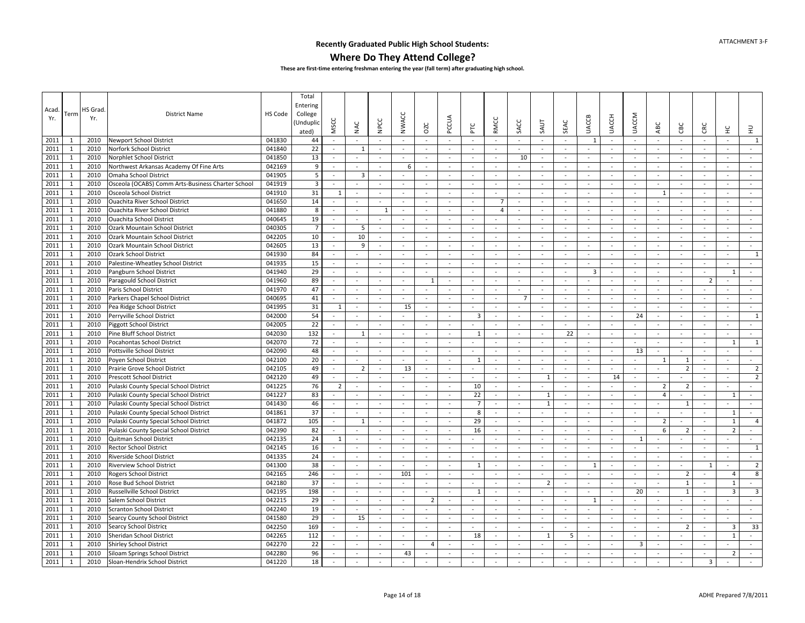### **Where Do They Attend College?**

| Acad | Term         | HS Grad | <b>District Name</b>                              | HS Code | Total<br>Entering<br>College |                          |                          |                          |                          |                          |                          |                          |                |                          |                          |          |                          |              |                          |                |                          |                          |                |                         |
|------|--------------|---------|---------------------------------------------------|---------|------------------------------|--------------------------|--------------------------|--------------------------|--------------------------|--------------------------|--------------------------|--------------------------|----------------|--------------------------|--------------------------|----------|--------------------------|--------------|--------------------------|----------------|--------------------------|--------------------------|----------------|-------------------------|
| Yr.  |              | Yr.     |                                                   |         | Unduplio<br>ated)            | MSCC                     | NAC                      | NPCC                     | <b>NWACC</b>             | OZC                      | PCCUA                    | PLC                      | <b>RMCC</b>    | SACC                     | SAUT                     | SEAC     | <b>UACCB</b>             | <b>UACCH</b> | <b>UACCM</b>             | ABC            | СBC                      | CRC                      | 呈              | 로                       |
| 2011 | 1            | 2010    | Newport School District                           | 041830  | 44                           | $\blacksquare$           |                          |                          | $\sim$                   | $\sim$                   | $\sim$                   | $\overline{a}$           | $\sim$         | $\sim$                   |                          | $\sim$   | 1                        | $\sim$       | $\sim$                   | $\blacksquare$ | $\blacksquare$           | $\bar{\phantom{a}}$      | $\sim$         | $\mathbf{1}$            |
| 2011 | $\mathbf{1}$ | 2010    | Norfork School District                           | 041840  | 22                           | $\sim$                   | $\mathbf{1}$             | $\sim$                   | $\overline{a}$           | $\sim$                   | $\sim$                   | $\sim$                   | $\sim$         | $\sim$                   | $\sim$                   | $\sim$   | $\sim$                   | $\sim$       | $\sim$                   | $\sim$         | $\sim$                   | $\sim$                   | $\sim$         | $\sim$                  |
| 2011 | $\mathbf{1}$ | 2010    | Norphlet School District                          | 041850  | 13                           | $\sim$                   |                          | $\sim$                   |                          | $\sim$                   | $\sim$                   | $\overline{\phantom{a}}$ | $\sim$         | 10                       | $\sim$                   | $\sim$   | ÷.                       | $\sim$       | $\sim$                   | $\sim$         | $\sim$                   | $\overline{\phantom{a}}$ | $\sim$         | $\sim$                  |
| 2011 | $\mathbf{1}$ | 2010    | Northwest Arkansas Academy Of Fine Arts           | 042169  | 9                            | $\sim$                   | $\overline{a}$           | $\sim$                   | 6                        | $\sim$                   | $\sim$                   | ÷.                       | $\sim$         | $\sim$                   | $\sim$                   | $\sim$   | $\sim$                   | $\sim$       | $\sim$                   | $\sim$         | $\sim$                   | $\sim$                   | $\sim$         | $\sim$                  |
| 2011 | 1            | 2010    | Omaha School District                             | 041905  | 5                            | $\sim$                   | 3                        | $\sim$                   | $\sim$                   | $\sim$                   | $\sim$                   | $\sim$                   | $\sim$         | $\sim$                   | $\sim$                   | $\sim$   | $\omega$                 | $\sim$       | $\sim$                   | $\sim$         | $\sim$                   | $\sim$                   | $\sim$         | $\sim$                  |
| 2011 | $\mathbf{1}$ | 2010    | Osceola (OCABS) Comm Arts-Business Charter School | 041919  | $\overline{3}$               | $\bar{a}$                | $\sim$                   | $\sim$                   | $\overline{\phantom{a}}$ | $\sim$                   | $\sim$                   | $\sim$                   | $\sim$         | $\sim$                   | $\sim$                   | $\sim$   | $\sim$                   | $\sim$       | $\sim$                   | $\sim$         | $\sim$                   | $\sim$                   | $\sim$         | $\sim$                  |
| 2011 | 1            | 2010    | Osceola School District                           | 041910  | 31                           | 1                        | $\sim$                   | $\sim$                   | $\sim$                   |                          | $\sim$                   | $\sim$                   | $\sim$         | $\sim$                   |                          | $\sim$   | $\sim$                   | $\sim$       | $\sim$                   | 1              | $\blacksquare$           | $\sim$                   | $\sim$         | $\sim$                  |
| 2011 | $\mathbf{1}$ | 2010    | Ouachita River School District                    | 041650  | 14                           | $\sim$                   | $\overline{\phantom{a}}$ | $\sim$                   | $\sim$                   | $\sim$                   | $\sim$                   | $\overline{\phantom{a}}$ | $\overline{7}$ | $\sim$                   | $\sim$                   | $\sim$   | $\omega$                 | $\sim$       | $\sim$                   | $\bar{a}$      | $\sim$                   | $\overline{\phantom{a}}$ | $\sim$         | $\mathcal{L}$           |
| 2011 | 1            | 2010    | Ouachita River School District                    | 041880  | 8                            | $\sim$                   | $\sim$                   | 1                        | $\sim$                   | $\sim$                   | $\sim$                   |                          | $\overline{4}$ | $\sim$                   | $\sim$                   | $\sim$   | $\sim$                   | $\sim$       | $\sim$                   | $\sim$         | $\sim$                   | ÷,                       | $\sim$         | $\sim$                  |
| 2011 | $\mathbf{1}$ | 2010    | <b>Ouachita School District</b>                   | 040645  | 19                           | $\blacksquare$           | $\overline{\phantom{a}}$ | $\sim$                   | $\overline{\phantom{a}}$ | $\overline{\phantom{a}}$ | $\overline{\phantom{a}}$ | $\overline{\phantom{a}}$ | $\sim$         | $\overline{\phantom{a}}$ | $\blacksquare$           | $\sim$   | $\blacksquare$           | $\sim$       | $\overline{\phantom{a}}$ | $\blacksquare$ | $\overline{\phantom{a}}$ | ÷,                       | $\sim$         | $\blacksquare$          |
| 2011 | $\mathbf{1}$ | 2010    | Ozark Mountain School District                    | 040305  | $\overline{7}$               | $\sim$                   | 5                        | $\sim$                   | $\sim$                   | $\sim$                   | $\sim$                   | $\sim$                   | $\sim$         | $\sim$                   | $\sim$                   | $\sim$   | $\sim$                   | $\sim$       | $\sim$                   | $\sim$         | $\sim$                   | $\sim$                   | $\sim$         | $\sim$                  |
| 2011 | $\mathbf{1}$ | 2010    | Ozark Mountain School District                    | 042205  | 10                           | $\sim$                   | 10                       |                          | ä,                       |                          | $\blacksquare$           | $\overline{\phantom{a}}$ |                | $\sim$                   |                          | $\sim$   | $\sim$                   | $\sim$       | $\sim$                   |                |                          | ÷,                       | $\sim$         | $\sim$                  |
| 2011 | $\mathbf{1}$ | 2010    | Ozark Mountain School District                    | 042605  | 13                           | $\sim$                   | 9                        | $\sim$                   | $\sim$                   | $\sim$                   | $\sim$                   | $\sim$                   | $\sim$         | $\sim$                   | $\sim$                   | $\sim$   | $\sim$                   | $\sim$       | $\sim$                   | $\sim$         | $\sim$                   | $\sim$                   | $\sim$         | $\sim$                  |
| 2011 | 1            | 2010    | <b>Ozark School District</b>                      | 041930  | 84                           | $\sim$                   | $\sim$                   | $\sim$                   | $\sim$                   | $\sim$                   | $\sim$                   | $\sim$                   | $\sim$         | $\sim$                   | $\sim$                   | $\sim$   | $\omega$                 | $\sim$       | $\sim$                   | $\sim$         | $\sim$                   | $\sim$                   | $\sim$         | $\mathbf{1}$            |
| 2011 | $\mathbf{1}$ | 2010    | Palestine-Wheatley School District                | 041935  | 15                           | $\sim$                   | $\sim$                   | $\sim$                   | $\overline{a}$           | $\sim$                   | $\sim$                   | $\sim$                   | $\sim$         | $\overline{\phantom{a}}$ |                          | $\sim$   | $\sim$                   | $\sim$       | $\sim$                   | $\sim$         | $\sim$                   | $\sim$                   | $\sim$         | $\sim$                  |
| 2011 | 1            | 2010    | Pangburn School District                          | 041940  | 29                           | $\bar{a}$                | $\sim$                   | $\sim$                   | $\blacksquare$           | $\sim$                   | $\sim$                   | $\sim$                   |                | $\sim$                   |                          | $\sim$   | 3                        | $\sim$       | $\sim$                   | $\blacksquare$ | $\sim$                   | $\sim$                   | $\overline{1}$ | $\omega$                |
| 2011 | $\mathbf{1}$ | 2010    | Paragould School District                         | 041960  | 89                           | $\mathbf{r}$             | $\sim$                   | $\sim$                   | $\sim$                   | $\mathbf{1}$             | $\sim$                   | ÷.                       | $\sim$         | $\sim$                   | $\sim$                   | $\sim$   | ÷.                       | $\sim$       | $\sim$                   | $\sim$         | $\sim$                   | $\overline{2}$           | $\sim$         | $\sim$                  |
| 2011 | 1            | 2010    | Paris School District                             | 041970  | 47                           | $\sim$                   | $\sim$                   | $\sim$                   | $\overline{\phantom{a}}$ | $\sim$                   | $\sim$                   | $\sim$                   | $\sim$         | $\sim$                   | $\sim$                   | $\sim$   | $\sim$                   | $\sim$       | $\sim$                   | $\sim$         | $\sim$                   | $\overline{\phantom{a}}$ | $\sim$         | $\sim$                  |
| 2011 | $\mathbf{1}$ | 2010    | Parkers Chapel School District                    | 040695  | 41                           | $\bar{a}$                | $\overline{\phantom{a}}$ | $\sim$                   | $\blacksquare$           | $\sim$                   | $\sim$                   | $\overline{\phantom{a}}$ | $\sim$         | $\overline{7}$           | $\overline{\phantom{a}}$ | $\sim$   | $\blacksquare$           | $\sim$       | $\overline{\phantom{a}}$ | $\blacksquare$ | $\overline{\phantom{a}}$ | ÷,                       | $\sim$         | $\sim$                  |
| 2011 | $\mathbf{1}$ | 2010    | Pea Ridge School District                         | 041995  | 31                           | 1                        | $\sim$                   | $\sim$                   | 15                       | $\sim$                   | $\sim$                   | $\sim$                   | $\sim$         | $\sim$                   | $\sim$                   | $\sim$   | $\sim$                   | $\sim$       | ÷.                       | $\sim$         | $\sim$                   | $\sim$                   | $\sim$         | $\sim$                  |
| 2011 | $\mathbf{1}$ | 2010    | Perryville School District                        | 042000  | 54                           |                          | $\sim$                   | $\sim$                   | ä,                       | $\sim$                   | $\sim$                   | $\overline{3}$           | $\sim$         | $\sim$                   | $\sim$                   | $\sim$   | $\omega$                 | $\sim$       | 24                       | $\omega$       | $\sim$                   | $\overline{\phantom{a}}$ | $\sim$         | $\mathbf{1}$            |
| 2011 | 1            | 2010    | Piggott School District                           | 042005  | 22                           | $\sim$                   |                          | $\sim$                   | $\sim$                   | $\sim$                   | $\sim$                   |                          | $\sim$         | $\sim$                   | $\sim$                   | $\sim$   | $\sim$                   | $\sim$       | $\sim$                   | $\sim$         | $\sim$                   | $\ddot{\phantom{1}}$     | $\sim$         | $\sim$                  |
| 2011 | $\mathbf{1}$ | 2010    | Pine Bluff School District                        | 042030  | 132                          | $\sim$                   | 1                        | $\sim$                   | $\sim$                   | $\sim$                   | $\sim$                   | 1                        | $\sim$         | $\sim$                   | $\blacksquare$           | 22       | $\blacksquare$           | $\sim$       | $\overline{\phantom{a}}$ | $\sim$         | $\sim$                   | $\sim$                   | $\sim$         | $\sim$                  |
| 2011 | $\mathbf{1}$ | 2010    | Pocahontas School District                        | 042070  | 72                           | $\sim$                   | $\sim$                   | $\sim$                   | $\sim$                   | $\sim$                   | $\sim$                   | $\bar{a}$                | $\sim$         | $\sim$                   | $\sim$                   | $\sim$   | $\sim$                   | $\sim$       | $\sim$                   | $\sim$         | $\sim$                   | $\sim$                   | $\mathbf{1}$   | $\mathbf{1}$            |
| 2011 | $\mathbf{1}$ | 2010    | Pottsville School District                        | 042090  | 48                           | $\sim$                   | $\overline{\phantom{a}}$ | $\sim$                   | ä,                       | $\sim$                   | $\sim$                   | $\overline{\phantom{a}}$ | $\sim$         | $\sim$                   | $\sim$                   | $\sim$   | $\sim$                   | $\sim$       | 13                       | $\omega$       | $\sim$                   | $\overline{\phantom{a}}$ | $\sim$         | $\sim$                  |
| 2011 | $\mathbf{1}$ | 2010    | Poyen School District                             | 042100  | 20                           | $\sim$                   | $\sim$                   | $\sim$                   | $\sim$                   | $\sim$                   | $\sim$                   | $\mathbf{1}$             | $\sim$         | $\sim$                   | $\sim$                   | $\sim$   | $\sim$                   | $\sim$       | $\sim$                   | $\mathbf{1}$   | 1                        | $\sim$                   | $\sim$         | $\sim$                  |
| 2011 | $\mathbf{1}$ | 2010    | Prairie Grove School District                     | 042105  | 49                           | $\omega$                 | $\overline{2}$           | $\omega$                 | 13                       | $\sim$                   | $\sim$                   | $\blacksquare$           | $\omega$       | $\sim$                   | $\sim$                   | $\omega$ | $\blacksquare$           | $\sim$       | $\sim$                   | $\omega$       | $\overline{2}$           | $\sim$                   | $\blacksquare$ | $\overline{2}$          |
| 2011 | $\mathbf{1}$ | 2010    | Prescott School District                          | 042120  | 49                           | $\sim$                   | $\overline{\phantom{a}}$ | $\sim$                   | $\sim$                   | $\sim$                   | $\sim$                   | $\sim$                   | $\sim$         | $\sim$                   | $\overline{1}$           | $\sim$   | $\blacksquare$           | 14           | $\overline{\phantom{a}}$ | $\blacksquare$ | $\sim$                   | $\sim$                   | $\sim$         | $\overline{2}$          |
| 2011 | 1            | 2010    | Pulaski County Special School District            | 041225  | 76                           | $\overline{2}$           | $\sim$                   | $\sim$                   |                          | $\sim$                   | $\omega$                 | 10                       | $\sim$         | $\sim$                   | $\omega$                 | $\sim$   | ä,                       |              | $\sim$                   | $\overline{2}$ | $\overline{2}$           | $\sim$                   |                | $\sim$                  |
| 2011 | $\mathbf{1}$ | 2010    | Pulaski County Special School District            | 041227  | 83                           | $\sim$                   | $\sim$                   | $\sim$                   | $\sim$                   | $\sim$                   | $\sim$                   | 22                       | $\sim$         | $\sim$                   | $\mathbf{1}$             | $\sim$   | $\sim$                   | $\sim$       | $\sim$                   | $\overline{4}$ | $\sim$                   | $\sim$                   | $\overline{1}$ | $\sim$                  |
| 2011 | 1            | 2010    | Pulaski County Special School District            | 041430  | 46                           | $\sim$                   |                          | $\sim$                   | $\sim$                   | $\sim$                   | $\sim$                   | $\overline{7}$           | $\sim$         | $\sim$                   | $\mathbf{1}$             | $\sim$   | $\sim$                   | $\sim$       | $\sim$                   | $\sim$         | 1                        | $\sim$                   |                | $\sim$                  |
| 2011 | $\mathbf{1}$ | 2010    | Pulaski County Special School District            | 041861  | 37                           | $\sim$                   | $\sim$                   | $\sim$                   | $\sim$                   | $\sim$                   | $\sim$                   | 8                        | $\sim$         | $\sim$                   | $\sim$                   | $\sim$   | $\overline{\phantom{a}}$ | $\sim$       | $\overline{\phantom{a}}$ | $\sim$         | $\sim$                   | $\overline{\phantom{a}}$ | 1              | $\sim$                  |
| 2011 | 1            | 2010    | Pulaski County Special School District            | 041872  | 105                          | $\sim$                   | 1                        | $\sim$                   | $\sim$                   |                          | $\sim$                   | 29                       | $\sim$         | $\sim$                   |                          | $\sim$   | $\sim$                   | $\sim$       | $\sim$                   | $\overline{2}$ | $\sim$                   | $\sim$                   | $\mathbf{1}$   | $\overline{4}$          |
| 2011 | $\mathbf{1}$ | 2010    | Pulaski County Special School District            | 042390  | 82                           | $\sim$                   | $\overline{\phantom{a}}$ | $\sim$                   | $\sim$                   | $\sim$                   | $\sim$                   | 16                       | $\sim$         | $\blacksquare$           | $\sim$                   | $\sim$   | $\sim$                   | $\sim$       | $\sim$                   | 6              | $\overline{2}$           | $\sim$                   | $\overline{2}$ | $\sim$                  |
| 2011 | 1            | 2010    | Quitman School District                           | 042135  | 24                           | 1                        |                          | $\sim$                   | $\sim$                   | $\sim$                   | $\sim$                   |                          | $\sim$         | $\sim$                   | $\sim$                   | $\sim$   | $\sim$                   | $\sim$       | $\mathbf{1}$             | $\sim$         | $\sim$                   | ÷,                       | $\omega$       | $\sim$                  |
| 2011 | $\mathbf{1}$ | 2010    | Rector School District                            | 042145  | 16                           |                          | $\overline{\phantom{a}}$ | $\blacksquare$           | $\bar{a}$                |                          | $\blacksquare$           | $\bar{\phantom{a}}$      | $\sim$         | $\bar{a}$                |                          | $\sim$   | $\blacksquare$           | $\sim$       | $\bar{\phantom{a}}$      |                | $\blacksquare$           | $\bar{\phantom{a}}$      | $\sim$         | $\mathbf{1}$            |
| 2011 | $\mathbf{1}$ | 2010    | Riverside School District                         | 041335  | 24                           | $\sim$                   | $\sim$                   | $\sim$                   | $\sim$                   | $\sim$                   | $\sim$                   | $\bar{a}$                | $\sim$         | $\sim$                   | $\sim$                   | $\sim$   | $\sim$                   | $\sim$       | $\sim$                   | $\bar{a}$      | $\sim$                   | $\sim$                   | $\sim$         | $\sim$                  |
| 2011 | $\mathbf{1}$ | 2010    | Riverview School District                         | 041300  | 38                           | $\sim$                   | $\sim$                   | $\sim$                   |                          |                          | $\omega$                 | $\mathbf{1}$             |                | $\overline{\phantom{a}}$ |                          | $\sim$   | 1                        |              | $\sim$                   | $\frac{1}{2}$  |                          | $\mathbf{1}$             |                | $\overline{2}$          |
| 2011 | $\mathbf{1}$ | 2010    | <b>Rogers School District</b>                     | 042165  | 246                          | $\sim$                   | $\sim$                   | $\sim$                   | 101                      | $\sim$                   | $\sim$                   | $\sim$                   | $\sim$         | $\sim$                   | $\sim$                   | $\sim$   | $\sim$                   | $\sim$       | $\sim$                   | $\sim$         | $\overline{2}$           | $\sim$                   | $\overline{4}$ | 8                       |
| 2011 | 1            | 2010    | Rose Bud School District                          | 042180  | 37                           | $\omega$                 | $\sim$                   | $\sim$                   | $\sim$                   | $\sim$                   | $\sim$                   | $\sim$                   | $\sim$         | $\sim$                   | $\overline{2}$           | $\sim$   | $\omega$                 | $\sim$       | $\sim$                   | $\omega$       | 1                        | $\sim$                   | 1              | $\sim$                  |
| 2011 | $\mathbf{1}$ | 2010    | Russellville School District                      | 042195  | 198                          | $\sim$                   | $\sim$                   | $\sim$                   | $\sim$                   | $\sim$                   | $\sim$                   | $\mathbf{1}$             | $\sim$         | $\sim$                   | $\sim$                   | $\sim$   | $\sim$                   | $\sim$       | 20                       | $\sim$         | $\mathbf{1}$             | $\sim$                   | $\overline{3}$ | $\overline{\mathbf{3}}$ |
| 2011 | 1            | 2010    | Salem School District                             | 042215  | 29                           | $\omega$                 | $\sim$                   | $\sim$                   | $\bar{a}$                | 2                        | $\sim$                   |                          | $\sim$         | $\sim$                   | $\blacksquare$           | $\sim$   | 1                        | $\sim$       | $\sim$                   | $\sim$         |                          | $\sim$                   |                | $\sim$                  |
| 2011 | $\mathbf{1}$ | 2010    | <b>Scranton School District</b>                   | 042240  | 19                           | $\sim$                   |                          | $\sim$                   | $\overline{a}$           |                          | $\sim$                   | $\sim$                   | $\sim$         | $\overline{\phantom{a}}$ | $\sim$                   | $\sim$   | $\blacksquare$           | $\sim$       | $\sim$                   | $\sim$         |                          | $\sim$                   | $\sim$         | $\sim$                  |
| 2011 | 1            | 2010    | Searcy County School District                     | 041580  | 29                           | $\sim$                   | 15                       | $\sim$                   | $\overline{\phantom{a}}$ | $\sim$                   | $\sim$                   | $\overline{\phantom{a}}$ | $\sim$         | $\sim$                   | $\sim$                   | $\sim$   | $\sim$                   | $\sim$       | $\sim$                   | $\sim$         | $\sim$                   | $\sim$                   | $\sim$         | $\sim$                  |
| 2011 | $\mathbf{1}$ | 2010    | Searcy School District                            | 042250  | 169                          |                          | $\overline{\phantom{a}}$ | $\overline{\phantom{a}}$ | ÷,                       | $\sim$                   | $\sim$                   | $\overline{\phantom{a}}$ | $\sim$         | $\overline{\phantom{a}}$ | $\sim$                   | $\sim$   | $\blacksquare$           | $\sim$       | $\overline{\phantom{a}}$ | $\blacksquare$ | $\overline{2}$           | $\sim$                   | $\overline{3}$ | 33                      |
| 2011 | $\mathbf{1}$ | 2010    | Sheridan School District                          | 042265  | 112                          | $\sim$                   | $\sim$                   | $\sim$                   | $\sim$                   | $\sim$                   | $\sim$                   | 18                       | $\sim$         | $\blacksquare$           | 1                        | 5        | $\sim$                   | $\sim$       | $\sim$                   | $\sim$         | $\sim$                   | $\sim$                   | $\mathbf{1}$   | $\sim$                  |
| 2011 | $\mathbf{1}$ | 2010    | Shirley School District                           | 042270  | 22                           | $\omega$                 | $\sim$                   | $\sim$                   |                          | $\overline{4}$           | $\sim$                   |                          | ÷.             | $\sim$                   | $\sim$                   | $\sim$   | $\blacksquare$           | $\sim$       | $\overline{3}$           | $\sim$         |                          | $\sim$                   |                | $\omega$                |
| 2011 | 1            | 2010    | Siloam Springs School District                    | 042280  | 96                           | $\sim$                   |                          | $\sim$                   | 43                       |                          | $\sim$                   |                          |                | $\sim$                   | $\sim$                   | $\sim$   |                          | $\sim$       | ÷.                       |                | $\sim$                   |                          | $\overline{2}$ | $\sim$                  |
| 2011 | $\mathbf{1}$ | 2010    | Sloan-Hendrix School District                     | 041220  | 18                           | $\overline{\phantom{a}}$ | $\sim$                   | $\sim$                   | $\blacksquare$           |                          | $\sim$                   | $\sim$                   | $\sim$         | $\sim$                   | $\blacksquare$           | $\sim$   | $\sim$                   | $\sim$       | $\sim$                   | $\sim$         | $\sim$                   | $\overline{3}$           | $\sim$         | $\sim$                  |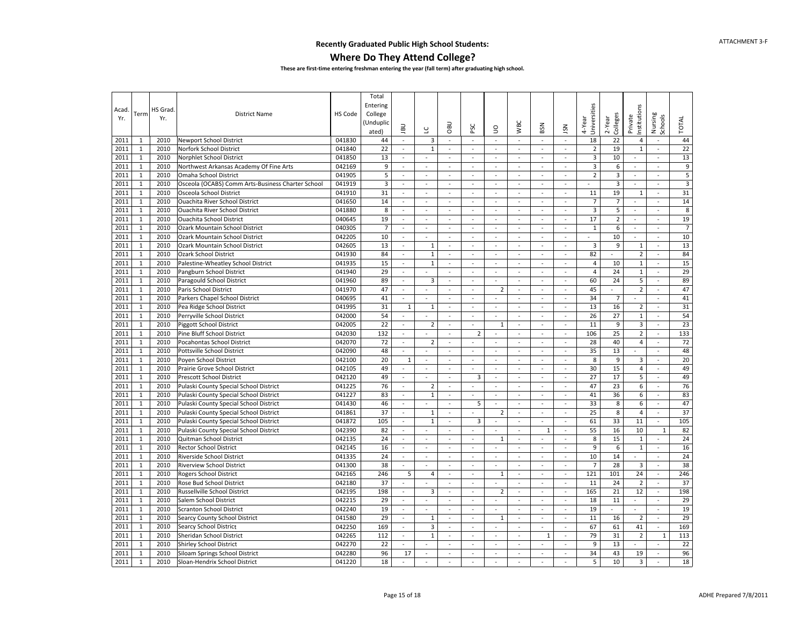#### **Where Do They Attend College?**

| 3<br>18<br>22<br>2011<br>2010<br>041830<br>$\omega$<br>$\omega$<br>ä,<br>4<br>44<br>1<br>Newport School District<br>44<br>$\overline{\phantom{a}}$<br>$\overline{\phantom{a}}$<br>$\blacksquare$<br>$\sim$<br>$\overline{\phantom{a}}$<br>$\mathbf{1}$<br>22<br>$\overline{2}$<br>22<br>2011<br>2010<br>Norfork School District<br>041840<br>$\mathbf{1}$<br>19<br>$\mathbf{1}$<br>$\sim$<br>$\bar{a}$<br>$\sim$<br>$\sim$<br>$\sim$<br>÷.<br>$\sim$<br>$\mathbf{1}$<br>$\overline{\mathbf{3}}$<br>10<br>13<br>2011<br>2010<br>Norphlet School District<br>041850<br>13<br>$\sim$<br>$\sim$<br>$\omega$<br>$\sim$<br>$\bar{\phantom{a}}$<br>$\blacksquare$<br>$\overline{\phantom{a}}$<br>$\sim$<br>$\sim$<br>$\sim$<br>$\overline{9}$<br>9<br>$\overline{3}$<br>6<br>2011<br>$\mathbf{1}$<br>2010<br>Northwest Arkansas Academy Of Fine Arts<br>042169<br>$\sim$<br>$\sim$<br>$\sim$<br>$\sim$<br>$\sim$<br>$\sim$<br>$\overline{\phantom{a}}$<br>$\sim$<br>$\sim$<br>$\bar{a}$<br>$\overline{\mathbf{5}}$<br>5<br>$\overline{2}$<br>3<br>2011<br>$1\,$<br>2010<br>Omaha School District<br>041905<br>$\overline{\phantom{a}}$<br>$\blacksquare$<br>$\overline{\phantom{a}}$<br>$\overline{\phantom{a}}$<br>$\sim$<br>$\sim$<br>$\sim$<br>$\overline{\phantom{a}}$<br>$\overline{\phantom{a}}$<br>÷,<br>$\mathsf 3$<br>2011<br>$\mathbf{1}$<br>2010<br>041919<br>3<br>3<br>Osceola (OCABS) Comm Arts-Business Charter School<br>$\sim$<br>$\blacksquare$<br>$\omega$<br>$\sim$<br>$\overline{\phantom{a}}$<br>$\sim$<br>$\overline{\phantom{a}}$<br>$\overline{\phantom{a}}$<br>$\overline{\phantom{a}}$<br>$\sim$<br>$\sim$<br>$\mathbf{1}$<br>31<br>19<br>31<br>2011<br>2010<br>11<br>Osceola School District<br>041910<br>$\mathbf{1}$<br>$\bar{a}$<br>$\sim$<br>$\overline{\phantom{a}}$<br>$\sim$<br>$\sim$<br>$\bar{a}$<br>ä,<br>$\bar{\phantom{a}}$<br>÷,<br>2011<br>$\mathbf{1}$<br>$\overline{7}$<br>$\overline{7}$<br>14<br>2010<br><b>Ouachita River School District</b><br>041650<br>14<br>$\sim$<br>$\mathcal{L}$<br>$\omega$<br>÷.<br>$\sim$<br>$\sim$<br>$\sim$<br>$\mathbf{r}$<br>$\sim$<br>$\overline{\phantom{a}}$<br>8<br>$\overline{3}$<br>8<br>$\mathbf{1}$<br>5<br>2011<br>2010<br>041880<br><b>Ouachita River School District</b><br>$\omega$<br>$\sim$<br>$\omega$<br>$\omega$<br>$\omega$<br>$\omega$<br>$\sim$<br>$\omega$<br>$\sim$<br>$\sim$<br>$\mathbf{1}$<br>19<br>17<br>$\mathbf 2$<br>19<br>2011<br>2010<br>040645<br><b>Ouachita School District</b><br>$\omega$<br>$\sim$<br>$\sim$<br>$\overline{\phantom{a}}$<br>$\sim$<br>$\overline{\phantom{a}}$<br>$\overline{\phantom{a}}$<br>$\sim$<br>$\sim$<br>$\blacksquare$<br>$\overline{7}$<br>$\overline{7}$<br>2011<br>$1\,$<br>2010<br>040305<br>$\mathbf{1}$<br>6<br>Ozark Mountain School District<br>$\omega$<br>$\omega$<br>$\omega$<br>$\omega$<br>$\omega$<br>$\omega$<br>ä,<br>$\omega$<br>ä,<br>$\omega$<br>$\mathbf 1$<br>10<br>10<br>10<br>2011<br>2010<br>042205<br>Ozark Mountain School District<br>$\overline{\phantom{a}}$<br>ä,<br>$\overline{\phantom{a}}$<br>$\overline{\phantom{a}}$<br>$\bar{a}$<br>$\bar{z}$<br>$\sim$<br>$\Box$<br>÷,<br>$\bar{\phantom{a}}$<br>ä,<br>2011<br>$\mathbf{1}$<br>2010<br>Ozark Mountain School District<br>13<br>3<br>9<br>13<br>042605<br>$\omega$<br>$\mathbf 1$<br>$\omega$<br>$\omega$<br>$\omega$<br>$\omega$<br>$\omega$<br>$\omega$<br>$\mathbf 1$<br>$\omega$<br>$\overline{2}$<br>$\mathbf{1}$<br>84<br>$\mathbf 1$<br>82<br>84<br>2011<br>2010<br>Ozark School District<br>041930<br>$\overline{a}$<br>$\omega$<br>$\omega$<br>ä,<br>$\bar{a}$<br>$\bar{a}$<br>ä,<br>$\blacksquare$<br>$\omega$<br>$\mathbf{1}$<br>$\mathbf 1$<br>15<br>2011<br>2010<br>Palestine-Wheatley School District<br>041935<br>15<br>4<br>10<br>$\mathbf{1}$<br>$\mathcal{L}$<br>$\sim$<br>$\sim$<br>$\sim$<br>$\sim$<br>$\sim$<br>$\sim$<br>÷.<br>$\mathbf{1}$<br>29<br>$\mathbf{1}$<br>29<br>2011<br>2010<br>Pangburn School District<br>$\overline{4}$<br>24<br>041940<br>$\bar{a}$<br>÷,<br>$\sim$<br>$\omega$<br>$\bar{a}$<br>ä,<br>L.<br>$\bar{\phantom{a}}$<br>$\mathbf{1}$<br>89<br>3<br>89<br>2011<br>2010<br>Paragould School District<br>041960<br>$\omega$<br>$\mathcal{L}$<br>60<br>24<br>5<br>$\sim$<br>$\sim$<br>$\sim$<br>$\sim$<br>$\sim$<br>$\bar{a}$<br>47<br>$\overline{2}$<br>47<br>2011<br>$\mathbf{1}$<br>041970<br>$\overline{2}$<br>45<br>2010<br>Paris School District<br>$\blacksquare$<br>$\sim$<br>$\sim$<br>$\sim$<br>$\bar{a}$<br>$\sim$<br>$\blacksquare$<br>$\sim$<br>$\bar{a}$<br>2011<br>$\mathbf{1}$<br>2010<br>040695<br>41<br>34<br>$\overline{7}$<br>41<br>Parkers Chapel School District<br>$\overline{\phantom{a}}$<br>$\blacksquare$<br>$\omega$<br>$\Box$<br>$\overline{\phantom{a}}$<br>$\blacksquare$<br>$\blacksquare$<br>$\blacksquare$<br>$\blacksquare$<br>$\blacksquare$<br>$\mathbf{1}$<br>31<br>13<br>16<br>31<br>2011<br>2010<br>Pea Ridge School District<br>041995<br>$\mathbf{1}$<br>$1\,$<br>$\omega$<br>$\overline{2}$<br>$\blacksquare$<br>$\sim$<br>$\bar{a}$<br>ä,<br>$\bar{\phantom{a}}$<br>$\bar{a}$<br>2011<br>$\mathbf{1}$<br>2010<br>042000<br>54<br>26<br>27<br>$\mathbf 1$<br>54<br>Perryville School District<br>$\omega$<br>$\mathcal{L}$<br>ä,<br>$\sim$<br>$\sim$<br>$\bar{a}$<br>$\overline{\phantom{a}}$<br>$\blacksquare$<br>22<br>23<br>$\mathbf{1}$<br>11<br>9<br>3<br>2011<br>2010<br>Piggott School District<br>042005<br>$\overline{2}$<br>$\sim$<br>$\sim$<br>$\sim$<br>$\mathbf{1}$<br>$\sim$<br>$\sim$<br>$\sim$<br>$\sim$<br>25<br>$\overline{2}$<br>133<br>2011<br>$\mathbf{1}$<br>2010<br>Pine Bluff School District<br>132<br>$\overline{2}$<br>106<br>042030<br>$\sim$<br>÷,<br>$\omega$<br>$\blacksquare$<br>$\sim$<br>$\sim$<br>$\sim$<br>$\blacksquare$<br>2011<br>$\mathbf{1}$<br>2010<br>Pocahontas School District<br>042070<br>72<br>$\overline{2}$<br>28<br>40<br>$\overline{4}$<br>72<br>$\omega$<br>$\sim$<br>$\omega$<br>$\omega$<br>$\blacksquare$<br>$\omega$<br>$\omega$<br>$\sim$<br>$\mathbf 1$<br>35<br>13<br>2011<br>2010<br>042090<br>48<br>48<br>Pottsville School District<br>$\bar{a}$<br>$\Box$<br>÷,<br>÷,<br>ä,<br>L<br>÷,<br>$\sim$<br>$\blacksquare$<br>20<br>20<br>2011<br>$\mathbf{1}$<br>2010<br>042100<br>8<br>9<br>3<br>Poyen School District<br>$1\,$<br>$\omega$<br>$\omega$<br>$\omega$<br>$\omega$<br>$\omega$<br>$\omega$<br>ä,<br>ä,<br>49<br>15<br>49<br>2011<br>$\mathbf{1}$<br>2010<br>30<br>$\overline{4}$<br>Prairie Grove School District<br>042105<br>$\overline{\phantom{a}}$<br>$\overline{\phantom{a}}$<br>$\omega$<br>$\omega$<br>$\omega$<br>$\overline{\phantom{a}}$<br>$\overline{\phantom{a}}$<br>$\overline{\phantom{a}}$<br>$\blacksquare$<br>$\mathbf{1}$<br>2010<br>042120<br>49<br>3<br>27<br>17<br>49<br>2011<br><b>Prescott School District</b><br>5<br>$\omega$<br>$\omega$<br>$\sim$<br>$\overline{\phantom{a}}$<br>$\sim$<br>$\sim$<br>$\sim$<br>$\sim$<br>76<br>2011<br>$\mathbf{1}$<br>76<br>$\overline{2}$<br>47<br>23<br>6<br>2010<br>Pulaski County Special School District<br>041225<br>$\bar{a}$<br>÷,<br>$\bar{\phantom{a}}$<br>$\omega$<br>$\bar{a}$<br>$\overline{\phantom{a}}$<br>$\bar{\phantom{a}}$<br>$\bar{a}$<br>$\mathbf{1}$<br>2010<br>83<br>83<br>2011<br>Pulaski County Special School District<br>041227<br>$1\,$<br>$\omega$<br>÷.<br>$\mathcal{L}$<br>41<br>36<br>6<br>$\sim$<br>$\bar{a}$<br>$\sim$<br>$\blacksquare$<br>$\sim$<br>33<br>8<br>6<br>47<br>2011<br>$\mathbf{1}$<br>2010<br>46<br>5<br>Pulaski County Special School District<br>041430<br>$\omega$<br>$\sim$<br>$\omega$<br>$\sim$<br>$\sim$<br>$\sim$<br>$\omega$<br>$\sim$<br>2011<br>$\mathbf{1}$<br>2010<br>37<br>$\mathbf 1$<br>$\overline{2}$<br>25<br>8<br>$\overline{4}$<br>37<br>Pulaski County Special School District<br>041861<br>$\overline{\phantom{a}}$<br>$\sim$<br>$\omega$<br>ä,<br>$\blacksquare$<br>ä,<br>$\blacksquare$<br>$\mathbf{1}$<br>105<br>$\mathbf 1$<br>3<br>61<br>33<br>105<br>2011<br>2010<br>Pulaski County Special School District<br>041872<br>11<br>$\omega$<br>$\blacksquare$<br>$\sim$<br>$\sim$<br>$\Box$<br>÷,<br>$\blacksquare$<br>2011<br>$\mathbf{1}$<br>2010<br>042390<br>82<br>55<br>16<br>10<br>82<br>Pulaski County Special School District<br>÷,<br>$\mathbb{Z}$<br>$\mathbf{r}$<br>$\mathbf{1}$<br>ä,<br>$\mathbf{1}$<br>$\sim$<br>$\sim$<br>$\bar{a}$<br>24<br>8<br>15<br>24<br>$\mathbf{1}$<br>2010<br>2011<br>Quitman School District<br>042135<br>$\mathbf{1}$<br>$\sim$<br>$\sim$<br>$\sim$<br>$\sim$<br>1<br>$\sim$<br>$\mathbf{r}$<br>$\sim$<br>$\mathbf{r}$<br>9<br>6<br>16<br>2011<br>$\mathbf{1}$<br>2010<br>16<br>$\mathbf{1}$<br><b>Rector School District</b><br>042145<br>$\sim$<br>$\sim$<br>÷,<br>$\sim$<br>$\sim$<br>$\sim$<br>$\overline{\phantom{a}}$<br>L.<br>$\overline{\phantom{a}}$<br>$\mathbf{1}$<br>24<br>2011<br>2010<br>Riverside School District<br>041335<br>10<br>14<br>24<br>$\sim$<br>$\sim$<br>$\sim$<br>$\sim$<br>$\omega$<br>$\sim$<br>$\omega$<br>$\sim$<br>$\sim$<br>$\sim$<br>$\mathbf 1$<br>38<br>$\overline{7}$<br>28<br>38<br>2010<br>$\overline{3}$<br>2011<br><b>Riverview School District</b><br>041300<br>$\bar{\phantom{a}}$<br>÷,<br>$\sim$<br>÷,<br>L.<br>÷,<br>$\sim$<br>24<br>246<br>2011<br>$\mathbf{1}$<br>2010<br><b>Rogers School District</b><br>042165<br>246<br>5<br>4<br>$1\,$<br>121<br>101<br>$\overline{a}$<br>$\sim$<br>$\omega$<br>$\mathbf{r}$<br>ä,<br>$\sim$<br>$\mathbf 1$<br>37<br>24<br>$\overline{2}$<br>37<br>2011<br>2010<br>11<br>Rose Bud School District<br>042180<br>$\omega$<br>$\blacksquare$<br>$\sim$<br>$\sim$<br>$\sim$<br>$\blacksquare$<br>$\sim$<br>$\sim$<br>$\bar{a}$<br>2011<br>$\mathbf{1}$<br>2010<br>042195<br>198<br>3<br>$\overline{2}$<br>165<br>21<br>12<br>198<br>Russellville School District<br>$\sim$<br>$\omega$<br>$\sim$<br>$\omega$<br>$\omega$<br>$\omega$<br>$\sim$<br>$\mathbf{1}$<br>29<br>11<br>2011<br>2010<br>Salem School District<br>042215<br>18<br>29<br>$\sim$<br>$\omega$<br>$\sim$<br>$\omega$<br>$\sim$<br>$\omega$<br>$\mathbf{r}$<br>$\blacksquare$<br>$\sim$<br>$\omega$<br>$1\,$<br>19<br>19<br>19<br>2011<br>2010<br><b>Scranton School District</b><br>042240<br>ä,<br>$\overline{a}$<br>$\overline{\phantom{a}}$<br>$\bar{a}$<br>$\sim$<br>$\sim$<br>$\bar{a}$<br>ä,<br>$\blacksquare$<br>$\blacksquare$<br>29<br>29<br>2011<br>$\mathbf{1}$<br>2010<br>Searcy County School District<br>041580<br>11<br>16<br>$\overline{2}$<br>$\sim$<br>$\mathbf{1}$<br>$\omega$<br>$\omega$<br>1<br>$\omega$<br>$\omega$<br>$\bar{\phantom{a}}$<br>$\omega$<br>169<br>3<br>67<br>169<br>2011<br>$\mathbf{1}$<br>2010<br>61<br>41<br>Searcy School District<br>042250<br>$\overline{\phantom{a}}$<br>$\omega$<br>$\omega$<br>$\omega$<br>$\overline{\phantom{a}}$<br>$\overline{\phantom{a}}$<br>$\overline{\phantom{a}}$<br>$\overline{\phantom{a}}$<br>2011<br>$\mathbf{1}$<br>2010<br>042265<br>112<br>$\mathbf 1$<br>79<br>31<br>$\overline{2}$<br>$\mathbf{1}$<br>113<br>Sheridan School District<br>$\omega$<br>$\omega$<br>$\mathbf{1}$<br>$\sim$<br>$\sim$<br>$\bar{a}$<br>$\bar{\phantom{a}}$<br>2011<br>$1\,$<br>042270<br>22<br>9<br>13<br>22<br>2010<br>Shirley School District<br>÷,<br>$\bar{z}$<br>$\overline{\phantom{a}}$<br>$\overline{a}$<br>$\blacksquare$<br>$\blacksquare$<br>$\overline{a}$<br>ä,<br>2010<br>96<br>34<br>43<br>19<br>96<br>2011<br>$\mathbf{1}$<br>Siloam Springs School District<br>042280<br>17<br>$\omega$<br>$\omega$<br>$\mathcal{L}$<br>$\mathcal{L}$<br>$\omega$<br>÷.<br>÷.<br>$\sim$<br>18<br>5<br>10<br>$\overline{3}$<br>18<br>2011<br>$\mathbf{1}$<br>2010<br>Sloan-Hendrix School District<br>041220<br>$\omega$<br>$\bar{\phantom{a}}$<br>$\overline{\phantom{a}}$<br>$\omega$<br>$\sim$<br>$\sim$<br>$\sim$<br>$\overline{\phantom{a}}$<br>$\overline{\phantom{a}}$ | Acad<br>Yr. | Term | HS Grad<br>Yr. | <b>District Name</b> | HS Code | Total<br>Entering<br>College<br>Unduplic)<br>ated) | <b>UBL</b> | $\overline{a}$ | OBU | PSC | S | <b>WBC</b> | BSN | <b>NSL</b> | Universities<br>4-Year | Colleges<br>2-Year | nstitutions<br>Private | Nursing<br>Schools | <b>TOTAL</b> |
|---------------------------------------------------------------------------------------------------------------------------------------------------------------------------------------------------------------------------------------------------------------------------------------------------------------------------------------------------------------------------------------------------------------------------------------------------------------------------------------------------------------------------------------------------------------------------------------------------------------------------------------------------------------------------------------------------------------------------------------------------------------------------------------------------------------------------------------------------------------------------------------------------------------------------------------------------------------------------------------------------------------------------------------------------------------------------------------------------------------------------------------------------------------------------------------------------------------------------------------------------------------------------------------------------------------------------------------------------------------------------------------------------------------------------------------------------------------------------------------------------------------------------------------------------------------------------------------------------------------------------------------------------------------------------------------------------------------------------------------------------------------------------------------------------------------------------------------------------------------------------------------------------------------------------------------------------------------------------------------------------------------------------------------------------------------------------------------------------------------------------------------------------------------------------------------------------------------------------------------------------------------------------------------------------------------------------------------------------------------------------------------------------------------------------------------------------------------------------------------------------------------------------------------------------------------------------------------------------------------------------------------------------------------------------------------------------------------------------------------------------------------------------------------------------------------------------------------------------------------------------------------------------------------------------------------------------------------------------------------------------------------------------------------------------------------------------------------------------------------------------------------------------------------------------------------------------------------------------------------------------------------------------------------------------------------------------------------------------------------------------------------------------------------------------------------------------------------------------------------------------------------------------------------------------------------------------------------------------------------------------------------------------------------------------------------------------------------------------------------------------------------------------------------------------------------------------------------------------------------------------------------------------------------------------------------------------------------------------------------------------------------------------------------------------------------------------------------------------------------------------------------------------------------------------------------------------------------------------------------------------------------------------------------------------------------------------------------------------------------------------------------------------------------------------------------------------------------------------------------------------------------------------------------------------------------------------------------------------------------------------------------------------------------------------------------------------------------------------------------------------------------------------------------------------------------------------------------------------------------------------------------------------------------------------------------------------------------------------------------------------------------------------------------------------------------------------------------------------------------------------------------------------------------------------------------------------------------------------------------------------------------------------------------------------------------------------------------------------------------------------------------------------------------------------------------------------------------------------------------------------------------------------------------------------------------------------------------------------------------------------------------------------------------------------------------------------------------------------------------------------------------------------------------------------------------------------------------------------------------------------------------------------------------------------------------------------------------------------------------------------------------------------------------------------------------------------------------------------------------------------------------------------------------------------------------------------------------------------------------------------------------------------------------------------------------------------------------------------------------------------------------------------------------------------------------------------------------------------------------------------------------------------------------------------------------------------------------------------------------------------------------------------------------------------------------------------------------------------------------------------------------------------------------------------------------------------------------------------------------------------------------------------------------------------------------------------------------------------------------------------------------------------------------------------------------------------------------------------------------------------------------------------------------------------------------------------------------------------------------------------------------------------------------------------------------------------------------------------------------------------------------------------------------------------------------------------------------------------------------------------------------------------------------------------------------------------------------------------------------------------------------------------------------------------------------------------------------------------------------------------------------------------------------------------------------------------------------------------------------------------------------------------------------------------------------------------------------------------------------------------------------------------------------------------------------------------------------------------------------------------------------------------------------------------------------------------------------------------------------------------------------------------------------------------------------------------------------------------------------------------------------------------------------------------------------------------------------------------------------------------------------------------------------------------------------------------------------------------------------------------------------------------------------------------------------------------------------------------------------------------------------------------------------------------------------------------------------------------------------------------------------------------------------------------------------------------------------------------------------------------------------------------------------------------------------------------------------------------------------------------------------------------------------------------------------------------------------------------------------------------------------------------------------------------------------------------------------------------------------------------------------------------------------------------------------------------------------------------------------------------------------------------------------------------------------------------------------------------------------------------------------------------------------------------------------------------------------------------------------------------------------------------------------------------------------------------------------------------------------------------------------------------------------------------------------------------------------------------------------------------------------------------------------------------------------------------------------------------------------------------------------------------------------------------------------------------------------------------------------------------------------------------------------------------------------------------------------------------------------------------------------------------------------------------------------------------------------------------------------------------------------------------------------------------------------------------------------------------------------------------------------------------------------------------------------------------------------------------------------------------------------------------------------------------------------------------------------------------------------------------------------------------------------------------------------------------------------------------------------------------------------------------------------------------------------------------------------------------------------------------------------------------------------------------------------------------------------------------------------------------------------------------------------------------------------------------------------------------------------------------------------------------------------------------------------------------------------------------------------------------------------------------------------------------------------------------------------------------------------------------------------------------------------------------------------------------------------------------------------------------------------------------------------------------------------------------------------------------------------------|-------------|------|----------------|----------------------|---------|----------------------------------------------------|------------|----------------|-----|-----|---|------------|-----|------------|------------------------|--------------------|------------------------|--------------------|--------------|
|                                                                                                                                                                                                                                                                                                                                                                                                                                                                                                                                                                                                                                                                                                                                                                                                                                                                                                                                                                                                                                                                                                                                                                                                                                                                                                                                                                                                                                                                                                                                                                                                                                                                                                                                                                                                                                                                                                                                                                                                                                                                                                                                                                                                                                                                                                                                                                                                                                                                                                                                                                                                                                                                                                                                                                                                                                                                                                                                                                                                                                                                                                                                                                                                                                                                                                                                                                                                                                                                                                                                                                                                                                                                                                                                                                                                                                                                                                                                                                                                                                                                                                                                                                                                                                                                                                                                                                                                                                                                                                                                                                                                                                                                                                                                                                                                                                                                                                                                                                                                                                                                                                                                                                                                                                                                                                                                                                                                                                                                                                                                                                                                                                                                                                                                                                                                                                                                                                                                                                                                                                                                                                                                                                                                                                                                                                                                                                                                                                                                                                                                                                                                                                                                                                                                                                                                                                                                                                                                                                                                                                                                                                                                                                                                                                                                                                                                                                                                                                                                                                                                                                                                                                                                                                                                                                                                                                                                                                                                                                                                                                                                                                                                                                                                                                                                                                                                                                                                                                                                                                                                                                                                                                                                                                                                                                                                                                                                                                                                                                                                                                                                                                                                                                                                                                                                                                                                                                                                                                                                                                                                                                                                                                                                                                                                                                                                                                                                                                                                                                                                                                                                                                                                                                                                                                                                                                                                                                                                                                                                                                                                                                                                                                                                                                                                                                                                                                                                                                                                                                                                                                                                                                                                                                                                                                                                                                                                                                                                                                                                                                                                                                                                                                                                                                                                                                                                                                                                     |             |      |                |                      |         |                                                    |            |                |     |     |   |            |     |            |                        |                    |                        |                    |              |
|                                                                                                                                                                                                                                                                                                                                                                                                                                                                                                                                                                                                                                                                                                                                                                                                                                                                                                                                                                                                                                                                                                                                                                                                                                                                                                                                                                                                                                                                                                                                                                                                                                                                                                                                                                                                                                                                                                                                                                                                                                                                                                                                                                                                                                                                                                                                                                                                                                                                                                                                                                                                                                                                                                                                                                                                                                                                                                                                                                                                                                                                                                                                                                                                                                                                                                                                                                                                                                                                                                                                                                                                                                                                                                                                                                                                                                                                                                                                                                                                                                                                                                                                                                                                                                                                                                                                                                                                                                                                                                                                                                                                                                                                                                                                                                                                                                                                                                                                                                                                                                                                                                                                                                                                                                                                                                                                                                                                                                                                                                                                                                                                                                                                                                                                                                                                                                                                                                                                                                                                                                                                                                                                                                                                                                                                                                                                                                                                                                                                                                                                                                                                                                                                                                                                                                                                                                                                                                                                                                                                                                                                                                                                                                                                                                                                                                                                                                                                                                                                                                                                                                                                                                                                                                                                                                                                                                                                                                                                                                                                                                                                                                                                                                                                                                                                                                                                                                                                                                                                                                                                                                                                                                                                                                                                                                                                                                                                                                                                                                                                                                                                                                                                                                                                                                                                                                                                                                                                                                                                                                                                                                                                                                                                                                                                                                                                                                                                                                                                                                                                                                                                                                                                                                                                                                                                                                                                                                                                                                                                                                                                                                                                                                                                                                                                                                                                                                                                                                                                                                                                                                                                                                                                                                                                                                                                                                                                                                                                                                                                                                                                                                                                                                                                                                                                                                                                                                                                     |             |      |                |                      |         |                                                    |            |                |     |     |   |            |     |            |                        |                    |                        |                    |              |
|                                                                                                                                                                                                                                                                                                                                                                                                                                                                                                                                                                                                                                                                                                                                                                                                                                                                                                                                                                                                                                                                                                                                                                                                                                                                                                                                                                                                                                                                                                                                                                                                                                                                                                                                                                                                                                                                                                                                                                                                                                                                                                                                                                                                                                                                                                                                                                                                                                                                                                                                                                                                                                                                                                                                                                                                                                                                                                                                                                                                                                                                                                                                                                                                                                                                                                                                                                                                                                                                                                                                                                                                                                                                                                                                                                                                                                                                                                                                                                                                                                                                                                                                                                                                                                                                                                                                                                                                                                                                                                                                                                                                                                                                                                                                                                                                                                                                                                                                                                                                                                                                                                                                                                                                                                                                                                                                                                                                                                                                                                                                                                                                                                                                                                                                                                                                                                                                                                                                                                                                                                                                                                                                                                                                                                                                                                                                                                                                                                                                                                                                                                                                                                                                                                                                                                                                                                                                                                                                                                                                                                                                                                                                                                                                                                                                                                                                                                                                                                                                                                                                                                                                                                                                                                                                                                                                                                                                                                                                                                                                                                                                                                                                                                                                                                                                                                                                                                                                                                                                                                                                                                                                                                                                                                                                                                                                                                                                                                                                                                                                                                                                                                                                                                                                                                                                                                                                                                                                                                                                                                                                                                                                                                                                                                                                                                                                                                                                                                                                                                                                                                                                                                                                                                                                                                                                                                                                                                                                                                                                                                                                                                                                                                                                                                                                                                                                                                                                                                                                                                                                                                                                                                                                                                                                                                                                                                                                                                                                                                                                                                                                                                                                                                                                                                                                                                                                                                                                     |             |      |                |                      |         |                                                    |            |                |     |     |   |            |     |            |                        |                    |                        |                    |              |
|                                                                                                                                                                                                                                                                                                                                                                                                                                                                                                                                                                                                                                                                                                                                                                                                                                                                                                                                                                                                                                                                                                                                                                                                                                                                                                                                                                                                                                                                                                                                                                                                                                                                                                                                                                                                                                                                                                                                                                                                                                                                                                                                                                                                                                                                                                                                                                                                                                                                                                                                                                                                                                                                                                                                                                                                                                                                                                                                                                                                                                                                                                                                                                                                                                                                                                                                                                                                                                                                                                                                                                                                                                                                                                                                                                                                                                                                                                                                                                                                                                                                                                                                                                                                                                                                                                                                                                                                                                                                                                                                                                                                                                                                                                                                                                                                                                                                                                                                                                                                                                                                                                                                                                                                                                                                                                                                                                                                                                                                                                                                                                                                                                                                                                                                                                                                                                                                                                                                                                                                                                                                                                                                                                                                                                                                                                                                                                                                                                                                                                                                                                                                                                                                                                                                                                                                                                                                                                                                                                                                                                                                                                                                                                                                                                                                                                                                                                                                                                                                                                                                                                                                                                                                                                                                                                                                                                                                                                                                                                                                                                                                                                                                                                                                                                                                                                                                                                                                                                                                                                                                                                                                                                                                                                                                                                                                                                                                                                                                                                                                                                                                                                                                                                                                                                                                                                                                                                                                                                                                                                                                                                                                                                                                                                                                                                                                                                                                                                                                                                                                                                                                                                                                                                                                                                                                                                                                                                                                                                                                                                                                                                                                                                                                                                                                                                                                                                                                                                                                                                                                                                                                                                                                                                                                                                                                                                                                                                                                                                                                                                                                                                                                                                                                                                                                                                                                                                                                     |             |      |                |                      |         |                                                    |            |                |     |     |   |            |     |            |                        |                    |                        |                    |              |
|                                                                                                                                                                                                                                                                                                                                                                                                                                                                                                                                                                                                                                                                                                                                                                                                                                                                                                                                                                                                                                                                                                                                                                                                                                                                                                                                                                                                                                                                                                                                                                                                                                                                                                                                                                                                                                                                                                                                                                                                                                                                                                                                                                                                                                                                                                                                                                                                                                                                                                                                                                                                                                                                                                                                                                                                                                                                                                                                                                                                                                                                                                                                                                                                                                                                                                                                                                                                                                                                                                                                                                                                                                                                                                                                                                                                                                                                                                                                                                                                                                                                                                                                                                                                                                                                                                                                                                                                                                                                                                                                                                                                                                                                                                                                                                                                                                                                                                                                                                                                                                                                                                                                                                                                                                                                                                                                                                                                                                                                                                                                                                                                                                                                                                                                                                                                                                                                                                                                                                                                                                                                                                                                                                                                                                                                                                                                                                                                                                                                                                                                                                                                                                                                                                                                                                                                                                                                                                                                                                                                                                                                                                                                                                                                                                                                                                                                                                                                                                                                                                                                                                                                                                                                                                                                                                                                                                                                                                                                                                                                                                                                                                                                                                                                                                                                                                                                                                                                                                                                                                                                                                                                                                                                                                                                                                                                                                                                                                                                                                                                                                                                                                                                                                                                                                                                                                                                                                                                                                                                                                                                                                                                                                                                                                                                                                                                                                                                                                                                                                                                                                                                                                                                                                                                                                                                                                                                                                                                                                                                                                                                                                                                                                                                                                                                                                                                                                                                                                                                                                                                                                                                                                                                                                                                                                                                                                                                                                                                                                                                                                                                                                                                                                                                                                                                                                                                                                                                     |             |      |                |                      |         |                                                    |            |                |     |     |   |            |     |            |                        |                    |                        |                    |              |
|                                                                                                                                                                                                                                                                                                                                                                                                                                                                                                                                                                                                                                                                                                                                                                                                                                                                                                                                                                                                                                                                                                                                                                                                                                                                                                                                                                                                                                                                                                                                                                                                                                                                                                                                                                                                                                                                                                                                                                                                                                                                                                                                                                                                                                                                                                                                                                                                                                                                                                                                                                                                                                                                                                                                                                                                                                                                                                                                                                                                                                                                                                                                                                                                                                                                                                                                                                                                                                                                                                                                                                                                                                                                                                                                                                                                                                                                                                                                                                                                                                                                                                                                                                                                                                                                                                                                                                                                                                                                                                                                                                                                                                                                                                                                                                                                                                                                                                                                                                                                                                                                                                                                                                                                                                                                                                                                                                                                                                                                                                                                                                                                                                                                                                                                                                                                                                                                                                                                                                                                                                                                                                                                                                                                                                                                                                                                                                                                                                                                                                                                                                                                                                                                                                                                                                                                                                                                                                                                                                                                                                                                                                                                                                                                                                                                                                                                                                                                                                                                                                                                                                                                                                                                                                                                                                                                                                                                                                                                                                                                                                                                                                                                                                                                                                                                                                                                                                                                                                                                                                                                                                                                                                                                                                                                                                                                                                                                                                                                                                                                                                                                                                                                                                                                                                                                                                                                                                                                                                                                                                                                                                                                                                                                                                                                                                                                                                                                                                                                                                                                                                                                                                                                                                                                                                                                                                                                                                                                                                                                                                                                                                                                                                                                                                                                                                                                                                                                                                                                                                                                                                                                                                                                                                                                                                                                                                                                                                                                                                                                                                                                                                                                                                                                                                                                                                                                                                                                     |             |      |                |                      |         |                                                    |            |                |     |     |   |            |     |            |                        |                    |                        |                    |              |
|                                                                                                                                                                                                                                                                                                                                                                                                                                                                                                                                                                                                                                                                                                                                                                                                                                                                                                                                                                                                                                                                                                                                                                                                                                                                                                                                                                                                                                                                                                                                                                                                                                                                                                                                                                                                                                                                                                                                                                                                                                                                                                                                                                                                                                                                                                                                                                                                                                                                                                                                                                                                                                                                                                                                                                                                                                                                                                                                                                                                                                                                                                                                                                                                                                                                                                                                                                                                                                                                                                                                                                                                                                                                                                                                                                                                                                                                                                                                                                                                                                                                                                                                                                                                                                                                                                                                                                                                                                                                                                                                                                                                                                                                                                                                                                                                                                                                                                                                                                                                                                                                                                                                                                                                                                                                                                                                                                                                                                                                                                                                                                                                                                                                                                                                                                                                                                                                                                                                                                                                                                                                                                                                                                                                                                                                                                                                                                                                                                                                                                                                                                                                                                                                                                                                                                                                                                                                                                                                                                                                                                                                                                                                                                                                                                                                                                                                                                                                                                                                                                                                                                                                                                                                                                                                                                                                                                                                                                                                                                                                                                                                                                                                                                                                                                                                                                                                                                                                                                                                                                                                                                                                                                                                                                                                                                                                                                                                                                                                                                                                                                                                                                                                                                                                                                                                                                                                                                                                                                                                                                                                                                                                                                                                                                                                                                                                                                                                                                                                                                                                                                                                                                                                                                                                                                                                                                                                                                                                                                                                                                                                                                                                                                                                                                                                                                                                                                                                                                                                                                                                                                                                                                                                                                                                                                                                                                                                                                                                                                                                                                                                                                                                                                                                                                                                                                                                                                                                     |             |      |                |                      |         |                                                    |            |                |     |     |   |            |     |            |                        |                    |                        |                    |              |
|                                                                                                                                                                                                                                                                                                                                                                                                                                                                                                                                                                                                                                                                                                                                                                                                                                                                                                                                                                                                                                                                                                                                                                                                                                                                                                                                                                                                                                                                                                                                                                                                                                                                                                                                                                                                                                                                                                                                                                                                                                                                                                                                                                                                                                                                                                                                                                                                                                                                                                                                                                                                                                                                                                                                                                                                                                                                                                                                                                                                                                                                                                                                                                                                                                                                                                                                                                                                                                                                                                                                                                                                                                                                                                                                                                                                                                                                                                                                                                                                                                                                                                                                                                                                                                                                                                                                                                                                                                                                                                                                                                                                                                                                                                                                                                                                                                                                                                                                                                                                                                                                                                                                                                                                                                                                                                                                                                                                                                                                                                                                                                                                                                                                                                                                                                                                                                                                                                                                                                                                                                                                                                                                                                                                                                                                                                                                                                                                                                                                                                                                                                                                                                                                                                                                                                                                                                                                                                                                                                                                                                                                                                                                                                                                                                                                                                                                                                                                                                                                                                                                                                                                                                                                                                                                                                                                                                                                                                                                                                                                                                                                                                                                                                                                                                                                                                                                                                                                                                                                                                                                                                                                                                                                                                                                                                                                                                                                                                                                                                                                                                                                                                                                                                                                                                                                                                                                                                                                                                                                                                                                                                                                                                                                                                                                                                                                                                                                                                                                                                                                                                                                                                                                                                                                                                                                                                                                                                                                                                                                                                                                                                                                                                                                                                                                                                                                                                                                                                                                                                                                                                                                                                                                                                                                                                                                                                                                                                                                                                                                                                                                                                                                                                                                                                                                                                                                                                                                     |             |      |                |                      |         |                                                    |            |                |     |     |   |            |     |            |                        |                    |                        |                    |              |
|                                                                                                                                                                                                                                                                                                                                                                                                                                                                                                                                                                                                                                                                                                                                                                                                                                                                                                                                                                                                                                                                                                                                                                                                                                                                                                                                                                                                                                                                                                                                                                                                                                                                                                                                                                                                                                                                                                                                                                                                                                                                                                                                                                                                                                                                                                                                                                                                                                                                                                                                                                                                                                                                                                                                                                                                                                                                                                                                                                                                                                                                                                                                                                                                                                                                                                                                                                                                                                                                                                                                                                                                                                                                                                                                                                                                                                                                                                                                                                                                                                                                                                                                                                                                                                                                                                                                                                                                                                                                                                                                                                                                                                                                                                                                                                                                                                                                                                                                                                                                                                                                                                                                                                                                                                                                                                                                                                                                                                                                                                                                                                                                                                                                                                                                                                                                                                                                                                                                                                                                                                                                                                                                                                                                                                                                                                                                                                                                                                                                                                                                                                                                                                                                                                                                                                                                                                                                                                                                                                                                                                                                                                                                                                                                                                                                                                                                                                                                                                                                                                                                                                                                                                                                                                                                                                                                                                                                                                                                                                                                                                                                                                                                                                                                                                                                                                                                                                                                                                                                                                                                                                                                                                                                                                                                                                                                                                                                                                                                                                                                                                                                                                                                                                                                                                                                                                                                                                                                                                                                                                                                                                                                                                                                                                                                                                                                                                                                                                                                                                                                                                                                                                                                                                                                                                                                                                                                                                                                                                                                                                                                                                                                                                                                                                                                                                                                                                                                                                                                                                                                                                                                                                                                                                                                                                                                                                                                                                                                                                                                                                                                                                                                                                                                                                                                                                                                                                                                     |             |      |                |                      |         |                                                    |            |                |     |     |   |            |     |            |                        |                    |                        |                    |              |
|                                                                                                                                                                                                                                                                                                                                                                                                                                                                                                                                                                                                                                                                                                                                                                                                                                                                                                                                                                                                                                                                                                                                                                                                                                                                                                                                                                                                                                                                                                                                                                                                                                                                                                                                                                                                                                                                                                                                                                                                                                                                                                                                                                                                                                                                                                                                                                                                                                                                                                                                                                                                                                                                                                                                                                                                                                                                                                                                                                                                                                                                                                                                                                                                                                                                                                                                                                                                                                                                                                                                                                                                                                                                                                                                                                                                                                                                                                                                                                                                                                                                                                                                                                                                                                                                                                                                                                                                                                                                                                                                                                                                                                                                                                                                                                                                                                                                                                                                                                                                                                                                                                                                                                                                                                                                                                                                                                                                                                                                                                                                                                                                                                                                                                                                                                                                                                                                                                                                                                                                                                                                                                                                                                                                                                                                                                                                                                                                                                                                                                                                                                                                                                                                                                                                                                                                                                                                                                                                                                                                                                                                                                                                                                                                                                                                                                                                                                                                                                                                                                                                                                                                                                                                                                                                                                                                                                                                                                                                                                                                                                                                                                                                                                                                                                                                                                                                                                                                                                                                                                                                                                                                                                                                                                                                                                                                                                                                                                                                                                                                                                                                                                                                                                                                                                                                                                                                                                                                                                                                                                                                                                                                                                                                                                                                                                                                                                                                                                                                                                                                                                                                                                                                                                                                                                                                                                                                                                                                                                                                                                                                                                                                                                                                                                                                                                                                                                                                                                                                                                                                                                                                                                                                                                                                                                                                                                                                                                                                                                                                                                                                                                                                                                                                                                                                                                                                                                                                     |             |      |                |                      |         |                                                    |            |                |     |     |   |            |     |            |                        |                    |                        |                    |              |
|                                                                                                                                                                                                                                                                                                                                                                                                                                                                                                                                                                                                                                                                                                                                                                                                                                                                                                                                                                                                                                                                                                                                                                                                                                                                                                                                                                                                                                                                                                                                                                                                                                                                                                                                                                                                                                                                                                                                                                                                                                                                                                                                                                                                                                                                                                                                                                                                                                                                                                                                                                                                                                                                                                                                                                                                                                                                                                                                                                                                                                                                                                                                                                                                                                                                                                                                                                                                                                                                                                                                                                                                                                                                                                                                                                                                                                                                                                                                                                                                                                                                                                                                                                                                                                                                                                                                                                                                                                                                                                                                                                                                                                                                                                                                                                                                                                                                                                                                                                                                                                                                                                                                                                                                                                                                                                                                                                                                                                                                                                                                                                                                                                                                                                                                                                                                                                                                                                                                                                                                                                                                                                                                                                                                                                                                                                                                                                                                                                                                                                                                                                                                                                                                                                                                                                                                                                                                                                                                                                                                                                                                                                                                                                                                                                                                                                                                                                                                                                                                                                                                                                                                                                                                                                                                                                                                                                                                                                                                                                                                                                                                                                                                                                                                                                                                                                                                                                                                                                                                                                                                                                                                                                                                                                                                                                                                                                                                                                                                                                                                                                                                                                                                                                                                                                                                                                                                                                                                                                                                                                                                                                                                                                                                                                                                                                                                                                                                                                                                                                                                                                                                                                                                                                                                                                                                                                                                                                                                                                                                                                                                                                                                                                                                                                                                                                                                                                                                                                                                                                                                                                                                                                                                                                                                                                                                                                                                                                                                                                                                                                                                                                                                                                                                                                                                                                                                                                                                     |             |      |                |                      |         |                                                    |            |                |     |     |   |            |     |            |                        |                    |                        |                    |              |
|                                                                                                                                                                                                                                                                                                                                                                                                                                                                                                                                                                                                                                                                                                                                                                                                                                                                                                                                                                                                                                                                                                                                                                                                                                                                                                                                                                                                                                                                                                                                                                                                                                                                                                                                                                                                                                                                                                                                                                                                                                                                                                                                                                                                                                                                                                                                                                                                                                                                                                                                                                                                                                                                                                                                                                                                                                                                                                                                                                                                                                                                                                                                                                                                                                                                                                                                                                                                                                                                                                                                                                                                                                                                                                                                                                                                                                                                                                                                                                                                                                                                                                                                                                                                                                                                                                                                                                                                                                                                                                                                                                                                                                                                                                                                                                                                                                                                                                                                                                                                                                                                                                                                                                                                                                                                                                                                                                                                                                                                                                                                                                                                                                                                                                                                                                                                                                                                                                                                                                                                                                                                                                                                                                                                                                                                                                                                                                                                                                                                                                                                                                                                                                                                                                                                                                                                                                                                                                                                                                                                                                                                                                                                                                                                                                                                                                                                                                                                                                                                                                                                                                                                                                                                                                                                                                                                                                                                                                                                                                                                                                                                                                                                                                                                                                                                                                                                                                                                                                                                                                                                                                                                                                                                                                                                                                                                                                                                                                                                                                                                                                                                                                                                                                                                                                                                                                                                                                                                                                                                                                                                                                                                                                                                                                                                                                                                                                                                                                                                                                                                                                                                                                                                                                                                                                                                                                                                                                                                                                                                                                                                                                                                                                                                                                                                                                                                                                                                                                                                                                                                                                                                                                                                                                                                                                                                                                                                                                                                                                                                                                                                                                                                                                                                                                                                                                                                                                                                     |             |      |                |                      |         |                                                    |            |                |     |     |   |            |     |            |                        |                    |                        |                    |              |
|                                                                                                                                                                                                                                                                                                                                                                                                                                                                                                                                                                                                                                                                                                                                                                                                                                                                                                                                                                                                                                                                                                                                                                                                                                                                                                                                                                                                                                                                                                                                                                                                                                                                                                                                                                                                                                                                                                                                                                                                                                                                                                                                                                                                                                                                                                                                                                                                                                                                                                                                                                                                                                                                                                                                                                                                                                                                                                                                                                                                                                                                                                                                                                                                                                                                                                                                                                                                                                                                                                                                                                                                                                                                                                                                                                                                                                                                                                                                                                                                                                                                                                                                                                                                                                                                                                                                                                                                                                                                                                                                                                                                                                                                                                                                                                                                                                                                                                                                                                                                                                                                                                                                                                                                                                                                                                                                                                                                                                                                                                                                                                                                                                                                                                                                                                                                                                                                                                                                                                                                                                                                                                                                                                                                                                                                                                                                                                                                                                                                                                                                                                                                                                                                                                                                                                                                                                                                                                                                                                                                                                                                                                                                                                                                                                                                                                                                                                                                                                                                                                                                                                                                                                                                                                                                                                                                                                                                                                                                                                                                                                                                                                                                                                                                                                                                                                                                                                                                                                                                                                                                                                                                                                                                                                                                                                                                                                                                                                                                                                                                                                                                                                                                                                                                                                                                                                                                                                                                                                                                                                                                                                                                                                                                                                                                                                                                                                                                                                                                                                                                                                                                                                                                                                                                                                                                                                                                                                                                                                                                                                                                                                                                                                                                                                                                                                                                                                                                                                                                                                                                                                                                                                                                                                                                                                                                                                                                                                                                                                                                                                                                                                                                                                                                                                                                                                                                                                                                     |             |      |                |                      |         |                                                    |            |                |     |     |   |            |     |            |                        |                    |                        |                    |              |
|                                                                                                                                                                                                                                                                                                                                                                                                                                                                                                                                                                                                                                                                                                                                                                                                                                                                                                                                                                                                                                                                                                                                                                                                                                                                                                                                                                                                                                                                                                                                                                                                                                                                                                                                                                                                                                                                                                                                                                                                                                                                                                                                                                                                                                                                                                                                                                                                                                                                                                                                                                                                                                                                                                                                                                                                                                                                                                                                                                                                                                                                                                                                                                                                                                                                                                                                                                                                                                                                                                                                                                                                                                                                                                                                                                                                                                                                                                                                                                                                                                                                                                                                                                                                                                                                                                                                                                                                                                                                                                                                                                                                                                                                                                                                                                                                                                                                                                                                                                                                                                                                                                                                                                                                                                                                                                                                                                                                                                                                                                                                                                                                                                                                                                                                                                                                                                                                                                                                                                                                                                                                                                                                                                                                                                                                                                                                                                                                                                                                                                                                                                                                                                                                                                                                                                                                                                                                                                                                                                                                                                                                                                                                                                                                                                                                                                                                                                                                                                                                                                                                                                                                                                                                                                                                                                                                                                                                                                                                                                                                                                                                                                                                                                                                                                                                                                                                                                                                                                                                                                                                                                                                                                                                                                                                                                                                                                                                                                                                                                                                                                                                                                                                                                                                                                                                                                                                                                                                                                                                                                                                                                                                                                                                                                                                                                                                                                                                                                                                                                                                                                                                                                                                                                                                                                                                                                                                                                                                                                                                                                                                                                                                                                                                                                                                                                                                                                                                                                                                                                                                                                                                                                                                                                                                                                                                                                                                                                                                                                                                                                                                                                                                                                                                                                                                                                                                                                                                     |             |      |                |                      |         |                                                    |            |                |     |     |   |            |     |            |                        |                    |                        |                    |              |
|                                                                                                                                                                                                                                                                                                                                                                                                                                                                                                                                                                                                                                                                                                                                                                                                                                                                                                                                                                                                                                                                                                                                                                                                                                                                                                                                                                                                                                                                                                                                                                                                                                                                                                                                                                                                                                                                                                                                                                                                                                                                                                                                                                                                                                                                                                                                                                                                                                                                                                                                                                                                                                                                                                                                                                                                                                                                                                                                                                                                                                                                                                                                                                                                                                                                                                                                                                                                                                                                                                                                                                                                                                                                                                                                                                                                                                                                                                                                                                                                                                                                                                                                                                                                                                                                                                                                                                                                                                                                                                                                                                                                                                                                                                                                                                                                                                                                                                                                                                                                                                                                                                                                                                                                                                                                                                                                                                                                                                                                                                                                                                                                                                                                                                                                                                                                                                                                                                                                                                                                                                                                                                                                                                                                                                                                                                                                                                                                                                                                                                                                                                                                                                                                                                                                                                                                                                                                                                                                                                                                                                                                                                                                                                                                                                                                                                                                                                                                                                                                                                                                                                                                                                                                                                                                                                                                                                                                                                                                                                                                                                                                                                                                                                                                                                                                                                                                                                                                                                                                                                                                                                                                                                                                                                                                                                                                                                                                                                                                                                                                                                                                                                                                                                                                                                                                                                                                                                                                                                                                                                                                                                                                                                                                                                                                                                                                                                                                                                                                                                                                                                                                                                                                                                                                                                                                                                                                                                                                                                                                                                                                                                                                                                                                                                                                                                                                                                                                                                                                                                                                                                                                                                                                                                                                                                                                                                                                                                                                                                                                                                                                                                                                                                                                                                                                                                                                                                                                     |             |      |                |                      |         |                                                    |            |                |     |     |   |            |     |            |                        |                    |                        |                    |              |
|                                                                                                                                                                                                                                                                                                                                                                                                                                                                                                                                                                                                                                                                                                                                                                                                                                                                                                                                                                                                                                                                                                                                                                                                                                                                                                                                                                                                                                                                                                                                                                                                                                                                                                                                                                                                                                                                                                                                                                                                                                                                                                                                                                                                                                                                                                                                                                                                                                                                                                                                                                                                                                                                                                                                                                                                                                                                                                                                                                                                                                                                                                                                                                                                                                                                                                                                                                                                                                                                                                                                                                                                                                                                                                                                                                                                                                                                                                                                                                                                                                                                                                                                                                                                                                                                                                                                                                                                                                                                                                                                                                                                                                                                                                                                                                                                                                                                                                                                                                                                                                                                                                                                                                                                                                                                                                                                                                                                                                                                                                                                                                                                                                                                                                                                                                                                                                                                                                                                                                                                                                                                                                                                                                                                                                                                                                                                                                                                                                                                                                                                                                                                                                                                                                                                                                                                                                                                                                                                                                                                                                                                                                                                                                                                                                                                                                                                                                                                                                                                                                                                                                                                                                                                                                                                                                                                                                                                                                                                                                                                                                                                                                                                                                                                                                                                                                                                                                                                                                                                                                                                                                                                                                                                                                                                                                                                                                                                                                                                                                                                                                                                                                                                                                                                                                                                                                                                                                                                                                                                                                                                                                                                                                                                                                                                                                                                                                                                                                                                                                                                                                                                                                                                                                                                                                                                                                                                                                                                                                                                                                                                                                                                                                                                                                                                                                                                                                                                                                                                                                                                                                                                                                                                                                                                                                                                                                                                                                                                                                                                                                                                                                                                                                                                                                                                                                                                                                                                     |             |      |                |                      |         |                                                    |            |                |     |     |   |            |     |            |                        |                    |                        |                    |              |
|                                                                                                                                                                                                                                                                                                                                                                                                                                                                                                                                                                                                                                                                                                                                                                                                                                                                                                                                                                                                                                                                                                                                                                                                                                                                                                                                                                                                                                                                                                                                                                                                                                                                                                                                                                                                                                                                                                                                                                                                                                                                                                                                                                                                                                                                                                                                                                                                                                                                                                                                                                                                                                                                                                                                                                                                                                                                                                                                                                                                                                                                                                                                                                                                                                                                                                                                                                                                                                                                                                                                                                                                                                                                                                                                                                                                                                                                                                                                                                                                                                                                                                                                                                                                                                                                                                                                                                                                                                                                                                                                                                                                                                                                                                                                                                                                                                                                                                                                                                                                                                                                                                                                                                                                                                                                                                                                                                                                                                                                                                                                                                                                                                                                                                                                                                                                                                                                                                                                                                                                                                                                                                                                                                                                                                                                                                                                                                                                                                                                                                                                                                                                                                                                                                                                                                                                                                                                                                                                                                                                                                                                                                                                                                                                                                                                                                                                                                                                                                                                                                                                                                                                                                                                                                                                                                                                                                                                                                                                                                                                                                                                                                                                                                                                                                                                                                                                                                                                                                                                                                                                                                                                                                                                                                                                                                                                                                                                                                                                                                                                                                                                                                                                                                                                                                                                                                                                                                                                                                                                                                                                                                                                                                                                                                                                                                                                                                                                                                                                                                                                                                                                                                                                                                                                                                                                                                                                                                                                                                                                                                                                                                                                                                                                                                                                                                                                                                                                                                                                                                                                                                                                                                                                                                                                                                                                                                                                                                                                                                                                                                                                                                                                                                                                                                                                                                                                                                                                     |             |      |                |                      |         |                                                    |            |                |     |     |   |            |     |            |                        |                    |                        |                    |              |
|                                                                                                                                                                                                                                                                                                                                                                                                                                                                                                                                                                                                                                                                                                                                                                                                                                                                                                                                                                                                                                                                                                                                                                                                                                                                                                                                                                                                                                                                                                                                                                                                                                                                                                                                                                                                                                                                                                                                                                                                                                                                                                                                                                                                                                                                                                                                                                                                                                                                                                                                                                                                                                                                                                                                                                                                                                                                                                                                                                                                                                                                                                                                                                                                                                                                                                                                                                                                                                                                                                                                                                                                                                                                                                                                                                                                                                                                                                                                                                                                                                                                                                                                                                                                                                                                                                                                                                                                                                                                                                                                                                                                                                                                                                                                                                                                                                                                                                                                                                                                                                                                                                                                                                                                                                                                                                                                                                                                                                                                                                                                                                                                                                                                                                                                                                                                                                                                                                                                                                                                                                                                                                                                                                                                                                                                                                                                                                                                                                                                                                                                                                                                                                                                                                                                                                                                                                                                                                                                                                                                                                                                                                                                                                                                                                                                                                                                                                                                                                                                                                                                                                                                                                                                                                                                                                                                                                                                                                                                                                                                                                                                                                                                                                                                                                                                                                                                                                                                                                                                                                                                                                                                                                                                                                                                                                                                                                                                                                                                                                                                                                                                                                                                                                                                                                                                                                                                                                                                                                                                                                                                                                                                                                                                                                                                                                                                                                                                                                                                                                                                                                                                                                                                                                                                                                                                                                                                                                                                                                                                                                                                                                                                                                                                                                                                                                                                                                                                                                                                                                                                                                                                                                                                                                                                                                                                                                                                                                                                                                                                                                                                                                                                                                                                                                                                                                                                                                                                     |             |      |                |                      |         |                                                    |            |                |     |     |   |            |     |            |                        |                    |                        |                    |              |
|                                                                                                                                                                                                                                                                                                                                                                                                                                                                                                                                                                                                                                                                                                                                                                                                                                                                                                                                                                                                                                                                                                                                                                                                                                                                                                                                                                                                                                                                                                                                                                                                                                                                                                                                                                                                                                                                                                                                                                                                                                                                                                                                                                                                                                                                                                                                                                                                                                                                                                                                                                                                                                                                                                                                                                                                                                                                                                                                                                                                                                                                                                                                                                                                                                                                                                                                                                                                                                                                                                                                                                                                                                                                                                                                                                                                                                                                                                                                                                                                                                                                                                                                                                                                                                                                                                                                                                                                                                                                                                                                                                                                                                                                                                                                                                                                                                                                                                                                                                                                                                                                                                                                                                                                                                                                                                                                                                                                                                                                                                                                                                                                                                                                                                                                                                                                                                                                                                                                                                                                                                                                                                                                                                                                                                                                                                                                                                                                                                                                                                                                                                                                                                                                                                                                                                                                                                                                                                                                                                                                                                                                                                                                                                                                                                                                                                                                                                                                                                                                                                                                                                                                                                                                                                                                                                                                                                                                                                                                                                                                                                                                                                                                                                                                                                                                                                                                                                                                                                                                                                                                                                                                                                                                                                                                                                                                                                                                                                                                                                                                                                                                                                                                                                                                                                                                                                                                                                                                                                                                                                                                                                                                                                                                                                                                                                                                                                                                                                                                                                                                                                                                                                                                                                                                                                                                                                                                                                                                                                                                                                                                                                                                                                                                                                                                                                                                                                                                                                                                                                                                                                                                                                                                                                                                                                                                                                                                                                                                                                                                                                                                                                                                                                                                                                                                                                                                                                                                     |             |      |                |                      |         |                                                    |            |                |     |     |   |            |     |            |                        |                    |                        |                    |              |
|                                                                                                                                                                                                                                                                                                                                                                                                                                                                                                                                                                                                                                                                                                                                                                                                                                                                                                                                                                                                                                                                                                                                                                                                                                                                                                                                                                                                                                                                                                                                                                                                                                                                                                                                                                                                                                                                                                                                                                                                                                                                                                                                                                                                                                                                                                                                                                                                                                                                                                                                                                                                                                                                                                                                                                                                                                                                                                                                                                                                                                                                                                                                                                                                                                                                                                                                                                                                                                                                                                                                                                                                                                                                                                                                                                                                                                                                                                                                                                                                                                                                                                                                                                                                                                                                                                                                                                                                                                                                                                                                                                                                                                                                                                                                                                                                                                                                                                                                                                                                                                                                                                                                                                                                                                                                                                                                                                                                                                                                                                                                                                                                                                                                                                                                                                                                                                                                                                                                                                                                                                                                                                                                                                                                                                                                                                                                                                                                                                                                                                                                                                                                                                                                                                                                                                                                                                                                                                                                                                                                                                                                                                                                                                                                                                                                                                                                                                                                                                                                                                                                                                                                                                                                                                                                                                                                                                                                                                                                                                                                                                                                                                                                                                                                                                                                                                                                                                                                                                                                                                                                                                                                                                                                                                                                                                                                                                                                                                                                                                                                                                                                                                                                                                                                                                                                                                                                                                                                                                                                                                                                                                                                                                                                                                                                                                                                                                                                                                                                                                                                                                                                                                                                                                                                                                                                                                                                                                                                                                                                                                                                                                                                                                                                                                                                                                                                                                                                                                                                                                                                                                                                                                                                                                                                                                                                                                                                                                                                                                                                                                                                                                                                                                                                                                                                                                                                                                                                     |             |      |                |                      |         |                                                    |            |                |     |     |   |            |     |            |                        |                    |                        |                    |              |
|                                                                                                                                                                                                                                                                                                                                                                                                                                                                                                                                                                                                                                                                                                                                                                                                                                                                                                                                                                                                                                                                                                                                                                                                                                                                                                                                                                                                                                                                                                                                                                                                                                                                                                                                                                                                                                                                                                                                                                                                                                                                                                                                                                                                                                                                                                                                                                                                                                                                                                                                                                                                                                                                                                                                                                                                                                                                                                                                                                                                                                                                                                                                                                                                                                                                                                                                                                                                                                                                                                                                                                                                                                                                                                                                                                                                                                                                                                                                                                                                                                                                                                                                                                                                                                                                                                                                                                                                                                                                                                                                                                                                                                                                                                                                                                                                                                                                                                                                                                                                                                                                                                                                                                                                                                                                                                                                                                                                                                                                                                                                                                                                                                                                                                                                                                                                                                                                                                                                                                                                                                                                                                                                                                                                                                                                                                                                                                                                                                                                                                                                                                                                                                                                                                                                                                                                                                                                                                                                                                                                                                                                                                                                                                                                                                                                                                                                                                                                                                                                                                                                                                                                                                                                                                                                                                                                                                                                                                                                                                                                                                                                                                                                                                                                                                                                                                                                                                                                                                                                                                                                                                                                                                                                                                                                                                                                                                                                                                                                                                                                                                                                                                                                                                                                                                                                                                                                                                                                                                                                                                                                                                                                                                                                                                                                                                                                                                                                                                                                                                                                                                                                                                                                                                                                                                                                                                                                                                                                                                                                                                                                                                                                                                                                                                                                                                                                                                                                                                                                                                                                                                                                                                                                                                                                                                                                                                                                                                                                                                                                                                                                                                                                                                                                                                                                                                                                                                                                     |             |      |                |                      |         |                                                    |            |                |     |     |   |            |     |            |                        |                    |                        |                    |              |
|                                                                                                                                                                                                                                                                                                                                                                                                                                                                                                                                                                                                                                                                                                                                                                                                                                                                                                                                                                                                                                                                                                                                                                                                                                                                                                                                                                                                                                                                                                                                                                                                                                                                                                                                                                                                                                                                                                                                                                                                                                                                                                                                                                                                                                                                                                                                                                                                                                                                                                                                                                                                                                                                                                                                                                                                                                                                                                                                                                                                                                                                                                                                                                                                                                                                                                                                                                                                                                                                                                                                                                                                                                                                                                                                                                                                                                                                                                                                                                                                                                                                                                                                                                                                                                                                                                                                                                                                                                                                                                                                                                                                                                                                                                                                                                                                                                                                                                                                                                                                                                                                                                                                                                                                                                                                                                                                                                                                                                                                                                                                                                                                                                                                                                                                                                                                                                                                                                                                                                                                                                                                                                                                                                                                                                                                                                                                                                                                                                                                                                                                                                                                                                                                                                                                                                                                                                                                                                                                                                                                                                                                                                                                                                                                                                                                                                                                                                                                                                                                                                                                                                                                                                                                                                                                                                                                                                                                                                                                                                                                                                                                                                                                                                                                                                                                                                                                                                                                                                                                                                                                                                                                                                                                                                                                                                                                                                                                                                                                                                                                                                                                                                                                                                                                                                                                                                                                                                                                                                                                                                                                                                                                                                                                                                                                                                                                                                                                                                                                                                                                                                                                                                                                                                                                                                                                                                                                                                                                                                                                                                                                                                                                                                                                                                                                                                                                                                                                                                                                                                                                                                                                                                                                                                                                                                                                                                                                                                                                                                                                                                                                                                                                                                                                                                                                                                                                                                                                     |             |      |                |                      |         |                                                    |            |                |     |     |   |            |     |            |                        |                    |                        |                    |              |
|                                                                                                                                                                                                                                                                                                                                                                                                                                                                                                                                                                                                                                                                                                                                                                                                                                                                                                                                                                                                                                                                                                                                                                                                                                                                                                                                                                                                                                                                                                                                                                                                                                                                                                                                                                                                                                                                                                                                                                                                                                                                                                                                                                                                                                                                                                                                                                                                                                                                                                                                                                                                                                                                                                                                                                                                                                                                                                                                                                                                                                                                                                                                                                                                                                                                                                                                                                                                                                                                                                                                                                                                                                                                                                                                                                                                                                                                                                                                                                                                                                                                                                                                                                                                                                                                                                                                                                                                                                                                                                                                                                                                                                                                                                                                                                                                                                                                                                                                                                                                                                                                                                                                                                                                                                                                                                                                                                                                                                                                                                                                                                                                                                                                                                                                                                                                                                                                                                                                                                                                                                                                                                                                                                                                                                                                                                                                                                                                                                                                                                                                                                                                                                                                                                                                                                                                                                                                                                                                                                                                                                                                                                                                                                                                                                                                                                                                                                                                                                                                                                                                                                                                                                                                                                                                                                                                                                                                                                                                                                                                                                                                                                                                                                                                                                                                                                                                                                                                                                                                                                                                                                                                                                                                                                                                                                                                                                                                                                                                                                                                                                                                                                                                                                                                                                                                                                                                                                                                                                                                                                                                                                                                                                                                                                                                                                                                                                                                                                                                                                                                                                                                                                                                                                                                                                                                                                                                                                                                                                                                                                                                                                                                                                                                                                                                                                                                                                                                                                                                                                                                                                                                                                                                                                                                                                                                                                                                                                                                                                                                                                                                                                                                                                                                                                                                                                                                                                                                     |             |      |                |                      |         |                                                    |            |                |     |     |   |            |     |            |                        |                    |                        |                    |              |
|                                                                                                                                                                                                                                                                                                                                                                                                                                                                                                                                                                                                                                                                                                                                                                                                                                                                                                                                                                                                                                                                                                                                                                                                                                                                                                                                                                                                                                                                                                                                                                                                                                                                                                                                                                                                                                                                                                                                                                                                                                                                                                                                                                                                                                                                                                                                                                                                                                                                                                                                                                                                                                                                                                                                                                                                                                                                                                                                                                                                                                                                                                                                                                                                                                                                                                                                                                                                                                                                                                                                                                                                                                                                                                                                                                                                                                                                                                                                                                                                                                                                                                                                                                                                                                                                                                                                                                                                                                                                                                                                                                                                                                                                                                                                                                                                                                                                                                                                                                                                                                                                                                                                                                                                                                                                                                                                                                                                                                                                                                                                                                                                                                                                                                                                                                                                                                                                                                                                                                                                                                                                                                                                                                                                                                                                                                                                                                                                                                                                                                                                                                                                                                                                                                                                                                                                                                                                                                                                                                                                                                                                                                                                                                                                                                                                                                                                                                                                                                                                                                                                                                                                                                                                                                                                                                                                                                                                                                                                                                                                                                                                                                                                                                                                                                                                                                                                                                                                                                                                                                                                                                                                                                                                                                                                                                                                                                                                                                                                                                                                                                                                                                                                                                                                                                                                                                                                                                                                                                                                                                                                                                                                                                                                                                                                                                                                                                                                                                                                                                                                                                                                                                                                                                                                                                                                                                                                                                                                                                                                                                                                                                                                                                                                                                                                                                                                                                                                                                                                                                                                                                                                                                                                                                                                                                                                                                                                                                                                                                                                                                                                                                                                                                                                                                                                                                                                                                                                     |             |      |                |                      |         |                                                    |            |                |     |     |   |            |     |            |                        |                    |                        |                    |              |
|                                                                                                                                                                                                                                                                                                                                                                                                                                                                                                                                                                                                                                                                                                                                                                                                                                                                                                                                                                                                                                                                                                                                                                                                                                                                                                                                                                                                                                                                                                                                                                                                                                                                                                                                                                                                                                                                                                                                                                                                                                                                                                                                                                                                                                                                                                                                                                                                                                                                                                                                                                                                                                                                                                                                                                                                                                                                                                                                                                                                                                                                                                                                                                                                                                                                                                                                                                                                                                                                                                                                                                                                                                                                                                                                                                                                                                                                                                                                                                                                                                                                                                                                                                                                                                                                                                                                                                                                                                                                                                                                                                                                                                                                                                                                                                                                                                                                                                                                                                                                                                                                                                                                                                                                                                                                                                                                                                                                                                                                                                                                                                                                                                                                                                                                                                                                                                                                                                                                                                                                                                                                                                                                                                                                                                                                                                                                                                                                                                                                                                                                                                                                                                                                                                                                                                                                                                                                                                                                                                                                                                                                                                                                                                                                                                                                                                                                                                                                                                                                                                                                                                                                                                                                                                                                                                                                                                                                                                                                                                                                                                                                                                                                                                                                                                                                                                                                                                                                                                                                                                                                                                                                                                                                                                                                                                                                                                                                                                                                                                                                                                                                                                                                                                                                                                                                                                                                                                                                                                                                                                                                                                                                                                                                                                                                                                                                                                                                                                                                                                                                                                                                                                                                                                                                                                                                                                                                                                                                                                                                                                                                                                                                                                                                                                                                                                                                                                                                                                                                                                                                                                                                                                                                                                                                                                                                                                                                                                                                                                                                                                                                                                                                                                                                                                                                                                                                                                                                     |             |      |                |                      |         |                                                    |            |                |     |     |   |            |     |            |                        |                    |                        |                    |              |
|                                                                                                                                                                                                                                                                                                                                                                                                                                                                                                                                                                                                                                                                                                                                                                                                                                                                                                                                                                                                                                                                                                                                                                                                                                                                                                                                                                                                                                                                                                                                                                                                                                                                                                                                                                                                                                                                                                                                                                                                                                                                                                                                                                                                                                                                                                                                                                                                                                                                                                                                                                                                                                                                                                                                                                                                                                                                                                                                                                                                                                                                                                                                                                                                                                                                                                                                                                                                                                                                                                                                                                                                                                                                                                                                                                                                                                                                                                                                                                                                                                                                                                                                                                                                                                                                                                                                                                                                                                                                                                                                                                                                                                                                                                                                                                                                                                                                                                                                                                                                                                                                                                                                                                                                                                                                                                                                                                                                                                                                                                                                                                                                                                                                                                                                                                                                                                                                                                                                                                                                                                                                                                                                                                                                                                                                                                                                                                                                                                                                                                                                                                                                                                                                                                                                                                                                                                                                                                                                                                                                                                                                                                                                                                                                                                                                                                                                                                                                                                                                                                                                                                                                                                                                                                                                                                                                                                                                                                                                                                                                                                                                                                                                                                                                                                                                                                                                                                                                                                                                                                                                                                                                                                                                                                                                                                                                                                                                                                                                                                                                                                                                                                                                                                                                                                                                                                                                                                                                                                                                                                                                                                                                                                                                                                                                                                                                                                                                                                                                                                                                                                                                                                                                                                                                                                                                                                                                                                                                                                                                                                                                                                                                                                                                                                                                                                                                                                                                                                                                                                                                                                                                                                                                                                                                                                                                                                                                                                                                                                                                                                                                                                                                                                                                                                                                                                                                                                                                     |             |      |                |                      |         |                                                    |            |                |     |     |   |            |     |            |                        |                    |                        |                    |              |
|                                                                                                                                                                                                                                                                                                                                                                                                                                                                                                                                                                                                                                                                                                                                                                                                                                                                                                                                                                                                                                                                                                                                                                                                                                                                                                                                                                                                                                                                                                                                                                                                                                                                                                                                                                                                                                                                                                                                                                                                                                                                                                                                                                                                                                                                                                                                                                                                                                                                                                                                                                                                                                                                                                                                                                                                                                                                                                                                                                                                                                                                                                                                                                                                                                                                                                                                                                                                                                                                                                                                                                                                                                                                                                                                                                                                                                                                                                                                                                                                                                                                                                                                                                                                                                                                                                                                                                                                                                                                                                                                                                                                                                                                                                                                                                                                                                                                                                                                                                                                                                                                                                                                                                                                                                                                                                                                                                                                                                                                                                                                                                                                                                                                                                                                                                                                                                                                                                                                                                                                                                                                                                                                                                                                                                                                                                                                                                                                                                                                                                                                                                                                                                                                                                                                                                                                                                                                                                                                                                                                                                                                                                                                                                                                                                                                                                                                                                                                                                                                                                                                                                                                                                                                                                                                                                                                                                                                                                                                                                                                                                                                                                                                                                                                                                                                                                                                                                                                                                                                                                                                                                                                                                                                                                                                                                                                                                                                                                                                                                                                                                                                                                                                                                                                                                                                                                                                                                                                                                                                                                                                                                                                                                                                                                                                                                                                                                                                                                                                                                                                                                                                                                                                                                                                                                                                                                                                                                                                                                                                                                                                                                                                                                                                                                                                                                                                                                                                                                                                                                                                                                                                                                                                                                                                                                                                                                                                                                                                                                                                                                                                                                                                                                                                                                                                                                                                                                                                     |             |      |                |                      |         |                                                    |            |                |     |     |   |            |     |            |                        |                    |                        |                    |              |
|                                                                                                                                                                                                                                                                                                                                                                                                                                                                                                                                                                                                                                                                                                                                                                                                                                                                                                                                                                                                                                                                                                                                                                                                                                                                                                                                                                                                                                                                                                                                                                                                                                                                                                                                                                                                                                                                                                                                                                                                                                                                                                                                                                                                                                                                                                                                                                                                                                                                                                                                                                                                                                                                                                                                                                                                                                                                                                                                                                                                                                                                                                                                                                                                                                                                                                                                                                                                                                                                                                                                                                                                                                                                                                                                                                                                                                                                                                                                                                                                                                                                                                                                                                                                                                                                                                                                                                                                                                                                                                                                                                                                                                                                                                                                                                                                                                                                                                                                                                                                                                                                                                                                                                                                                                                                                                                                                                                                                                                                                                                                                                                                                                                                                                                                                                                                                                                                                                                                                                                                                                                                                                                                                                                                                                                                                                                                                                                                                                                                                                                                                                                                                                                                                                                                                                                                                                                                                                                                                                                                                                                                                                                                                                                                                                                                                                                                                                                                                                                                                                                                                                                                                                                                                                                                                                                                                                                                                                                                                                                                                                                                                                                                                                                                                                                                                                                                                                                                                                                                                                                                                                                                                                                                                                                                                                                                                                                                                                                                                                                                                                                                                                                                                                                                                                                                                                                                                                                                                                                                                                                                                                                                                                                                                                                                                                                                                                                                                                                                                                                                                                                                                                                                                                                                                                                                                                                                                                                                                                                                                                                                                                                                                                                                                                                                                                                                                                                                                                                                                                                                                                                                                                                                                                                                                                                                                                                                                                                                                                                                                                                                                                                                                                                                                                                                                                                                                                                                     |             |      |                |                      |         |                                                    |            |                |     |     |   |            |     |            |                        |                    |                        |                    |              |
|                                                                                                                                                                                                                                                                                                                                                                                                                                                                                                                                                                                                                                                                                                                                                                                                                                                                                                                                                                                                                                                                                                                                                                                                                                                                                                                                                                                                                                                                                                                                                                                                                                                                                                                                                                                                                                                                                                                                                                                                                                                                                                                                                                                                                                                                                                                                                                                                                                                                                                                                                                                                                                                                                                                                                                                                                                                                                                                                                                                                                                                                                                                                                                                                                                                                                                                                                                                                                                                                                                                                                                                                                                                                                                                                                                                                                                                                                                                                                                                                                                                                                                                                                                                                                                                                                                                                                                                                                                                                                                                                                                                                                                                                                                                                                                                                                                                                                                                                                                                                                                                                                                                                                                                                                                                                                                                                                                                                                                                                                                                                                                                                                                                                                                                                                                                                                                                                                                                                                                                                                                                                                                                                                                                                                                                                                                                                                                                                                                                                                                                                                                                                                                                                                                                                                                                                                                                                                                                                                                                                                                                                                                                                                                                                                                                                                                                                                                                                                                                                                                                                                                                                                                                                                                                                                                                                                                                                                                                                                                                                                                                                                                                                                                                                                                                                                                                                                                                                                                                                                                                                                                                                                                                                                                                                                                                                                                                                                                                                                                                                                                                                                                                                                                                                                                                                                                                                                                                                                                                                                                                                                                                                                                                                                                                                                                                                                                                                                                                                                                                                                                                                                                                                                                                                                                                                                                                                                                                                                                                                                                                                                                                                                                                                                                                                                                                                                                                                                                                                                                                                                                                                                                                                                                                                                                                                                                                                                                                                                                                                                                                                                                                                                                                                                                                                                                                                                                                                     |             |      |                |                      |         |                                                    |            |                |     |     |   |            |     |            |                        |                    |                        |                    |              |
|                                                                                                                                                                                                                                                                                                                                                                                                                                                                                                                                                                                                                                                                                                                                                                                                                                                                                                                                                                                                                                                                                                                                                                                                                                                                                                                                                                                                                                                                                                                                                                                                                                                                                                                                                                                                                                                                                                                                                                                                                                                                                                                                                                                                                                                                                                                                                                                                                                                                                                                                                                                                                                                                                                                                                                                                                                                                                                                                                                                                                                                                                                                                                                                                                                                                                                                                                                                                                                                                                                                                                                                                                                                                                                                                                                                                                                                                                                                                                                                                                                                                                                                                                                                                                                                                                                                                                                                                                                                                                                                                                                                                                                                                                                                                                                                                                                                                                                                                                                                                                                                                                                                                                                                                                                                                                                                                                                                                                                                                                                                                                                                                                                                                                                                                                                                                                                                                                                                                                                                                                                                                                                                                                                                                                                                                                                                                                                                                                                                                                                                                                                                                                                                                                                                                                                                                                                                                                                                                                                                                                                                                                                                                                                                                                                                                                                                                                                                                                                                                                                                                                                                                                                                                                                                                                                                                                                                                                                                                                                                                                                                                                                                                                                                                                                                                                                                                                                                                                                                                                                                                                                                                                                                                                                                                                                                                                                                                                                                                                                                                                                                                                                                                                                                                                                                                                                                                                                                                                                                                                                                                                                                                                                                                                                                                                                                                                                                                                                                                                                                                                                                                                                                                                                                                                                                                                                                                                                                                                                                                                                                                                                                                                                                                                                                                                                                                                                                                                                                                                                                                                                                                                                                                                                                                                                                                                                                                                                                                                                                                                                                                                                                                                                                                                                                                                                                                                                                                     |             |      |                |                      |         |                                                    |            |                |     |     |   |            |     |            |                        |                    |                        |                    |              |
|                                                                                                                                                                                                                                                                                                                                                                                                                                                                                                                                                                                                                                                                                                                                                                                                                                                                                                                                                                                                                                                                                                                                                                                                                                                                                                                                                                                                                                                                                                                                                                                                                                                                                                                                                                                                                                                                                                                                                                                                                                                                                                                                                                                                                                                                                                                                                                                                                                                                                                                                                                                                                                                                                                                                                                                                                                                                                                                                                                                                                                                                                                                                                                                                                                                                                                                                                                                                                                                                                                                                                                                                                                                                                                                                                                                                                                                                                                                                                                                                                                                                                                                                                                                                                                                                                                                                                                                                                                                                                                                                                                                                                                                                                                                                                                                                                                                                                                                                                                                                                                                                                                                                                                                                                                                                                                                                                                                                                                                                                                                                                                                                                                                                                                                                                                                                                                                                                                                                                                                                                                                                                                                                                                                                                                                                                                                                                                                                                                                                                                                                                                                                                                                                                                                                                                                                                                                                                                                                                                                                                                                                                                                                                                                                                                                                                                                                                                                                                                                                                                                                                                                                                                                                                                                                                                                                                                                                                                                                                                                                                                                                                                                                                                                                                                                                                                                                                                                                                                                                                                                                                                                                                                                                                                                                                                                                                                                                                                                                                                                                                                                                                                                                                                                                                                                                                                                                                                                                                                                                                                                                                                                                                                                                                                                                                                                                                                                                                                                                                                                                                                                                                                                                                                                                                                                                                                                                                                                                                                                                                                                                                                                                                                                                                                                                                                                                                                                                                                                                                                                                                                                                                                                                                                                                                                                                                                                                                                                                                                                                                                                                                                                                                                                                                                                                                                                                                                                                     |             |      |                |                      |         |                                                    |            |                |     |     |   |            |     |            |                        |                    |                        |                    |              |
|                                                                                                                                                                                                                                                                                                                                                                                                                                                                                                                                                                                                                                                                                                                                                                                                                                                                                                                                                                                                                                                                                                                                                                                                                                                                                                                                                                                                                                                                                                                                                                                                                                                                                                                                                                                                                                                                                                                                                                                                                                                                                                                                                                                                                                                                                                                                                                                                                                                                                                                                                                                                                                                                                                                                                                                                                                                                                                                                                                                                                                                                                                                                                                                                                                                                                                                                                                                                                                                                                                                                                                                                                                                                                                                                                                                                                                                                                                                                                                                                                                                                                                                                                                                                                                                                                                                                                                                                                                                                                                                                                                                                                                                                                                                                                                                                                                                                                                                                                                                                                                                                                                                                                                                                                                                                                                                                                                                                                                                                                                                                                                                                                                                                                                                                                                                                                                                                                                                                                                                                                                                                                                                                                                                                                                                                                                                                                                                                                                                                                                                                                                                                                                                                                                                                                                                                                                                                                                                                                                                                                                                                                                                                                                                                                                                                                                                                                                                                                                                                                                                                                                                                                                                                                                                                                                                                                                                                                                                                                                                                                                                                                                                                                                                                                                                                                                                                                                                                                                                                                                                                                                                                                                                                                                                                                                                                                                                                                                                                                                                                                                                                                                                                                                                                                                                                                                                                                                                                                                                                                                                                                                                                                                                                                                                                                                                                                                                                                                                                                                                                                                                                                                                                                                                                                                                                                                                                                                                                                                                                                                                                                                                                                                                                                                                                                                                                                                                                                                                                                                                                                                                                                                                                                                                                                                                                                                                                                                                                                                                                                                                                                                                                                                                                                                                                                                                                                                                                     |             |      |                |                      |         |                                                    |            |                |     |     |   |            |     |            |                        |                    |                        |                    |              |
|                                                                                                                                                                                                                                                                                                                                                                                                                                                                                                                                                                                                                                                                                                                                                                                                                                                                                                                                                                                                                                                                                                                                                                                                                                                                                                                                                                                                                                                                                                                                                                                                                                                                                                                                                                                                                                                                                                                                                                                                                                                                                                                                                                                                                                                                                                                                                                                                                                                                                                                                                                                                                                                                                                                                                                                                                                                                                                                                                                                                                                                                                                                                                                                                                                                                                                                                                                                                                                                                                                                                                                                                                                                                                                                                                                                                                                                                                                                                                                                                                                                                                                                                                                                                                                                                                                                                                                                                                                                                                                                                                                                                                                                                                                                                                                                                                                                                                                                                                                                                                                                                                                                                                                                                                                                                                                                                                                                                                                                                                                                                                                                                                                                                                                                                                                                                                                                                                                                                                                                                                                                                                                                                                                                                                                                                                                                                                                                                                                                                                                                                                                                                                                                                                                                                                                                                                                                                                                                                                                                                                                                                                                                                                                                                                                                                                                                                                                                                                                                                                                                                                                                                                                                                                                                                                                                                                                                                                                                                                                                                                                                                                                                                                                                                                                                                                                                                                                                                                                                                                                                                                                                                                                                                                                                                                                                                                                                                                                                                                                                                                                                                                                                                                                                                                                                                                                                                                                                                                                                                                                                                                                                                                                                                                                                                                                                                                                                                                                                                                                                                                                                                                                                                                                                                                                                                                                                                                                                                                                                                                                                                                                                                                                                                                                                                                                                                                                                                                                                                                                                                                                                                                                                                                                                                                                                                                                                                                                                                                                                                                                                                                                                                                                                                                                                                                                                                                                                                     |             |      |                |                      |         |                                                    |            |                |     |     |   |            |     |            |                        |                    |                        |                    |              |
|                                                                                                                                                                                                                                                                                                                                                                                                                                                                                                                                                                                                                                                                                                                                                                                                                                                                                                                                                                                                                                                                                                                                                                                                                                                                                                                                                                                                                                                                                                                                                                                                                                                                                                                                                                                                                                                                                                                                                                                                                                                                                                                                                                                                                                                                                                                                                                                                                                                                                                                                                                                                                                                                                                                                                                                                                                                                                                                                                                                                                                                                                                                                                                                                                                                                                                                                                                                                                                                                                                                                                                                                                                                                                                                                                                                                                                                                                                                                                                                                                                                                                                                                                                                                                                                                                                                                                                                                                                                                                                                                                                                                                                                                                                                                                                                                                                                                                                                                                                                                                                                                                                                                                                                                                                                                                                                                                                                                                                                                                                                                                                                                                                                                                                                                                                                                                                                                                                                                                                                                                                                                                                                                                                                                                                                                                                                                                                                                                                                                                                                                                                                                                                                                                                                                                                                                                                                                                                                                                                                                                                                                                                                                                                                                                                                                                                                                                                                                                                                                                                                                                                                                                                                                                                                                                                                                                                                                                                                                                                                                                                                                                                                                                                                                                                                                                                                                                                                                                                                                                                                                                                                                                                                                                                                                                                                                                                                                                                                                                                                                                                                                                                                                                                                                                                                                                                                                                                                                                                                                                                                                                                                                                                                                                                                                                                                                                                                                                                                                                                                                                                                                                                                                                                                                                                                                                                                                                                                                                                                                                                                                                                                                                                                                                                                                                                                                                                                                                                                                                                                                                                                                                                                                                                                                                                                                                                                                                                                                                                                                                                                                                                                                                                                                                                                                                                                                                                                                     |             |      |                |                      |         |                                                    |            |                |     |     |   |            |     |            |                        |                    |                        |                    |              |
|                                                                                                                                                                                                                                                                                                                                                                                                                                                                                                                                                                                                                                                                                                                                                                                                                                                                                                                                                                                                                                                                                                                                                                                                                                                                                                                                                                                                                                                                                                                                                                                                                                                                                                                                                                                                                                                                                                                                                                                                                                                                                                                                                                                                                                                                                                                                                                                                                                                                                                                                                                                                                                                                                                                                                                                                                                                                                                                                                                                                                                                                                                                                                                                                                                                                                                                                                                                                                                                                                                                                                                                                                                                                                                                                                                                                                                                                                                                                                                                                                                                                                                                                                                                                                                                                                                                                                                                                                                                                                                                                                                                                                                                                                                                                                                                                                                                                                                                                                                                                                                                                                                                                                                                                                                                                                                                                                                                                                                                                                                                                                                                                                                                                                                                                                                                                                                                                                                                                                                                                                                                                                                                                                                                                                                                                                                                                                                                                                                                                                                                                                                                                                                                                                                                                                                                                                                                                                                                                                                                                                                                                                                                                                                                                                                                                                                                                                                                                                                                                                                                                                                                                                                                                                                                                                                                                                                                                                                                                                                                                                                                                                                                                                                                                                                                                                                                                                                                                                                                                                                                                                                                                                                                                                                                                                                                                                                                                                                                                                                                                                                                                                                                                                                                                                                                                                                                                                                                                                                                                                                                                                                                                                                                                                                                                                                                                                                                                                                                                                                                                                                                                                                                                                                                                                                                                                                                                                                                                                                                                                                                                                                                                                                                                                                                                                                                                                                                                                                                                                                                                                                                                                                                                                                                                                                                                                                                                                                                                                                                                                                                                                                                                                                                                                                                                                                                                                                                                     |             |      |                |                      |         |                                                    |            |                |     |     |   |            |     |            |                        |                    |                        |                    |              |
|                                                                                                                                                                                                                                                                                                                                                                                                                                                                                                                                                                                                                                                                                                                                                                                                                                                                                                                                                                                                                                                                                                                                                                                                                                                                                                                                                                                                                                                                                                                                                                                                                                                                                                                                                                                                                                                                                                                                                                                                                                                                                                                                                                                                                                                                                                                                                                                                                                                                                                                                                                                                                                                                                                                                                                                                                                                                                                                                                                                                                                                                                                                                                                                                                                                                                                                                                                                                                                                                                                                                                                                                                                                                                                                                                                                                                                                                                                                                                                                                                                                                                                                                                                                                                                                                                                                                                                                                                                                                                                                                                                                                                                                                                                                                                                                                                                                                                                                                                                                                                                                                                                                                                                                                                                                                                                                                                                                                                                                                                                                                                                                                                                                                                                                                                                                                                                                                                                                                                                                                                                                                                                                                                                                                                                                                                                                                                                                                                                                                                                                                                                                                                                                                                                                                                                                                                                                                                                                                                                                                                                                                                                                                                                                                                                                                                                                                                                                                                                                                                                                                                                                                                                                                                                                                                                                                                                                                                                                                                                                                                                                                                                                                                                                                                                                                                                                                                                                                                                                                                                                                                                                                                                                                                                                                                                                                                                                                                                                                                                                                                                                                                                                                                                                                                                                                                                                                                                                                                                                                                                                                                                                                                                                                                                                                                                                                                                                                                                                                                                                                                                                                                                                                                                                                                                                                                                                                                                                                                                                                                                                                                                                                                                                                                                                                                                                                                                                                                                                                                                                                                                                                                                                                                                                                                                                                                                                                                                                                                                                                                                                                                                                                                                                                                                                                                                                                                                                                     |             |      |                |                      |         |                                                    |            |                |     |     |   |            |     |            |                        |                    |                        |                    |              |
|                                                                                                                                                                                                                                                                                                                                                                                                                                                                                                                                                                                                                                                                                                                                                                                                                                                                                                                                                                                                                                                                                                                                                                                                                                                                                                                                                                                                                                                                                                                                                                                                                                                                                                                                                                                                                                                                                                                                                                                                                                                                                                                                                                                                                                                                                                                                                                                                                                                                                                                                                                                                                                                                                                                                                                                                                                                                                                                                                                                                                                                                                                                                                                                                                                                                                                                                                                                                                                                                                                                                                                                                                                                                                                                                                                                                                                                                                                                                                                                                                                                                                                                                                                                                                                                                                                                                                                                                                                                                                                                                                                                                                                                                                                                                                                                                                                                                                                                                                                                                                                                                                                                                                                                                                                                                                                                                                                                                                                                                                                                                                                                                                                                                                                                                                                                                                                                                                                                                                                                                                                                                                                                                                                                                                                                                                                                                                                                                                                                                                                                                                                                                                                                                                                                                                                                                                                                                                                                                                                                                                                                                                                                                                                                                                                                                                                                                                                                                                                                                                                                                                                                                                                                                                                                                                                                                                                                                                                                                                                                                                                                                                                                                                                                                                                                                                                                                                                                                                                                                                                                                                                                                                                                                                                                                                                                                                                                                                                                                                                                                                                                                                                                                                                                                                                                                                                                                                                                                                                                                                                                                                                                                                                                                                                                                                                                                                                                                                                                                                                                                                                                                                                                                                                                                                                                                                                                                                                                                                                                                                                                                                                                                                                                                                                                                                                                                                                                                                                                                                                                                                                                                                                                                                                                                                                                                                                                                                                                                                                                                                                                                                                                                                                                                                                                                                                                                                                                                     |             |      |                |                      |         |                                                    |            |                |     |     |   |            |     |            |                        |                    |                        |                    |              |
|                                                                                                                                                                                                                                                                                                                                                                                                                                                                                                                                                                                                                                                                                                                                                                                                                                                                                                                                                                                                                                                                                                                                                                                                                                                                                                                                                                                                                                                                                                                                                                                                                                                                                                                                                                                                                                                                                                                                                                                                                                                                                                                                                                                                                                                                                                                                                                                                                                                                                                                                                                                                                                                                                                                                                                                                                                                                                                                                                                                                                                                                                                                                                                                                                                                                                                                                                                                                                                                                                                                                                                                                                                                                                                                                                                                                                                                                                                                                                                                                                                                                                                                                                                                                                                                                                                                                                                                                                                                                                                                                                                                                                                                                                                                                                                                                                                                                                                                                                                                                                                                                                                                                                                                                                                                                                                                                                                                                                                                                                                                                                                                                                                                                                                                                                                                                                                                                                                                                                                                                                                                                                                                                                                                                                                                                                                                                                                                                                                                                                                                                                                                                                                                                                                                                                                                                                                                                                                                                                                                                                                                                                                                                                                                                                                                                                                                                                                                                                                                                                                                                                                                                                                                                                                                                                                                                                                                                                                                                                                                                                                                                                                                                                                                                                                                                                                                                                                                                                                                                                                                                                                                                                                                                                                                                                                                                                                                                                                                                                                                                                                                                                                                                                                                                                                                                                                                                                                                                                                                                                                                                                                                                                                                                                                                                                                                                                                                                                                                                                                                                                                                                                                                                                                                                                                                                                                                                                                                                                                                                                                                                                                                                                                                                                                                                                                                                                                                                                                                                                                                                                                                                                                                                                                                                                                                                                                                                                                                                                                                                                                                                                                                                                                                                                                                                                                                                                                                                     |             |      |                |                      |         |                                                    |            |                |     |     |   |            |     |            |                        |                    |                        |                    |              |
|                                                                                                                                                                                                                                                                                                                                                                                                                                                                                                                                                                                                                                                                                                                                                                                                                                                                                                                                                                                                                                                                                                                                                                                                                                                                                                                                                                                                                                                                                                                                                                                                                                                                                                                                                                                                                                                                                                                                                                                                                                                                                                                                                                                                                                                                                                                                                                                                                                                                                                                                                                                                                                                                                                                                                                                                                                                                                                                                                                                                                                                                                                                                                                                                                                                                                                                                                                                                                                                                                                                                                                                                                                                                                                                                                                                                                                                                                                                                                                                                                                                                                                                                                                                                                                                                                                                                                                                                                                                                                                                                                                                                                                                                                                                                                                                                                                                                                                                                                                                                                                                                                                                                                                                                                                                                                                                                                                                                                                                                                                                                                                                                                                                                                                                                                                                                                                                                                                                                                                                                                                                                                                                                                                                                                                                                                                                                                                                                                                                                                                                                                                                                                                                                                                                                                                                                                                                                                                                                                                                                                                                                                                                                                                                                                                                                                                                                                                                                                                                                                                                                                                                                                                                                                                                                                                                                                                                                                                                                                                                                                                                                                                                                                                                                                                                                                                                                                                                                                                                                                                                                                                                                                                                                                                                                                                                                                                                                                                                                                                                                                                                                                                                                                                                                                                                                                                                                                                                                                                                                                                                                                                                                                                                                                                                                                                                                                                                                                                                                                                                                                                                                                                                                                                                                                                                                                                                                                                                                                                                                                                                                                                                                                                                                                                                                                                                                                                                                                                                                                                                                                                                                                                                                                                                                                                                                                                                                                                                                                                                                                                                                                                                                                                                                                                                                                                                                                                                                     |             |      |                |                      |         |                                                    |            |                |     |     |   |            |     |            |                        |                    |                        |                    |              |
|                                                                                                                                                                                                                                                                                                                                                                                                                                                                                                                                                                                                                                                                                                                                                                                                                                                                                                                                                                                                                                                                                                                                                                                                                                                                                                                                                                                                                                                                                                                                                                                                                                                                                                                                                                                                                                                                                                                                                                                                                                                                                                                                                                                                                                                                                                                                                                                                                                                                                                                                                                                                                                                                                                                                                                                                                                                                                                                                                                                                                                                                                                                                                                                                                                                                                                                                                                                                                                                                                                                                                                                                                                                                                                                                                                                                                                                                                                                                                                                                                                                                                                                                                                                                                                                                                                                                                                                                                                                                                                                                                                                                                                                                                                                                                                                                                                                                                                                                                                                                                                                                                                                                                                                                                                                                                                                                                                                                                                                                                                                                                                                                                                                                                                                                                                                                                                                                                                                                                                                                                                                                                                                                                                                                                                                                                                                                                                                                                                                                                                                                                                                                                                                                                                                                                                                                                                                                                                                                                                                                                                                                                                                                                                                                                                                                                                                                                                                                                                                                                                                                                                                                                                                                                                                                                                                                                                                                                                                                                                                                                                                                                                                                                                                                                                                                                                                                                                                                                                                                                                                                                                                                                                                                                                                                                                                                                                                                                                                                                                                                                                                                                                                                                                                                                                                                                                                                                                                                                                                                                                                                                                                                                                                                                                                                                                                                                                                                                                                                                                                                                                                                                                                                                                                                                                                                                                                                                                                                                                                                                                                                                                                                                                                                                                                                                                                                                                                                                                                                                                                                                                                                                                                                                                                                                                                                                                                                                                                                                                                                                                                                                                                                                                                                                                                                                                                                                                                                     |             |      |                |                      |         |                                                    |            |                |     |     |   |            |     |            |                        |                    |                        |                    |              |
|                                                                                                                                                                                                                                                                                                                                                                                                                                                                                                                                                                                                                                                                                                                                                                                                                                                                                                                                                                                                                                                                                                                                                                                                                                                                                                                                                                                                                                                                                                                                                                                                                                                                                                                                                                                                                                                                                                                                                                                                                                                                                                                                                                                                                                                                                                                                                                                                                                                                                                                                                                                                                                                                                                                                                                                                                                                                                                                                                                                                                                                                                                                                                                                                                                                                                                                                                                                                                                                                                                                                                                                                                                                                                                                                                                                                                                                                                                                                                                                                                                                                                                                                                                                                                                                                                                                                                                                                                                                                                                                                                                                                                                                                                                                                                                                                                                                                                                                                                                                                                                                                                                                                                                                                                                                                                                                                                                                                                                                                                                                                                                                                                                                                                                                                                                                                                                                                                                                                                                                                                                                                                                                                                                                                                                                                                                                                                                                                                                                                                                                                                                                                                                                                                                                                                                                                                                                                                                                                                                                                                                                                                                                                                                                                                                                                                                                                                                                                                                                                                                                                                                                                                                                                                                                                                                                                                                                                                                                                                                                                                                                                                                                                                                                                                                                                                                                                                                                                                                                                                                                                                                                                                                                                                                                                                                                                                                                                                                                                                                                                                                                                                                                                                                                                                                                                                                                                                                                                                                                                                                                                                                                                                                                                                                                                                                                                                                                                                                                                                                                                                                                                                                                                                                                                                                                                                                                                                                                                                                                                                                                                                                                                                                                                                                                                                                                                                                                                                                                                                                                                                                                                                                                                                                                                                                                                                                                                                                                                                                                                                                                                                                                                                                                                                                                                                                                                                                                                     |             |      |                |                      |         |                                                    |            |                |     |     |   |            |     |            |                        |                    |                        |                    |              |
|                                                                                                                                                                                                                                                                                                                                                                                                                                                                                                                                                                                                                                                                                                                                                                                                                                                                                                                                                                                                                                                                                                                                                                                                                                                                                                                                                                                                                                                                                                                                                                                                                                                                                                                                                                                                                                                                                                                                                                                                                                                                                                                                                                                                                                                                                                                                                                                                                                                                                                                                                                                                                                                                                                                                                                                                                                                                                                                                                                                                                                                                                                                                                                                                                                                                                                                                                                                                                                                                                                                                                                                                                                                                                                                                                                                                                                                                                                                                                                                                                                                                                                                                                                                                                                                                                                                                                                                                                                                                                                                                                                                                                                                                                                                                                                                                                                                                                                                                                                                                                                                                                                                                                                                                                                                                                                                                                                                                                                                                                                                                                                                                                                                                                                                                                                                                                                                                                                                                                                                                                                                                                                                                                                                                                                                                                                                                                                                                                                                                                                                                                                                                                                                                                                                                                                                                                                                                                                                                                                                                                                                                                                                                                                                                                                                                                                                                                                                                                                                                                                                                                                                                                                                                                                                                                                                                                                                                                                                                                                                                                                                                                                                                                                                                                                                                                                                                                                                                                                                                                                                                                                                                                                                                                                                                                                                                                                                                                                                                                                                                                                                                                                                                                                                                                                                                                                                                                                                                                                                                                                                                                                                                                                                                                                                                                                                                                                                                                                                                                                                                                                                                                                                                                                                                                                                                                                                                                                                                                                                                                                                                                                                                                                                                                                                                                                                                                                                                                                                                                                                                                                                                                                                                                                                                                                                                                                                                                                                                                                                                                                                                                                                                                                                                                                                                                                                                                                                                     |             |      |                |                      |         |                                                    |            |                |     |     |   |            |     |            |                        |                    |                        |                    |              |
|                                                                                                                                                                                                                                                                                                                                                                                                                                                                                                                                                                                                                                                                                                                                                                                                                                                                                                                                                                                                                                                                                                                                                                                                                                                                                                                                                                                                                                                                                                                                                                                                                                                                                                                                                                                                                                                                                                                                                                                                                                                                                                                                                                                                                                                                                                                                                                                                                                                                                                                                                                                                                                                                                                                                                                                                                                                                                                                                                                                                                                                                                                                                                                                                                                                                                                                                                                                                                                                                                                                                                                                                                                                                                                                                                                                                                                                                                                                                                                                                                                                                                                                                                                                                                                                                                                                                                                                                                                                                                                                                                                                                                                                                                                                                                                                                                                                                                                                                                                                                                                                                                                                                                                                                                                                                                                                                                                                                                                                                                                                                                                                                                                                                                                                                                                                                                                                                                                                                                                                                                                                                                                                                                                                                                                                                                                                                                                                                                                                                                                                                                                                                                                                                                                                                                                                                                                                                                                                                                                                                                                                                                                                                                                                                                                                                                                                                                                                                                                                                                                                                                                                                                                                                                                                                                                                                                                                                                                                                                                                                                                                                                                                                                                                                                                                                                                                                                                                                                                                                                                                                                                                                                                                                                                                                                                                                                                                                                                                                                                                                                                                                                                                                                                                                                                                                                                                                                                                                                                                                                                                                                                                                                                                                                                                                                                                                                                                                                                                                                                                                                                                                                                                                                                                                                                                                                                                                                                                                                                                                                                                                                                                                                                                                                                                                                                                                                                                                                                                                                                                                                                                                                                                                                                                                                                                                                                                                                                                                                                                                                                                                                                                                                                                                                                                                                                                                                                                                     |             |      |                |                      |         |                                                    |            |                |     |     |   |            |     |            |                        |                    |                        |                    |              |
|                                                                                                                                                                                                                                                                                                                                                                                                                                                                                                                                                                                                                                                                                                                                                                                                                                                                                                                                                                                                                                                                                                                                                                                                                                                                                                                                                                                                                                                                                                                                                                                                                                                                                                                                                                                                                                                                                                                                                                                                                                                                                                                                                                                                                                                                                                                                                                                                                                                                                                                                                                                                                                                                                                                                                                                                                                                                                                                                                                                                                                                                                                                                                                                                                                                                                                                                                                                                                                                                                                                                                                                                                                                                                                                                                                                                                                                                                                                                                                                                                                                                                                                                                                                                                                                                                                                                                                                                                                                                                                                                                                                                                                                                                                                                                                                                                                                                                                                                                                                                                                                                                                                                                                                                                                                                                                                                                                                                                                                                                                                                                                                                                                                                                                                                                                                                                                                                                                                                                                                                                                                                                                                                                                                                                                                                                                                                                                                                                                                                                                                                                                                                                                                                                                                                                                                                                                                                                                                                                                                                                                                                                                                                                                                                                                                                                                                                                                                                                                                                                                                                                                                                                                                                                                                                                                                                                                                                                                                                                                                                                                                                                                                                                                                                                                                                                                                                                                                                                                                                                                                                                                                                                                                                                                                                                                                                                                                                                                                                                                                                                                                                                                                                                                                                                                                                                                                                                                                                                                                                                                                                                                                                                                                                                                                                                                                                                                                                                                                                                                                                                                                                                                                                                                                                                                                                                                                                                                                                                                                                                                                                                                                                                                                                                                                                                                                                                                                                                                                                                                                                                                                                                                                                                                                                                                                                                                                                                                                                                                                                                                                                                                                                                                                                                                                                                                                                                                                                     |             |      |                |                      |         |                                                    |            |                |     |     |   |            |     |            |                        |                    |                        |                    |              |
|                                                                                                                                                                                                                                                                                                                                                                                                                                                                                                                                                                                                                                                                                                                                                                                                                                                                                                                                                                                                                                                                                                                                                                                                                                                                                                                                                                                                                                                                                                                                                                                                                                                                                                                                                                                                                                                                                                                                                                                                                                                                                                                                                                                                                                                                                                                                                                                                                                                                                                                                                                                                                                                                                                                                                                                                                                                                                                                                                                                                                                                                                                                                                                                                                                                                                                                                                                                                                                                                                                                                                                                                                                                                                                                                                                                                                                                                                                                                                                                                                                                                                                                                                                                                                                                                                                                                                                                                                                                                                                                                                                                                                                                                                                                                                                                                                                                                                                                                                                                                                                                                                                                                                                                                                                                                                                                                                                                                                                                                                                                                                                                                                                                                                                                                                                                                                                                                                                                                                                                                                                                                                                                                                                                                                                                                                                                                                                                                                                                                                                                                                                                                                                                                                                                                                                                                                                                                                                                                                                                                                                                                                                                                                                                                                                                                                                                                                                                                                                                                                                                                                                                                                                                                                                                                                                                                                                                                                                                                                                                                                                                                                                                                                                                                                                                                                                                                                                                                                                                                                                                                                                                                                                                                                                                                                                                                                                                                                                                                                                                                                                                                                                                                                                                                                                                                                                                                                                                                                                                                                                                                                                                                                                                                                                                                                                                                                                                                                                                                                                                                                                                                                                                                                                                                                                                                                                                                                                                                                                                                                                                                                                                                                                                                                                                                                                                                                                                                                                                                                                                                                                                                                                                                                                                                                                                                                                                                                                                                                                                                                                                                                                                                                                                                                                                                                                                                                                                                     |             |      |                |                      |         |                                                    |            |                |     |     |   |            |     |            |                        |                    |                        |                    |              |
|                                                                                                                                                                                                                                                                                                                                                                                                                                                                                                                                                                                                                                                                                                                                                                                                                                                                                                                                                                                                                                                                                                                                                                                                                                                                                                                                                                                                                                                                                                                                                                                                                                                                                                                                                                                                                                                                                                                                                                                                                                                                                                                                                                                                                                                                                                                                                                                                                                                                                                                                                                                                                                                                                                                                                                                                                                                                                                                                                                                                                                                                                                                                                                                                                                                                                                                                                                                                                                                                                                                                                                                                                                                                                                                                                                                                                                                                                                                                                                                                                                                                                                                                                                                                                                                                                                                                                                                                                                                                                                                                                                                                                                                                                                                                                                                                                                                                                                                                                                                                                                                                                                                                                                                                                                                                                                                                                                                                                                                                                                                                                                                                                                                                                                                                                                                                                                                                                                                                                                                                                                                                                                                                                                                                                                                                                                                                                                                                                                                                                                                                                                                                                                                                                                                                                                                                                                                                                                                                                                                                                                                                                                                                                                                                                                                                                                                                                                                                                                                                                                                                                                                                                                                                                                                                                                                                                                                                                                                                                                                                                                                                                                                                                                                                                                                                                                                                                                                                                                                                                                                                                                                                                                                                                                                                                                                                                                                                                                                                                                                                                                                                                                                                                                                                                                                                                                                                                                                                                                                                                                                                                                                                                                                                                                                                                                                                                                                                                                                                                                                                                                                                                                                                                                                                                                                                                                                                                                                                                                                                                                                                                                                                                                                                                                                                                                                                                                                                                                                                                                                                                                                                                                                                                                                                                                                                                                                                                                                                                                                                                                                                                                                                                                                                                                                                                                                                                                                                     |             |      |                |                      |         |                                                    |            |                |     |     |   |            |     |            |                        |                    |                        |                    |              |
|                                                                                                                                                                                                                                                                                                                                                                                                                                                                                                                                                                                                                                                                                                                                                                                                                                                                                                                                                                                                                                                                                                                                                                                                                                                                                                                                                                                                                                                                                                                                                                                                                                                                                                                                                                                                                                                                                                                                                                                                                                                                                                                                                                                                                                                                                                                                                                                                                                                                                                                                                                                                                                                                                                                                                                                                                                                                                                                                                                                                                                                                                                                                                                                                                                                                                                                                                                                                                                                                                                                                                                                                                                                                                                                                                                                                                                                                                                                                                                                                                                                                                                                                                                                                                                                                                                                                                                                                                                                                                                                                                                                                                                                                                                                                                                                                                                                                                                                                                                                                                                                                                                                                                                                                                                                                                                                                                                                                                                                                                                                                                                                                                                                                                                                                                                                                                                                                                                                                                                                                                                                                                                                                                                                                                                                                                                                                                                                                                                                                                                                                                                                                                                                                                                                                                                                                                                                                                                                                                                                                                                                                                                                                                                                                                                                                                                                                                                                                                                                                                                                                                                                                                                                                                                                                                                                                                                                                                                                                                                                                                                                                                                                                                                                                                                                                                                                                                                                                                                                                                                                                                                                                                                                                                                                                                                                                                                                                                                                                                                                                                                                                                                                                                                                                                                                                                                                                                                                                                                                                                                                                                                                                                                                                                                                                                                                                                                                                                                                                                                                                                                                                                                                                                                                                                                                                                                                                                                                                                                                                                                                                                                                                                                                                                                                                                                                                                                                                                                                                                                                                                                                                                                                                                                                                                                                                                                                                                                                                                                                                                                                                                                                                                                                                                                                                                                                                                                                                     |             |      |                |                      |         |                                                    |            |                |     |     |   |            |     |            |                        |                    |                        |                    |              |
|                                                                                                                                                                                                                                                                                                                                                                                                                                                                                                                                                                                                                                                                                                                                                                                                                                                                                                                                                                                                                                                                                                                                                                                                                                                                                                                                                                                                                                                                                                                                                                                                                                                                                                                                                                                                                                                                                                                                                                                                                                                                                                                                                                                                                                                                                                                                                                                                                                                                                                                                                                                                                                                                                                                                                                                                                                                                                                                                                                                                                                                                                                                                                                                                                                                                                                                                                                                                                                                                                                                                                                                                                                                                                                                                                                                                                                                                                                                                                                                                                                                                                                                                                                                                                                                                                                                                                                                                                                                                                                                                                                                                                                                                                                                                                                                                                                                                                                                                                                                                                                                                                                                                                                                                                                                                                                                                                                                                                                                                                                                                                                                                                                                                                                                                                                                                                                                                                                                                                                                                                                                                                                                                                                                                                                                                                                                                                                                                                                                                                                                                                                                                                                                                                                                                                                                                                                                                                                                                                                                                                                                                                                                                                                                                                                                                                                                                                                                                                                                                                                                                                                                                                                                                                                                                                                                                                                                                                                                                                                                                                                                                                                                                                                                                                                                                                                                                                                                                                                                                                                                                                                                                                                                                                                                                                                                                                                                                                                                                                                                                                                                                                                                                                                                                                                                                                                                                                                                                                                                                                                                                                                                                                                                                                                                                                                                                                                                                                                                                                                                                                                                                                                                                                                                                                                                                                                                                                                                                                                                                                                                                                                                                                                                                                                                                                                                                                                                                                                                                                                                                                                                                                                                                                                                                                                                                                                                                                                                                                                                                                                                                                                                                                                                                                                                                                                                                                                                                     |             |      |                |                      |         |                                                    |            |                |     |     |   |            |     |            |                        |                    |                        |                    |              |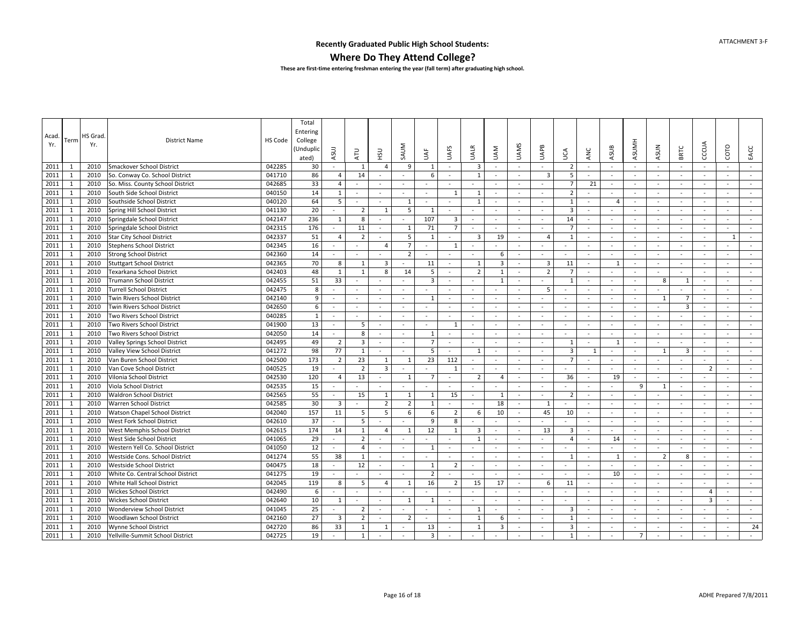#### **Where Do They Attend College?**

| Acad.<br>Yr. | Term         | <b>HS</b> Grad<br>Yr. | <b>District Name</b>              | HS Code | Total<br>Entering<br>College<br>(Unduplic<br>ated) | ASUJ                     | <b>ATU</b>               | РŠ                       | SAUM                     | JAF            | <b>UAFS</b>             | UALR                     | NAU                     | <b>UAMS</b>              | UAPB                     | υcΑ                     | ANC                      | ASUB         | <b>ASUMH</b>             | <b>ASUN</b>              | <b>BRTC</b>  | CCCUA                    | COTO           | EACC   |
|--------------|--------------|-----------------------|-----------------------------------|---------|----------------------------------------------------|--------------------------|--------------------------|--------------------------|--------------------------|----------------|-------------------------|--------------------------|-------------------------|--------------------------|--------------------------|-------------------------|--------------------------|--------------|--------------------------|--------------------------|--------------|--------------------------|----------------|--------|
| 2011         | 1            | 2010                  | <b>Smackover School District</b>  | 042285  | 30                                                 | $\mathbf{r}$             | 1                        | $\overline{4}$           | 9                        | 1              | $\sim$                  | $\overline{3}$           | $\sim$                  | $\sim$                   | $\sim$                   | $\overline{2}$          | ÷.                       | $\sim$       | $\sim$                   | $\sim$                   | $\sim$       | $\sim$                   | $\sim$         | $\sim$ |
| 2011         | 1            | 2010                  | So. Conway Co. School District    | 041710  | 86                                                 | 4                        | 14                       |                          |                          | 6              | $\sim$                  | 1                        |                         | $\sim$                   | 3                        | 5                       |                          | $\sim$       | $\sim$                   | $\blacksquare$           | $\sim$       |                          | ÷.             |        |
| 2011         | 1            | 2010                  | So. Miss. County School District  | 042685  | 33                                                 | $\overline{a}$           |                          |                          |                          |                |                         |                          |                         |                          | $\sim$                   | $\overline{7}$          | 21                       | $\sim$       |                          | $\blacksquare$           | $\sim$       |                          | $\sim$         |        |
| 2011         | 1            | 2010                  | South Side School District        | 040150  | 14                                                 | $\mathbf{1}$             |                          | $\sim$                   | $\sim$                   | $\sim$         | 1                       | $\mathbf{1}$             | $\sim$                  | $\sim$                   | $\omega$                 | $\overline{2}$          |                          | $\sim$       | $\sim$                   | $\omega$                 | $\sim$       | $\sim$                   | $\sim$         | $\sim$ |
| 2011         | 1            | 2010                  | Southside School District         | 040120  | 64                                                 | 5                        | $\overline{\phantom{a}}$ | $\sim$                   | 1                        |                | $\sim$                  | $\mathbf{1}$             |                         | $\sim$                   | $\sim$                   | $\mathbf{1}$            | $\overline{\phantom{a}}$ | $\sqrt{2}$   | $\overline{\phantom{a}}$ | $\overline{\phantom{a}}$ | $\sim$       | $\overline{\phantom{a}}$ | $\sim$         |        |
| 2011         | $\mathbf{1}$ | 2010                  | Spring Hill School District       | 041130  | 20                                                 | $\equiv$                 | $\overline{2}$           | 1                        | 5                        | $\mathbf{1}$   | $\omega$                | $\blacksquare$           | $\sim$                  | $\sim$                   | $\sim$                   | $\overline{3}$          | $\sim$                   | $\sim$       | $\sim$                   | $\sim$                   | $\sim$       | $\sim$                   | $\sim$         | $\sim$ |
| 2011         | 1            | 2010                  | Springdale School District        | 042147  | 236                                                | 1                        | 8                        | $\sim$                   | $\overline{\phantom{a}}$ | 107            | $\overline{\mathbf{3}}$ | $\sim$                   | $\sim$                  | $\sim$                   | $\sim$                   | 14                      | $\sim$                   | $\sim$       | $\sim$                   | $\sim$                   | $\sim$       | $\overline{\phantom{a}}$ | $\sim$         | $\sim$ |
| 2011         | $\mathbf{1}$ | 2010                  | Springdale School District        | 042315  | 176                                                | $\omega$                 | 11                       | $\sim$                   | $\mathbf{1}$             | 71             | $\overline{7}$          | $\sim$                   | $\sim$                  | $\sim$                   | $\sim$                   | $\overline{7}$          | $\sim$                   | $\sim$       | $\sim$                   | $\sim$                   | $\sim$       | $\sim$                   | $\sim$         | $\sim$ |
| 2011         | $\mathbf{1}$ | 2010                  | <b>Star City School District</b>  | 042337  | 51                                                 | $\overline{4}$           | $\overline{2}$           | $\sim$                   | 5                        | 1              | $\sim$                  | $\overline{3}$           | 19                      | $\sim$                   | $\overline{4}$           | 1                       | ÷,                       | $\sim$       | $\sim$                   | $\omega$                 |              | $\sim$                   | $\overline{1}$ | $\sim$ |
| 2011         | 1            | 2010                  | <b>Stephens School District</b>   | 042345  | 16                                                 |                          |                          | $\overline{4}$           | $\overline{7}$           | $\sim$         | 1                       | $\sim$                   | $\sim$                  | $\overline{\phantom{a}}$ | $\sim$                   | $\sim$                  | $\sim$                   | $\sim$       | $\overline{\phantom{a}}$ | $\sim$                   | $\sim$       | $\sim$                   | $\sim$         |        |
| 2011         | -1           | 2010                  | <b>Strong School District</b>     | 042360  | 14                                                 |                          |                          |                          | $\overline{2}$           | $\sim$         | $\sim$                  |                          | -6                      | $\sim$                   | $\sim$                   | $\sim$                  | $\sim$                   | $\sim$       | $\overline{\phantom{a}}$ | $\sim$                   | $\sim$       | $\sim$                   | ÷.             |        |
| 2011         | 1            | 2010                  | <b>Stuttgart School District</b>  | 042365  | 70                                                 | 8                        | $\overline{1}$           | $\overline{3}$           | $\sim$                   | 11             | $\omega$                | $\mathbf{1}$             | $\overline{\mathbf{3}}$ | $\sim$                   | 3                        | 11                      | $\sim$                   | $\mathbf{1}$ | $\sim$                   | $\sim$                   | $\sim$       | $\sim$                   | $\sim$         |        |
| 2011         | 1            | 2010                  | Texarkana School District         | 042403  | 48                                                 | 1                        | 1                        | 8                        | 14                       | 5              | $\sim$                  | $\overline{2}$           | 1                       | $\sim$                   | $\overline{2}$           | $\overline{7}$          | $\blacksquare$           | $\sim$       |                          | $\omega$                 | $\sim$       | $\sim$                   | $\sim$         |        |
| 2011         | $\mathbf{1}$ | 2010                  | <b>Trumann School District</b>    | 042455  | 51                                                 | 33                       |                          |                          |                          | $\overline{3}$ | $\sim$                  |                          | $\overline{1}$          | $\sim$                   |                          | $\overline{1}$          | $\blacksquare$           | $\sim$       |                          | 8                        | $\mathbf{1}$ |                          | ÷.             |        |
| 2011         | 1            | 2010                  | <b>Turrell School District</b>    | 042475  | 8                                                  | $\sim$                   | $\overline{\phantom{a}}$ | $\sim$                   | $\sim$                   |                | $\sim$                  | $\sim$                   |                         | $\sim$                   | 5                        | $\sim$                  | $\sim$                   | $\sim$       | $\sim$                   | $\sim$                   | $\sim$       | $\sim$                   | $\sim$         | $\sim$ |
| 2011         | 1            | 2010                  | Twin Rivers School District       | 042140  | 9                                                  | $\sim$                   | $\sim$                   | $\sim$                   | $\sim$                   | 1              | $\sim$                  | $\sim$                   | $\sim$                  | $\sim$                   | $\sim$                   | $\sim$                  | $\sim$                   | $\sim$       | $\sim$                   | 1                        | 7            | $\sim$                   | $\sim$         | $\sim$ |
| 2011         | 1            | 2010                  | Twin Rivers School District       | 042650  | 6                                                  | $\sim$                   | $\sim$                   | $\sim$                   | $\sim$                   | $\sim$         | $\sim$                  | $\sim$                   | $\sim$                  | $\sim$                   | $\sim$                   | $\sim$                  | $\sim$                   | $\sim$       | $\sim$                   | $\sim$                   | 3            | $\sim$                   | $\sim$         | $\sim$ |
| 2011         | $\mathbf{1}$ | 2010                  | Two Rivers School District        | 040285  | 1                                                  | $\sim$                   | $\sim$                   | $\sim$                   | $\sim$                   | $\sim$         | $\sim$                  | $\sim$                   | $\sim$                  | $\sim$                   | $\sim$                   | $\sim$                  | $\sim$                   | $\sim$       | $\overline{\phantom{a}}$ | $\sim$                   | $\sim$       | $\sim$                   | $\sim$         | $\sim$ |
| 2011         | 1            | 2010                  | Two Rivers School District        | 041900  | 13                                                 | $\omega$                 | 5                        | $\sim$                   | $\overline{\phantom{a}}$ | $\sim$         | 1                       | $\overline{\phantom{a}}$ | $\sim$                  | $\sim$                   | $\sim$                   | $\sim$                  | $\sim$                   | $\sim$       | $\sim$                   | $\sim$                   | $\sim$       | $\sim$                   | $\sim$         | $\sim$ |
| 2011         | 1            | 2010                  | Two Rivers School District        | 042050  | 14                                                 |                          | 8                        | $\sim$                   | $\sim$                   | 1              | $\sim$                  | $\sim$                   |                         | $\sim$                   | $\sim$                   | $\sim$                  | $\sim$                   | $\sim$       | $\sim$                   | $\blacksquare$           | $\sim$       |                          | $\sim$         |        |
| 2011         | 1            | 2010                  | Valley Springs School District    | 042495  | 49                                                 | $\overline{2}$           | $\overline{\mathbf{3}}$  | $\sim$                   | $\sim$                   | $\overline{7}$ | $\sim$                  | $\sim$                   | $\sim$                  | $\overline{a}$           | $\sim$                   | 1                       | $\sim$                   | $\mathbf{1}$ | $\sim$                   | $\sim$                   | $\sim$       | $\sim$                   | ÷.             | $\sim$ |
| 2011         | 1            | 2010                  | Valley View School District       | 041272  | 98                                                 | 77                       | $\mathbf{1}$             | $\sim$                   | $\sim$                   | 5              | $\sim$                  | 1                        | $\sim$                  | $\sim$                   | $\sim$                   | $\overline{\mathbf{3}}$ | $\mathbf{1}$             | $\sim$       | $\sim$                   | 1                        | 3            | $\sim$                   | $\sim$         |        |
| 2011         | 1            | 2010                  | Van Buren School District         | 042500  | 173                                                | $\overline{2}$           | 23                       | 1                        | 1                        | 23             | 112                     |                          | $\sim$                  | $\overline{a}$           | $\sim$                   | $\overline{7}$          | $\overline{a}$           | $\sim$       | $\sim$                   | $\bar{\phantom{a}}$      | $\sim$       |                          | ÷.             |        |
| 2011         | -1           | 2010                  | Van Cove School District          | 040525  | 19                                                 |                          | $\overline{2}$           | $\overline{3}$           |                          | $\sim$         | 1                       | $\overline{\phantom{a}}$ | $\sim$                  | $\sim$                   | $\sim$                   | $\sim$                  | $\sim$                   | $\sim$       | $\sim$                   | $\sim$                   | $\sim$       | $\overline{2}$           | $\sim$         |        |
| 2011         | 1            | 2010                  | Vilonia School District           | 042530  | 120                                                | $\overline{4}$           | 13                       |                          | $\overline{1}$           | $\overline{7}$ | $\blacksquare$          | $\overline{2}$           | $\Delta$                | $\sim$                   | $\sim$                   | 36                      |                          | 19           |                          |                          | $\sim$       |                          | $\sim$         | $\sim$ |
| 2011         | -1           | 2010                  | Viola School District             | 042535  | 15                                                 |                          |                          | $\sim$                   |                          |                | $\omega$                | $\sim$                   |                         | $\sim$                   | $\sim$                   | $\sim$                  | $\sim$                   | $\sim$       | 9                        | 1                        | $\sim$       | $\sim$                   | $\sim$         | $\sim$ |
| 2011         | 1            | 2010                  | <b>Waldron School District</b>    | 042565  | 55                                                 | $\sim$                   | 15                       | 1                        | 1                        | 1              | 15                      | $\sim$                   | -1                      | $\sim$                   | $\sim$                   | $\overline{2}$          | $\sim$                   | $\sim$       | $\overline{\phantom{a}}$ | $\overline{\phantom{a}}$ | $\sim$       | $\overline{\phantom{a}}$ | $\sim$         | $\sim$ |
| 2011         | $\mathbf{1}$ | 2010                  | Warren School District            | 042585  | 30                                                 | 3                        | $\sim$                   | $\overline{2}$           | $\overline{2}$           | $\mathbf{1}$   | $\sim$                  | $\sim$                   | 18                      | $\sim$                   | 1                        | $\sim$                  | $\sim$                   | $\sim$       | $\sim$                   | $\sim$                   | $\sim$       | $\sim$                   | $\sim$         | $\sim$ |
| 2011         | 1            | 2010                  | Watson Chapel School District     | 042040  | 157                                                | 11                       | 5                        | 5                        | 6                        | 6              | $\overline{2}$          | 6                        | 10                      | $\sim$                   | 45                       | 10                      | $\sim$                   | $\sim$       | $\sim$                   | $\sim$                   | $\sim$       | $\overline{\phantom{a}}$ | $\sim$         | $\sim$ |
| 2011         | -1           | 2010                  | West Fork School District         | 042610  | 37                                                 | $\blacksquare$           | 5                        | $\sim$                   | $\sim$                   | 9              | 8                       | $\omega$                 | $\sim$                  | $\sim$                   | $\sim$                   | $\sim$                  | $\sim$                   | $\sim$       | $\sim$                   | $\sim$                   | $\sim$       | $\sim$                   | $\sim$         | $\sim$ |
| 2011         | 1            | 2010                  | West Memphis School District      | 042615  | 174                                                | 14                       | $\mathbf{1}$             | $\overline{4}$           | 1                        | 12             | 1                       | $\overline{3}$           |                         | $\sim$                   | 13                       | $\overline{3}$          | $\sim$                   | $\sim$       | $\sim$                   | $\blacksquare$           |              | $\overline{\phantom{a}}$ | $\sim$         |        |
| 2011         | 1            | 2010                  | West Side School District         | 041065  | 29                                                 |                          | $\overline{2}$           |                          | $\sim$                   | $\sim$         | $\sim$                  | $\mathbf{1}$             |                         | $\sim$                   | $\sim$                   | $\overline{4}$          | $\overline{\phantom{a}}$ | 14           | $\sim$                   | $\sim$                   | $\sim$       | $\sim$                   | $\sim$         |        |
| 2011         | $\mathbf{1}$ | 2010                  | Western Yell Co. School District  | 041050  | 12                                                 | ÷.                       | $\overline{4}$           | $\sim$                   | $\sim$                   | 1              | $\omega$                | $\sim$                   | $\sim$                  | $\sim$                   | $\sim$                   | $\sim$                  | $\sim$                   | $\sim$       | $\sim$                   | $\sim$                   | $\sim$       | $\sim$                   | $\sim$         | $\sim$ |
| 2011         | 1            | 2010                  | Westside Cons. School District    | 041274  | 55                                                 | 38                       | $\mathbf{1}$             | $\sim$                   |                          |                | $\sim$                  |                          |                         |                          | $\sim$                   | $\overline{1}$          | $\sim$                   | 1            | $\sim$                   | $\overline{2}$           | 8            |                          | $\sim$         |        |
| 2011         | 1            | 2010                  | Westside School District          | 040475  | 18                                                 |                          | 12                       | $\sim$                   | $\sim$                   | $\mathbf{1}$   | $\overline{2}$          | $\overline{\phantom{a}}$ | $\sim$                  | $\sim$                   | $\sim$                   | $\sim$                  | $\overline{\phantom{a}}$ |              | $\sim$                   | $\blacksquare$           |              |                          | $\sim$         | $\sim$ |
| 2011         | $\mathbf{1}$ | 2010                  | White Co. Central School District | 041275  | 19                                                 |                          |                          |                          |                          | $\overline{2}$ | $\sim$                  |                          |                         |                          |                          | $\sim$                  | $\sim$                   | 10           | $\sim$                   | $\bar{a}$                |              |                          | $\sim$         |        |
| 2011         | 1            | 2010                  | White Hall School District        | 042045  | 119                                                | 8                        | 5                        | $\overline{4}$           | 1                        | 16             | 2                       | 15                       | 17                      | $\sim$                   | 6                        | 11                      | $\sim$                   | $\sim$       | $\overline{\phantom{a}}$ | $\sim$                   | $\sim$       | $\sim$                   | $\sim$         | $\sim$ |
| 2011         | 1            | 2010                  | <b>Wickes School District</b>     | 042490  | 6                                                  | $\overline{\phantom{a}}$ |                          | $\overline{\phantom{a}}$ |                          |                | $\sim$                  | $\sim$                   | $\sim$                  | $\overline{\phantom{a}}$ | $\overline{\phantom{a}}$ | $\sim$                  | $\overline{\phantom{a}}$ | $\sim$       | $\overline{\phantom{a}}$ | $\overline{\phantom{a}}$ | $\sim$       | $\overline{4}$           | $\sim$         | $\sim$ |
| 2011         | 1            | 2010                  | <b>Wickes School District</b>     | 042640  | 10                                                 | 1                        | $\sim$                   | $\sim$                   | $\mathbf{1}$             | 1              | $\sim$                  | $\blacksquare$           | $\sim$                  | $\sim$                   | $\sim$                   | $\sim$                  | $\sim$                   | $\sim$       | $\sim$                   | $\sim$                   | $\sim$       | $\overline{3}$           | $\sim$         | $\sim$ |
| 2011         | 1            | 2010                  | <b>Wonderview School District</b> | 041045  | 25                                                 |                          | $\overline{2}$           | $\sim$                   | $\sim$                   | $\sim$         | $\omega$                | $\mathbf{1}$             | $\sim$                  | $\sim$                   | $\sim$                   | $\overline{3}$          | $\sim$                   | $\sim$       | $\sim$                   | $\omega$                 | $\sim$       |                          | $\sim$         | $\sim$ |
| 2011         | 1            | 2010                  | Woodlawn School District          | 042160  | 27                                                 | $\overline{3}$           | $\overline{2}$           |                          | $\overline{2}$           |                | $\sim$                  | 1                        | 6                       | $\sim$                   | $\sim$                   | 1                       |                          | $\sim$       |                          | $\blacksquare$           |              |                          |                | $\sim$ |
| 2011         | 1            | 2010                  | Wynne School District             | 042720  | 86                                                 | 33                       | 1                        | $\mathbf{1}$             | $\sim$                   | 13             | $\sim$                  | 1                        | $\overline{3}$          | $\sim$                   | $\sim$                   | 3                       | $\overline{a}$           | $\sim$       | $\sim$                   | $\sim$                   | $\sim$       | $\sim$                   | ÷.             | 24     |
| 2011         | 1            | 2010                  | Yellville-Summit School District  | 042725  | 19                                                 |                          | 1                        |                          |                          | $\overline{3}$ |                         |                          |                         |                          |                          | $\overline{1}$          |                          |              | $\overline{7}$           |                          |              |                          |                |        |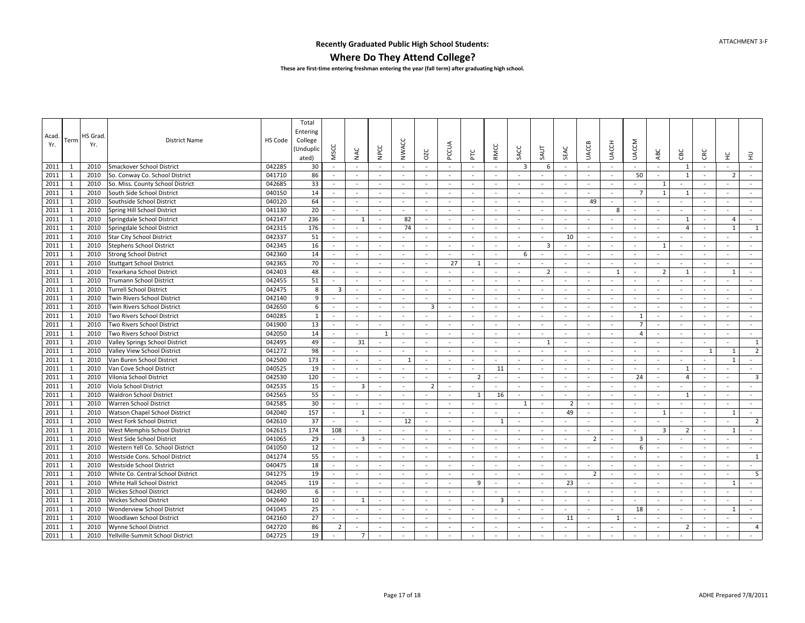#### **Where Do They Attend College?**

| Acad.<br>Yr. | Term         | HS Grad<br>Yr. | <b>District Name</b>              | HS Code | Total<br>Entering<br>College<br>(Unduplic<br>ated) | <b>MSCC</b>    | NAC                     | NPCC                     | <b>NWACC</b>             | OZC                      | PCCUA    | 눈                        | <b>RMCC</b>    | SACC                     | <b>TUAS</b>              | SEAC           | <b>UACCB</b>             | <b>UACCH</b>   | <b>UACCM</b>             | ABC                      | CBC            | CRC                      | $\stackrel{\small\cup}{_\pm}$ | $\exists$               |
|--------------|--------------|----------------|-----------------------------------|---------|----------------------------------------------------|----------------|-------------------------|--------------------------|--------------------------|--------------------------|----------|--------------------------|----------------|--------------------------|--------------------------|----------------|--------------------------|----------------|--------------------------|--------------------------|----------------|--------------------------|-------------------------------|-------------------------|
| 2011         | -1           | 2010           | Smackover School District         | 042285  | 30                                                 | $\sim$         |                         |                          | $\sim$                   |                          | $\sim$   |                          |                | $\overline{3}$           | 6                        | $\sim$         |                          | $\sim$         |                          |                          | 1              |                          | $\sim$                        |                         |
| 2011         | $\mathbf{1}$ | 2010           | So. Conway Co. School District    | 041710  | 86                                                 | $\sim$         |                         | $\sim$                   | $\sim$                   | $\sim$                   | $\sim$   | $\sim$                   | $\sim$         |                          |                          |                | $\overline{\phantom{a}}$ | $\sim$         | 50                       | $\omega$                 | $\mathbf{1}$   |                          | $\overline{z}$                | $\sim$                  |
| 2011         | 1            | 2010           | So. Miss. County School District  | 042685  | 33                                                 | $\sim$         |                         | $\sim$                   | $\sim$                   |                          | $\sim$   | $\sim$                   | $\sim$         | $\sim$                   |                          | $\sim$         | $\sim$                   | $\sim$         |                          | $\mathbf{1}$             |                |                          | $\sim$                        | $\sim$                  |
| 2011         | 1            | 2010           | South Side School District        | 040150  | 14                                                 | $\sim$         | $\sim$                  | $\sim$                   | $\sim$                   | $\sim$                   | $\sim$   | $\sim$                   | $\sim$         | $\sim$                   | $\sim$                   | $\sim$         | $\sim$                   | $\sim$         | $\overline{7}$           | 1                        | 1              | $\sim$                   | $\sim$                        | $\sim$                  |
| 2011         | $\mathbf{1}$ | 2010           | Southside School District         | 040120  | 64                                                 | $\sim$         | $\sim$                  | $\sim$                   | $\sim$                   | $\sim$                   | $\sim$   | $\sim$                   | $\sim$         | $\sim$                   | $\sim$                   | $\sim$         | 49                       | $\sim$         | $\sim$                   | $\sim$                   | $\sim$         | $\sim$                   | $\sim$                        | $\sim$                  |
| 2011         | 1            | 2010           | Spring Hill School District       | 041130  | 20                                                 | $\sim$         | $\sim$                  | $\sim$                   | $\sim$                   | $\sim$                   | $\sim$   | $\sim$                   | $\sim$         | $\sim$                   | $\sim$                   | $\sim$         | $\sim$                   | 8              | $\sim$                   | $\sim$                   | $\sim$         | $\sim$                   | $\sim$                        | $\sim$                  |
| 2011         | 1            | 2010           | Springdale School District        | 042147  | 236                                                | $\sim$         | $\mathbf{1}$            | $\sim$                   | 82                       | $\sim$                   | $\sim$   | $\sim$                   | $\sim$         | $\sim$                   | $\sim$                   | $\sim$         | $\sim$                   | $\sim$         | $\sim$                   | $\sim$                   | 1              | $\sim$                   | $\overline{4}$                | $\sim$                  |
| 2011         | 1            | 2010           | Springdale School District        | 042315  | 176                                                | $\sim$         |                         | $\sim$                   | 74                       | $\sim$                   | $\sim$   | $\sim$                   | $\sim$         | $\sim$                   | $\sim$                   | $\sim$         | $\sim$                   | $\sim$         |                          | $\sim$                   | 4              | $\sim$                   | $\overline{1}$                | $\mathbf{1}$            |
| 2011         | 1            | 2010           | <b>Star City School District</b>  | 042337  | 51                                                 | $\sim$         |                         | $\sim$                   | $\sim$                   | $\sim$                   | $\sim$   | $\sim$                   | $\sim$         | $\sim$                   | $\sim$                   | 10             | $\sim$                   | $\sim$         | $\overline{\phantom{a}}$ | $\sim$                   | $\sim$         | $\sim$                   | $\sim$                        | $\sim$                  |
| 2011         | 1            | 2010           | <b>Stephens School District</b>   | 042345  | 16                                                 | $\sim$         | $\sim$                  | $\sim$                   | $\sim$                   | $\sim$                   | $\sim$   | $\sim$                   | $\sim$         | $\sim$                   | $\overline{3}$           | $\sim$         | $\sim$                   | $\sim$         | $\sim$                   | $\mathbf{1}$             | $\sim$         | $\sim$                   | ÷.                            | $\sim$                  |
| 2011         | 1            | 2010           | <b>Strong School District</b>     | 042360  | 14                                                 | $\sim$         |                         | $\sim$                   | $\sim$                   | $\sim$                   | $\sim$   | $\blacksquare$           | $\sim$         | 6                        | $\sim$                   | $\sim$         | $\sim$                   | $\sim$         | $\sim$                   | $\sim$                   | $\sim$         |                          | $\sim$                        | $\sim$                  |
| 2011         | 1            | 2010           | <b>Stuttgart School District</b>  | 042365  | 70                                                 | ÷.             |                         |                          |                          |                          | 27       | $\mathbf{1}$             |                |                          |                          |                | $\sim$                   | $\sim$         |                          |                          |                |                          | ÷,                            |                         |
| 2011         | $\mathbf{1}$ | 2010           | Texarkana School District         | 042403  | 48                                                 | $\sim$         | $\sim$                  | $\sim$                   | $\sim$                   |                          | $\sim$   |                          |                | $\sim$                   | $\overline{2}$           | $\sim$         | $\sim$                   | $\overline{1}$ | $\sim$                   | $\overline{2}$           | $\mathbf{1}$   | $\sim$                   | $\overline{1}$                | $\sim$                  |
| 2011         | 1            | 2010           | <b>Trumann School District</b>    | 042455  | 51                                                 | $\sim$         | $\sim$                  | $\sim$                   | $\overline{\phantom{a}}$ | $\overline{\phantom{a}}$ | $\sim$   | $\overline{\phantom{a}}$ | $\sim$         | $\overline{\phantom{a}}$ | $\overline{\phantom{a}}$ | $\sim$         | $\overline{\phantom{a}}$ | $\sim$         | $\sim$                   | $\overline{\phantom{a}}$ | $\sim$         | $\overline{\phantom{a}}$ | $\sim$                        | $\sim$                  |
| 2011         | 1            | 2010           | <b>Turrell School District</b>    | 042475  | 8                                                  | 3              | $\sim$                  | $\sim$                   | $\sim$                   | $\sim$                   | $\sim$   | $\sim$                   | $\sim$         | $\sim$                   | $\sim$                   | $\sim$         | $\sim$                   | $\sim$         | $\sim$                   | $\sim$                   | $\sim$         | $\sim$                   | $\sim$                        | $\sim$                  |
| 2011         | $\mathbf{1}$ | 2010           | Twin Rivers School District       | 042140  | 9                                                  | $\sim$         | in a                    | $\sim$                   | $\sim$                   | $\sim$                   | $\sim$   | $\sim$                   | $\sim$         | $\sim$                   | $\sim$                   | $\sim$         | $\sim$                   | $\sim$         | $\sim$                   | $\sim$                   | $\sim$         | $\sim$                   | $\sim$                        | $\sim$                  |
| 2011         | 1            | 2010           | Twin Rivers School District       | 042650  | 6                                                  | $\omega$       |                         | $\sim$                   | $\sim$                   | $\overline{3}$           | $\sim$   | $\sim$                   | $\sim$         | $\overline{\phantom{a}}$ | $\sim$                   | $\sim$         | $\omega$                 | $\sim$         |                          | $\sim$                   | $\sim$         | $\sim$                   | $\sim$                        | $\sim$                  |
| 2011         | 1            | 2010           | Two Rivers School District        | 040285  | $\mathbf{1}$                                       | $\sim$         |                         | $\sim$                   | $\sim$                   |                          | $\sim$   |                          |                | $\sim$                   | $\sim$                   | $\sim$         |                          | $\sim$         | 1                        | $\sim$                   |                |                          | $\sim$                        |                         |
| 2011         | 1            | 2010           | Two Rivers School District        | 041900  | 13                                                 | $\sim$         | $\sim$                  | $\sim$                   | $\sim$                   | $\sim$                   | $\sim$   | $\sim$                   | $\sim$         | $\sim$                   | $\sim$                   | $\sim$         | $\sim$                   | $\sim$         | $\overline{7}$           | $\sim$                   | $\sim$         | $\sim$                   | $\sim$                        | $\sim$                  |
| 2011         | 1            | 2010           | Two Rivers School District        | 042050  | 14                                                 | $\sim$         |                         | 1                        | $\sim$                   | $\sim$                   | $\sim$   | ٠                        | $\sim$         |                          | $\sim$                   | $\sim$         | ٠                        | $\sim$         | $\overline{4}$           | $\sim$                   | $\sim$         | $\sim$                   | ÷.                            | $\sim$                  |
| 2011         | $\mathbf{1}$ | 2010           | Valley Springs School District    | 042495  | 49                                                 | $\sim$         | 31                      | $\sim$                   | $\sim$                   | $\sim$                   | $\sim$   | $\sim$                   | $\sim$         | $\sim$                   | 1                        | $\sim$         | $\sim$                   | $\sim$         |                          | $\overline{\phantom{a}}$ | $\sim$         | $\sim$                   | $\sim$                        | $\mathbf{1}$            |
| 2011         | 1            | 2010           | Valley View School District       | 041272  | 98                                                 | $\sim$         |                         | $\sim$                   | $\sim$                   | $\sim$                   | $\sim$   | $\bar{\phantom{a}}$      | $\sim$         | $\sim$                   | $\sim$                   | $\sim$         | $\bar{\phantom{a}}$      | $\sim$         | $\sim$                   | $\blacksquare$           | $\sim$         | $\mathbf{1}$             | $\mathbf{1}$                  | $\overline{2}$          |
| 2011         | 1            | 2010           | Van Buren School District         | 042500  | 173                                                | $\sim$         |                         | $\sim$                   | $\overline{1}$           |                          | $\sim$   | $\sim$                   |                |                          |                          | $\sim$         | $\sim$                   | $\sim$         |                          |                          |                |                          | $\overline{1}$                | $\sim$                  |
| 2011         | $\mathbf{1}$ | 2010           | Van Cove School District          | 040525  | 19                                                 | $\sim$         | $\sim$                  | $\sim$                   | $\sim$                   | $\sim$                   | $\omega$ | $\omega$                 | 11             | $\sim$                   | $\sim$                   | $\sim$         | $\sim$                   | $\sim$         | $\sim$                   | $\blacksquare$           | $\mathbf{1}$   | $\sim$                   | $\sim$                        | $\sim$                  |
| 2011         | $\mathbf{1}$ | 2010           | Vilonia School District           | 042530  | 120                                                | $\sim$         | $\sim$                  | $\sim$                   | $\sim$                   | $\sim$                   | $\omega$ | $\overline{2}$           | $\sim$         | $\sim$                   | $\sim$                   | $\sim$         | $\sim$                   | $\sim$         | 24                       | $\omega$                 | 4              | $\sim$                   | $\sim$                        | $\overline{\mathbf{3}}$ |
| 2011         | 1            | 2010           | Viola School District             | 042535  | 15                                                 | $\sim$         | $\overline{\mathbf{3}}$ | $\sim$                   | $\sim$                   | $\overline{2}$           | $\sim$   | $\sim$                   | $\sim$         | $\sim$                   | $\sim$                   | $\sim$         | $\sim$                   | $\sim$         | $\sim$                   | $\sim$                   | $\sim$         | $\sim$                   | $\sim$                        | $\sim$                  |
| 2011         | 1            | 2010           | Waldron School District           | 042565  | 55                                                 | $\sim$         |                         | $\sim$                   | $\overline{\phantom{a}}$ | $\sim$                   | $\sim$   | 1                        | 16             | $\sim$                   | $\sim$                   | $\sim$         | $\sim$                   | $\sim$         | $\sim$                   | $\sim$                   | $\mathbf{1}$   | $\sim$                   | $\sim$                        | $\sim$                  |
| 2011         | 1            | 2010           | Warren School District            | 042585  | 30                                                 | $\sim$         |                         | $\sim$                   | $\sim$                   | $\sim$                   | $\sim$   | $\sim$                   | $\sim$         | $\mathbf{1}$             | $\sim$                   | $\overline{2}$ | $\sim$                   | $\sim$         | $\sim$                   | $\sim$                   | $\sim$         | $\sim$                   | $\sim$                        | $\sim$                  |
| 2011         | 1            | 2010           | Watson Chapel School District     | 042040  | 157                                                | $\sim$         | 1                       | $\sim$                   | $\sim$                   |                          | $\omega$ | $\sim$                   |                | $\sim$                   | $\sim$                   | 49             | $\sim$                   | $\sim$         | $\sim$                   | 1                        | $\sim$         | $\sim$                   | 1                             | $\sim$                  |
| 2011         | 1            | 2010           | West Fork School District         | 042610  | 37                                                 | $\sim$         |                         | $\sim$                   | 12                       | $\sim$                   | $\sim$   | $\sim$                   | -1             | $\sim$                   | $\sim$                   | $\sim$         | $\sim$                   | $\sim$         | $\overline{\phantom{a}}$ | $\sim$                   | $\sim$         | $\sim$                   | $\sim$                        | $\overline{2}$          |
| 2011         | 1            | 2010           | West Memphis School District      | 042615  | 174                                                | 108            | $\sim$                  | $\sim$                   | $\sim$                   | $\sim$                   | $\sim$   | $\sim$                   | $\sim$         | $\sim$                   | $\sim$                   | $\sim$         | $\sim$                   | $\sim$         | $\sim$                   | 3                        | $\overline{2}$ | $\sim$                   | 1                             | $\sim$                  |
| 2011         | 1            | 2010           | West Side School District         | 041065  | 29                                                 | $\omega$       | $\overline{3}$          | $\sim$                   | $\overline{\phantom{a}}$ |                          | $\sim$   |                          | $\sim$         | $\overline{\phantom{a}}$ | $\sim$                   | $\sim$         | $\overline{2}$           | $\sim$         | $\overline{\mathbf{3}}$  | $\overline{\phantom{a}}$ |                |                          | ÷.                            | $\sim$                  |
| 2011         | 1            | 2010           | Western Yell Co. School District  | 041050  | 12                                                 | $\sim$         |                         | $\sim$                   | $\sim$                   |                          | $\sim$   | $\overline{\phantom{a}}$ | $\sim$         | $\sim$                   | $\sim$                   | $\sim$         | $\sim$                   | $\sim$         | 6                        | $\omega$                 | $\sim$         | $\sim$                   | $\sim$                        | $\sim$                  |
| 2011         | 1            | 2010           | Westside Cons. School District    | 041274  | 55                                                 | $\sim$         |                         | $\overline{\phantom{a}}$ | $\overline{\phantom{a}}$ |                          | $\sim$   | $\sim$                   |                | $\overline{\phantom{a}}$ | $\overline{\phantom{a}}$ | $\sim$         | $\sim$                   | $\sim$         |                          | $\overline{\phantom{a}}$ | $\sim$         | $\sim$                   | $\sim$                        | $\mathbf{1}$            |
| 2011         | 1            | 2010           | Westside School District          | 040475  | 18                                                 | $\sim$         | $\sim$                  | $\sim$                   | $\sim$                   | $\sim$                   | $\sim$   | $\sim$                   | $\sim$         | $\sim$                   | $\sim$                   | $\sim$         | $\sim$                   | $\sim$         | $\sim$                   | $\sim$                   | $\sim$         | $\sim$                   | $\sim$                        | $\sim$                  |
| 2011         | $\mathbf{1}$ | 2010           | White Co. Central School District | 041275  | 19                                                 | $\sim$         | $\sim$                  | $\sim$                   | $\sim$                   | $\sim$                   | $\sim$   | $\sim$                   | $\sim$         | $\sim$                   | $\sim$                   | $\sim$         | $\overline{2}$           | $\sim$         | $\sim$                   | $\overline{\phantom{a}}$ | $\sim$         | $\sim$                   | $\sim$                        | 5                       |
| 2011         | 1            | 2010           | White Hall School District        | 042045  | 119                                                | $\sim$         | $\sim$                  | $\sim$                   | $\sim$                   | $\sim$                   | $\sim$   | 9                        | $\sim$         | $\sim$                   | $\sim$                   | 23             | $\sim$                   | $\sim$         | $\sim$                   | $\sim$                   | $\sim$         | $\sim$                   | $\overline{1}$                | $\sim$                  |
| 2011         | 1            | 2010           | <b>Wickes School District</b>     | 042490  | 6                                                  | $\sim$         |                         | $\sim$                   | $\sim$                   | $\sim$                   | $\sim$   | $\sim$                   | $\sim$         | $\sim$                   | $\sim$                   | $\sim$         | $\sim$                   | $\sim$         | $\sim$                   | $\omega$                 | $\sim$         | $\sim$                   | $\sim$                        | $\sim$                  |
| 2011         | 1            | 2010           | <b>Wickes School District</b>     | 042640  | 10                                                 | $\sim$         | 1                       | $\sim$                   | $\sim$                   | $\sim$                   | $\sim$   | $\sim$                   | $\overline{3}$ | $\sim$                   | $\sim$                   | $\sim$         | $\sim$                   | $\sim$         | $\overline{\phantom{a}}$ | $\sim$                   | $\sim$         | $\sim$                   | $\sim$                        | $\sim$                  |
| 2011         | 1            | 2010           | <b>Wonderview School District</b> | 041045  | 25                                                 | $\sim$         | $\sim$                  | $\sim$                   | $\sim$                   | $\sim$                   | $\sim$   | $\sim$                   | $\sim$         | $\sim$                   | $\sim$                   | $\sim$         | $\sim$                   | $\sim$         | 18                       | $\sim$                   | $\sim$         | $\sim$                   | $\mathbf{1}$                  | $\sim$                  |
| 2011         | 1            | 2010           | Woodlawn School District          | 042160  | 27                                                 |                |                         |                          | $\sim$                   |                          | $\sim$   |                          |                | $\overline{\phantom{a}}$ | $\sim$                   | 11             |                          | $\mathbf{1}$   |                          | $\sim$                   |                |                          | $\sim$                        |                         |
| 2011         | 1            | 2010           | Wynne School District             | 042720  | 86                                                 | $\overline{2}$ |                         | $\sim$                   | $\overline{\phantom{a}}$ | $\sim$                   | $\sim$   | $\sim$                   | $\sim$         | $\overline{\phantom{a}}$ | $\sim$                   | $\sim$         | ٠                        |                |                          | $\overline{\phantom{a}}$ | $\overline{2}$ |                          | $\sim$                        | $\overline{4}$          |
| 2011         | $\mathbf{1}$ | 2010           | Yellville-Summit School District  | 042725  | 19                                                 |                | $\overline{7}$          |                          |                          |                          | $\sim$   |                          |                | $\sim$                   |                          |                |                          |                |                          |                          |                |                          | $\overline{a}$                |                         |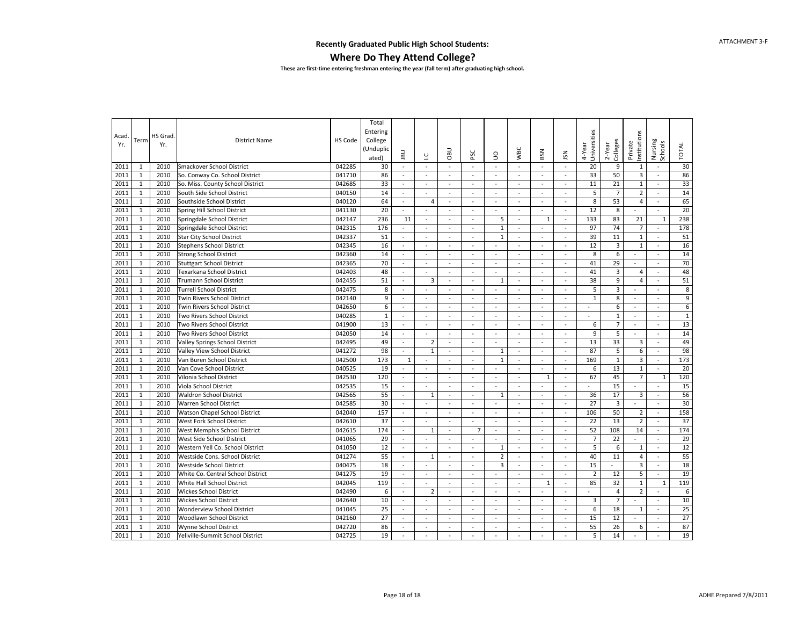#### **Where Do They Attend College?**

|       |              |         |                                   |         | Total        |                          |                          |                          |                          |                     |                          |               |                          |                        |                         |                          |                          |              |
|-------|--------------|---------|-----------------------------------|---------|--------------|--------------------------|--------------------------|--------------------------|--------------------------|---------------------|--------------------------|---------------|--------------------------|------------------------|-------------------------|--------------------------|--------------------------|--------------|
|       |              | HS Grad |                                   |         | Entering     |                          |                          |                          |                          |                     |                          |               |                          |                        |                         |                          |                          |              |
| Acad. | Term         |         | District Name                     | HS Code | College      |                          |                          |                          |                          |                     |                          |               |                          |                        |                         |                          |                          |              |
| Yr.   |              | Yr.     |                                   |         | (Unduplic    |                          |                          |                          |                          |                     |                          |               |                          | Universities<br>4-Year | $2 - Year$              | nstitutions<br>Private   | Nursing                  | <b>TOTAL</b> |
|       |              |         |                                   |         | ated)        | <b>UBL</b>               | ں                        | <b>DBO</b>               | PSC                      | $\mathsf{S}$        | <b>WBC</b>               | BSN           | JSN                      |                        | Colleges                |                          | Schools                  |              |
| 2011  | $\mathbf{1}$ | 2010    | Smackover School District         | 042285  | 30           | $\sim$                   | $\sim$                   | $\sim$                   | $\blacksquare$           | $\sim$              | $\sim$                   | $\sim$        | $\sim$                   | 20                     | 9                       | $\mathbf{1}$             | $\sim$                   | 30           |
| 2011  | $\mathbf{1}$ | 2010    | So. Conway Co. School District    | 041710  | 86           | $\sim$                   | $\omega$                 | $\omega$                 | $\omega$                 | $\omega$            | $\omega$                 | $\omega$      | $\omega$                 | 33                     | 50                      | $\overline{3}$           | $\omega$                 | 86           |
| 2011  | $\mathbf{1}$ | 2010    | So. Miss. County School District  | 042685  | 33           | $\sim$                   | $\sim$                   | $\sim$                   | $\blacksquare$           | $\sim$              | $\sim$                   | $\sim$        | $\sim$                   | 11                     | 21                      | $\mathbf{1}$             | $\sim$                   | 33           |
| 2011  | $\mathbf{1}$ | 2010    | South Side School District        | 040150  | 14           | $\sim$                   | $\sim$                   | $\sim$                   | $\sim$                   | $\sim$              | $\sim$                   | $\sim$        | $\sim$                   | 5                      | $\overline{7}$          | $\overline{2}$           | $\overline{\phantom{a}}$ | 14           |
| 2011  | $\mathbf{1}$ | 2010    | Southside School District         | 040120  | 64           | $\blacksquare$           | $\overline{4}$           | $\bar{\phantom{a}}$      | $\overline{\phantom{a}}$ | $\bar{\phantom{a}}$ | $\mathbb{Z}$             | $\omega$      | $\sim$                   | 8                      | 53                      | $\overline{4}$           | $\overline{\phantom{a}}$ | 65           |
| 2011  | $\mathbf{1}$ | 2010    | Spring Hill School District       | 041130  | 20           |                          |                          | $\bar{\phantom{a}}$      | $\omega$                 | ÷,                  | $\blacksquare$           | $\omega$      | $\overline{\phantom{a}}$ | 12                     | 8                       |                          | $\omega$                 | 20           |
| 2011  | $\mathbf{1}$ | 2010    | Springdale School District        | 042147  | 236          | 11                       | $\blacksquare$           | $\blacksquare$           | $\omega$                 | 5                   | $\omega$                 | 1             | $\overline{\phantom{a}}$ | 133                    | 83                      | 21                       | $\mathbf{1}$             | 238          |
| 2011  | $\mathbf{1}$ | 2010    | Springdale School District        | 042315  | 176          | $\omega$                 | $\sim$                   | $\sim$                   | $\sim$                   | $1\,$               | $\blacksquare$           | $\sim$        | $\blacksquare$           | 97                     | 74                      | $\overline{7}$           | $\sim$                   | 178          |
| 2011  | $1\,$        | 2010    | <b>Star City School District</b>  | 042337  | 51           | $\sim$                   | $\sim$                   | $\sim$                   | $\blacksquare$           | $1\,$               | $\sim$                   | $\sim$        | $\sim$                   | 39                     | 11                      | $1\,$                    | $\sim$                   | 51           |
| 2011  | $\mathbf{1}$ | 2010    | <b>Stephens School District</b>   | 042345  | 16           | $\sim$                   | $\omega$                 | $\omega$                 | $\overline{\phantom{a}}$ | $\bar{\phantom{a}}$ | $\omega$                 | $\omega$      | $\omega$                 | 12                     | $\overline{3}$          | $1\,$                    | $\omega$                 | 16           |
| 2011  | $\mathbf{1}$ | 2010    | <b>Strong School District</b>     | 042360  | 14           | $\sim$                   | $\sim$                   | ÷.                       | ÷.                       | $\overline{a}$      | $\sim$                   | $\sim$        | $\sim$                   | 8                      | 6                       | $\sim$                   | $\sim$                   | 14           |
| 2011  | $\mathbf{1}$ | 2010    | <b>Stuttgart School District</b>  | 042365  | 70           | $\sim$                   | $\sim$                   | $\sim$                   | $\sim$                   | $\blacksquare$      | $\sim$                   | $\sim$        | $\sim$                   | 41                     | 29                      | $\blacksquare$           | $\sim$                   | 70           |
| 2011  | $\mathbf{1}$ | 2010    | Texarkana School District         | 042403  | 48           | $\sim$                   | $\sim$                   | ÷.                       | $\blacksquare$           | $\sim$              | $\sim$                   | $\sim$        | $\omega$                 | 41                     | $\overline{3}$          | $\overline{4}$           | $\sim$                   | 48           |
| 2011  | $\mathbf{1}$ | 2010    | <b>Trumann School District</b>    | 042455  | 51           | $\sim$                   | 3                        | ÷,                       | $\sim$                   | $\mathbf{1}$        | $\sim$                   | $\sim$        | $\overline{\phantom{a}}$ | 38                     | 9                       | $\overline{4}$           | $\sim$                   | 51           |
| 2011  | $\mathbf{1}$ | 2010    | <b>Turrell School District</b>    | 042475  | 8            | $\sim$                   |                          | $\overline{\phantom{a}}$ | $\sim$                   | ÷,                  | $\sim$                   | $\sim$        | $\sim$                   | 5                      | 3                       | $\blacksquare$           | $\overline{\phantom{a}}$ | 8            |
| 2011  | $1\,$        | 2010    | Twin Rivers School District       | 042140  | 9            | $\sim$                   | $\sim$                   | $\blacksquare$           | $\sim$                   | $\equiv$            | $\sim$                   | $\sim$        | $\sim$                   | $\mathbf{1}$           | 8                       | $\blacksquare$           | $\sim$                   | 9            |
| 2011  | $\mathbf{1}$ | 2010    | Twin Rivers School District       | 042650  | 6            | $\omega$                 | $\omega$                 | $\omega$                 | $\omega$                 | $\sim$              | $\omega$                 | $\omega$      | $\omega$                 | ÷.                     | 6                       | $\omega$                 | $\omega$                 | $\,6$        |
| 2011  | $\mathbf{1}$ | 2010    | Two Rivers School District        | 040285  | $\mathbf{1}$ | $\sim$                   | $\sim$                   | $\sim$                   | $\sim$                   | $\sim$              | $\sim$                   | $\sim$        | $\sim$                   | ÷                      | $\mathbf{1}$            | $\sim$                   | $\sim$                   | $\mathbf 1$  |
| 2011  | $\mathbf{1}$ | 2010    | Two Rivers School District        | 041900  | 13           | $\omega$                 | $\blacksquare$           | $\omega$                 | $\mathcal{L}$            | $\sim$              | $\omega$                 | $\mathcal{L}$ | $\omega$                 | 6                      | $\overline{7}$          | $\omega$                 | $\mathcal{L}$            | 13           |
| 2011  | $\mathbf{1}$ | 2010    | Two Rivers School District        | 042050  | 14           | $\sim$                   | $\sim$                   | ÷.                       | $\overline{\phantom{a}}$ | $\overline{a}$      | $\sim$                   | $\sim$        | $\sim$                   | 9                      | 5                       | $\sim$                   | $\sim$                   | 14           |
| 2011  | $\mathbf{1}$ | 2010    | Valley Springs School District    | 042495  | 49           | $\sim$                   | $\overline{2}$           | $\overline{\phantom{a}}$ | $\sim$                   | ÷,                  | $\sim$                   | $\sim$        | $\overline{\phantom{a}}$ | 13                     | 33                      | $\overline{3}$           | $\sim$                   | 49           |
| 2011  | $\mathbf{1}$ | 2010    | Valley View School District       | 041272  | 98           | $\sim$                   | $1\,$                    | $\sim$                   | $\sim$                   | $\mathbf{1}$        | $\sim$                   | $\sim$        | $\sim$                   | 87                     | 5                       | 6                        | $\blacksquare$           | 98           |
| 2011  | $\mathbf{1}$ | 2010    | Van Buren School District         | 042500  | 173          | $\mathbf{1}$             | $\sim$                   | $\sim$                   | $\blacksquare$           | $\mathbf{1}$        | $\sim$                   | $\sim$        | $\blacksquare$           | 169                    | $\mathbf{1}$            | $\overline{3}$           | $\omega$                 | 173          |
| 2011  | $\mathbf{1}$ | 2010    | Van Cove School District          | 040525  | 19           | $\sim$                   | $\sim$                   | ÷.                       | $\overline{\phantom{a}}$ | ÷,                  | $\sim$                   | $\sim$        | $\overline{\phantom{a}}$ | 6                      | 13                      | $\mathbf{1}$             | $\sim$                   | 20           |
| 2011  | $\mathbf{1}$ | 2010    | Vilonia School District           | 042530  | 120          | $\overline{\phantom{a}}$ | $\overline{\phantom{a}}$ | $\bar{\phantom{a}}$      | $\bar{\phantom{a}}$      | $\bar{\phantom{a}}$ | $\mathbb{Z}$             | $\mathbf{1}$  | $\overline{\phantom{a}}$ | 67                     | 45                      | $\overline{7}$           | $\mathbf{1}$             | 120          |
| 2011  | $\mathbf{1}$ | 2010    | Viola School District             | 042535  | 15           | $\sim$                   |                          | $\overline{\phantom{a}}$ | $\overline{\phantom{a}}$ | ÷,                  | $\sim$                   | $\sim$        | $\overline{\phantom{a}}$ | ÷.                     | 15                      | $\overline{\phantom{a}}$ | $\sim$                   | 15           |
| 2011  | $1\,$        | 2010    | <b>Waldron School District</b>    | 042565  | 55           | $\sim$                   | $\mathbf{1}$             | $\omega$                 | $\sim$                   | $\mathbf{1}$        | $\sim$                   | $\sim$        | $\sim$                   | 36                     | 17                      | 3                        | $\sim$                   | 56           |
| 2011  | $\mathbf{1}$ | 2010    | <b>Warren School District</b>     | 042585  | 30           | $\sim$                   | $\omega$                 | $\omega$                 | $\sim$                   | $\sim$              | $\omega$                 | $\omega$      | $\omega$                 | 27                     | $\overline{\mathbf{3}}$ | $\blacksquare$           | $\omega$                 | 30           |
| 2011  | $\mathbf{1}$ | 2010    | Watson Chapel School District     | 042040  | 157          | $\sim$                   | $\overline{\phantom{a}}$ | $\sim$                   | $\sim$                   | $\sim$              | $\sim$                   | $\sim$        | $\omega$                 | 106                    | 50                      | $\overline{2}$           | $\sim$                   | 158          |
| 2011  | $\mathbf{1}$ | 2010    | West Fork School District         | 042610  | 37           | $\sim$                   | $\blacksquare$           | $\blacksquare$           | $\omega$                 | $\sim$              | $\sim$                   | $\sim$        | $\blacksquare$           | 22                     | 13                      | $\overline{2}$           | $\omega$                 | 37           |
| 2011  | $\mathbf{1}$ | 2010    | West Memphis School District      | 042615  | 174          | $\sim$                   | $1\,$                    | $\blacksquare$           | $\overline{7}$           | $\equiv$            | $\sim$                   | $\sim$        | $\overline{\phantom{a}}$ | 52                     | 108                     | 14                       | $\omega$                 | 174          |
| 2011  | $\mathbf{1}$ | 2010    | West Side School District         | 041065  | 29           | $\mathbb{Z}$             | $\omega$                 | $\omega$                 | $\overline{\phantom{a}}$ | $\omega$            | $\omega$                 | $\omega$      | $\overline{\phantom{a}}$ | $\overline{7}$         | 22                      | $\omega$                 | $\omega$                 | 29           |
| 2011  | $\mathbf{1}$ | 2010    | Western Yell Co. School District  | 041050  | 12           | $\sim$                   | $\sim$                   | $\sim$                   | $\sim$                   | $\mathbf{1}$        | $\sim$                   | $\sim$        | $\sim$                   | 5                      | 6                       | $\mathbf{1}$             | $\sim$                   | 12           |
| 2011  | $\mathbf{1}$ | 2010    | Westside Cons. School District    | 041274  | 55           | $\sim$                   | $1\,$                    | $\sim$                   | $\sim$                   | $\overline{2}$      | $\blacksquare$           | $\sim$        | $\sim$                   | 40                     | 11                      | $\overline{4}$           | $\sim$                   | 55           |
| 2011  | $\mathbf{1}$ | 2010    | <b>Westside School District</b>   | 040475  | 18           | $\sim$                   |                          | ÷.                       | $\sim$                   | 3                   | $\blacksquare$           | $\sim$        | $\sim$                   | 15                     |                         | $\overline{3}$           | $\omega$                 | 18           |
| 2011  | $\mathbf{1}$ | 2010    | White Co. Central School District | 041275  | 19           | $\sim$                   | $\overline{\phantom{a}}$ | $\bar{\phantom{a}}$      | $\overline{\phantom{a}}$ | ÷,                  | $\sim$                   | ÷,            |                          | $\overline{2}$         | 12                      | 5                        | $\mathbb{Z}$             | 19           |
| 2011  | $\mathbf{1}$ | 2010    | White Hall School District        | 042045  | 119          | $\sim$                   |                          | $\overline{\phantom{a}}$ | $\blacksquare$           | $\bar{\phantom{a}}$ | $\blacksquare$           | 1             | $\sim$                   | 85                     | 32                      | $\mathbf{1}$             | $\mathbf{1}$             | 119          |
| 2011  | $1\,$        | 2010    | <b>Wickes School District</b>     | 042490  | 6            | $\sim$                   | $\overline{2}$           | $\sim$                   | $\sim$                   | $\sim$              | $\sim$                   | $\sim$        | $\sim$                   | $\sim$                 | $\overline{4}$          | $\overline{2}$           | $\sim$                   | $\,6$        |
| 2011  | $\mathbf{1}$ | 2010    | <b>Wickes School District</b>     | 042640  | 10           | $\sim$                   | $\sim$                   | $\sim$                   | $\sim$                   | $\sim$              | $\omega$                 | $\sim$        | $\sim$                   | 3                      | $\overline{7}$          | $\blacksquare$           | $\omega$                 | 10           |
| 2011  | $\mathbf{1}$ | 2010    | <b>Wonderview School District</b> | 041045  | 25           | $\sim$                   | $\overline{\phantom{a}}$ | $\overline{\phantom{a}}$ | $\overline{\phantom{a}}$ | $\sim$              | $\overline{\phantom{a}}$ | $\sim$        | $\overline{\phantom{a}}$ | 6                      | 18                      | $\mathbf{1}$             | $\sim$                   | 25           |
| 2011  | $\mathbf{1}$ | 2010    | Woodlawn School District          | 042160  | 27           | $\sim$                   | $\sim$                   | $\sim$                   | $\overline{\phantom{a}}$ | $\bar{\phantom{a}}$ | $\blacksquare$           | $\sim$        | $\blacksquare$           | 15                     | 12                      | $\omega$                 | $\sim$                   | 27           |
| 2011  | $\mathbf{1}$ | 2010    | Wynne School District             | 042720  | 86           | $\sim$                   | $\sim$                   | $\sim$                   | $\sim$                   | ÷.                  | $\sim$                   | $\sim$        | $\sim$                   | 55                     | 26                      | 6                        | $\sim$                   | 87           |
| 2011  | $\mathbf{1}$ | 2010    | Yellville-Summit School District  | 042725  | 19           | $\sim$                   | $\sim$                   | $\sim$                   | $\sim$                   | $\overline{a}$      | $\sim$                   | $\sim$        | $\sim$                   | 5                      | 14                      | $\overline{\phantom{a}}$ | $\sim$                   | 19           |